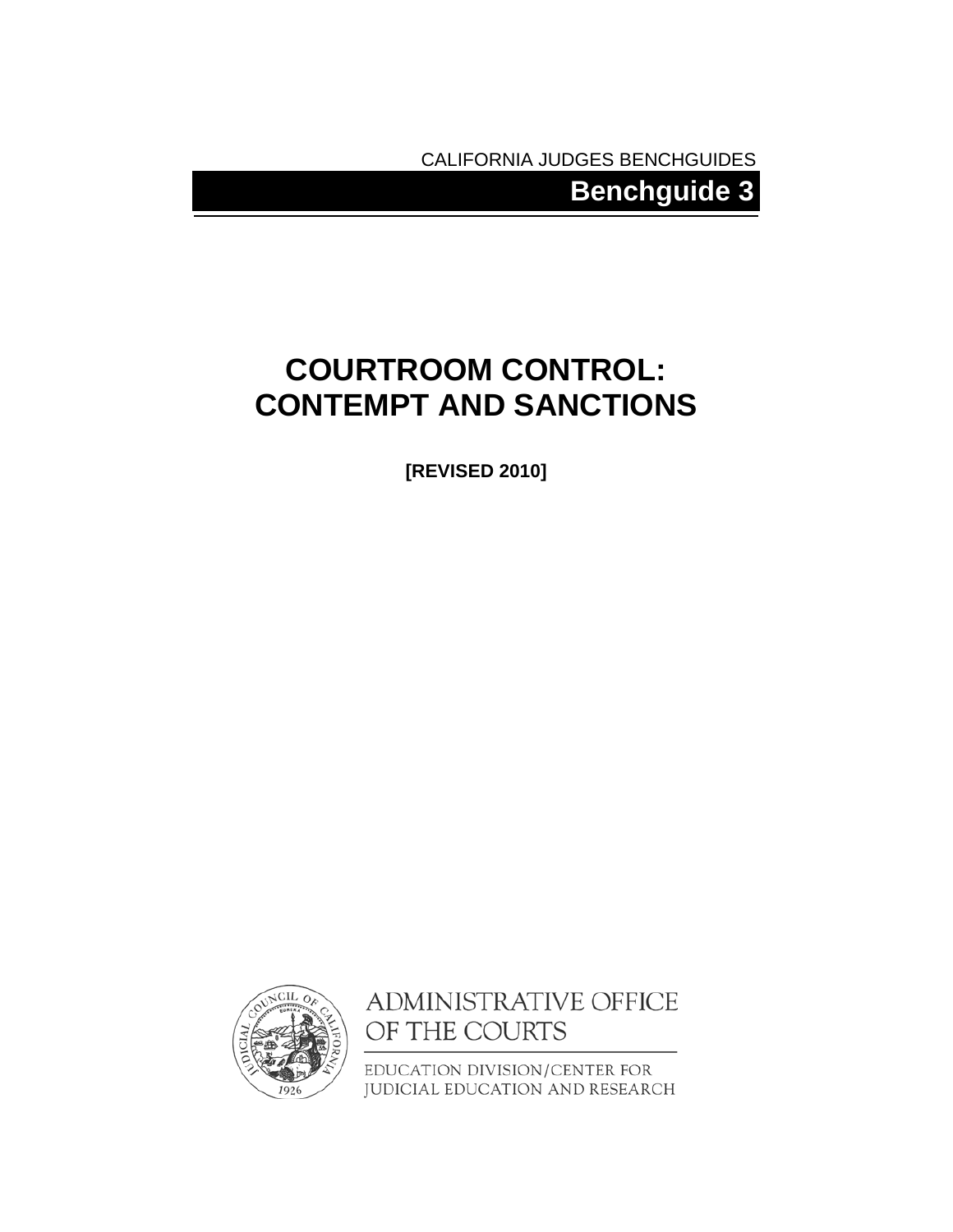CALIFORNIA JUDGES BENCHGUIDES

**Benchguide 3**

# **COURTROOM CONTROL: CONTEMPT AND SANCTIONS**

**[REVISED 2010]**



**ADMINISTRATIVE OFFICE** OF THE COURTS

EDUCATION DIVISION/CENTER FOR JUDICIAL EDUCATION AND RESEARCH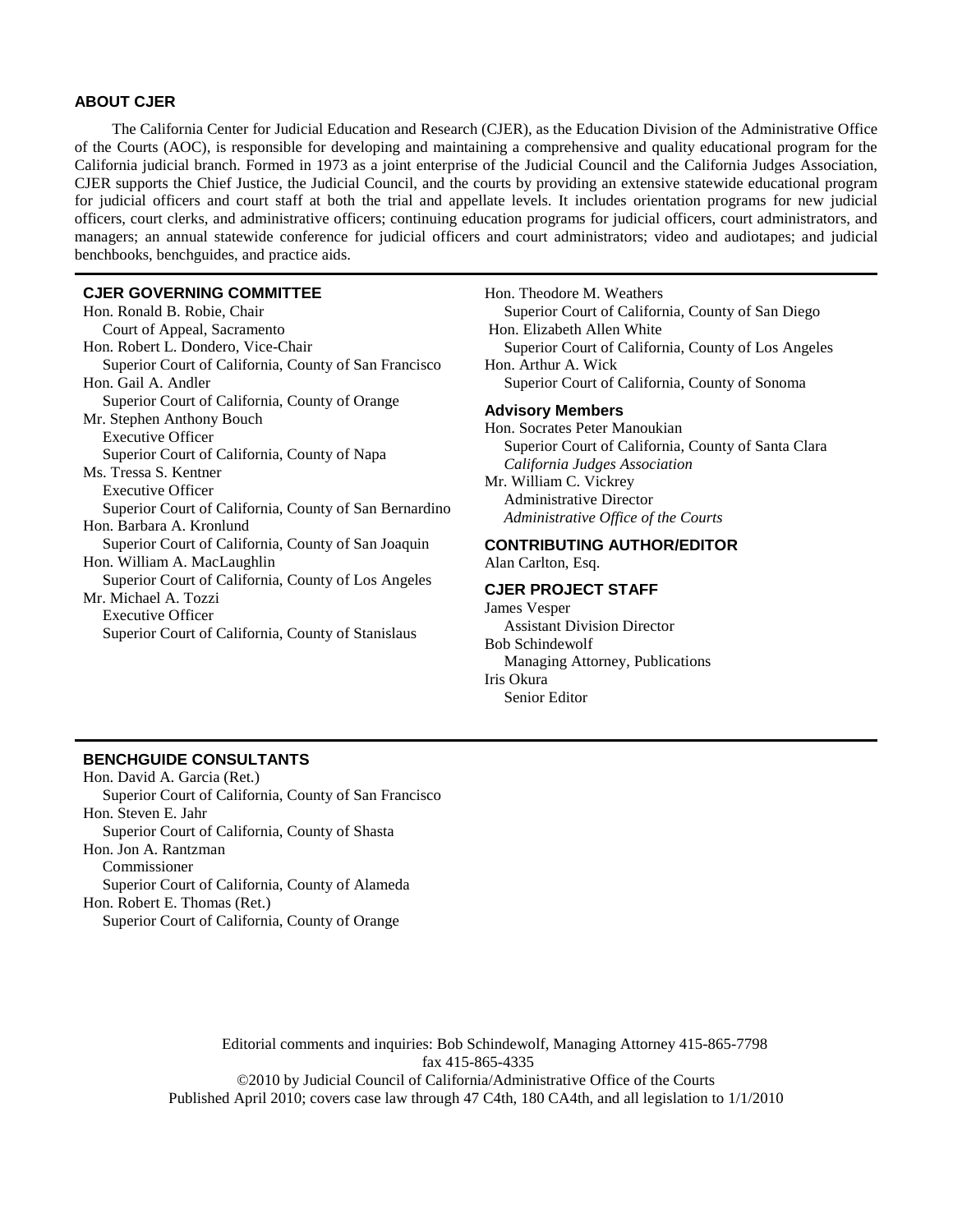#### **ABOUT CJER**

The California Center for Judicial Education and Research (CJER), as the Education Division of the Administrative Office of the Courts (AOC), is responsible for developing and maintaining a comprehensive and quality educational program for the California judicial branch. Formed in 1973 as a joint enterprise of the Judicial Council and the California Judges Association, CJER supports the Chief Justice, the Judicial Council, and the courts by providing an extensive statewide educational program for judicial officers and court staff at both the trial and appellate levels. It includes orientation programs for new judicial officers, court clerks, and administrative officers; continuing education programs for judicial officers, court administrators, and managers; an annual statewide conference for judicial officers and court administrators; video and audiotapes; and judicial benchbooks, benchguides, and practice aids.

#### **CJER GOVERNING COMMITTEE**

Hon. Ronald B. Robie, Chair Court of Appeal, Sacramento Hon. Robert L. Dondero, Vice-Chair Superior Court of California, County of San Francisco Hon. Gail A. Andler Superior Court of California, County of Orange Mr. Stephen Anthony Bouch Executive Officer Superior Court of California, County of Napa Ms. Tressa S. Kentner Executive Officer Superior Court of California, County of San Bernardino Hon. Barbara A. Kronlund Superior Court of California, County of San Joaquin Hon. William A. MacLaughlin Superior Court of California, County of Los Angeles Mr. Michael A. Tozzi Executive Officer Superior Court of California, County of Stanislaus

Hon. Theodore M. Weathers Superior Court of California, County of San Diego Hon. Elizabeth Allen White Superior Court of California, County of Los Angeles Hon. Arthur A. Wick Superior Court of California, County of Sonoma **Advisory Members**

Hon. Socrates Peter Manoukian Superior Court of California, County of Santa Clara *California Judges Association* Mr. William C. Vickrey Administrative Director *Administrative Office of the Courts*

# **CONTRIBUTING AUTHOR/EDITOR**

Alan Carlton, Esq.

#### **CJER PROJECT STAFF**

James Vesper Assistant Division Director Bob Schindewolf Managing Attorney, Publications Iris Okura Senior Editor

#### **BENCHGUIDE CONSULTANTS**

Hon. David A. Garcia (Ret.) Superior Court of California, County of San Francisco Hon. Steven E. Jahr Superior Court of California, County of Shasta Hon. Jon A. Rantzman Commissioner Superior Court of California, County of Alameda Hon. Robert E. Thomas (Ret.) Superior Court of California, County of Orange

> Editorial comments and inquiries: Bob Schindewolf, Managing Attorney 415-865-7798 fax 415-865-4335 ©2010 by Judicial Council of California/Administrative Office of the Courts Published April 2010; covers case law through 47 C4th, 180 CA4th, and all legislation to 1/1/2010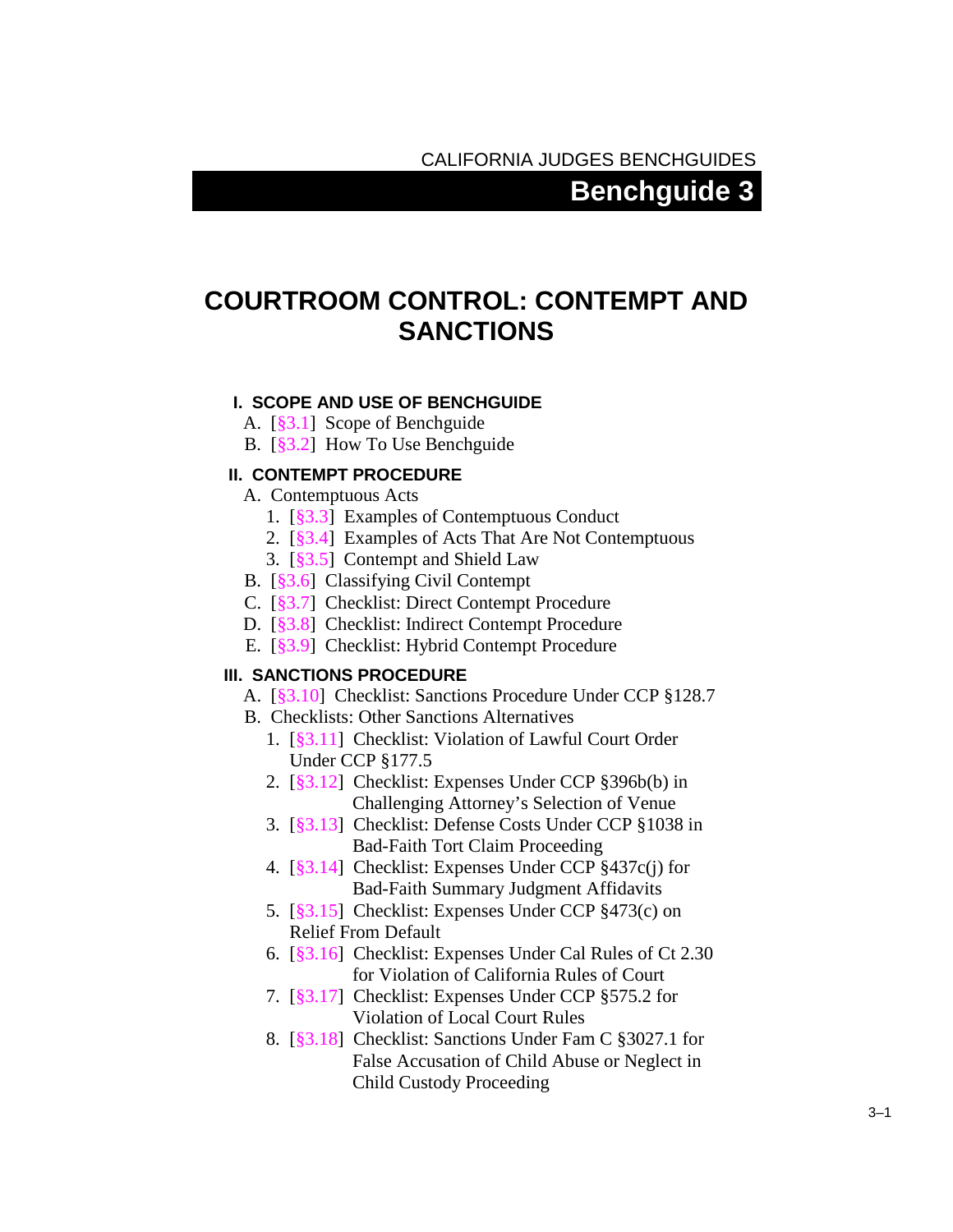# CALIFORNIA JUDGES BENCHGUIDES

**Benchguide 3**

# **COURTROOM CONTROL: CONTEMPT AND SANCTIONS**

# **I. SCOPE AND USE OF BENCHGUIDE**

- A. [[§3.1\]](#page-6-0) Scope of Benchguide
- B. [[§3.2\]](#page-6-1) How To Use Benchguide

# **II. CONTEMPT PROCEDURE**

- A. Contemptuous Acts
	- 1. [[§3.3\]](#page-7-0) Examples of Contemptuous Conduct
	- 2. [[§3.4\]](#page-12-0) Examples of Acts That Are Not Contemptuous
	- 3. [[§3.5\]](#page-13-0) Contempt and Shield Law
- B. [[§3.6\]](#page-15-0) Classifying Civil Contempt
- C. [[§3.7\]](#page-16-0) Checklist: Direct Contempt Procedure
- D. [[§3.8\]](#page-18-0) Checklist: Indirect Contempt Procedure
- E. [[§3.9\]](#page-21-0) Checklist: Hybrid Contempt Procedure

# **III. SANCTIONS PROCEDURE**

- A. [[§3.10\]](#page-22-0) Checklist: Sanctions Procedure Under CCP §128.7
- B. Checklists: Other Sanctions Alternatives
	- 1. [[§3.11\]](#page-24-0) Checklist: Violation of Lawful Court Order Under CCP §177.5
	- 2.  $\lceil \frac{83.12}{ } \rceil$  Checklist: Expenses Under CCP §396b(b) in Challenging Attorney's Selection of Venue
	- 3. [[§3.13\]](#page-27-0) Checklist: Defense Costs Under CCP §1038 in Bad-Faith Tort Claim Proceeding
	- 4. [[§3.14\]](#page-28-0) Checklist: Expenses Under CCP §437c(j) for Bad-Faith Summary Judgment Affidavits
	- 5. [[§3.15\]](#page-30-0) Checklist: Expenses Under CCP §473(c) on Relief From Default
	- 6. [[§3.16\]](#page-31-0) Checklist: Expenses Under Cal Rules of Ct 2.30 for Violation of California Rules of Court
	- 7. [[§3.17\]](#page-32-0) Checklist: Expenses Under CCP §575.2 for Violation of Local Court Rules
	- 8. [[§3.18\]](#page-33-0) Checklist: Sanctions Under Fam C §3027.1 for False Accusation of Child Abuse or Neglect in Child Custody Proceeding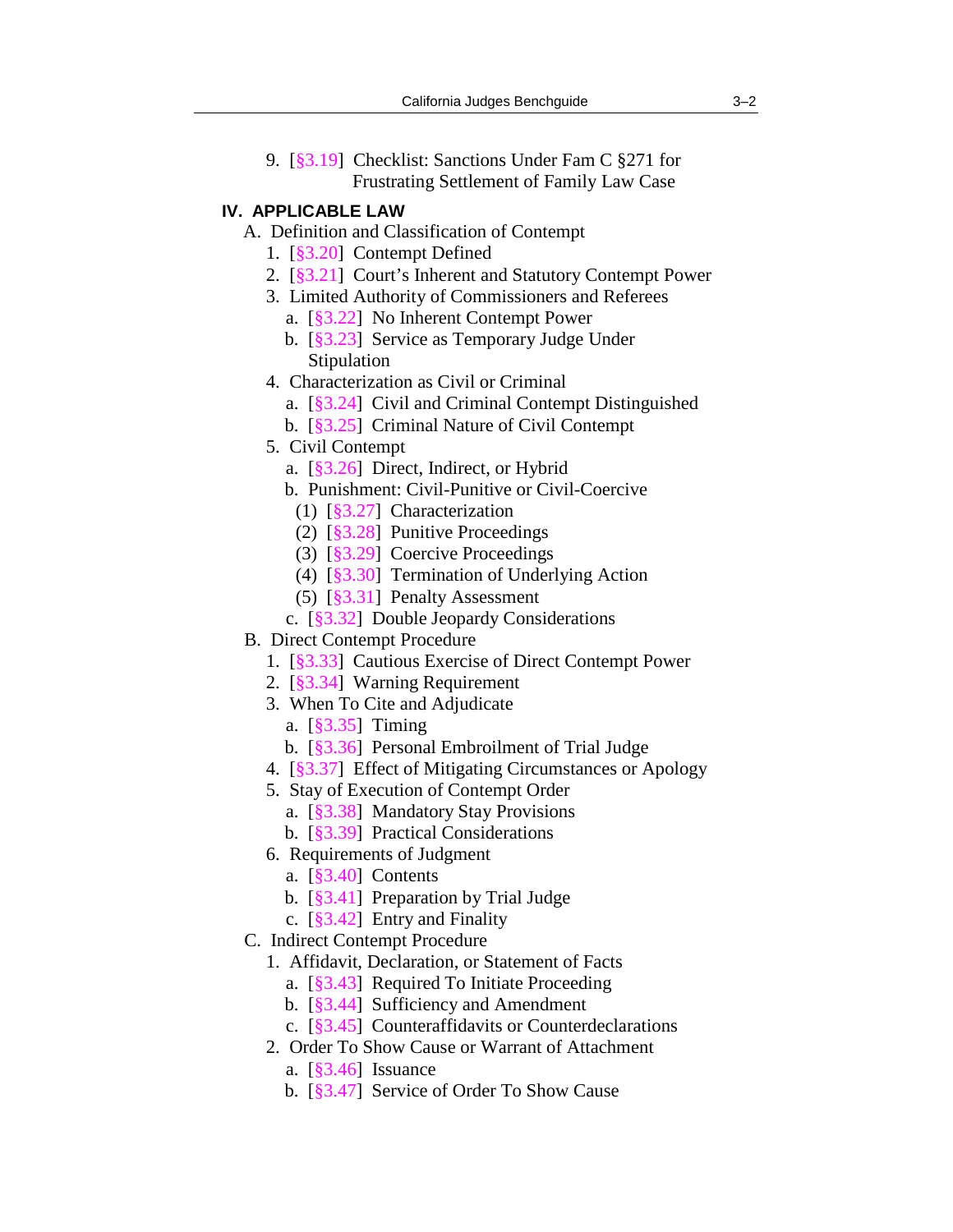9. [[§3.19\]](#page-33-1) Checklist: Sanctions Under Fam C §271 for Frustrating Settlement of Family Law Case

### **IV. APPLICABLE LAW**

- A. Definition and Classification of Contempt
	- 1. [[§3.20\]](#page-34-0) Contempt Defined
	- 2. [[§3.21\]](#page-35-0) Court's Inherent and Statutory Contempt Power
	- 3. Limited Authority of Commissioners and Referees
		- a. [[§3.22\]](#page-36-0) No Inherent Contempt Power
		- b. [[§3.23\]](#page-37-0) Service as Temporary Judge Under Stipulation
	- 4. Characterization as Civil or Criminal
		- a. [[§3.24\]](#page-38-0) Civil and Criminal Contempt Distinguished
		- b. [[§3.25\]](#page-39-0) Criminal Nature of Civil Contempt
	- 5. Civil Contempt
		- a. [[§3.26\]](#page-39-1) Direct, Indirect, or Hybrid
		- b. Punishment: Civil-Punitive or Civil-Coercive
			- (1) [[§3.27\]](#page-40-0) Characterization
			- (2) [[§3.28\]](#page-40-1) Punitive Proceedings
			- (3) [[§3.29\]](#page-41-0) Coercive Proceedings
			- (4) [[§3.30\]](#page-42-0) Termination of Underlying Action
			- (5) [[§3.31\]](#page-42-1) Penalty Assessment
		- c. [[§3.32\]](#page-42-2) Double Jeopardy Considerations
- B. Direct Contempt Procedure
	- 1. [[§3.33\]](#page-43-0) Cautious Exercise of Direct Contempt Power
	- 2. [[§3.34\]](#page-45-0) Warning Requirement
	- 3. When To Cite and Adjudicate
		- a. [[§3.35\]](#page-45-1) Timing
		- b. [[§3.36\]](#page-46-0) Personal Embroilment of Trial Judge
	- 4. [[§3.37\]](#page-47-0) Effect of Mitigating Circumstances or Apology
	- 5. Stay of Execution of Contempt Order
		- a. [[§3.38\]](#page-47-1) Mandatory Stay Provisions
		- b. [[§3.39\]](#page-48-0) Practical Considerations
	- 6. Requirements of Judgment
		- a. [[§3.40\]](#page-48-1) Contents
		- b. [[§3.41\]](#page-50-0) Preparation by Trial Judge
		- c. [[§3.42\]](#page-50-1) Entry and Finality
- C. Indirect Contempt Procedure
	- 1. Affidavit, Declaration, or Statement of Facts
		- a. [[§3.43\]](#page-51-0) Required To Initiate Proceeding
		- b. [[§3.44\]](#page-52-0) Sufficiency and Amendment
		- c. [[§3.45\]](#page-52-1) Counteraffidavits or Counterdeclarations
	- 2. Order To Show Cause or Warrant of Attachment
		- a. [[§3.46\]](#page-53-0) Issuance
		- b. [[§3.47\]](#page-53-1) Service of Order To Show Cause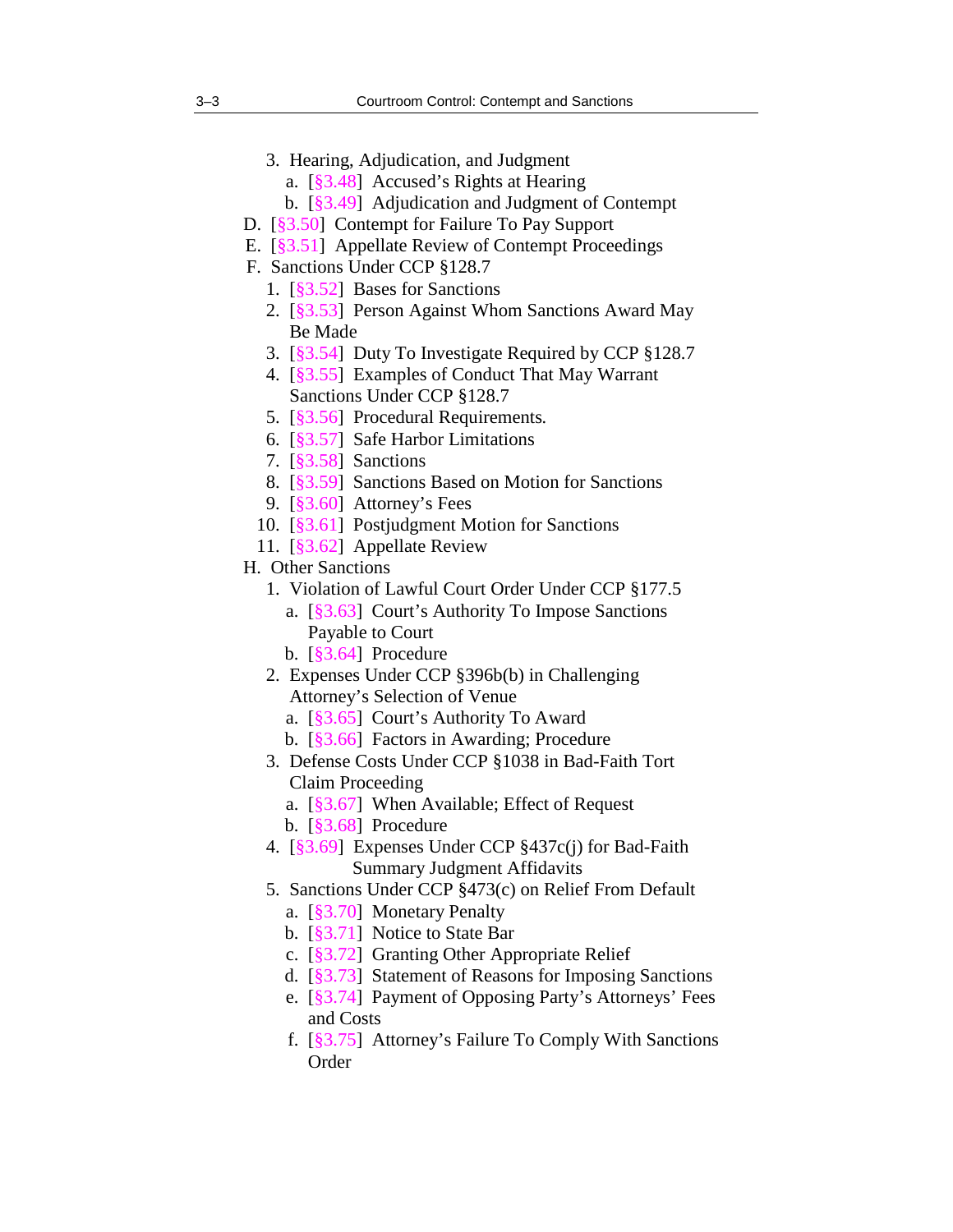- 3. Hearing, Adjudication, and Judgment
	- a. [[§3.48\]](#page-53-2) Accused's Rights at Hearing
- b. [[§3.49\]](#page-55-0) Adjudication and Judgment of Contempt
- D. [[§3.50\]](#page-55-1) Contempt for Failure To Pay Support
- E. [[§3.51\]](#page-57-0) Appellate Review of Contempt Proceedings
- F. Sanctions Under CCP §128.7
	- 1. [[§3.52\]](#page-58-0) Bases for Sanctions
	- 2. [[§3.53\]](#page-59-0) Person Against Whom Sanctions Award May Be Made
	- 3. [[§3.54\]](#page-59-1) Duty To Investigate Required by CCP §128.7
	- 4. [[§3.55\]](#page-62-0) Examples of Conduct That May Warrant Sanctions Under CCP §128.7
	- 5. [[§3.56\]](#page-63-0) Procedural Requirements*.*
	- 6. [[§3.57\]](#page-64-0) Safe Harbor Limitations
	- 7. [[§3.58\]](#page-66-0) Sanctions
	- 8. [[§3.59\]](#page-67-0) Sanctions Based on Motion for Sanctions
	- 9. [[§3.60\]](#page-67-1) Attorney's Fees
	- 10. [[§3.61\]](#page-67-2) Postjudgment Motion for Sanctions
	- 11. [[§3.62\]](#page-67-3) Appellate Review
- H. Other Sanctions
	- 1. Violation of Lawful Court Order Under CCP §177.5
		- a. [[§3.63\]](#page-68-0) Court's Authority To Impose Sanctions Payable to Court
		- b. [[§3.64\]](#page-70-0) Procedure
	- 2. Expenses Under CCP §396b(b) in Challenging Attorney's Selection of Venue
		- a. [[§3.65\]](#page-71-0) Court's Authority To Award
		- b. [[§3.66\]](#page-71-1) Factors in Awarding; Procedure
	- 3. Defense Costs Under CCP §1038 in Bad-Faith Tort Claim Proceeding
		- a. [[§3.67\]](#page-72-0) When Available; Effect of Request
		- b.  $[§3.68]$  $[§3.68]$  Procedure
	- 4. [[§3.69\]](#page-74-0) Expenses Under CCP §437c(j) for Bad-Faith Summary Judgment Affidavits
	- 5. Sanctions Under CCP §473(c) on Relief From Default
		- a. [[§3.70\]](#page-75-0) Monetary Penalty
		- b. [[§3.71\]](#page-75-1) Notice to State Bar
		- c. [[§3.72\]](#page-76-0) Granting Other Appropriate Relief
		- d. [[§3.73\]](#page-76-1) Statement of Reasons for Imposing Sanctions
		- e. [[§3.74\]](#page-76-2) Payment of Opposing Party's Attorneys' Fees and Costs
		- f. [[§3.75\]](#page-77-0) Attorney's Failure To Comply With Sanctions Order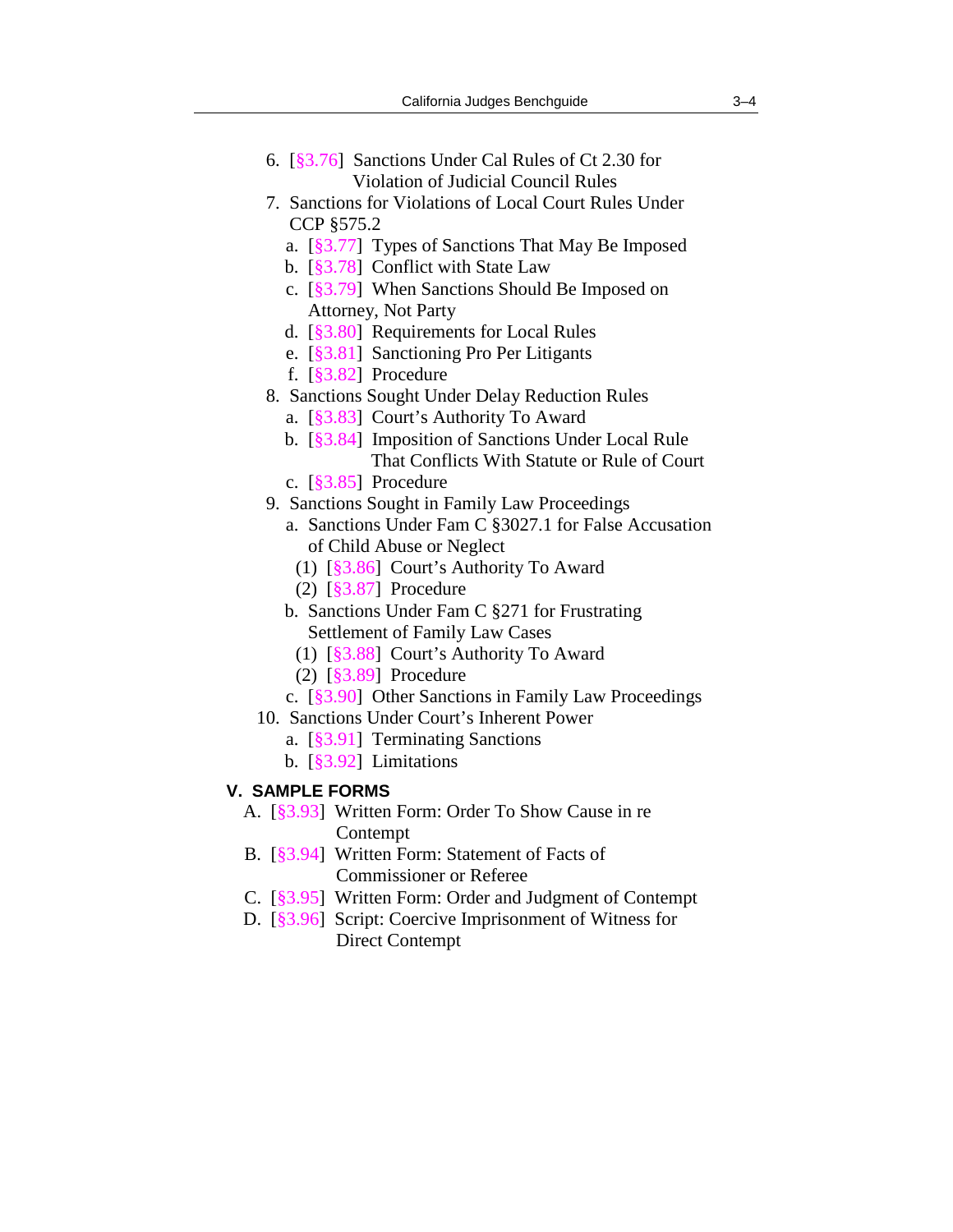- 6. [[§3.76\]](#page-77-1) Sanctions Under Cal Rules of Ct 2.30 for Violation of Judicial Council Rules
- 7. Sanctions for Violations of Local Court Rules Under CCP §575.2
	- a. [[§3.77\]](#page-78-0) Types of Sanctions That May Be Imposed
	- b. [[§3.78\]](#page-79-0) Conflict with State Law
	- c. [[§3.79\]](#page-79-1) When Sanctions Should Be Imposed on Attorney, Not Party
	- d. [[§3.80\]](#page-80-0) Requirements for Local Rules
	- e. [[§3.81\]](#page-80-1) Sanctioning Pro Per Litigants
	- f. [[§3.82\]](#page-80-2) Procedure
- 8. Sanctions Sought Under Delay Reduction Rules
	- a. [[§3.83\]](#page-81-0) Court's Authority To Award
	- b. [[§3.84\]](#page-81-1) Imposition of Sanctions Under Local Rule That Conflicts With Statute or Rule of Court
	- c. [[§3.85\]](#page-82-0) Procedure
- 9. Sanctions Sought in Family Law Proceedings
	- a. Sanctions Under Fam C §3027.1 for False Accusation of Child Abuse or Neglect
		- (1) [[§3.86\]](#page-83-0) Court's Authority To Award
		- (2) [[§3.87\]](#page-83-1) Procedure
	- b. Sanctions Under Fam C §271 for Frustrating Settlement of Family Law Cases
		- (1) [[§3.88\]](#page-83-2) Court's Authority To Award
		- (2) [[§3.89\]](#page-85-0) Procedure
	- c. [[§3.90\]](#page-86-0) Other Sanctions in Family Law Proceedings
- 10. Sanctions Under Court's Inherent Power
	- a. [[§3.91\]](#page-86-1) Terminating Sanctions
	- b. [[§3.92\]](#page-86-2) Limitations

# **V. SAMPLE FORMS**

- A. [[§3.93\]](#page-87-0) Written Form: Order To Show Cause in re Contempt
- B. [[§3.94\]](#page-88-0) Written Form: Statement of Facts of Commissioner or Referee
- C. [[§3.95\]](#page-89-0) Written Form: Order and Judgment of Contempt
- D. [[§3.96\]](#page-92-0) Script: Coercive Imprisonment of Witness for Direct Contempt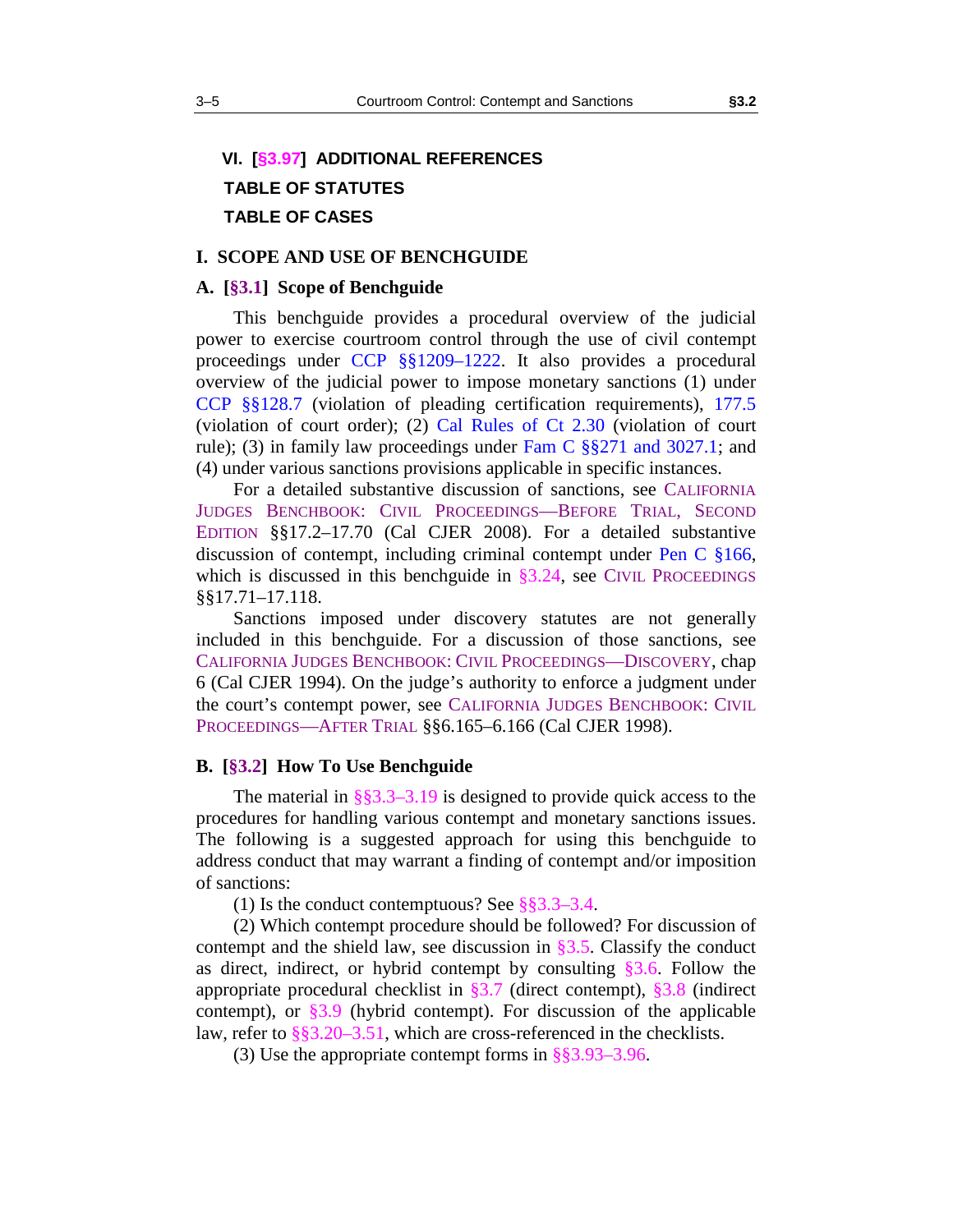# **VI. [[§3.97\]](#page-94-0) ADDITIONAL REFERENCES TABLE OF STATUTES TABLE OF CASES**

# **I. SCOPE AND USE OF BENCHGUIDE**

#### <span id="page-6-0"></span>**A. [§3.1] Scope of Benchguide**

This benchguide provides a procedural overview of the judicial power to exercise courtroom control through the use of civil contempt proceedings under CCP §§1209–1222. It also provides a procedural overview of the judicial power to impose monetary sanctions (1) under CCP §§128.7 (violation of pleading certification requirements), 177.5 (violation of court order); (2) Cal Rules of Ct 2.30 (violation of court rule); (3) in family law proceedings under Fam C  $\S$ §271 and 3027.1; and (4) under various sanctions provisions applicable in specific instances.

For a detailed substantive discussion of sanctions, see CALIFORNIA JUDGES BENCHBOOK: CIVIL PROCEEDINGS—BEFORE TRIAL, SECOND EDITION §§17.2–17.70 (Cal CJER 2008). For a detailed substantive discussion of contempt, including criminal contempt under Pen C §166, which is discussed in this benchguide in [§3.24,](#page-38-0) see CIVIL PROCEEDINGS §§17.71–17.118.

Sanctions imposed under discovery statutes are not generally included in this benchguide. For a discussion of those sanctions, see CALIFORNIA JUDGES BENCHBOOK: CIVIL PROCEEDINGS—DISCOVERY, chap 6 (Cal CJER 1994). On the judge's authority to enforce a judgment under the court's contempt power, see CALIFORNIA JUDGES BENCHBOOK: CIVIL PROCEEDINGS—AFTER TRIAL §§6.165–6.166 (Cal CJER 1998).

#### <span id="page-6-1"></span>**B. [§3.2] How To Use Benchguide**

The material in §[§3.3–](#page-7-0)[3.19](#page-33-1) is designed to provide quick access to the procedures for handling various contempt and monetary sanctions issues. The following is a suggested approach for using this benchguide to address conduct that may warrant a finding of contempt and/or imposition of sanctions:

(1) Is the conduct contemptuous? See §[§3.3–](#page-7-0)[3.4.](#page-12-0)

(2) Which contempt procedure should be followed? For discussion of contempt and the shield law, see discussion in [§3.5.](#page-13-0) Classify the conduct as direct, indirect, or hybrid contempt by consulting  $\S 3.6$ . Follow the appropriate procedural checklist in [§3.7](#page-16-0) (direct contempt), [§3.8](#page-18-0) (indirect contempt), or [§3.9](#page-21-0) (hybrid contempt). For discussion of the applicable law, refer to §[§3.20–](#page-34-0)[3.51,](#page-57-0) which are cross-referenced in the checklists.

(3) Use the appropriate contempt forms in §[§3.93–](#page-87-0)[3.96.](#page-92-0)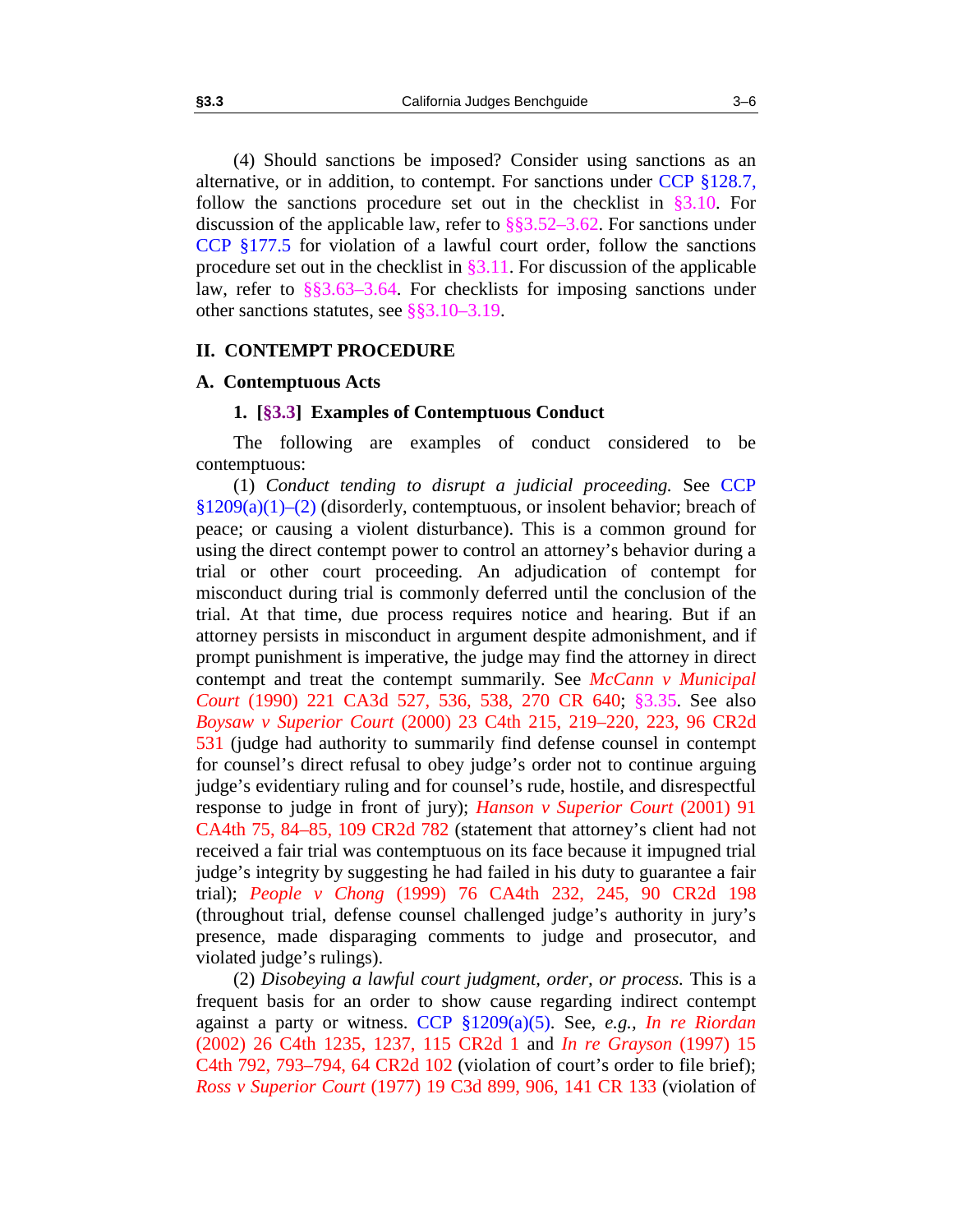(4) Should sanctions be imposed? Consider using sanctions as an alternative, or in addition, to contempt. For sanctions under CCP §128.7, follow the sanctions procedure set out in the checklist in  $\S 3.10$ . For discussion of the applicable law, refer to  $\S$ [§3.52](#page-58-0)[–3.62.](#page-67-3) For sanctions under CCP §177.5 for violation of a lawful court order, follow the sanctions procedure set out in the checklist in  $\S 3.11$ . For discussion of the applicable law, refer to §[§3.63–](#page-68-0)[3.64.](#page-70-0) For checklists for imposing sanctions under other sanctions statutes, see §[§3.10](#page-22-0)[–3.19.](#page-33-1)

#### **II. CONTEMPT PROCEDURE**

#### **A. Contemptuous Acts**

#### <span id="page-7-0"></span>**1. [§3.3] Examples of Contemptuous Conduct**

The following are examples of conduct considered to be contemptuous:

(1) *Conduct tending to disrupt a judicial proceeding.* See CCP  $\S 1209(a)(1)$ –(2) (disorderly, contemptuous, or insolent behavior; breach of peace; or causing a violent disturbance). This is a common ground for using the direct contempt power to control an attorney's behavior during a trial or other court proceeding. An adjudication of contempt for misconduct during trial is commonly deferred until the conclusion of the trial. At that time, due process requires notice and hearing. But if an attorney persists in misconduct in argument despite admonishment, and if prompt punishment is imperative, the judge may find the attorney in direct contempt and treat the contempt summarily. See *McCann v Municipal Court* (1990) 221 CA3d 527, 536, 538, 270 CR 640; [§3.35.](#page-45-1) See also *Boysaw v Superior Court* (2000) 23 C4th 215, 219–220, 223, 96 CR2d 531 (judge had authority to summarily find defense counsel in contempt for counsel's direct refusal to obey judge's order not to continue arguing judge's evidentiary ruling and for counsel's rude, hostile, and disrespectful response to judge in front of jury); *Hanson v Superior Court* (2001) 91 CA4th 75, 84–85, 109 CR2d 782 (statement that attorney's client had not received a fair trial was contemptuous on its face because it impugned trial judge's integrity by suggesting he had failed in his duty to guarantee a fair trial); *People v Chong* (1999) 76 CA4th 232, 245, 90 CR2d 198 (throughout trial, defense counsel challenged judge's authority in jury's presence, made disparaging comments to judge and prosecutor, and violated judge's rulings).

(2) *Disobeying a lawful court judgment, order, or process.* This is a frequent basis for an order to show cause regarding indirect contempt against a party or witness. CCP §1209(a)(5). See, *e.g., In re Riordan* (2002) 26 C4th 1235, 1237, 115 CR2d 1 and *In re Grayson* (1997) 15 C4th 792, 793–794, 64 CR2d 102 (violation of court's order to file brief); *Ross v Superior Court* (1977) 19 C3d 899, 906, 141 CR 133 (violation of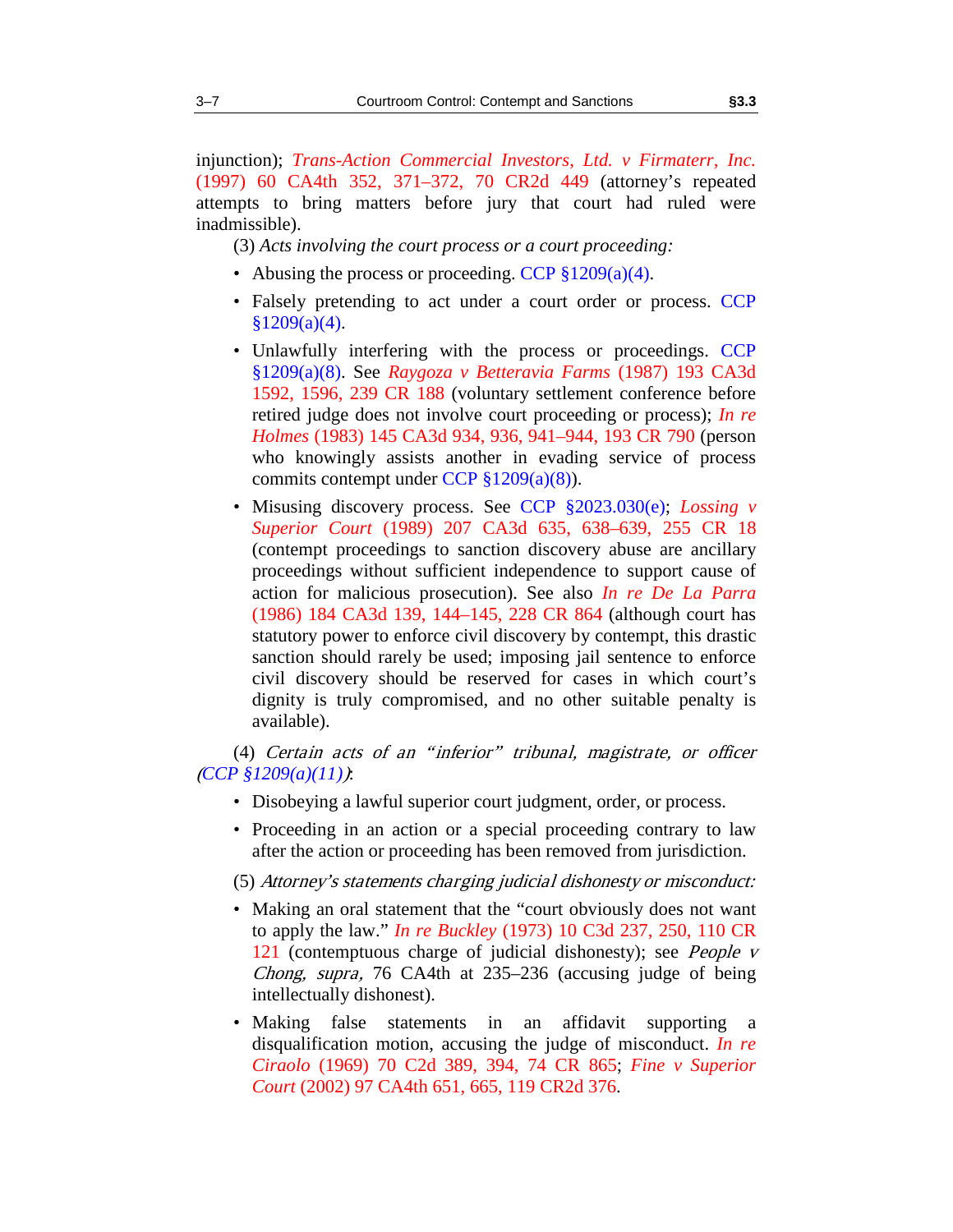injunction); *Trans-Action Commercial Investors, Ltd. v Firmaterr, Inc.* (1997) 60 CA4th 352, 371–372, 70 CR2d 449 (attorney's repeated attempts to bring matters before jury that court had ruled were inadmissible).

(3) *Acts involving the court process or a court proceeding:*

- Abusing the process or proceeding. CCP  $\S 1209(a)(4)$ .
- Falsely pretending to act under a court order or process. CCP  $$1209(a)(4).$
- Unlawfully interfering with the process or proceedings. CCP §1209(a)(8). See *Raygoza v Betteravia Farms* (1987) 193 CA3d 1592, 1596, 239 CR 188 (voluntary settlement conference before retired judge does not involve court proceeding or process); *In re Holmes* (1983) 145 CA3d 934, 936, 941–944, 193 CR 790 (person who knowingly assists another in evading service of process commits contempt under CCP §1209(a)(8)).
- Misusing discovery process. See CCP §2023.030(e); *Lossing v Superior Court* (1989) 207 CA3d 635, 638–639, 255 CR 18 (contempt proceedings to sanction discovery abuse are ancillary proceedings without sufficient independence to support cause of action for malicious prosecution). See also *In re De La Parra* (1986) 184 CA3d 139, 144–145, 228 CR 864 (although court has statutory power to enforce civil discovery by contempt, this drastic sanction should rarely be used; imposing jail sentence to enforce civil discovery should be reserved for cases in which court's dignity is truly compromised, and no other suitable penalty is available).

(4) Certain acts of an " inferior" tribunal, magistrate, or officer (*CCP §1209(a)(11)*):

- Disobeying a lawful superior court judgment, order, or process.
- Proceeding in an action or a special proceeding contrary to law after the action or proceeding has been removed from jurisdiction.

(5) Attorney's statements charging judicial dishonesty or misconduct:

- Making an oral statement that the "court obviously does not want to apply the law." *In re Buckley* (1973) 10 C3d 237, 250, 110 CR 121 (contemptuous charge of judicial dishonesty); see People v Chong, supra, 76 CA4th at 235–236 (accusing judge of being intellectually dishonest).
- Making false statements in an affidavit supporting a disqualification motion, accusing the judge of misconduct. *In re Ciraolo* (1969) 70 C2d 389, 394, 74 CR 865; *Fine v Superior Court* (2002) 97 CA4th 651, 665, 119 CR2d 376.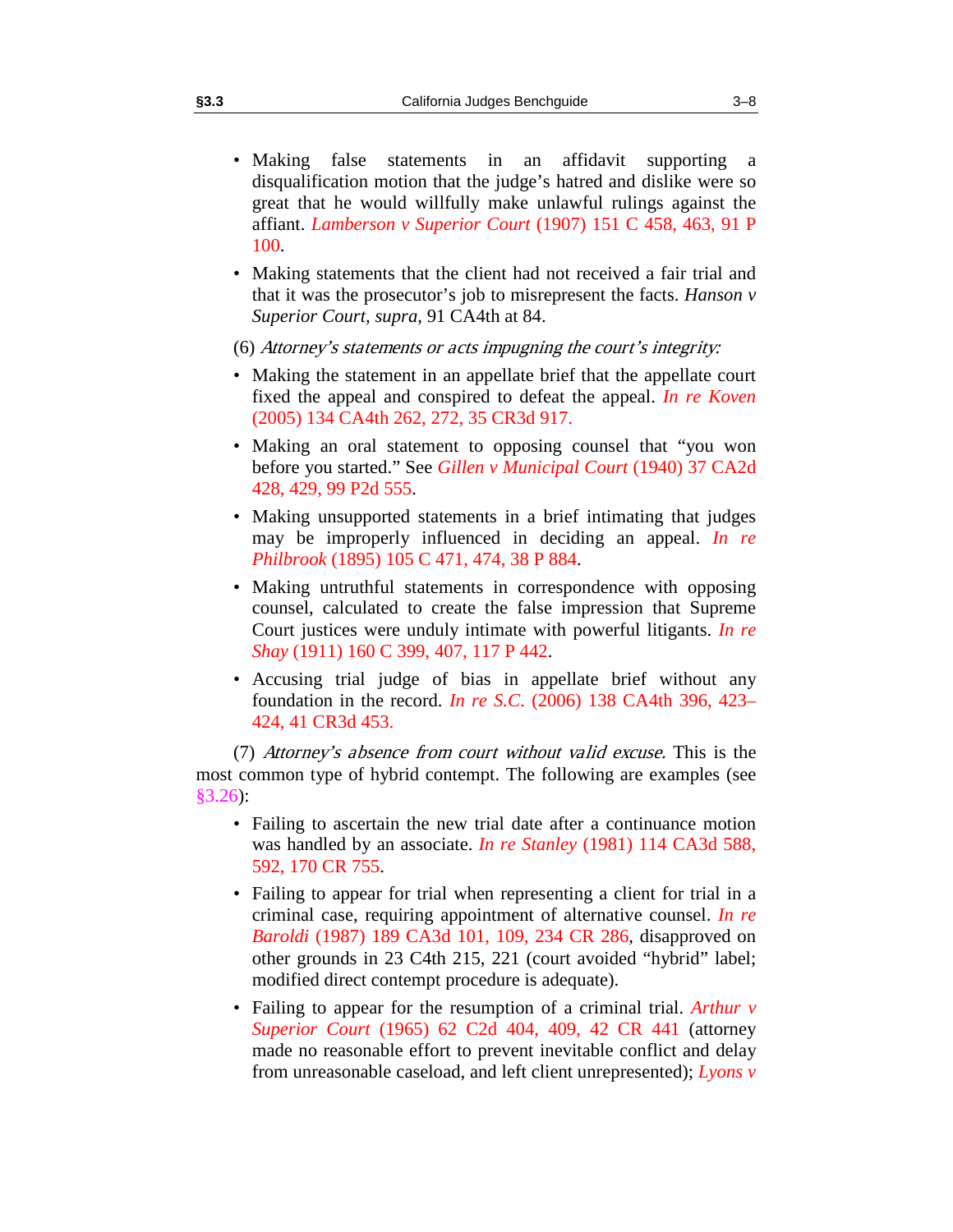- Making false statements in an affidavit supporting a disqualification motion that the judge's hatred and dislike were so great that he would willfully make unlawful rulings against the affiant. *Lamberson v Superior Court* (1907) 151 C 458, 463, 91 P 100.
- Making statements that the client had not received a fair trial and that it was the prosecutor's job to misrepresent the facts. *Hanson v Superior Court, supra*, 91 CA4th at 84.
- (6) Attorney's statements or acts impugning the court's integrity:
- Making the statement in an appellate brief that the appellate court fixed the appeal and conspired to defeat the appeal. *In re Koven*  (2005) 134 CA4th 262, 272, 35 CR3d 917.
- Making an oral statement to opposing counsel that "you won before you started." See *Gillen v Municipal Court* (1940) 37 CA2d 428, 429, 99 P2d 555.
- Making unsupported statements in a brief intimating that judges may be improperly influenced in deciding an appeal. *In re Philbrook* (1895) 105 C 471, 474, 38 P 884.
- Making untruthful statements in correspondence with opposing counsel, calculated to create the false impression that Supreme Court justices were unduly intimate with powerful litigants. *In re Shay* (1911) 160 C 399, 407, 117 P 442.
- Accusing trial judge of bias in appellate brief without any foundation in the record. *In re S.C*. (2006) 138 CA4th 396, 423– 424, 41 CR3d 453.

(7) Attorney's absence from court without valid excuse. This is the most common type of hybrid contempt. The following are examples (see [§3.26\)](#page-39-1):

- Failing to ascertain the new trial date after a continuance motion was handled by an associate. *In re Stanley* (1981) 114 CA3d 588, 592, 170 CR 755.
- Failing to appear for trial when representing a client for trial in a criminal case, requiring appointment of alternative counsel. *In re Baroldi* (1987) 189 CA3d 101, 109, 234 CR 286, disapproved on other grounds in 23 C4th 215, 221 (court avoided "hybrid" label; modified direct contempt procedure is adequate).
- Failing to appear for the resumption of a criminal trial. *Arthur v Superior Court* (1965) 62 C2d 404, 409, 42 CR 441 (attorney made no reasonable effort to prevent inevitable conflict and delay from unreasonable caseload, and left client unrepresented); *Lyons v*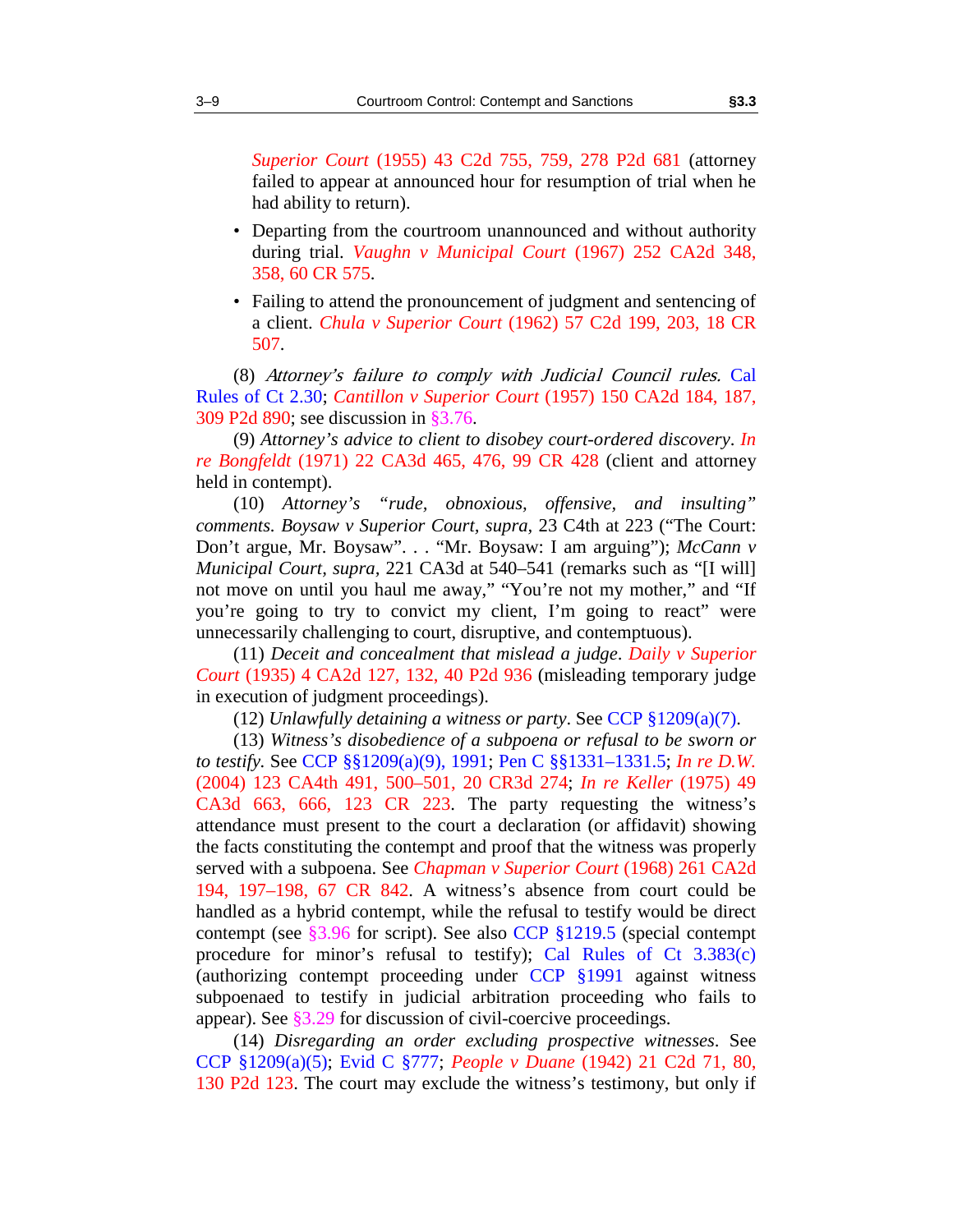*Superior Court* (1955) 43 C2d 755, 759, 278 P2d 681 (attorney failed to appear at announced hour for resumption of trial when he had ability to return).

- Departing from the courtroom unannounced and without authority during trial. *Vaughn v Municipal Court* (1967) 252 CA2d 348, 358, 60 CR 575.
- Failing to attend the pronouncement of judgment and sentencing of a client. *Chula v Superior Court* (1962) 57 C2d 199, 203, 18 CR 507.

(8) Attorney's failure to comply with Judicial Council rules. Cal Rules of Ct 2.30; *Cantillon v Superior Court* (1957) 150 CA2d 184, 187, 309 P2d 890; see discussion in [§3.76.](#page-77-1)

(9) *Attorney's advice to client to disobey court-ordered discovery*. *In re Bongfeldt* (1971) 22 CA3d 465, 476, 99 CR 428 (client and attorney held in contempt).

(10) *Attorney's "rude, obnoxious, offensive, and insulting" comments. Boysaw v Superior Court, supra,* 23 C4th at 223 ("The Court: Don't argue, Mr. Boysaw". . . "Mr. Boysaw: I am arguing"); *McCann v Municipal Court, supra,* 221 CA3d at 540–541 (remarks such as "[I will] not move on until you haul me away," "You're not my mother," and "If you're going to try to convict my client, I'm going to react" were unnecessarily challenging to court, disruptive, and contemptuous).

(11) *Deceit and concealment that mislead a judge*. *Daily v Superior Court* (1935) 4 CA2d 127, 132, 40 P2d 936 (misleading temporary judge in execution of judgment proceedings).

(12) *Unlawfully detaining a witness or party*. See CCP §1209(a)(7).

(13) *Witness's disobedience of a subpoena or refusal to be sworn or to testify.* See CCP §§1209(a)(9), 1991; Pen C §§1331–1331.5; *In re D.W.*  (2004) 123 CA4th 491, 500–501, 20 CR3d 274; *In re Keller* (1975) 49 CA3d 663, 666, 123 CR 223. The party requesting the witness's attendance must present to the court a declaration (or affidavit) showing the facts constituting the contempt and proof that the witness was properly served with a subpoena. See *Chapman v Superior Court* (1968) 261 CA2d 194, 197–198, 67 CR 842. A witness's absence from court could be handled as a hybrid contempt, while the refusal to testify would be direct contempt (see [§3.96](#page-92-0) for script). See also CCP §1219.5 (special contempt procedure for minor's refusal to testify); Cal Rules of Ct 3.383(c) (authorizing contempt proceeding under CCP §1991 against witness subpoenaed to testify in judicial arbitration proceeding who fails to appear). See [§3.29](#page-41-0) for discussion of civil-coercive proceedings.

(14) *Disregarding an order excluding prospective witnesses*. See CCP §1209(a)(5); Evid C §777; *People v Duane* (1942) 21 C2d 71, 80, 130 P2d 123. The court may exclude the witness's testimony, but only if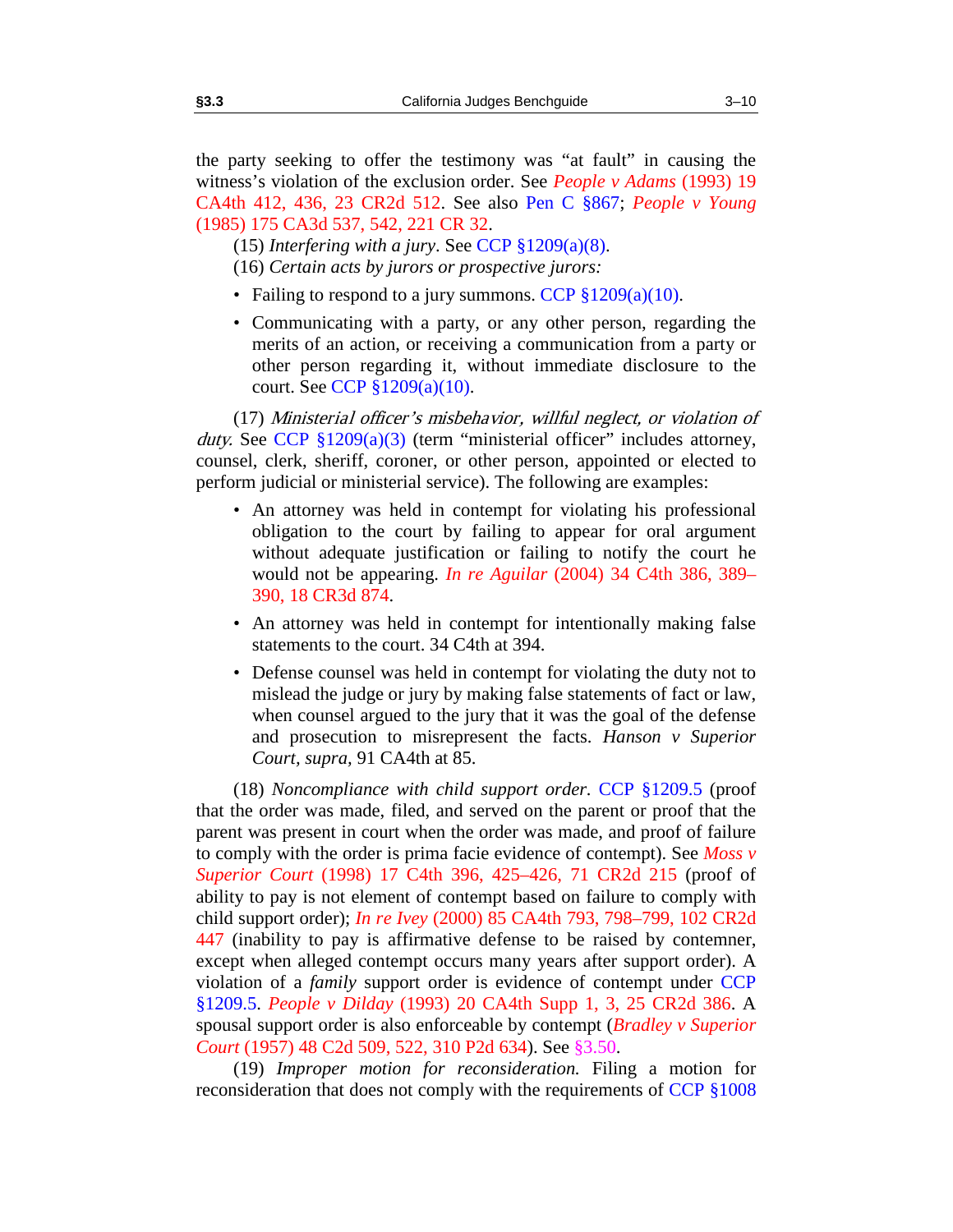the party seeking to offer the testimony was "at fault" in causing the witness's violation of the exclusion order. See *People v Adams* (1993) 19 CA4th 412, 436, 23 CR2d 512. See also Pen C §867; *People v Young* (1985) 175 CA3d 537, 542, 221 CR 32.

(15) *Interfering with a jury*. See CCP §1209(a)(8). (16) *Certain acts by jurors or prospective jurors:*

- Failing to respond to a jury summons. CCP  $\S 1209(a)(10)$ .
- Communicating with a party, or any other person, regarding the merits of an action, or receiving a communication from a party or other person regarding it, without immediate disclosure to the court. See CCP §1209(a)(10).

(17) Ministerial officer's misbehavior, willful neglect, or violation of duty. See CCP  $$1209(a)(3)$  (term "ministerial officer" includes attorney, counsel, clerk, sheriff, coroner, or other person, appointed or elected to perform judicial or ministerial service). The following are examples:

- An attorney was held in contempt for violating his professional obligation to the court by failing to appear for oral argument without adequate justification or failing to notify the court he would not be appearing. *In re Aguilar* (2004) 34 C4th 386, 389– 390, 18 CR3d 874.
- An attorney was held in contempt for intentionally making false statements to the court. 34 C4th at 394.
- Defense counsel was held in contempt for violating the duty not to mislead the judge or jury by making false statements of fact or law, when counsel argued to the jury that it was the goal of the defense and prosecution to misrepresent the facts. *Hanson v Superior Court, supra,* 91 CA4th at 85.

(18) *Noncompliance with child support order.* CCP §1209.5 (proof that the order was made, filed, and served on the parent or proof that the parent was present in court when the order was made, and proof of failure to comply with the order is prima facie evidence of contempt). See *Moss v Superior Court* (1998) 17 C4th 396, 425–426, 71 CR2d 215 (proof of ability to pay is not element of contempt based on failure to comply with child support order); *In re Ivey* (2000) 85 CA4th 793, 798–799, 102 CR2d 447 (inability to pay is affirmative defense to be raised by contemner, except when alleged contempt occurs many years after support order). A violation of a *family* support order is evidence of contempt under CCP §1209.5. *People v Dilday* (1993) 20 CA4th Supp 1, 3, 25 CR2d 386. A spousal support order is also enforceable by contempt (*Bradley v Superior Court* (1957) 48 C2d 509, 522, 310 P2d 634). See [§3.50.](#page-55-1)

(19) *Improper motion for reconsideration.* Filing a motion for reconsideration that does not comply with the requirements of CCP §1008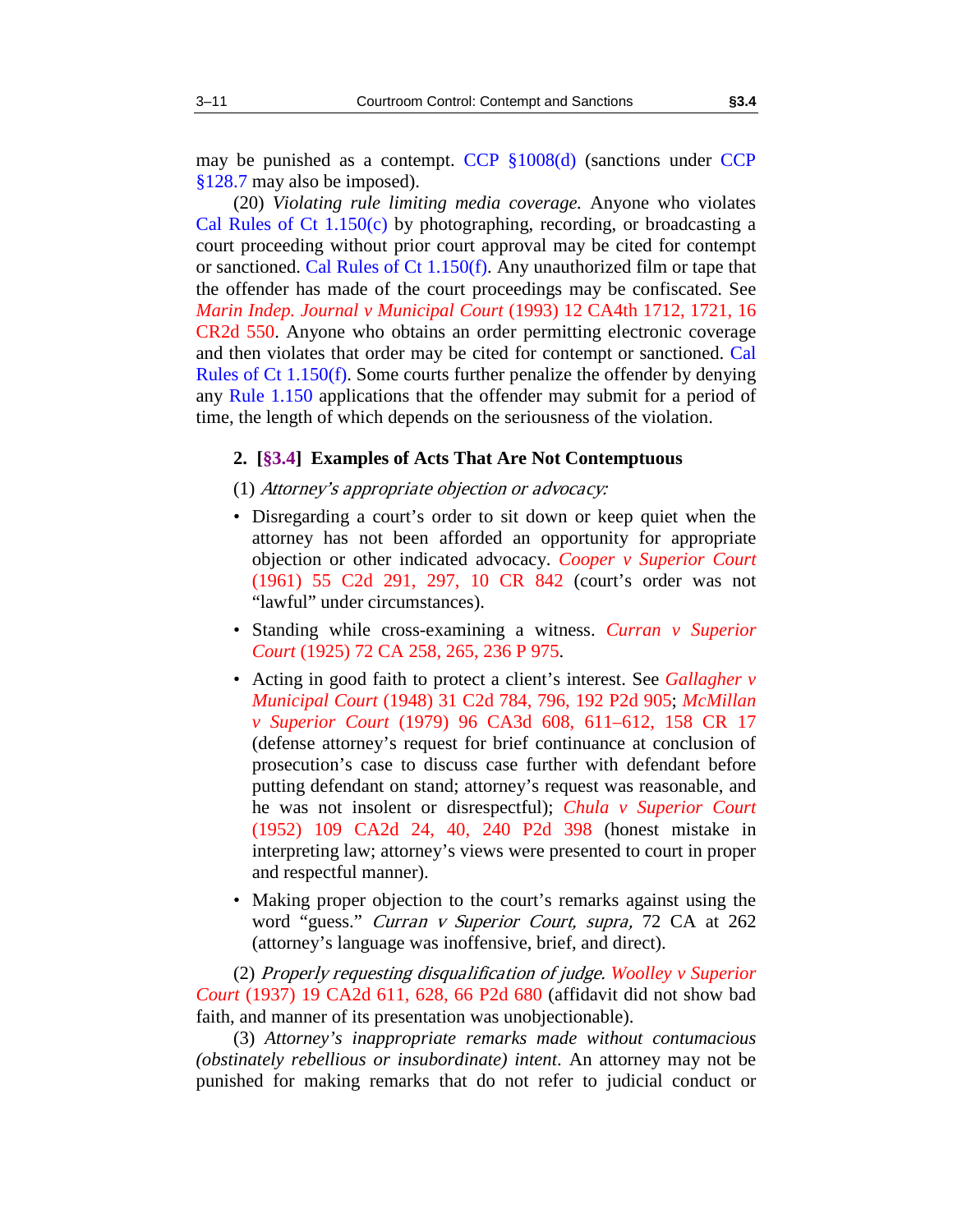may be punished as a contempt. CCP §1008(d) (sanctions under CCP §128.7 may also be imposed).

(20) *Violating rule limiting media coverage.* Anyone who violates Cal Rules of Ct 1.150(c) by photographing, recording, or broadcasting a court proceeding without prior court approval may be cited for contempt or sanctioned. Cal Rules of Ct 1.150(f). Any unauthorized film or tape that the offender has made of the court proceedings may be confiscated. See *Marin Indep. Journal v Municipal Court* (1993) 12 CA4th 1712, 1721, 16 CR2d 550. Anyone who obtains an order permitting electronic coverage and then violates that order may be cited for contempt or sanctioned. Cal Rules of Ct 1.150(f). Some courts further penalize the offender by denying any Rule 1.150 applications that the offender may submit for a period of time, the length of which depends on the seriousness of the violation.

#### <span id="page-12-0"></span>**2. [§3.4] Examples of Acts That Are Not Contemptuous**

#### (1) Attorney's appropriate objection or advocacy:

- Disregarding a court's order to sit down or keep quiet when the attorney has not been afforded an opportunity for appropriate objection or other indicated advocacy. *Cooper v Superior Court* (1961) 55 C2d 291, 297, 10 CR 842 (court's order was not "lawful" under circumstances).
- Standing while cross-examining a witness. *Curran v Superior Court* (1925) 72 CA 258, 265, 236 P 975.
- Acting in good faith to protect a client's interest. See *Gallagher v Municipal Court* (1948) 31 C2d 784, 796, 192 P2d 905; *McMillan v Superior Court* (1979) 96 CA3d 608, 611–612, 158 CR 17 (defense attorney's request for brief continuance at conclusion of prosecution's case to discuss case further with defendant before putting defendant on stand; attorney's request was reasonable, and he was not insolent or disrespectful); *Chula v Superior Court* (1952) 109 CA2d 24, 40, 240 P2d 398 (honest mistake in interpreting law; attorney's views were presented to court in proper and respectful manner).
- Making proper objection to the court's remarks against using the word "guess." Curran v Superior Court, supra, 72 CA at 262 (attorney's language was inoffensive, brief, and direct).

(2) Properly requesting disqualification of judge. *Woolley v Superior Court* (1937) 19 CA2d 611, 628, 66 P2d 680 (affidavit did not show bad faith, and manner of its presentation was unobjectionable).

(3) *Attorney's inappropriate remarks made without contumacious (obstinately rebellious or insubordinate) intent*. An attorney may not be punished for making remarks that do not refer to judicial conduct or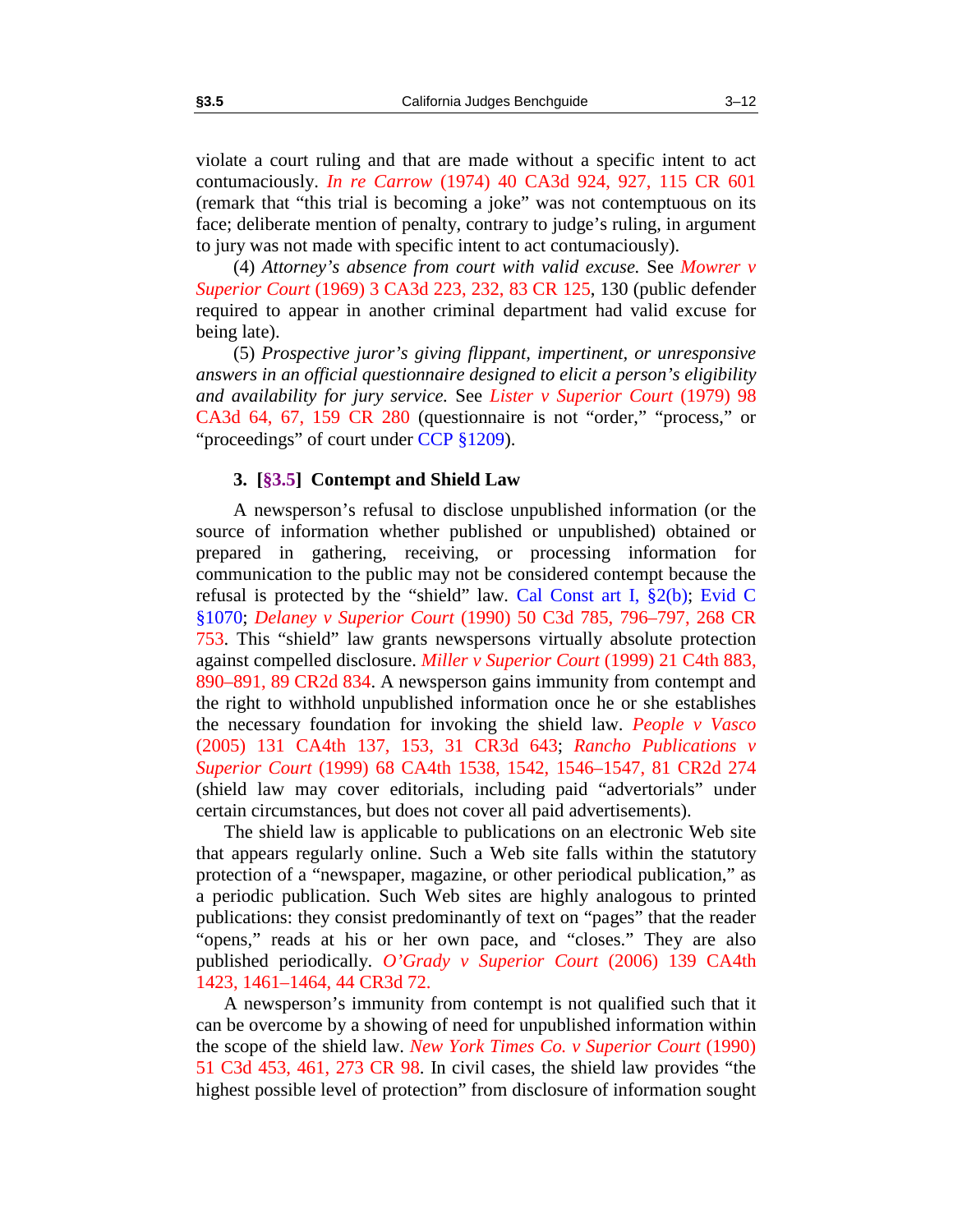violate a court ruling and that are made without a specific intent to act contumaciously. *In re Carrow* (1974) 40 CA3d 924, 927, 115 CR 601 (remark that "this trial is becoming a joke" was not contemptuous on its face; deliberate mention of penalty, contrary to judge's ruling, in argument to jury was not made with specific intent to act contumaciously).

(4) *Attorney's absence from court with valid excuse.* See *Mowrer v Superior Court* (1969) 3 CA3d 223, 232, 83 CR 125, 130 (public defender required to appear in another criminal department had valid excuse for being late).

(5) *Prospective juror's giving flippant, impertinent, or unresponsive answers in an official questionnaire designed to elicit a person's eligibility and availability for jury service.* See *Lister v Superior Court* (1979) 98 CA3d 64, 67, 159 CR 280 (questionnaire is not "order," "process," or "proceedings" of court under CCP §1209).

#### <span id="page-13-0"></span>**3. [§3.5] Contempt and Shield Law**

A newsperson's refusal to disclose unpublished information (or the source of information whether published or unpublished) obtained or prepared in gathering, receiving, or processing information for communication to the public may not be considered contempt because the refusal is protected by the "shield" law*.* Cal Const art I, §2(b); Evid C §1070; *Delaney v Superior Court* (1990) 50 C3d 785, 796–797, 268 CR 753. This "shield" law grants newspersons virtually absolute protection against compelled disclosure. *Miller v Superior Court* (1999) 21 C4th 883, 890–891, 89 CR2d 834. A newsperson gains immunity from contempt and the right to withhold unpublished information once he or she establishes the necessary foundation for invoking the shield law. *People v Vasco* (2005) 131 CA4th 137, 153, 31 CR3d 643; *Rancho Publications v Superior Court* (1999) 68 CA4th 1538, 1542, 1546–1547, 81 CR2d 274 (shield law may cover editorials, including paid "advertorials" under certain circumstances, but does not cover all paid advertisements).

The shield law is applicable to publications on an electronic Web site that appears regularly online. Such a Web site falls within the statutory protection of a "newspaper, magazine, or other periodical publication," as a periodic publication. Such Web sites are highly analogous to printed publications: they consist predominantly of text on "pages" that the reader "opens," reads at his or her own pace, and "closes." They are also published periodically. *O'Grady v Superior Court* (2006) 139 CA4th 1423, 1461–1464, 44 CR3d 72.

A newsperson's immunity from contempt is not qualified such that it can be overcome by a showing of need for unpublished information within the scope of the shield law. *New York Times Co. v Superior Court* (1990) 51 C3d 453, 461, 273 CR 98. In civil cases, the shield law provides "the highest possible level of protection" from disclosure of information sought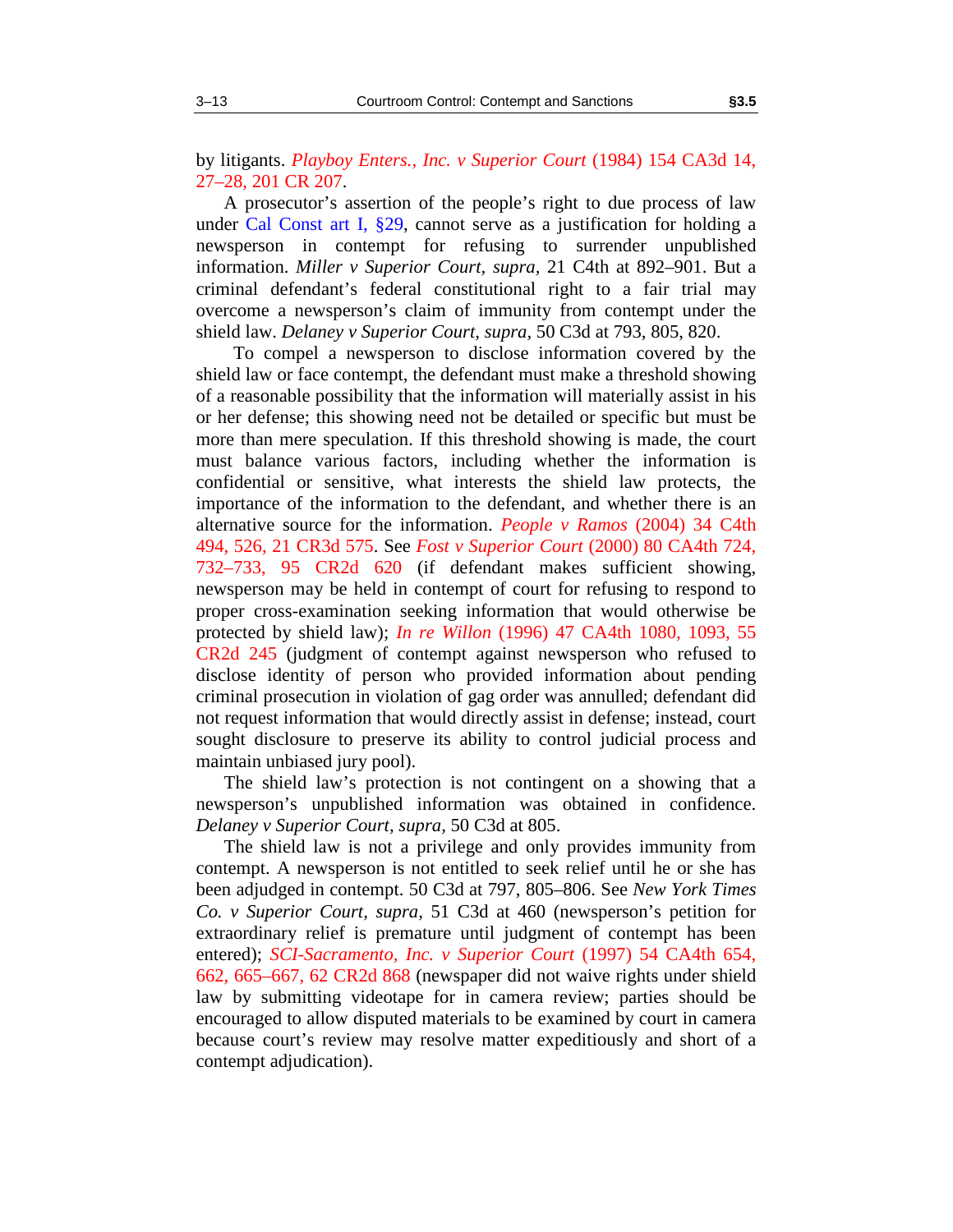by litigants. *Playboy Enters., Inc. v Superior Court* (1984) 154 CA3d 14, 27–28, 201 CR 207.

A prosecutor's assertion of the people's right to due process of law under Cal Const art I, §29, cannot serve as a justification for holding a newsperson in contempt for refusing to surrender unpublished information. *Miller v Superior Court, supra,* 21 C4th at 892–901. But a criminal defendant's federal constitutional right to a fair trial may overcome a newsperson's claim of immunity from contempt under the shield law. *Delaney v Superior Court, supra,* 50 C3d at 793, 805, 820.

To compel a newsperson to disclose information covered by the shield law or face contempt, the defendant must make a threshold showing of a reasonable possibility that the information will materially assist in his or her defense; this showing need not be detailed or specific but must be more than mere speculation. If this threshold showing is made, the court must balance various factors, including whether the information is confidential or sensitive, what interests the shield law protects, the importance of the information to the defendant, and whether there is an alternative source for the information. *People v Ramos* (2004) 34 C4th 494, 526, 21 CR3d 575. See *Fost v Superior Court* (2000) 80 CA4th 724, 732–733, 95 CR2d 620 (if defendant makes sufficient showing, newsperson may be held in contempt of court for refusing to respond to proper cross-examination seeking information that would otherwise be protected by shield law); *In re Willon* (1996) 47 CA4th 1080, 1093, 55 CR2d 245 (judgment of contempt against newsperson who refused to disclose identity of person who provided information about pending criminal prosecution in violation of gag order was annulled; defendant did not request information that would directly assist in defense; instead, court sought disclosure to preserve its ability to control judicial process and maintain unbiased jury pool).

The shield law's protection is not contingent on a showing that a newsperson's unpublished information was obtained in confidence. *Delaney v Superior Court, supra,* 50 C3d at 805.

The shield law is not a privilege and only provides immunity from contempt. A newsperson is not entitled to seek relief until he or she has been adjudged in contempt. 50 C3d at 797, 805–806. See *New York Times Co. v Superior Court, supra,* 51 C3d at 460 (newsperson's petition for extraordinary relief is premature until judgment of contempt has been entered); *SCI-Sacramento, Inc. v Superior Court* (1997) 54 CA4th 654, 662, 665–667, 62 CR2d 868 (newspaper did not waive rights under shield law by submitting videotape for in camera review; parties should be encouraged to allow disputed materials to be examined by court in camera because court's review may resolve matter expeditiously and short of a contempt adjudication).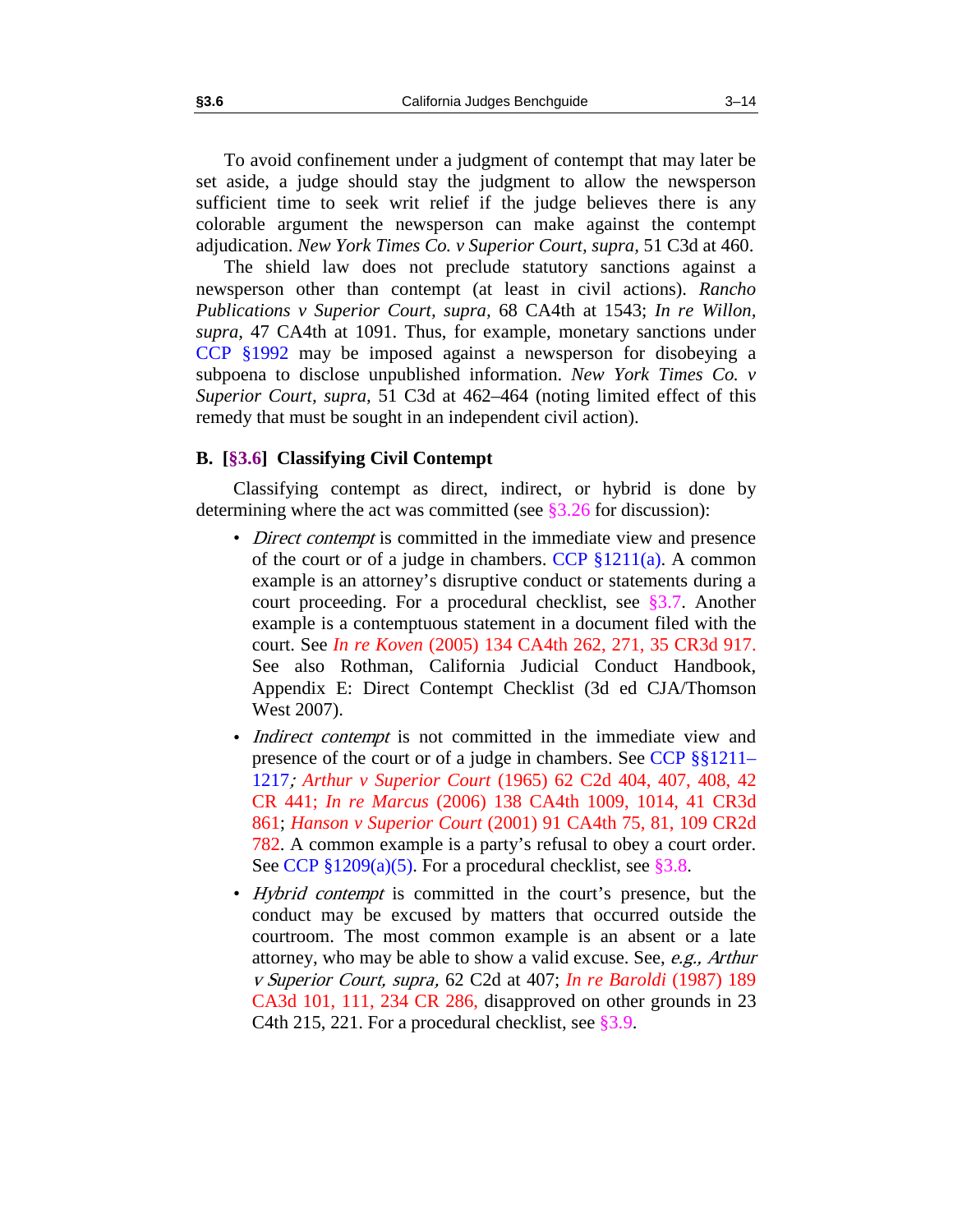To avoid confinement under a judgment of contempt that may later be set aside, a judge should stay the judgment to allow the newsperson sufficient time to seek writ relief if the judge believes there is any colorable argument the newsperson can make against the contempt adjudication. *New York Times Co. v Superior Court, supra,* 51 C3d at 460.

The shield law does not preclude statutory sanctions against a newsperson other than contempt (at least in civil actions). *Rancho Publications v Superior Court, supra,* 68 CA4th at 1543; *In re Willon, supra,* 47 CA4th at 1091. Thus, for example, monetary sanctions under CCP §1992 may be imposed against a newsperson for disobeying a subpoena to disclose unpublished information. *New York Times Co. v Superior Court, supra,* 51 C3d at 462–464 (noting limited effect of this remedy that must be sought in an independent civil action).

#### <span id="page-15-0"></span>**B. [§3.6] Classifying Civil Contempt**

Classifying contempt as direct, indirect, or hybrid is done by determining where the act was committed (see  $\S 3.26$  for discussion):

- *Direct contempt* is committed in the immediate view and presence of the court or of a judge in chambers. CCP §1211(a). A common example is an attorney's disruptive conduct or statements during a court proceeding. For a procedural checklist, see [§3.7.](#page-16-0) Another example is a contemptuous statement in a document filed with the court. See *In re Koven* (2005) 134 CA4th 262, 271, 35 CR3d 917. See also Rothman, California Judicial Conduct Handbook, Appendix E: Direct Contempt Checklist (3d ed CJA/Thomson West 2007).
- *Indirect contempt* is not committed in the immediate view and presence of the court or of a judge in chambers. See CCP §§1211– 1217; *Arthur v Superior Court* (1965) 62 C2d 404, 407, 408, 42 CR 441; *In re Marcus* (2006) 138 CA4th 1009, 1014, 41 CR3d 861; *Hanson v Superior Court* (2001) 91 CA4th 75, 81, 109 CR2d 782. A common example is a party's refusal to obey a court order. See CCP  $\S 1209(a)(5)$ . For a procedural checklist, see  $\S 3.8$ .
- *Hybrid contempt* is committed in the court's presence, but the conduct may be excused by matters that occurred outside the courtroom. The most common example is an absent or a late attorney, who may be able to show a valid excuse. See, e.g., Arthur v Superior Court, supra, 62 C2d at 407; *In re Baroldi* (1987) 189 CA3d 101, 111, 234 CR 286, disapproved on other grounds in 23 C4th 215, 221. For a procedural checklist, see [§3.9.](#page-21-0)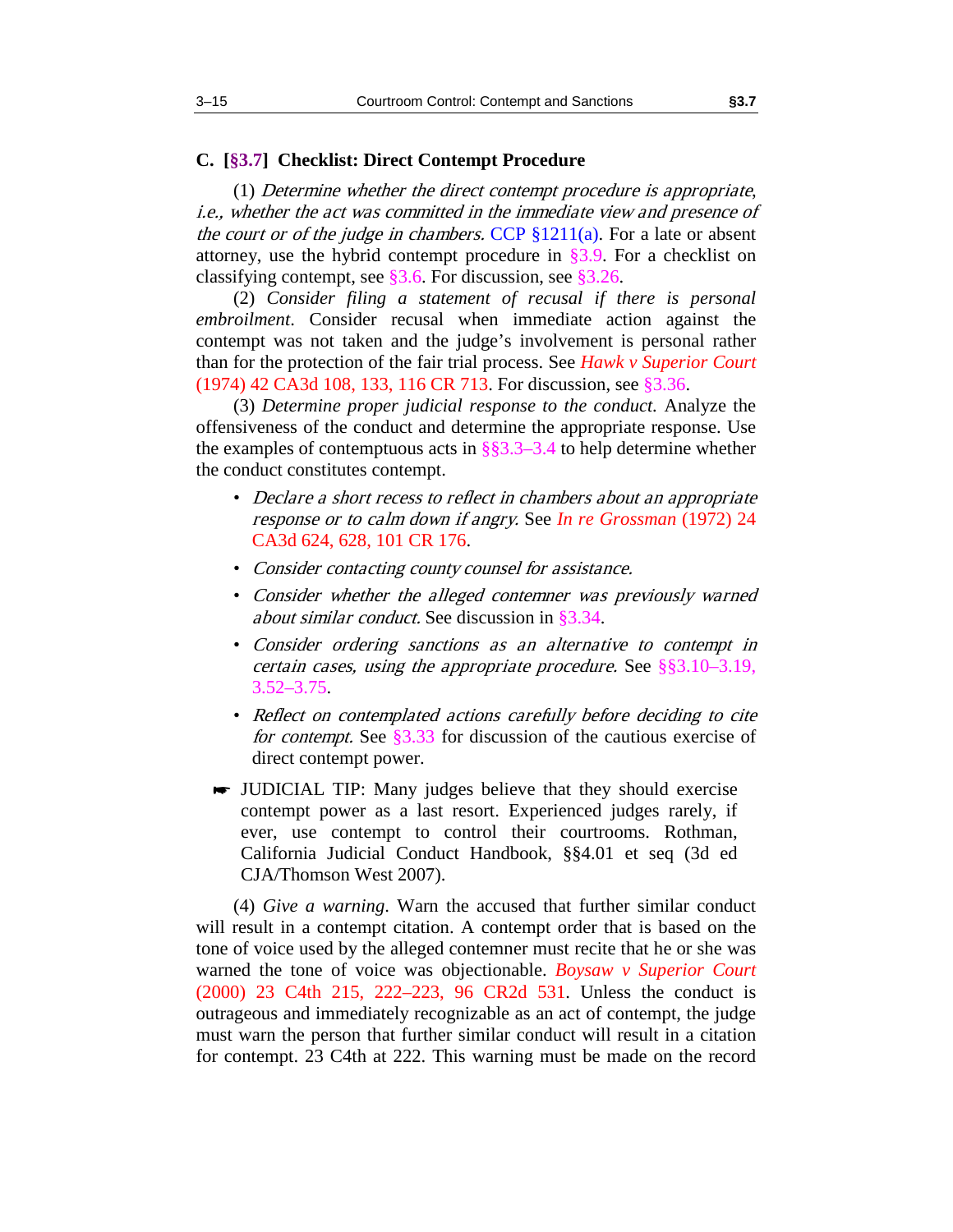#### <span id="page-16-0"></span>**C. [§3.7] Checklist: Direct Contempt Procedure**

(1) Determine whether the direct contempt procedure is appropriate, i.e., whether the act was committed in the immediate view and presence of the court or of the judge in chambers. CCP  $\S 1211(a)$ . For a late or absent attorney, use the hybrid contempt procedure in  $\S 3.9$ . For a checklist on classifying contempt, see  $\S 3.6$ . For discussion, see  $\S 3.26$ .

(2) *Consider filing a statement of recusal if there is personal embroilment*. Consider recusal when immediate action against the contempt was not taken and the judge's involvement is personal rather than for the protection of the fair trial process. See *Hawk v Superior Court* (1974) 42 CA3d 108, 133, 116 CR 713. For discussion, see [§3.36.](#page-46-0)

(3) *Determine proper judicial response to the conduct.* Analyze the offensiveness of the conduct and determine the appropriate response. Use the examples of contemptuous acts in  $\S$ [§3.3–](#page-7-0)[3.4](#page-12-0) to help determine whether the conduct constitutes contempt.

- Declare a short recess to reflect in chambers about an appropriate response or to calm down if angry. See *In re Grossman* (1972) 24 CA3d 624, 628, 101 CR 176.
- Consider contacting county counsel for assistance.
- Consider whether the alleged contemner was previously warned about similar conduct. See discussion in [§3.34.](#page-45-0)
- Consider ordering sanctions as an alternative to contempt in certain cases, using the appropriate procedure. See §[§3.10–](#page-22-0)[3.19,](#page-33-1) [3.52–](#page-58-0)[3.75.](#page-77-0)
- Reflect on contemplated actions carefully before deciding to cite for contempt. See [§3.33](#page-43-0) for discussion of the cautious exercise of direct contempt power.
- JUDICIAL TIP: Many judges believe that they should exercise contempt power as a last resort. Experienced judges rarely, if ever, use contempt to control their courtrooms. Rothman, California Judicial Conduct Handbook, §§4.01 et seq (3d ed CJA/Thomson West 2007).

(4) *Give a warning*. Warn the accused that further similar conduct will result in a contempt citation. A contempt order that is based on the tone of voice used by the alleged contemner must recite that he or she was warned the tone of voice was objectionable. *Boysaw v Superior Court* (2000) 23 C4th 215, 222–223, 96 CR2d 531. Unless the conduct is outrageous and immediately recognizable as an act of contempt, the judge must warn the person that further similar conduct will result in a citation for contempt. 23 C4th at 222. This warning must be made on the record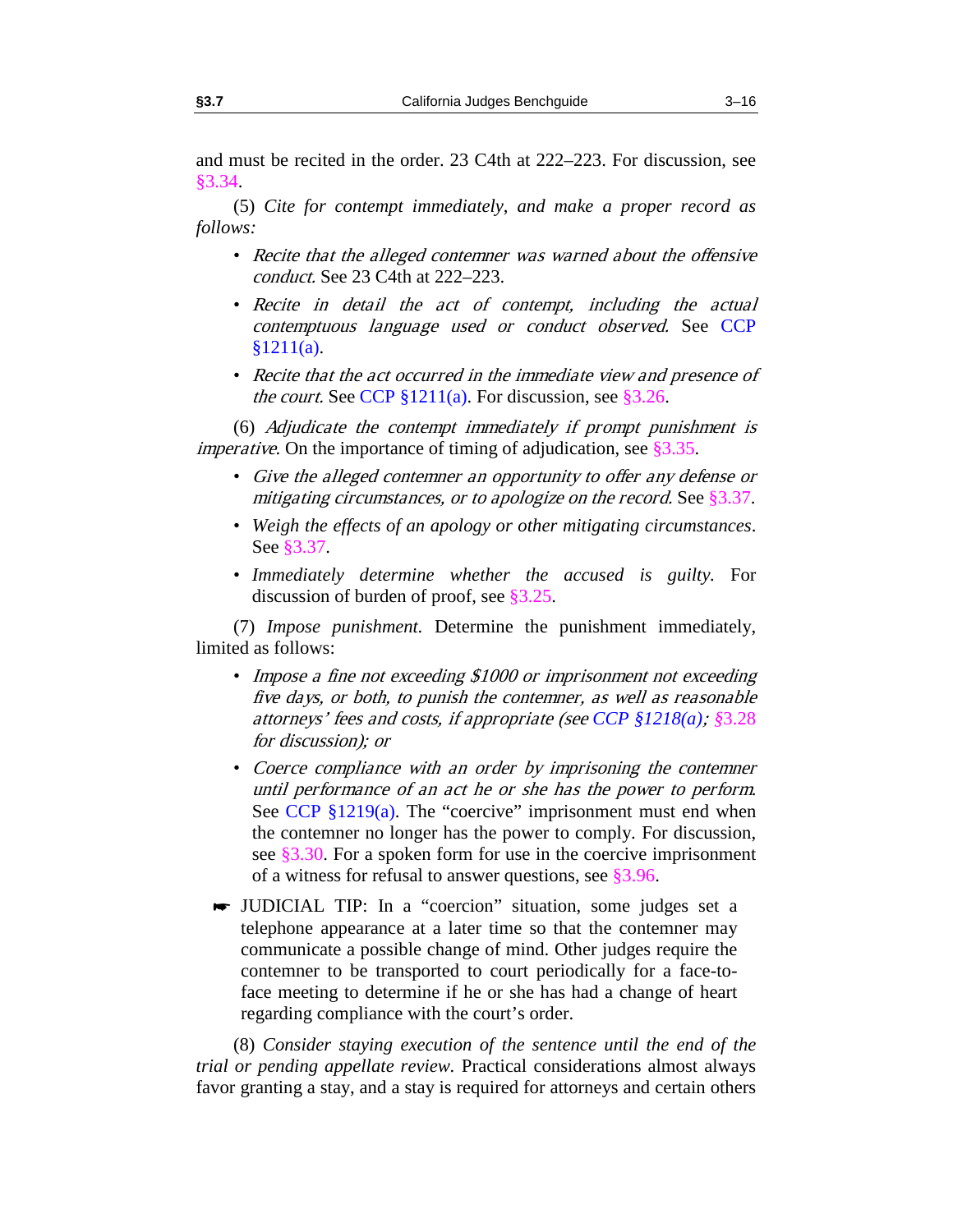and must be recited in the order. 23 C4th at 222–223. For discussion, see [§3.34.](#page-45-0)

(5) *Cite for contempt immediately*, *and make a proper record as follows:*

- Recite that the alleged contemner was warned about the offensive conduct. See 23 C4th at 222–223.
- Recite in detail the act of contempt, including the actual contemptuous language used or conduct observed. See CCP  $§1211(a).$
- Recite that the act occurred in the immediate view and presence of the court. See CCP  $\S 1211(a)$ . For discussion, see  $\S 3.26$ .

(6) Adjudicate the contempt immediately if prompt punishment is *imperative*. On the importance of timing of adjudication, see  $\S 3.35$ .

- Give the alleged contemner an opportunity to offer any defense or mitigating circumstances, or to apologize on the record. See [§3.37.](#page-47-0)
- *Weigh the effects of an apology or other mitigating circumstances*. See [§3.37.](#page-47-0)
- *Immediately determine whether the accused is guilty.* For discussion of burden of proof, see [§3.25.](#page-39-0)

(7) *Impose punishment.* Determine the punishment immediately, limited as follows:

- Impose a fine not exceeding \$1000 or imprisonment not exceeding five days, or both, to punish the contemner, as well as reasonable attorneys' fees and costs, if appropriate (see *CCP §1218(a)*; *§*[3.28](#page-40-1) for discussion); or
- Coerce compliance with an order by imprisoning the contemner until performance of an act he or she has the power to perform. See CCP  $\S 1219(a)$ . The "coercive" imprisonment must end when the contemner no longer has the power to comply. For discussion, see [§3.30.](#page-42-0) For a spoken form for use in the coercive imprisonment of a witness for refusal to answer questions, see [§3.96.](#page-92-0)
- JUDICIAL TIP: In a "coercion" situation, some judges set a telephone appearance at a later time so that the contemner may communicate a possible change of mind. Other judges require the contemner to be transported to court periodically for a face-toface meeting to determine if he or she has had a change of heart regarding compliance with the court's order.

(8) *Consider staying execution of the sentence until the end of the trial or pending appellate review.* Practical considerations almost always favor granting a stay, and a stay is required for attorneys and certain others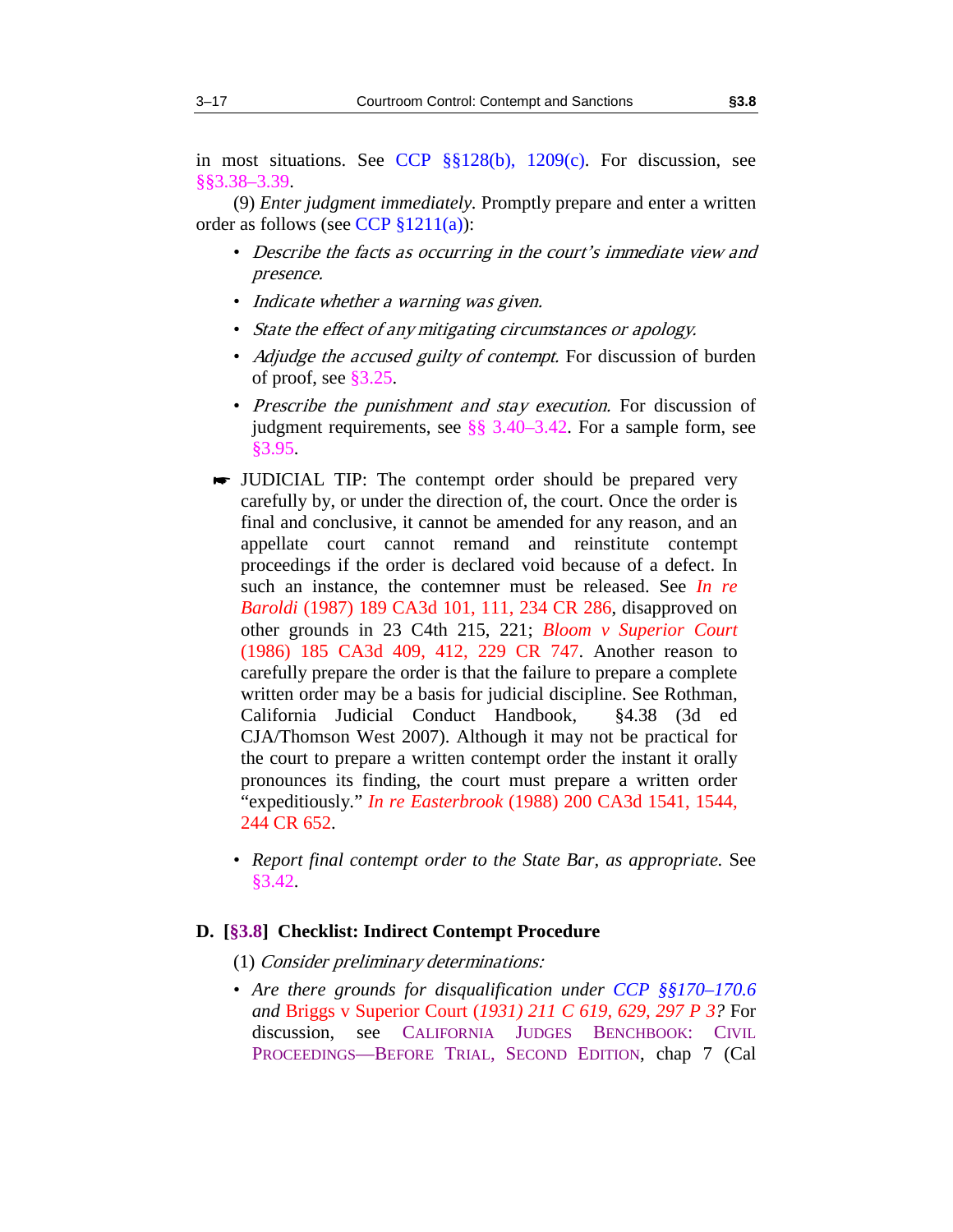in most situations. See CCP  $\S$ §128(b), 1209(c). For discussion, see §[§3.38–](#page-47-1)[3.39.](#page-48-0)

(9) *Enter judgment immediately.* Promptly prepare and enter a written order as follows (see CCP  $\S 1211(a)$ ):

- Describe the facts as occurring in the court's immediate view and presence.
- Indicate whether a warning was given.
- State the effect of any mitigating circumstances or apology.
- Adjudge the accused guilty of contempt. For discussion of burden of proof, see [§3.25.](#page-39-0)
- Prescribe the punishment and stay execution. For discussion of judgment requirements, see §§ [3.40–](#page-48-1)[3.42.](#page-50-1) For a sample form, see [§3.95.](#page-89-0)
- JUDICIAL TIP: The contempt order should be prepared very carefully by, or under the direction of, the court. Once the order is final and conclusive, it cannot be amended for any reason, and an appellate court cannot remand and reinstitute contempt proceedings if the order is declared void because of a defect. In such an instance, the contemner must be released. See *In re Baroldi* (1987) 189 CA3d 101, 111, 234 CR 286, disapproved on other grounds in 23 C4th 215, 221; *Bloom v Superior Court* (1986) 185 CA3d 409, 412, 229 CR 747. Another reason to carefully prepare the order is that the failure to prepare a complete written order may be a basis for judicial discipline. See Rothman, California Judicial Conduct Handbook, §4.38 (3d ed CJA/Thomson West 2007). Although it may not be practical for the court to prepare a written contempt order the instant it orally pronounces its finding, the court must prepare a written order "expeditiously." *In re Easterbrook* (1988) 200 CA3d 1541, 1544, 244 CR 652.
	- *Report final contempt order to the State Bar, as appropriate.* See [§3.42.](#page-50-1)

#### <span id="page-18-0"></span>**D. [§3.8] Checklist: Indirect Contempt Procedure**

- (1) Consider preliminary determinations:
- *Are there grounds for disqualification under CCP §§170–170.6 and* Briggs v Superior Court (*1931) 211 C 619, 629, 297 P 3?* For discussion, see CALIFORNIA JUDGES BENCHBOOK: CIVIL PROCEEDINGS—BEFORE TRIAL, SECOND EDITION, chap 7 (Cal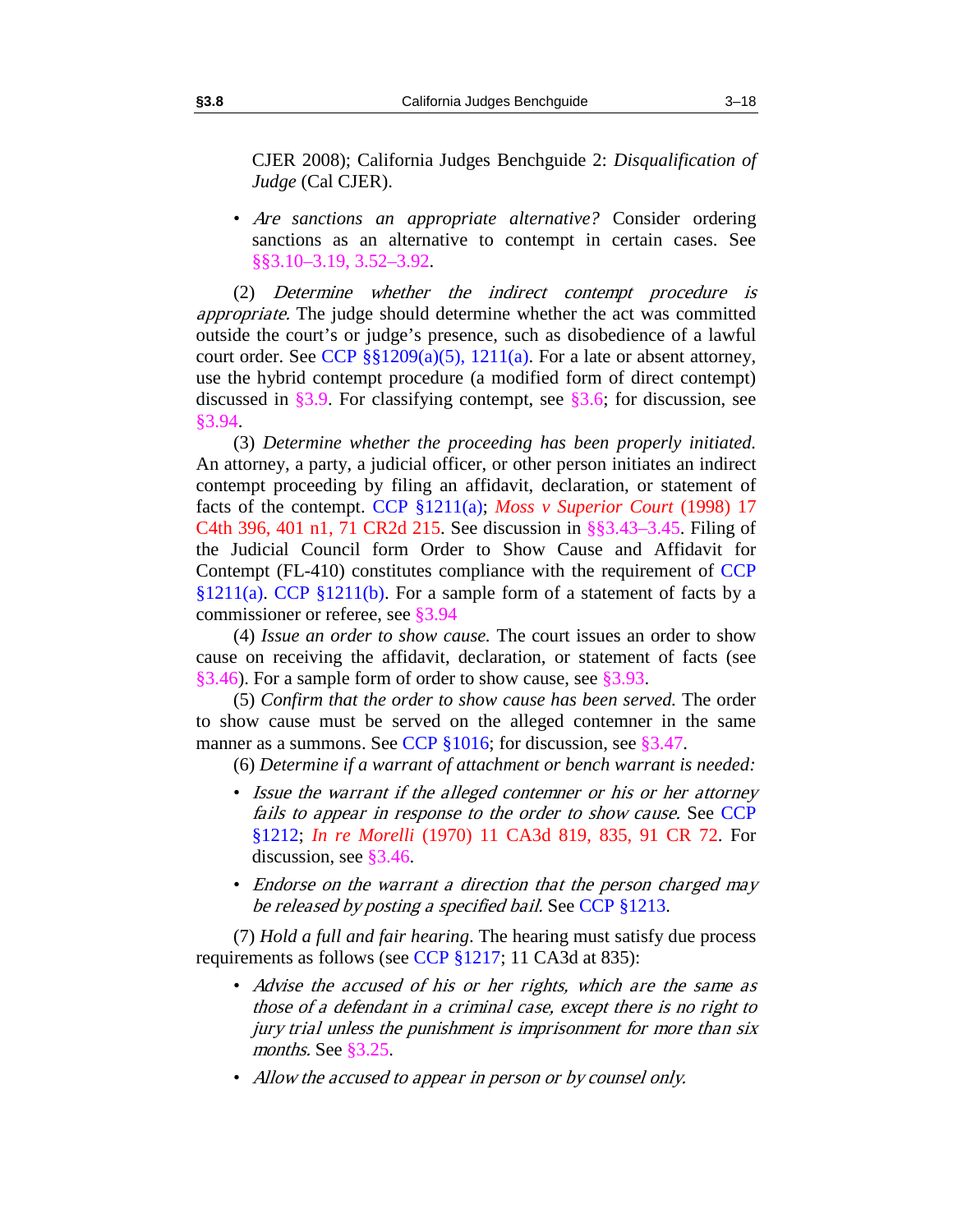CJER 2008); California Judges Benchguide 2: *Disqualification of Judge* (Cal CJER).

• Are *sanctions an appropriate alternative?* Consider ordering sanctions as an alternative to contempt in certain cases. See §[§3.10](#page-22-0)[–3.19,](#page-33-1) [3.52](#page-58-0)[–3.92.](#page-86-2)

(2) Determine whether the indirect contempt procedure is appropriate. The judge should determine whether the act was committed outside the court's or judge's presence, such as disobedience of a lawful court order. See CCP  $\S\S1209(a)(5)$ ,  $1211(a)$ . For a late or absent attorney, use the hybrid contempt procedure (a modified form of direct contempt) discussed in  $\S 3.9$ . For classifying contempt, see  $\S 3.6$ ; for discussion, see [§3.94.](#page-88-0)

(3) *Determine whether the proceeding has been properly initiated.* An attorney, a party, a judicial officer, or other person initiates an indirect contempt proceeding by filing an affidavit, declaration, or statement of facts of the contempt. CCP §1211(a); *Moss v Superior Court* (1998) 17 C4th 396, 401 n1, 71 CR2d 215. See discussion in §[§3.43](#page-51-0)[–3.45.](#page-52-1) Filing of the Judicial Council form Order to Show Cause and Affidavit for Contempt (FL-410) constitutes compliance with the requirement of CCP §1211(a). CCP §1211(b). For a sample form of a statement of facts by a commissioner or referee, see [§3.94](#page-88-0)

(4) *Issue an order to show cause.* The court issues an order to show cause on receiving the affidavit, declaration, or statement of facts (see [§3.46\)](#page-53-0). For a sample form of order to show cause, see [§3.93.](#page-87-0)

(5) *Confirm that the order to show cause has been served.* The order to show cause must be served on the alleged contemner in the same manner as a summons. See CCP §1016; for discussion, see [§3.47.](#page-53-1)

(6) *Determine if a warrant of attachment or bench warrant is needed:*

- Issue the warrant if the alleged contemner or his or her attorney fails to appear in response to the order to show cause. See CCP §1212; *In re Morelli* (1970) 11 CA3d 819, 835, 91 CR 72. For discussion, see [§3.46.](#page-53-0)
- Endorse on the warrant a direction that the person charged may be released by posting a specified bail. See CCP §1213.

(7) *Hold a full and fair hearing*. The hearing must satisfy due process requirements as follows (see CCP §1217; 11 CA3d at 835):

- Advise the accused of his or her rights, which are the same as those of a defendant in a criminal case, except there is no right to jury trial unless the punishment is imprisonment for more than six months. See [§3.25.](#page-39-0)
- Allow the accused to appear in person or by counsel only.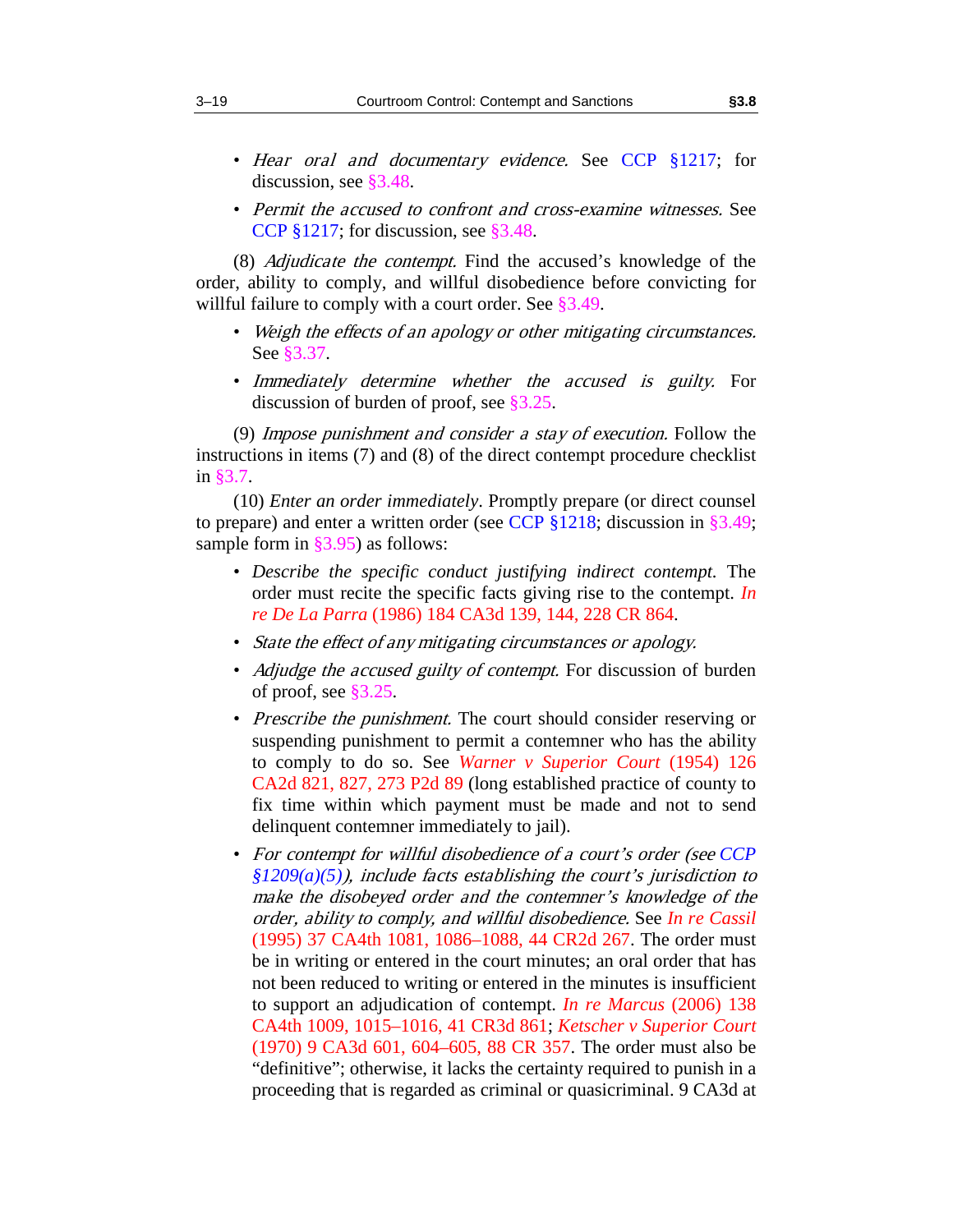- Hear oral and documentary evidence. See CCP §1217; for discussion, see [§3.48.](#page-53-2)
- Permit the accused to confront and cross-examine witnesses. See CCP §1217; for discussion, see [§3.48.](#page-53-2)

(8) Adjudicate the contempt. Find the accused's knowledge of the order, ability to comply, and willful disobedience before convicting for willful failure to comply with a court order. See [§3.49.](#page-55-0)

- Weigh the effects of an apology or other mitigating circumstances. See [§3.37.](#page-47-0)
- Immediately determine whether the accused is guilty. For discussion of burden of proof, see [§3.25.](#page-39-0)

(9) Impose punishment and consider a stay of execution. Follow the instructions in items (7) and (8) of the direct contempt procedure checklist in [§3.7.](#page-16-0)

(10) *Enter an order immediately*. Promptly prepare (or direct counsel to prepare) and enter a written order (see CCP  $\S 1218$ ; discussion in  $\S 3.49$ ; sample form in  $\S 3.95$ ) as follows:

- *Describe the specific conduct justifying indirect contempt.* The order must recite the specific facts giving rise to the contempt. *In re De La Parra* (1986) 184 CA3d 139, 144, 228 CR 864.
- State the effect of any mitigating circumstances or apology.
- Adjudge the accused guilty of contempt. For discussion of burden of proof, see [§3.25.](#page-39-0)
- *Prescribe the punishment*. The court should consider reserving or suspending punishment to permit a contemner who has the ability to comply to do so. See *Warner v Superior Court* (1954) 126 CA2d 821, 827, 273 P2d 89 (long established practice of county to fix time within which payment must be made and not to send delinquent contemner immediately to jail).
- For contempt for willful disobedience of a court's order (see *CCP §1209(a)(5)*), include facts establishing the court's jurisdiction to make the disobeyed order and the contemner's knowledge of the order, ability to comply, and willful disobedience. See *In re Cassil* (1995) 37 CA4th 1081, 1086–1088, 44 CR2d 267. The order must be in writing or entered in the court minutes; an oral order that has not been reduced to writing or entered in the minutes is insufficient to support an adjudication of contempt. *In re Marcus* (2006) 138 CA4th 1009, 1015–1016, 41 CR3d 861; *Ketscher v Superior Court*  (1970) 9 CA3d 601, 604–605, 88 CR 357. The order must also be "definitive"; otherwise, it lacks the certainty required to punish in a proceeding that is regarded as criminal or quasicriminal. 9 CA3d at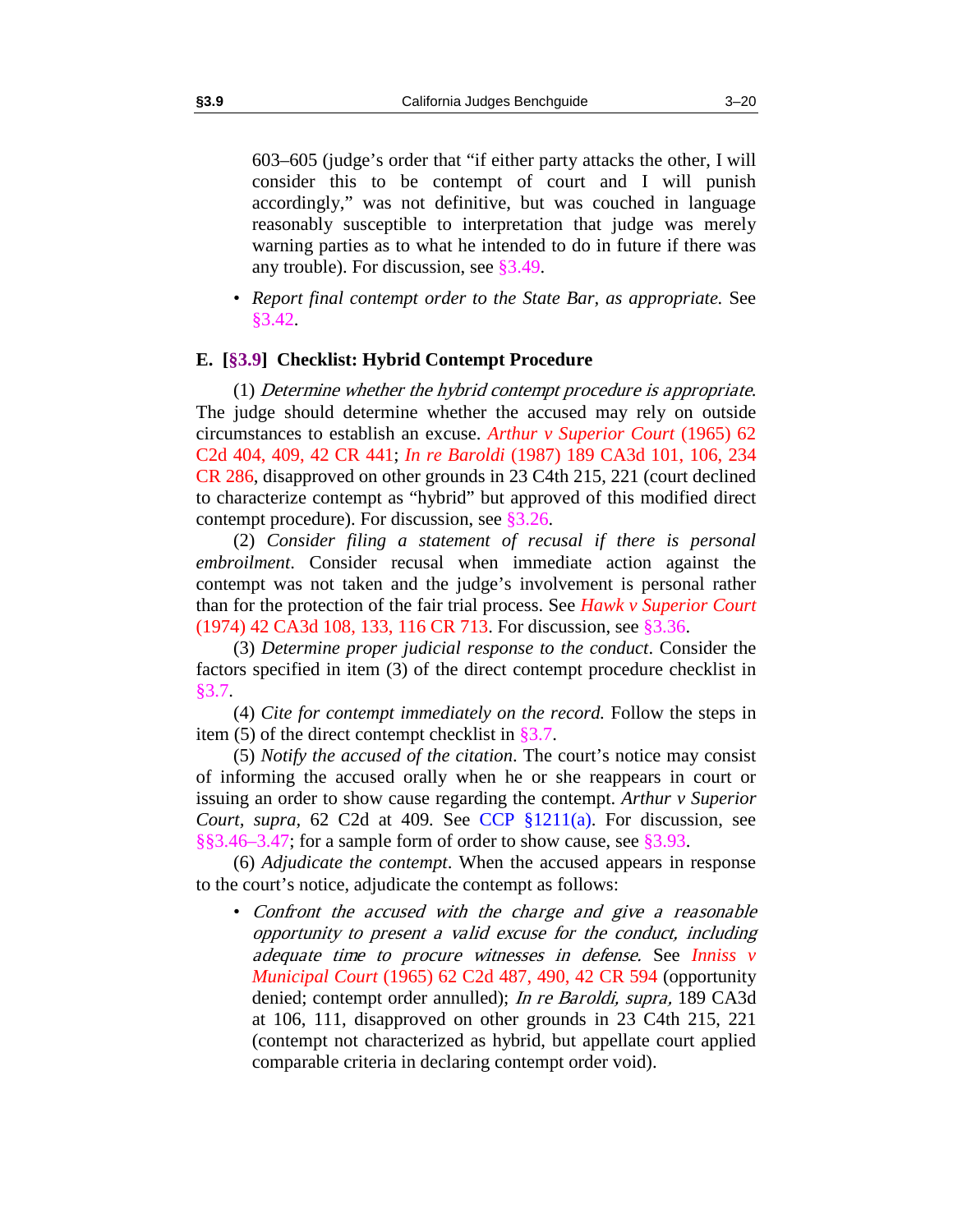603–605 (judge's order that "if either party attacks the other, I will consider this to be contempt of court and I will punish accordingly," was not definitive, but was couched in language reasonably susceptible to interpretation that judge was merely warning parties as to what he intended to do in future if there was any trouble). For discussion, see [§3.49.](#page-55-0)

<span id="page-21-0"></span>• *Report final contempt order to the State Bar, as appropriate.* See [§3.42.](#page-50-1)

#### **E. [§3.9] Checklist: Hybrid Contempt Procedure**

(1) Determine whether the hybrid contempt procedure is appropriate. The judge should determine whether the accused may rely on outside circumstances to establish an excuse. *Arthur v Superior Court* (1965) 62 C2d 404, 409, 42 CR 441; *In re Baroldi* (1987) 189 CA3d 101, 106, 234 CR 286, disapproved on other grounds in 23 C4th 215, 221 (court declined to characterize contempt as "hybrid" but approved of this modified direct contempt procedure). For discussion, see [§3.26.](#page-39-1)

(2) *Consider filing a statement of recusal if there is personal embroilment*. Consider recusal when immediate action against the contempt was not taken and the judge's involvement is personal rather than for the protection of the fair trial process. See *Hawk v Superior Court* (1974) 42 CA3d 108, 133, 116 CR 713. For discussion, see [§3.36.](#page-46-0)

(3) *Determine proper judicial response to the conduct*. Consider the factors specified in item (3) of the direct contempt procedure checklist in [§3.7.](#page-16-0)

(4) *Cite for contempt immediately on the record.* Follow the steps in item (5) of the direct contempt checklist in  $\S 3.7$ .

(5) *Notify the accused of the citation*. The court's notice may consist of informing the accused orally when he or she reappears in court or issuing an order to show cause regarding the contempt. *Arthur v Superior Court, supra,* 62 C2d at 409*.* See CCP §1211(a). For discussion, see §[§3.46](#page-53-0)[–3.47;](#page-53-1) for a sample form of order to show cause, see [§3.93.](#page-87-0)

(6) *Adjudicate the contempt*. When the accused appears in response to the court's notice, adjudicate the contempt as follows:

• Confront the accused with the charge and give a reasonable opportunity to present a valid excuse for the conduct, including adequate time to procure witnesses in defense. See *Inniss v Municipal Court* (1965) 62 C2d 487, 490, 42 CR 594 (opportunity denied; contempt order annulled); In re Baroldi, supra, 189 CA3d at 106, 111, disapproved on other grounds in 23 C4th 215, 221 (contempt not characterized as hybrid, but appellate court applied comparable criteria in declaring contempt order void).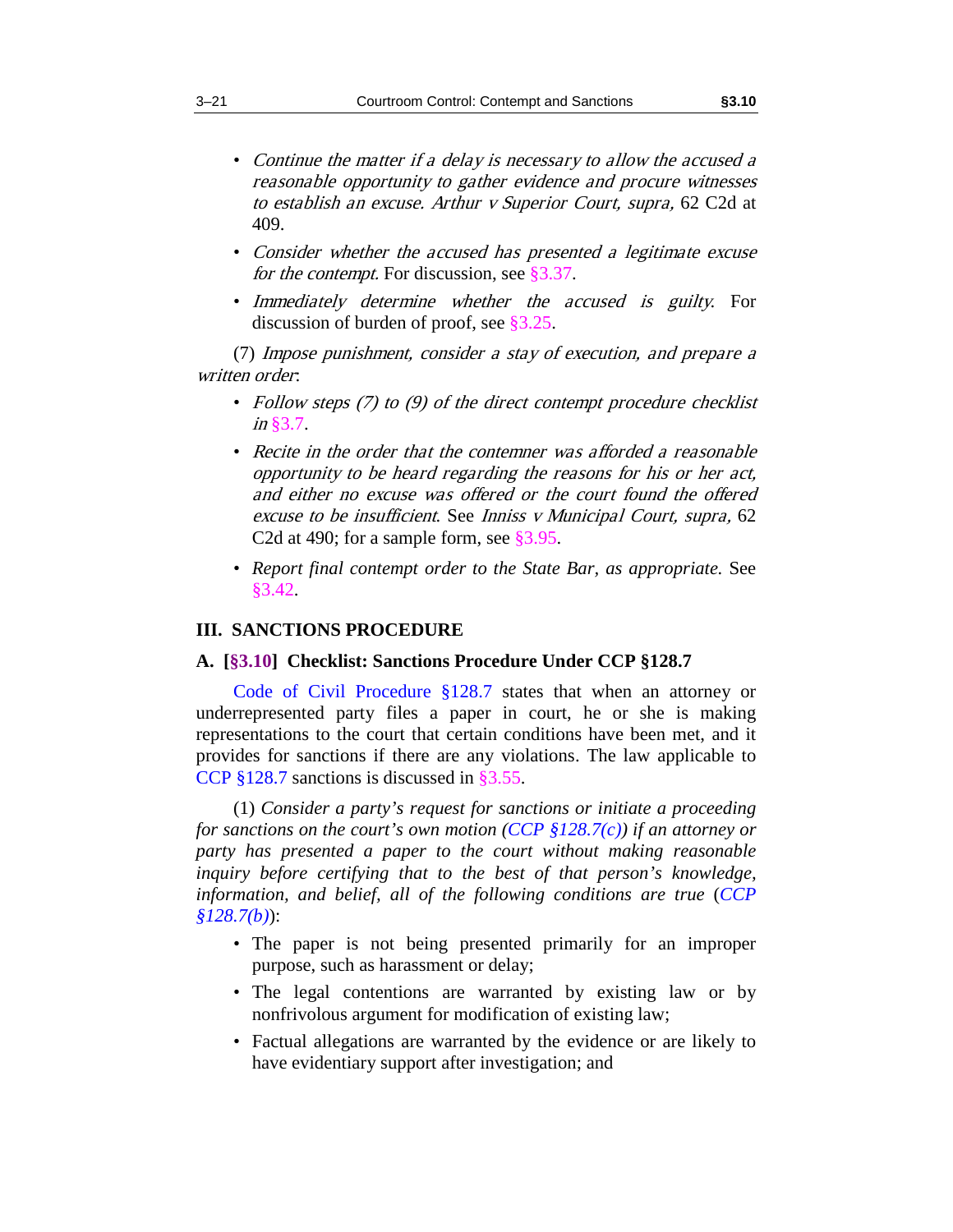- Continue the matter if a delay is necessary to allow the accused a reasonable opportunity to gather evidence and procure witnesses to establish an excuse. Arthur v Superior Court, supra, 62 C2d at 409.
- Consider whether the accused has presented a legitimate excuse for the contempt. For discussion, see [§3.37.](#page-47-0)
- Immediately determine whether the accused is guilty. For discussion of burden of proof, see [§3.25.](#page-39-0)

(7) Impose punishment, consider a stay of execution, and prepare a written order:

- Follow steps (7) to (9) of the direct contempt procedure checklist in [§3.7.](#page-16-0)
- Recite in the order that the contemner was afforded a reasonable opportunity to be heard regarding the reasons for his or her act, and either no excuse was offered or the court found the offered excuse to be insufficient. See Inniss v Municipal Court, supra, 62 C2d at 490; for a sample form, see [§3.95.](#page-89-0)
- *Report final contempt order to the State Bar, as appropriate.* See [§3.42.](#page-50-1)

#### **III. SANCTIONS PROCEDURE**

#### <span id="page-22-0"></span>**A. [§3.10] Checklist: Sanctions Procedure Under CCP §128.7**

Code of Civil Procedure §128.7 states that when an attorney or underrepresented party files a paper in court, he or she is making representations to the court that certain conditions have been met, and it provides for sanctions if there are any violations. The law applicable to CCP §128.7 sanctions is discussed in [§3.55.](#page-62-0)

(1) *Consider a party's request for sanctions or initiate a proceeding for sanctions on the court's own motion (CCP §128.7(c)) if an attorney or party has presented a paper to the court without making reasonable inquiry before certifying that to the best of that person's knowledge, information, and belief, all of the following conditions are true* (*CCP §128.7(b)*):

- The paper is not being presented primarily for an improper purpose, such as harassment or delay;
- The legal contentions are warranted by existing law or by nonfrivolous argument for modification of existing law;
- Factual allegations are warranted by the evidence or are likely to have evidentiary support after investigation; and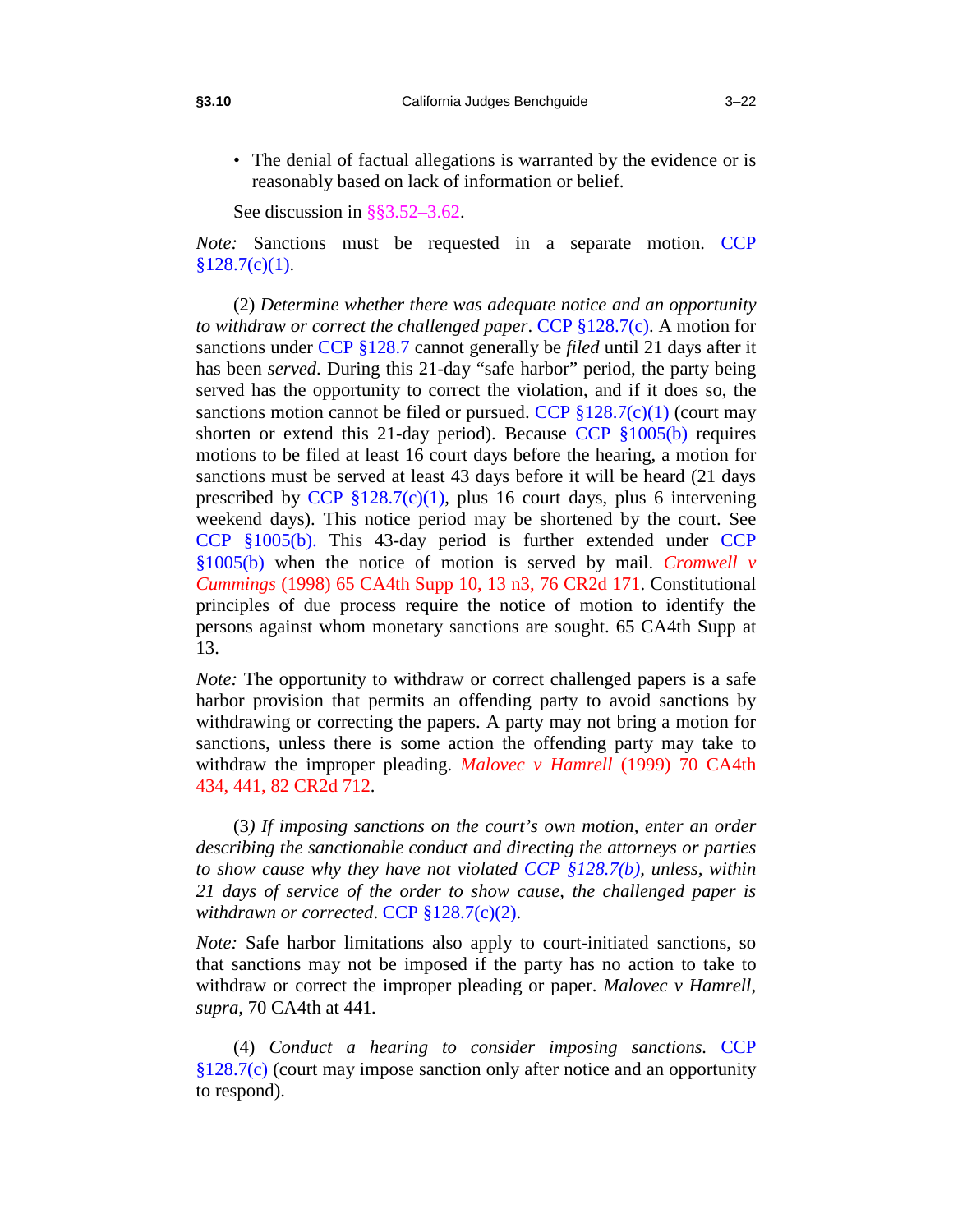• The denial of factual allegations is warranted by the evidence or is reasonably based on lack of information or belief.

See discussion in §[§3.52](#page-58-0)[–3.62.](#page-67-3)

*Note:* Sanctions must be requested in a separate motion. CCP  $§128.7(c)(1)$ .

(2) *Determine whether there was adequate notice and an opportunity to withdraw or correct the challenged paper*. CCP §128.7(c). A motion for sanctions under CCP §128.7 cannot generally be *filed* until 21 days after it has been *served*. During this 21-day "safe harbor" period, the party being served has the opportunity to correct the violation, and if it does so, the sanctions motion cannot be filed or pursued. CCP  $\S 128.7(c)(1)$  (court may shorten or extend this 21-day period). Because CCP §1005(b) requires motions to be filed at least 16 court days before the hearing, a motion for sanctions must be served at least 43 days before it will be heard (21 days prescribed by CCP  $\S 128.7(c)(1)$ , plus 16 court days, plus 6 intervening weekend days). This notice period may be shortened by the court. See CCP §1005(b). This 43-day period is further extended under CCP §1005(b) when the notice of motion is served by mail. *Cromwell v Cummings* (1998) 65 CA4th Supp 10, 13 n3, 76 CR2d 171. Constitutional principles of due process require the notice of motion to identify the persons against whom monetary sanctions are sought. 65 CA4th Supp at 13.

*Note:* The opportunity to withdraw or correct challenged papers is a safe harbor provision that permits an offending party to avoid sanctions by withdrawing or correcting the papers. A party may not bring a motion for sanctions, unless there is some action the offending party may take to withdraw the improper pleading. *Malovec v Hamrell* (1999) 70 CA4th 434, 441, 82 CR2d 712.

(3*) If imposing sanctions on the court's own motion, enter an order describing the sanctionable conduct and directing the attorneys or parties to show cause why they have not violated CCP §128.7(b), unless, within 21 days of service of the order to show cause, the challenged paper is withdrawn or corrected*. CCP §128.7(c)(2).

*Note:* Safe harbor limitations also apply to court-initiated sanctions, so that sanctions may not be imposed if the party has no action to take to withdraw or correct the improper pleading or paper. *Malovec v Hamrell*, *supra,* 70 CA4th at 441*.*

(4) *Conduct a hearing to consider imposing sanctions.* CCP §128.7(c) (court may impose sanction only after notice and an opportunity to respond).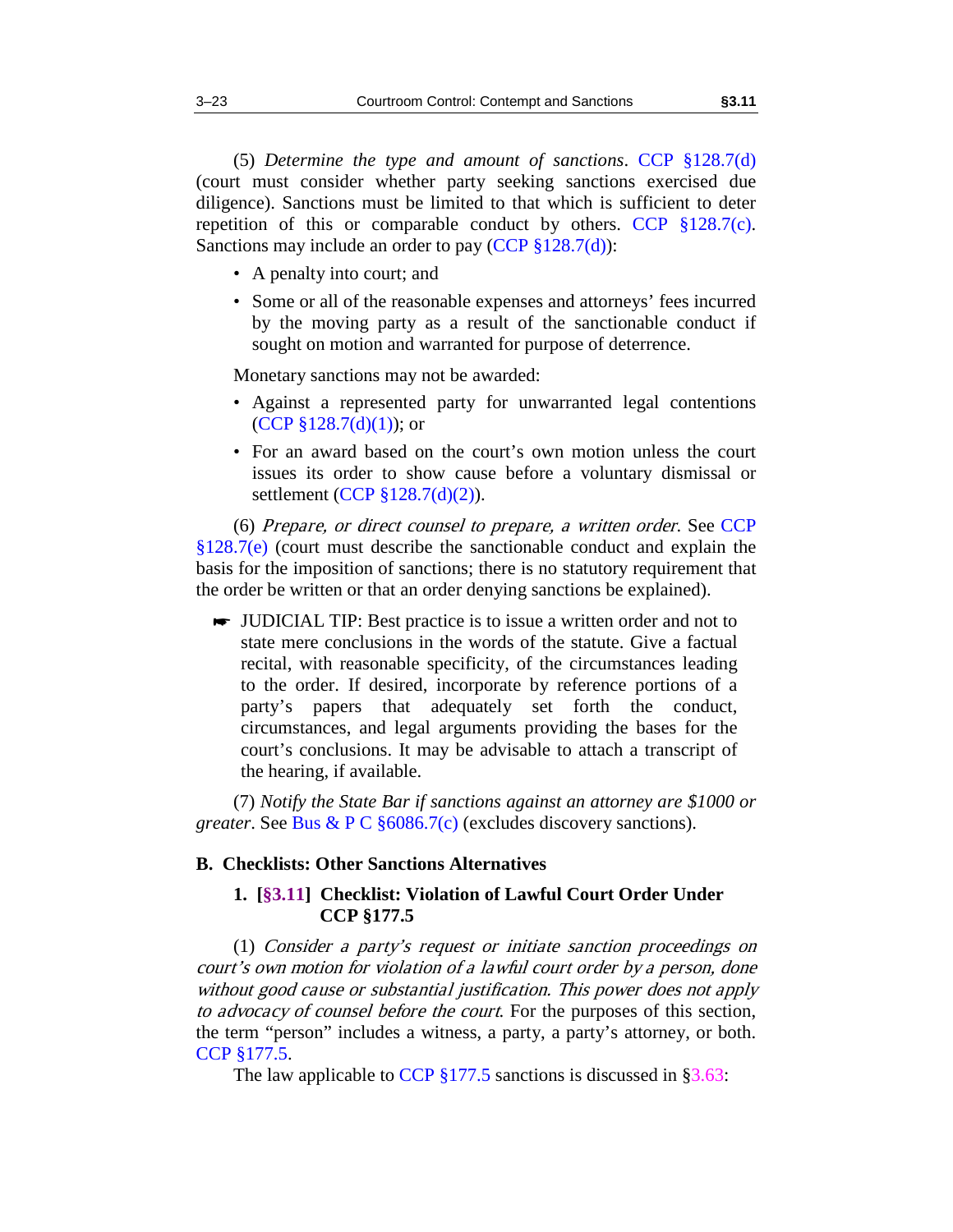(5) *Determine the type and amount of sanctions*. CCP §128.7(d) (court must consider whether party seeking sanctions exercised due diligence). Sanctions must be limited to that which is sufficient to deter repetition of this or comparable conduct by others. CCP  $\S 128.7(c)$ . Sanctions may include an order to pay  $(CCP \S 128.7(d))$ :

- A penalty into court; and
- Some or all of the reasonable expenses and attorneys' fees incurred by the moving party as a result of the sanctionable conduct if sought on motion and warranted for purpose of deterrence.

Monetary sanctions may not be awarded:

- Against a represented party for unwarranted legal contentions (CCP  $$128.7(d)(1)$ ); or
- For an award based on the court's own motion unless the court issues its order to show cause before a voluntary dismissal or settlement (CCP §128.7(d)(2)).

(6) Prepare, or direct counsel to prepare, a written order. See CCP §128.7(e) (court must describe the sanctionable conduct and explain the basis for the imposition of sanctions; there is no statutory requirement that the order be written or that an order denying sanctions be explained).

 JUDICIAL TIP: Best practice is to issue a written order and not to state mere conclusions in the words of the statute. Give a factual recital, with reasonable specificity, of the circumstances leading to the order. If desired, incorporate by reference portions of a party's papers that adequately set forth the conduct, circumstances, and legal arguments providing the bases for the court's conclusions. It may be advisable to attach a transcript of the hearing, if available.

(7) *Notify the State Bar if sanctions against an attorney are \$1000 or greater*. See Bus & P C §6086.7(c) (excludes discovery sanctions).

#### **B. Checklists: Other Sanctions Alternatives**

# <span id="page-24-0"></span>**1. [§3.11] Checklist: Violation of Lawful Court Order Under CCP §177.5**

(1) Consider a party's request or initiate sanction proceedings on court's own motion for violation of a lawful court order by a person, done without good cause or substantial justification. This power does not apply to advocacy of counsel before the court. For the purposes of this section, the term "person" includes a witness, a party, a party's attorney, or both. CCP §177.5.

The law applicable to CCP  $\S 177.5$  sanctions is discussed in  $\S 3.63$ :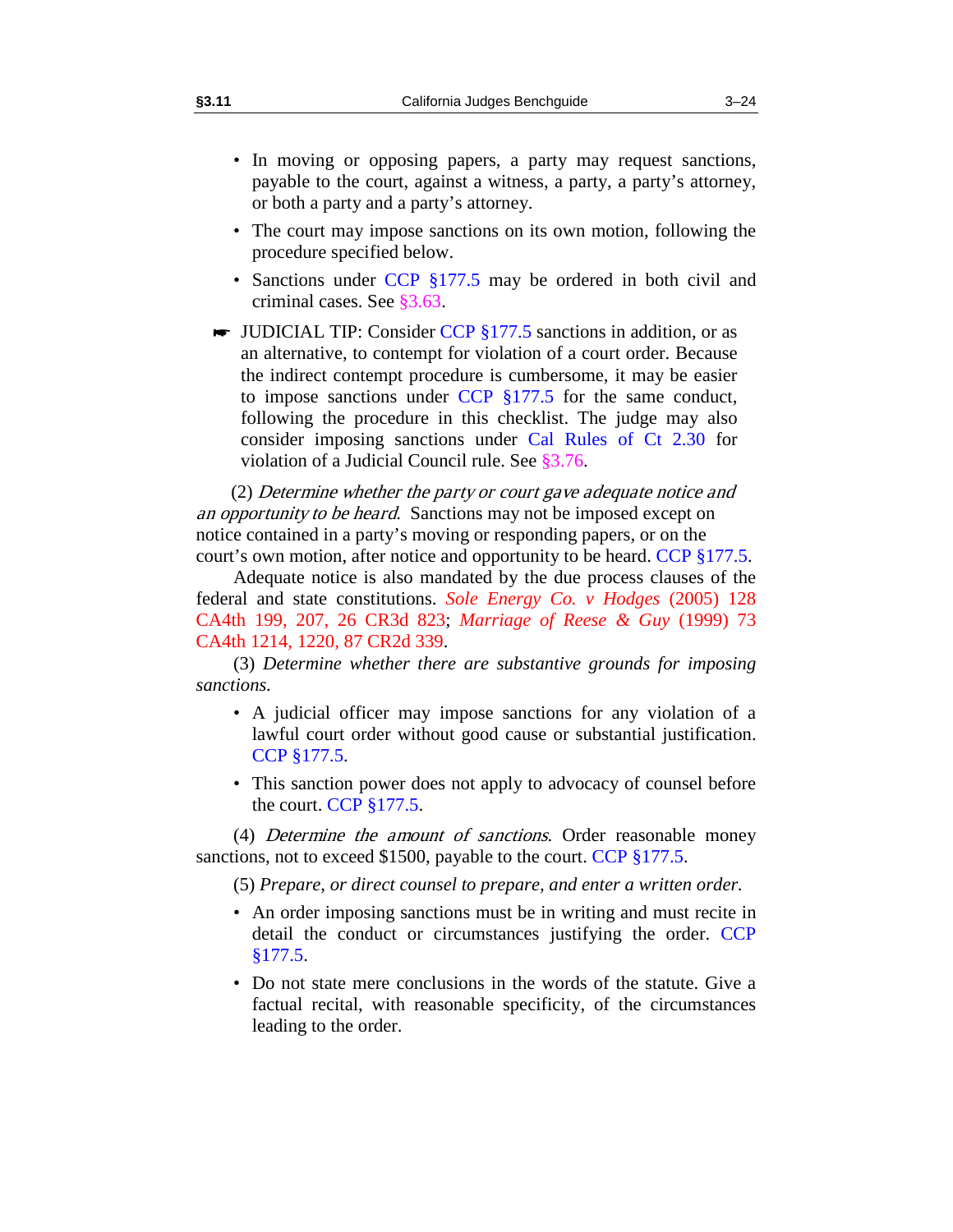- In moving or opposing papers, a party may request sanctions, payable to the court, against a witness, a party, a party's attorney, or both a party and a party's attorney.
- The court may impose sanctions on its own motion, following the procedure specified below.
- Sanctions under CCP §177.5 may be ordered in both civil and criminal cases. See [§3.63.](#page-68-0)
- $\blacktriangleright$  JUDICIAL TIP: Consider CCP §177.5 sanctions in addition, or as an alternative, to contempt for violation of a court order. Because the indirect contempt procedure is cumbersome, it may be easier to impose sanctions under CCP §177.5 for the same conduct, following the procedure in this checklist. The judge may also consider imposing sanctions under Cal Rules of Ct 2.30 for violation of a Judicial Council rule. See [§3.76.](#page-77-1)

(2) Determine whether the party or court gave adequate notice and an opportunity to be heard. Sanctions may not be imposed except on notice contained in a party's moving or responding papers, or on the court's own motion, after notice and opportunity to be heard. CCP §177.5.

Adequate notice is also mandated by the due process clauses of the federal and state constitutions. *Sole Energy Co. v Hodges* (2005) 128 CA4th 199, 207, 26 CR3d 823; *Marriage of Reese & Guy* (1999) 73 CA4th 1214, 1220, 87 CR2d 339.

(3) *Determine whether there are substantive grounds for imposing sanctions.*

- A judicial officer may impose sanctions for any violation of a lawful court order without good cause or substantial justification. CCP §177.5.
- This sanction power does not apply to advocacy of counsel before the court. CCP §177.5.

(4) Determine the amount of sanctions. Order reasonable money sanctions, not to exceed \$1500, payable to the court. CCP §177.5.

(5) *Prepare, or direct counsel to prepare, and enter a written order.*

- An order imposing sanctions must be in writing and must recite in detail the conduct or circumstances justifying the order. CCP §177.5.
- Do not state mere conclusions in the words of the statute. Give a factual recital, with reasonable specificity, of the circumstances leading to the order.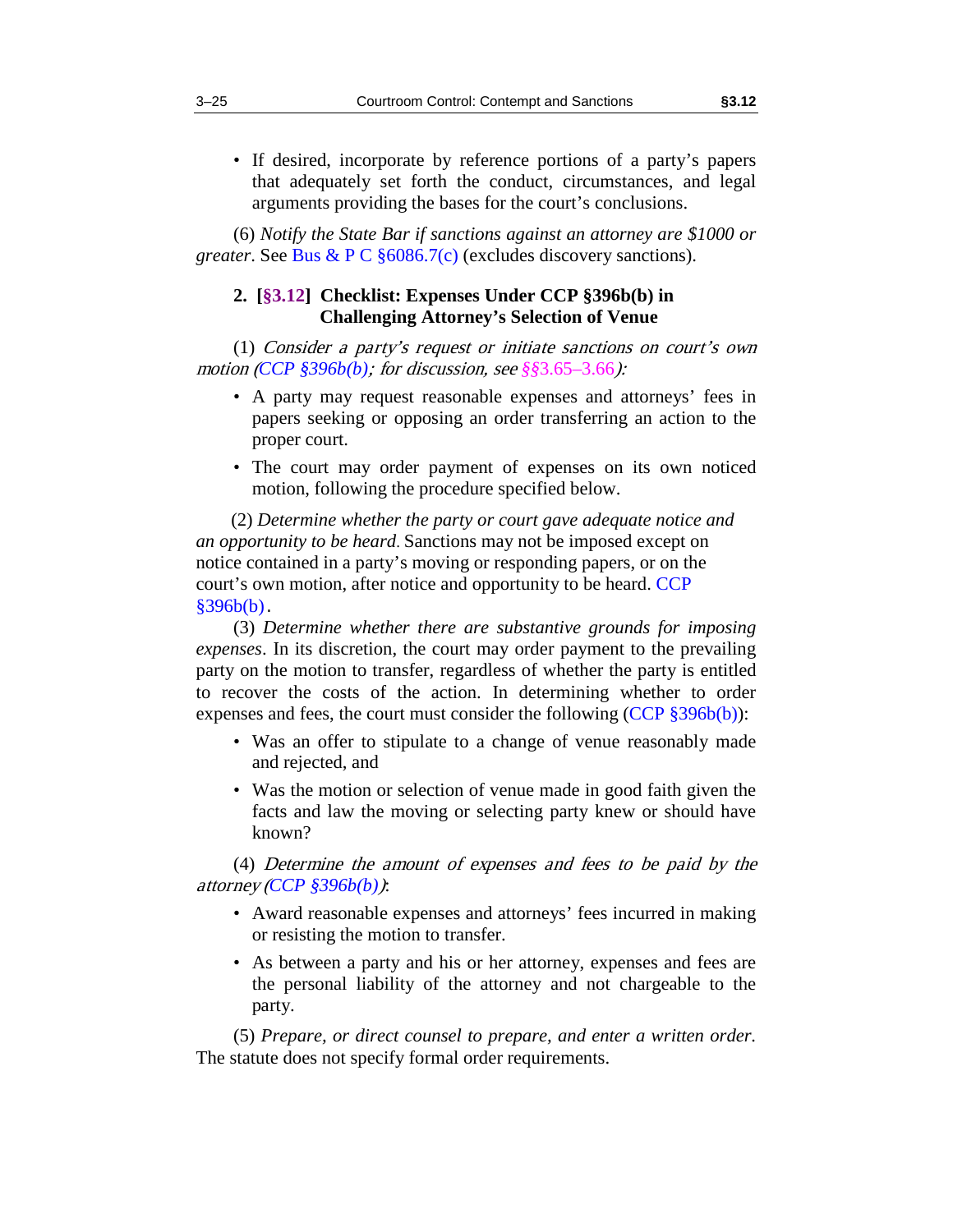• If desired, incorporate by reference portions of a party's papers that adequately set forth the conduct, circumstances, and legal arguments providing the bases for the court's conclusions.

(6) *Notify the State Bar if sanctions against an attorney are \$1000 or greater*. See Bus & P C §6086.7(c) (excludes discovery sanctions).

## <span id="page-26-0"></span>**2. [§3.12] Checklist: Expenses Under CCP §396b(b) in Challenging Attorney's Selection of Venue**

(1) Consider a party's request or initiate sanctions on court's own motion (*CCP §396b(b)*; for discussion, see *§§*[3.65](#page-71-0)*–*[3.66](#page-71-1)):

- A party may request reasonable expenses and attorneys' fees in papers seeking or opposing an order transferring an action to the proper court.
- The court may order payment of expenses on its own noticed motion, following the procedure specified below.

(2) *Determine whether the party or court gave adequate notice and an opportunity to be heard*. Sanctions may not be imposed except on notice contained in a party's moving or responding papers, or on the court's own motion, after notice and opportunity to be heard. CCP §396b(b).

(3) *Determine whether there are substantive grounds for imposing expenses*. In its discretion, the court may order payment to the prevailing party on the motion to transfer, regardless of whether the party is entitled to recover the costs of the action. In determining whether to order expenses and fees, the court must consider the following  $(CCP \S 396b(b))$ :

- Was an offer to stipulate to a change of venue reasonably made and rejected, and
- Was the motion or selection of venue made in good faith given the facts and law the moving or selecting party knew or should have known?

(4) Determine the amount of expenses and fees to be paid by the attorney (*CCP §396b(b)*):

- Award reasonable expenses and attorneys' fees incurred in making or resisting the motion to transfer.
- As between a party and his or her attorney, expenses and fees are the personal liability of the attorney and not chargeable to the party.

(5) *Prepare, or direct counsel to prepare, and enter a written order.*  The statute does not specify formal order requirements.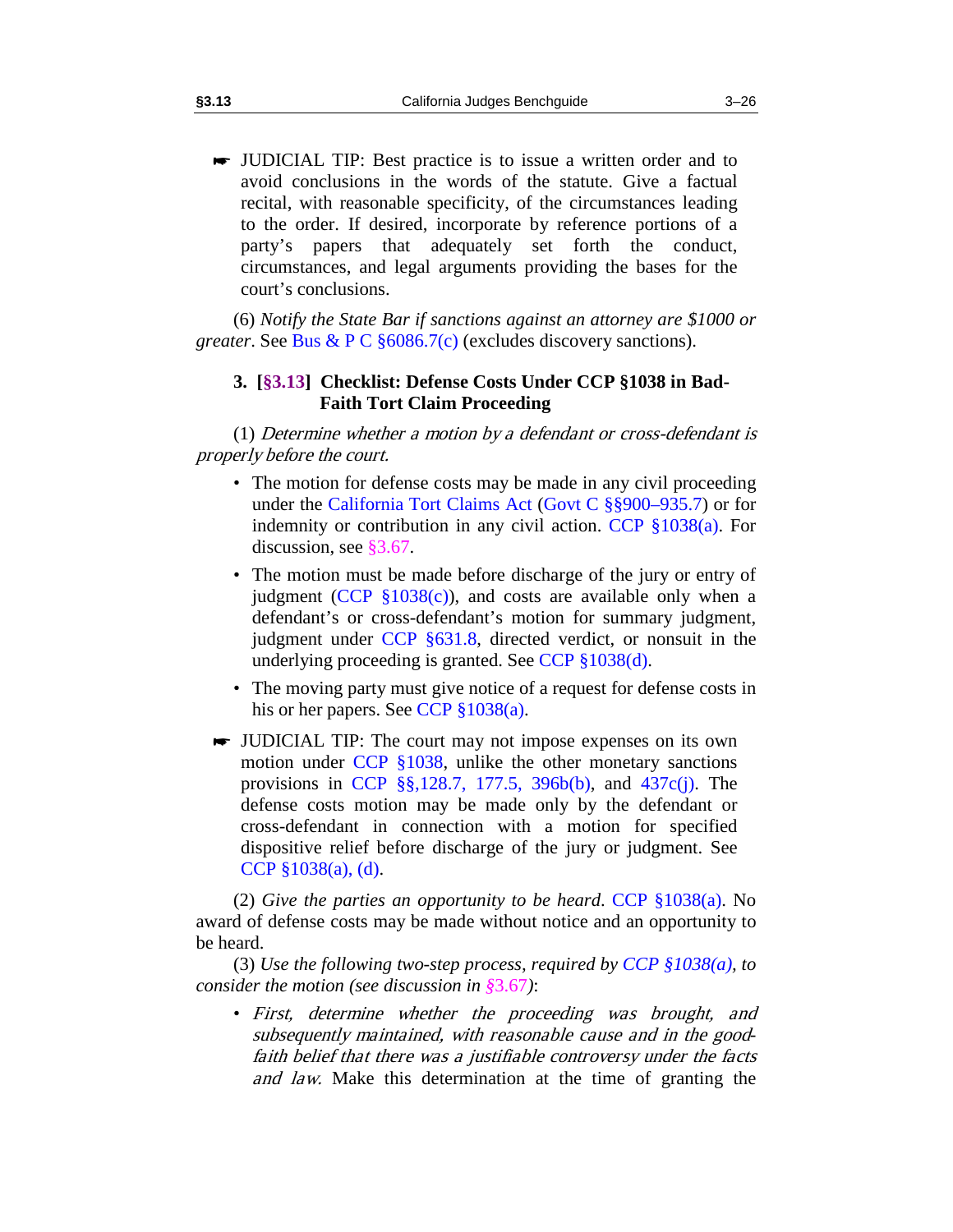JUDICIAL TIP: Best practice is to issue a written order and to avoid conclusions in the words of the statute. Give a factual recital, with reasonable specificity, of the circumstances leading to the order. If desired, incorporate by reference portions of a party's papers that adequately set forth the conduct, circumstances, and legal arguments providing the bases for the court's conclusions.

(6) *Notify the State Bar if sanctions against an attorney are \$1000 or greater*. See Bus & P C §6086.7(c) (excludes discovery sanctions).

# <span id="page-27-0"></span>**3. [§3.13] Checklist: Defense Costs Under CCP §1038 in Bad-Faith Tort Claim Proceeding**

(1) Determine whether a motion by a defendant or cross-defendant is properly before the court.

- The motion for defense costs may be made in any civil proceeding under the California Tort Claims Act (Govt C §§900–935.7) or for indemnity or contribution in any civil action. CCP §1038(a). For discussion, see [§3.67.](#page-72-0)
- The motion must be made before discharge of the jury or entry of judgment (CCP  $\S 1038(c)$ ), and costs are available only when a defendant's or cross-defendant's motion for summary judgment, judgment under CCP §631.8, directed verdict, or nonsuit in the underlying proceeding is granted. See CCP §1038(d).
- The moving party must give notice of a request for defense costs in his or her papers. See CCP §1038(a).
- JUDICIAL TIP: The court may not impose expenses on its own motion under CCP §1038, unlike the other monetary sanctions provisions in CCP §§,128.7, 177.5, 396b(b), and 437c(j). The defense costs motion may be made only by the defendant or cross-defendant in connection with a motion for specified dispositive relief before discharge of the jury or judgment. See CCP §1038(a), (d).

(2) *Give the parties an opportunity to be heard*. CCP §1038(a). No award of defense costs may be made without notice and an opportunity to be heard.

(3) *Use the following two-step process, required by CCP §1038(a), to consider the motion (see discussion in §*[3.67](#page-72-0)*)*:

• First, determine whether the proceeding was brought, and subsequently maintained, with reasonable cause and in the goodfaith belief that there was a justifiable controversy under the facts and law. Make this determination at the time of granting the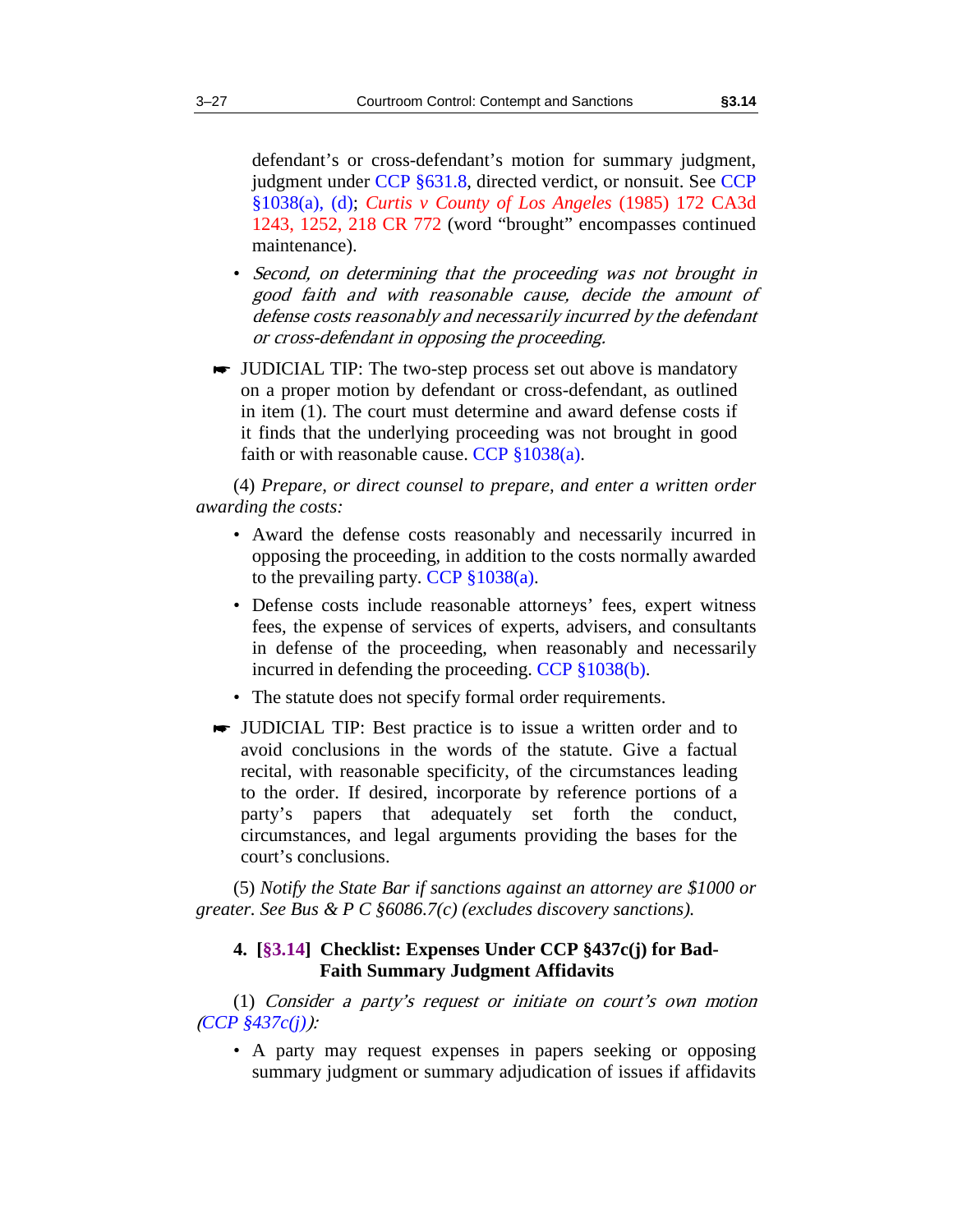defendant's or cross-defendant's motion for summary judgment, judgment under CCP §631.8, directed verdict, or nonsuit. See CCP §1038(a), (d); *Curtis v County of Los Angeles* (1985) 172 CA3d 1243, 1252, 218 CR 772 (word "brought" encompasses continued maintenance).

- Second, on determining that the proceeding was not brought in good faith and with reasonable cause, decide the amount of defense costs reasonably and necessarily incurred by the defendant or cross-defendant in opposing the proceeding.
- UUDICIAL TIP: The two-step process set out above is mandatory on a proper motion by defendant or cross-defendant, as outlined in item (1). The court must determine and award defense costs if it finds that the underlying proceeding was not brought in good faith or with reasonable cause. CCP  $\S 1038(a)$ .

(4) *Prepare, or direct counsel to prepare, and enter a written order awarding the costs:*

- Award the defense costs reasonably and necessarily incurred in opposing the proceeding, in addition to the costs normally awarded to the prevailing party. CCP  $\S 1038(a)$ .
- Defense costs include reasonable attorneys' fees, expert witness fees, the expense of services of experts, advisers, and consultants in defense of the proceeding, when reasonably and necessarily incurred in defending the proceeding. CCP §1038(b).
- The statute does not specify formal order requirements.
- JUDICIAL TIP: Best practice is to issue a written order and to avoid conclusions in the words of the statute. Give a factual recital, with reasonable specificity, of the circumstances leading to the order. If desired, incorporate by reference portions of a party's papers that adequately set forth the conduct, circumstances, and legal arguments providing the bases for the court's conclusions.

(5) *Notify the State Bar if sanctions against an attorney are \$1000 or greater. See Bus & P C §6086.7(c) (excludes discovery sanctions).*

# <span id="page-28-0"></span>**4. [§3.14] Checklist: Expenses Under CCP §437c(j) for Bad-Faith Summary Judgment Affidavits**

(1) Consider a party's request or initiate on court's own motion (*CCP §437c(j)*):

• A party may request expenses in papers seeking or opposing summary judgment or summary adjudication of issues if affidavits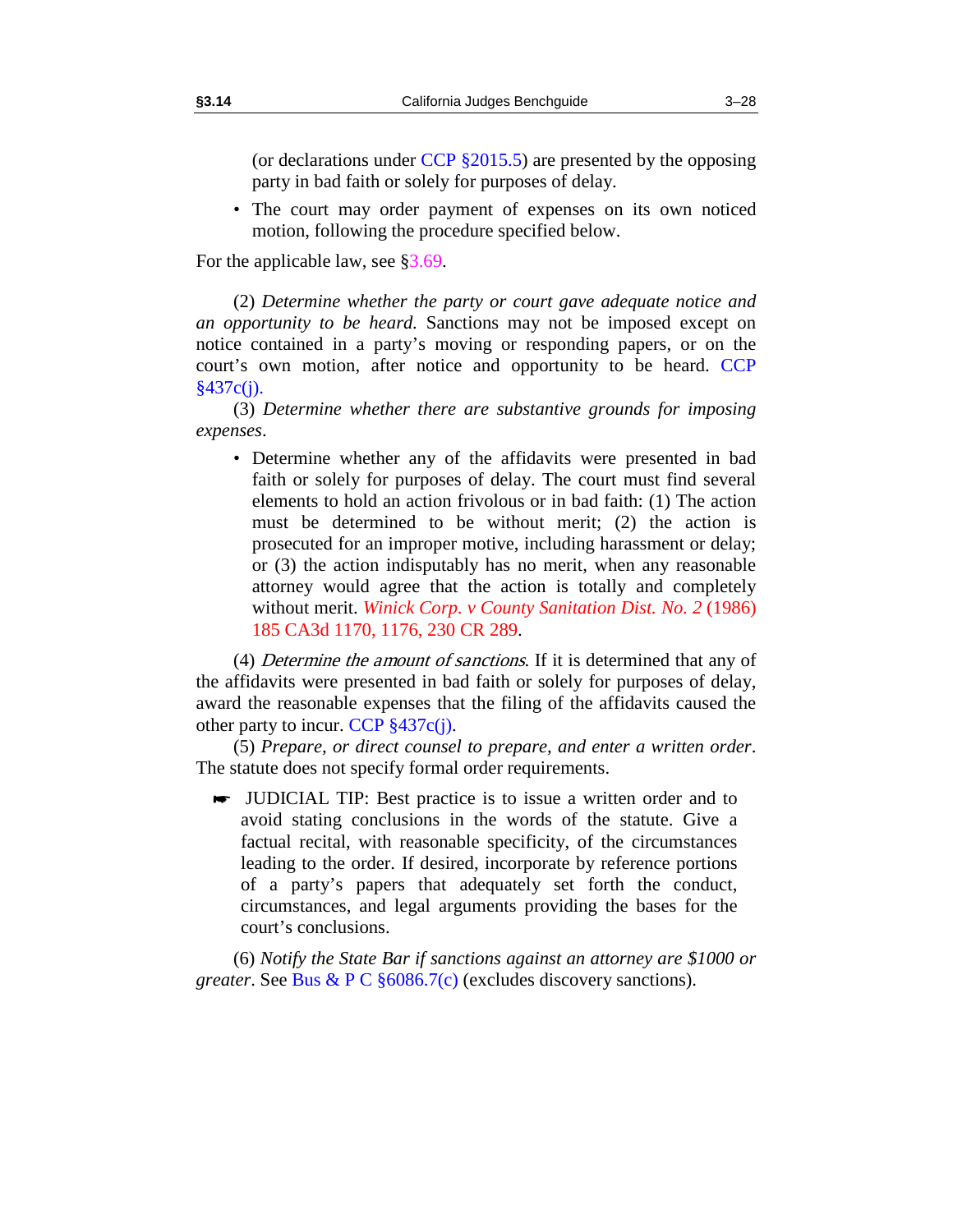(or declarations under CCP §2015.5) are presented by the opposing party in bad faith or solely for purposes of delay.

• The court may order payment of expenses on its own noticed motion, following the procedure specified below.

For the applicable law, see [§3.69.](#page-74-0)

(2) *Determine whether the party or court gave adequate notice and an opportunity to be heard.* Sanctions may not be imposed except on notice contained in a party's moving or responding papers, or on the court's own motion, after notice and opportunity to be heard. CCP §437c(j).

(3) *Determine whether there are substantive grounds for imposing expenses*.

• Determine whether any of the affidavits were presented in bad faith or solely for purposes of delay. The court must find several elements to hold an action frivolous or in bad faith: (1) The action must be determined to be without merit; (2) the action is prosecuted for an improper motive, including harassment or delay; or (3) the action indisputably has no merit, when any reasonable attorney would agree that the action is totally and completely without merit. *Winick Corp. v County Sanitation Dist. No. 2* (1986) 185 CA3d 1170, 1176, 230 CR 289.

(4) Determine the amount of sanctions. If it is determined that any of the affidavits were presented in bad faith or solely for purposes of delay, award the reasonable expenses that the filing of the affidavits caused the other party to incur. CCP  $§437c(i)$ .

(5) *Prepare, or direct counsel to prepare, and enter a written order*. The statute does not specify formal order requirements.

 JUDICIAL TIP: Best practice is to issue a written order and to avoid stating conclusions in the words of the statute. Give a factual recital, with reasonable specificity, of the circumstances leading to the order. If desired, incorporate by reference portions of a party's papers that adequately set forth the conduct, circumstances, and legal arguments providing the bases for the court's conclusions.

(6) *Notify the State Bar if sanctions against an attorney are \$1000 or greater*. See Bus & P C §6086.7(c) (excludes discovery sanctions).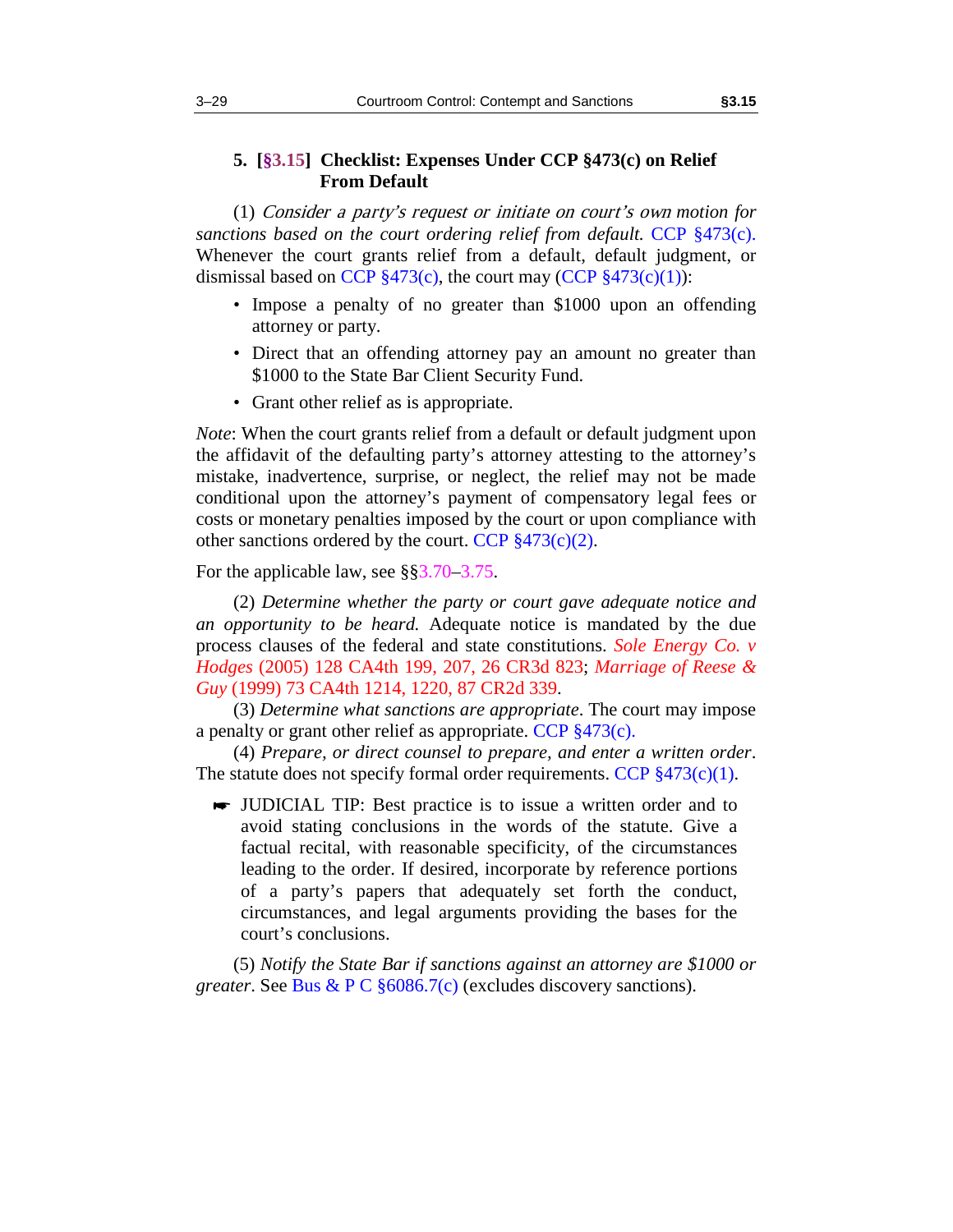<span id="page-30-0"></span>(1) Consider a party's request or initiate on court's own *motion for sanctions based on the court ordering relief from default.* CCP §473(c). Whenever the court grants relief from a default, default judgment, or dismissal based on CCP  $\S 473(c)$ , the court may (CCP  $\S 473(c)(1)$ ):

- Impose a penalty of no greater than \$1000 upon an offending attorney or party.
- Direct that an offending attorney pay an amount no greater than \$1000 to the State Bar Client Security Fund.
- Grant other relief as is appropriate.

*Note*: When the court grants relief from a default or default judgment upon the affidavit of the defaulting party's attorney attesting to the attorney's mistake, inadvertence, surprise, or neglect, the relief may not be made conditional upon the attorney's payment of compensatory legal fees or costs or monetary penalties imposed by the court or upon compliance with other sanctions ordered by the court. CCP  $§473(c)(2)$ .

For the applicable law, see  $\S$ [§3.70–](#page-75-0)[3.75.](#page-77-0)

(2) *Determine whether the party or court gave adequate notice and an opportunity to be heard.* Adequate notice is mandated by the due process clauses of the federal and state constitutions. *Sole Energy Co. v Hodges* (2005) 128 CA4th 199, 207, 26 CR3d 823; *Marriage of Reese & Guy* (1999) 73 CA4th 1214, 1220, 87 CR2d 339.

(3) *Determine what sanctions are appropriate*. The court may impose a penalty or grant other relief as appropriate. CCP §473(c).

(4) *Prepare, or direct counsel to prepare, and enter a written order*. The statute does not specify formal order requirements. CCP  $\S 473(c)(1)$ .

 JUDICIAL TIP: Best practice is to issue a written order and to avoid stating conclusions in the words of the statute. Give a factual recital, with reasonable specificity, of the circumstances leading to the order. If desired, incorporate by reference portions of a party's papers that adequately set forth the conduct, circumstances, and legal arguments providing the bases for the court's conclusions.

(5) *Notify the State Bar if sanctions against an attorney are \$1000 or greater*. See Bus & P C §6086.7(c) (excludes discovery sanctions).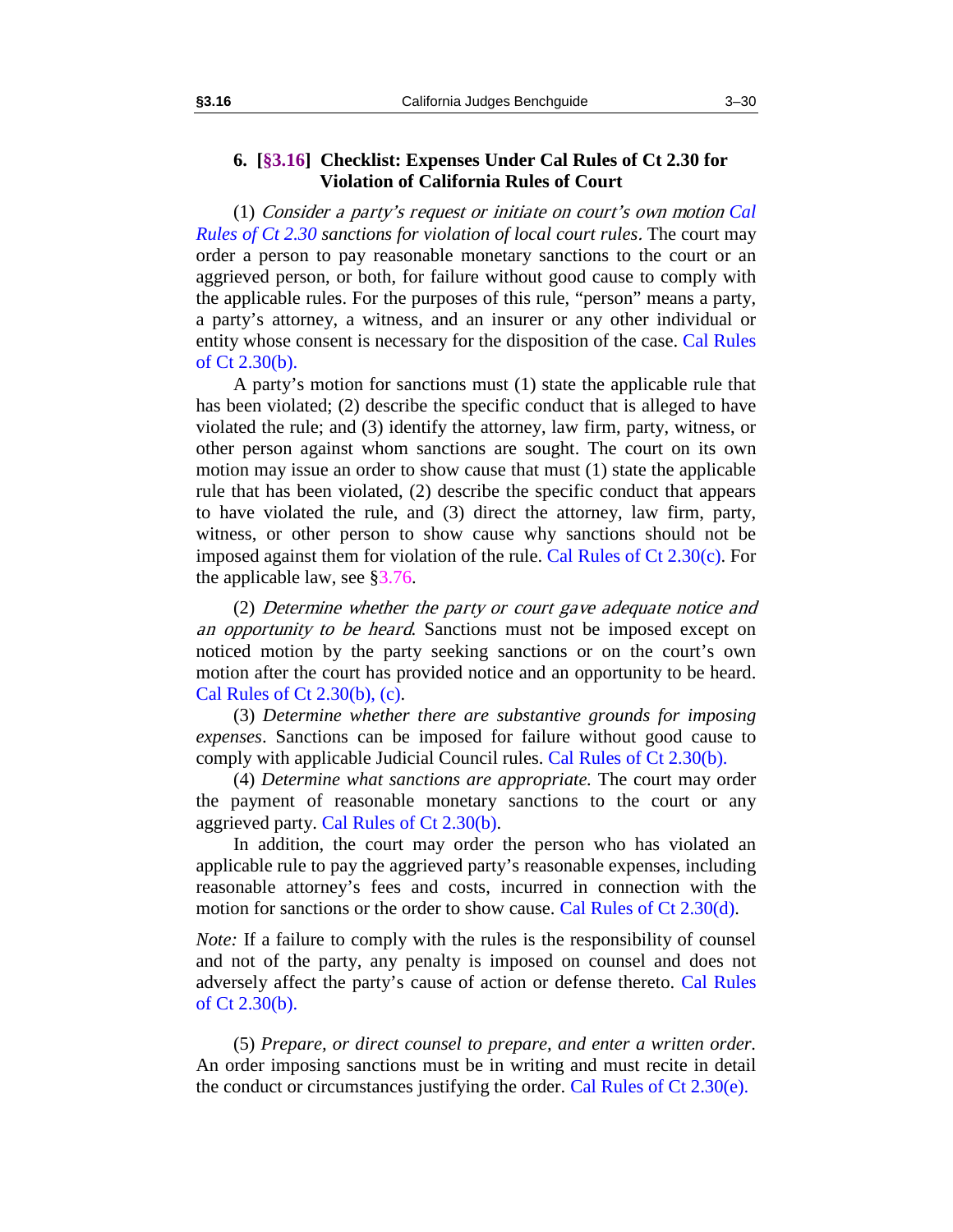### <span id="page-31-0"></span>**6. [§3.16] Checklist: Expenses Under Cal Rules of Ct 2.30 for Violation of California Rules of Court**

(1) Consider a party's request or initiate on court's own motion *Cal Rules of Ct 2.30 sanctions for violation of local court rules*. The court may order a person to pay reasonable monetary sanctions to the court or an aggrieved person, or both, for failure without good cause to comply with the applicable rules. For the purposes of this rule, "person" means a party, a party's attorney, a witness, and an insurer or any other individual or entity whose consent is necessary for the disposition of the case. Cal Rules of Ct 2.30(b).

A party's motion for sanctions must (1) state the applicable rule that has been violated; (2) describe the specific conduct that is alleged to have violated the rule; and (3) identify the attorney, law firm, party, witness, or other person against whom sanctions are sought. The court on its own motion may issue an order to show cause that must (1) state the applicable rule that has been violated, (2) describe the specific conduct that appears to have violated the rule, and (3) direct the attorney, law firm, party, witness, or other person to show cause why sanctions should not be imposed against them for violation of the rule. Cal Rules of Ct  $2.30(c)$ . For the applicable law, see [§3.76.](#page-77-1)

(2) Determine whether the party or court gave adequate notice and an *opportunity to be heard*. Sanctions must not be imposed except on noticed motion by the party seeking sanctions or on the court's own motion after the court has provided notice and an opportunity to be heard. Cal Rules of Ct 2.30(b), (c).

(3) *Determine whether there are substantive grounds for imposing expenses*. Sanctions can be imposed for failure without good cause to comply with applicable Judicial Council rules. Cal Rules of Ct 2.30(b).

(4) *Determine what sanctions are appropriate.* The court may order the payment of reasonable monetary sanctions to the court or any aggrieved party. Cal Rules of Ct 2.30(b).

In addition, the court may order the person who has violated an applicable rule to pay the aggrieved party's reasonable expenses, including reasonable attorney's fees and costs, incurred in connection with the motion for sanctions or the order to show cause. Cal Rules of Ct 2.30(d).

*Note:* If a failure to comply with the rules is the responsibility of counsel and not of the party, any penalty is imposed on counsel and does not adversely affect the party's cause of action or defense thereto. Cal Rules of Ct 2.30(b).

(5) *Prepare, or direct counsel to prepare, and enter a written order.*  An order imposing sanctions must be in writing and must recite in detail the conduct or circumstances justifying the order. Cal Rules of Ct  $2.30(e)$ .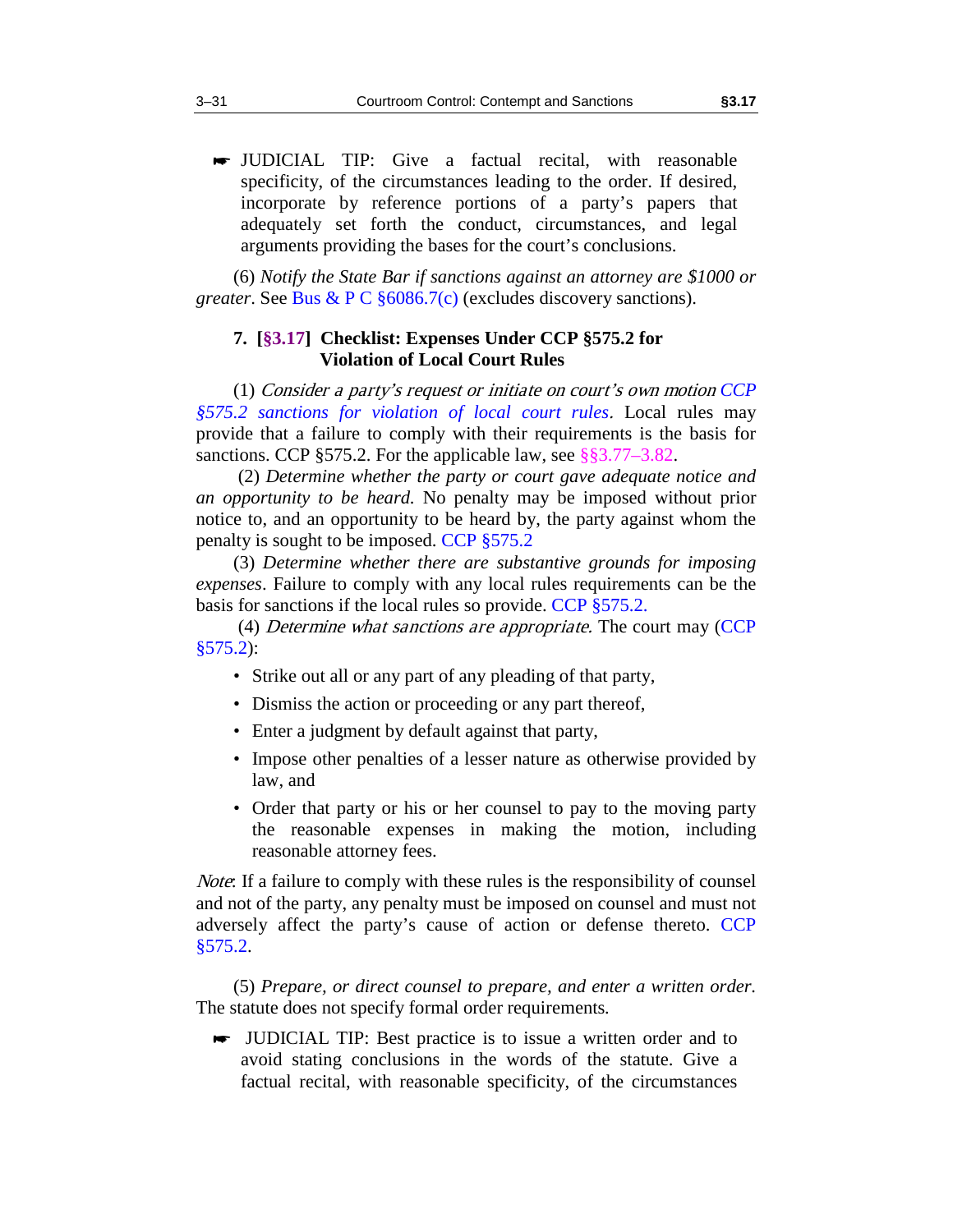JUDICIAL TIP: Give a factual recital, with reasonable specificity, of the circumstances leading to the order. If desired, incorporate by reference portions of a party's papers that adequately set forth the conduct, circumstances, and legal arguments providing the bases for the court's conclusions.

(6) *Notify the State Bar if sanctions against an attorney are \$1000 or greater*. See Bus & P C §6086.7(c) (excludes discovery sanctions).

# <span id="page-32-0"></span>**7. [§3.17] Checklist: Expenses Under CCP §575.2 for Violation of Local Court Rules**

(1) Consider a party's request or initiate on court's own motion *CCP §575.2 sanctions for violation of local court rules*. Local rules may provide that a failure to comply with their requirements is the basis for sanctions. CCP §575.2. For the applicable law, see §[§3.77](#page-78-0)[–3.82.](#page-80-2)

(2) *Determine whether the party or court gave adequate notice and an opportunity to be heard.* No penalty may be imposed without prior notice to, and an opportunity to be heard by, the party against whom the penalty is sought to be imposed. CCP §575.2

(3) *Determine whether there are substantive grounds for imposing expenses*. Failure to comply with any local rules requirements can be the basis for sanctions if the local rules so provide. CCP §575.2.

(4) Determine what sanctions are appropriate. The court may  $(CCP)$ §575.2):

- Strike out all or any part of any pleading of that party,
- Dismiss the action or proceeding or any part thereof,
- Enter a judgment by default against that party,
- Impose other penalties of a lesser nature as otherwise provided by law, and
- Order that party or his or her counsel to pay to the moving party the reasonable expenses in making the motion, including reasonable attorney fees.

Note: If a failure to comply with these rules is the responsibility of counsel and not of the party, any penalty must be imposed on counsel and must not adversely affect the party's cause of action or defense thereto. CCP §575.2.

(5) *Prepare, or direct counsel to prepare, and enter a written order.*  The statute does not specify formal order requirements*.*

UDICIAL TIP: Best practice is to issue a written order and to avoid stating conclusions in the words of the statute. Give a factual recital, with reasonable specificity, of the circumstances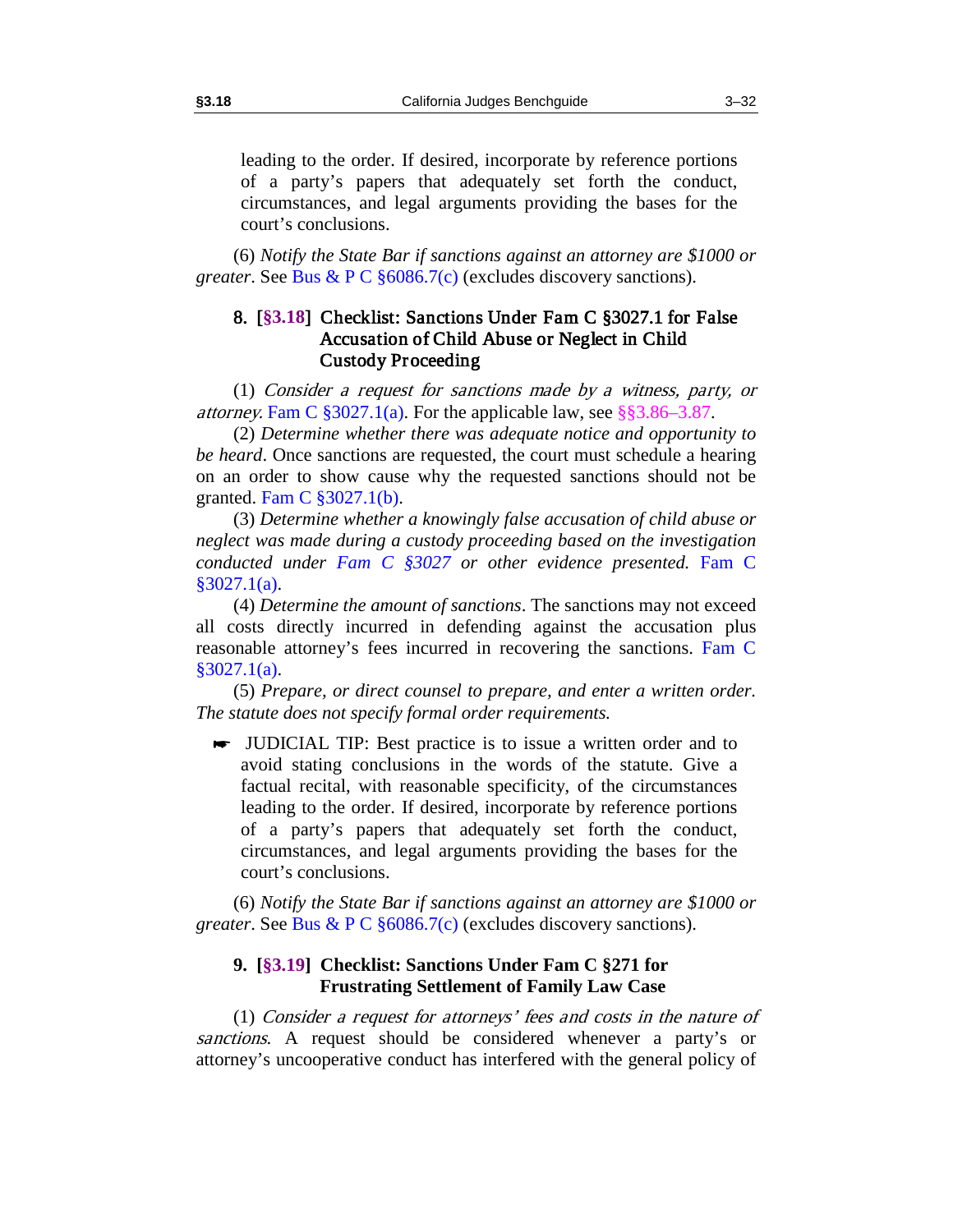leading to the order. If desired, incorporate by reference portions of a party's papers that adequately set forth the conduct, circumstances, and legal arguments providing the bases for the court's conclusions.

(6) *Notify the State Bar if sanctions against an attorney are \$1000 or greater*. See Bus & P C §6086.7(c) (excludes discovery sanctions).

# <span id="page-33-0"></span>8. [**§3.18**] Checklist: Sanctions Under Fam C §3027.1 for False Accusation of Child Abuse or Neglect in Child Custody Proceeding

(1) Consider a request for sanctions made by a witness, party, or *attorney.* Fam C  $\S 3027.1(a)$ . For the applicable law, see  $\S 3.86-3.87$ .

(2) *Determine whether there was adequate notice and opportunity to be heard*. Once sanctions are requested, the court must schedule a hearing on an order to show cause why the requested sanctions should not be granted. Fam C §3027.1(b).

(3) *Determine whether a knowingly false accusation of child abuse or neglect was made during a custody proceeding based on the investigation conducted under Fam C §3027 or other evidence presented.* Fam C §3027.1(a).

(4) *Determine the amount of sanctions*. The sanctions may not exceed all costs directly incurred in defending against the accusation plus reasonable attorney's fees incurred in recovering the sanctions. Fam C §3027.1(a).

(5) *Prepare, or direct counsel to prepare, and enter a written order. The statute does not specify formal order requirements.*

UDICIAL TIP: Best practice is to issue a written order and to avoid stating conclusions in the words of the statute. Give a factual recital, with reasonable specificity, of the circumstances leading to the order. If desired, incorporate by reference portions of a party's papers that adequately set forth the conduct, circumstances, and legal arguments providing the bases for the court's conclusions.

(6) *Notify the State Bar if sanctions against an attorney are \$1000 or greater*. See Bus & P C §6086.7(c) (excludes discovery sanctions).

# <span id="page-33-1"></span>**9. [§3.19] Checklist: Sanctions Under Fam C §271 for Frustrating Settlement of Family Law Case**

(1) Consider a request for attorneys' fees and costs in the nature of sanctions. A request should be considered whenever a party's or attorney's uncooperative conduct has interfered with the general policy of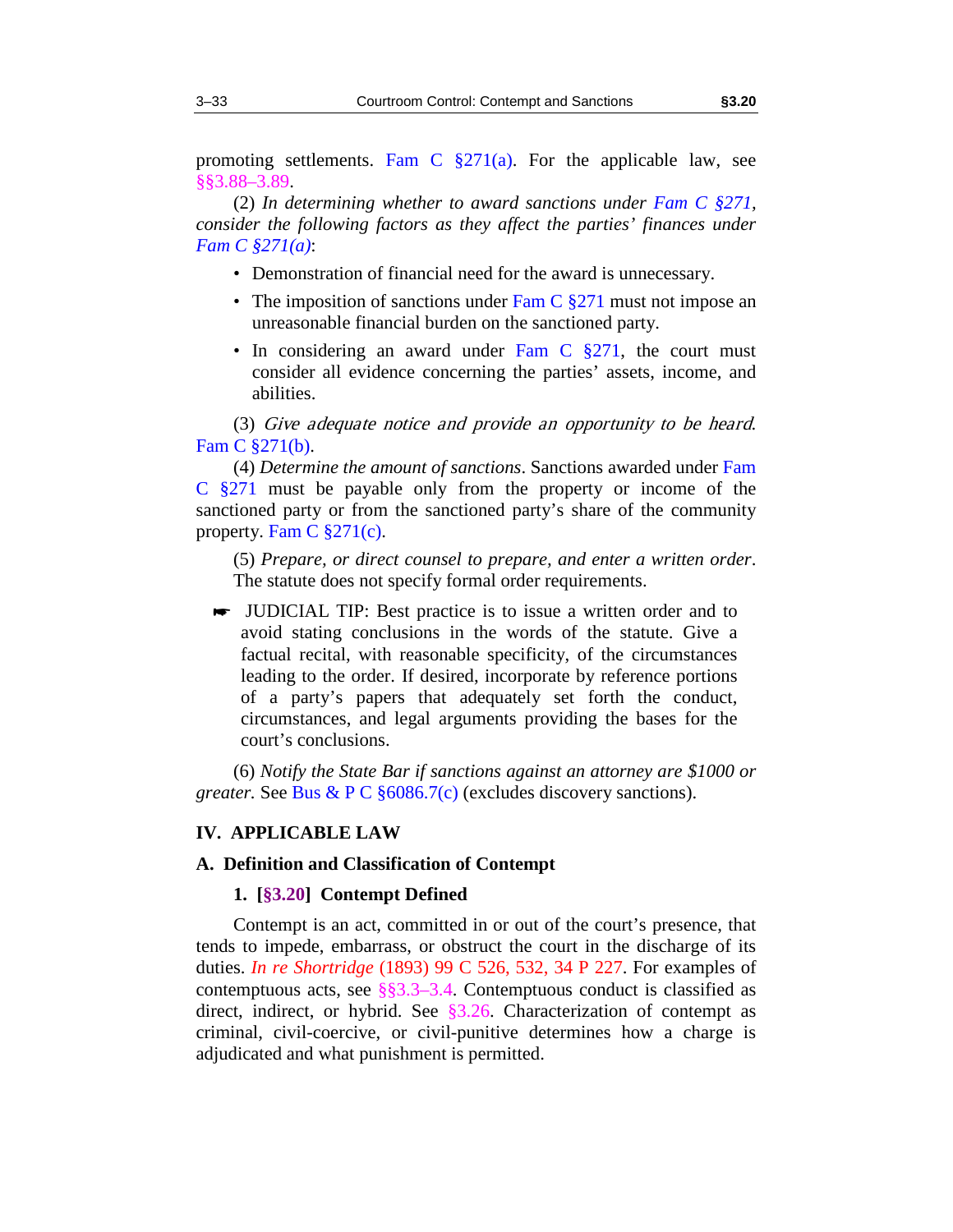promoting settlements. Fam C  $\S271(a)$ . For the applicable law, see §[§3.88–](#page-83-2)[3.89.](#page-85-0)

(2) *In determining whether to award sanctions under Fam C §271, consider the following factors as they affect the parties' finances under Fam C §271(a)*:

- Demonstration of financial need for the award is unnecessary.
- The imposition of sanctions under  $Fam C \frac{8271}{2}$  must not impose an unreasonable financial burden on the sanctioned party.
- In considering an award under Fam C §271, the court must consider all evidence concerning the parties' assets, income, and abilities.

(3) Give adequate notice and provide an opportunity to be heard. Fam C §271(b).

(4) *Determine the amount of sanctions*. Sanctions awarded under Fam C §271 must be payable only from the property or income of the sanctioned party or from the sanctioned party's share of the community property. Fam  $C \frac{8271(c)}{c}$ .

(5) *Prepare, or direct counsel to prepare, and enter a written order*. The statute does not specify formal order requirements.

UDICIAL TIP: Best practice is to issue a written order and to avoid stating conclusions in the words of the statute. Give a factual recital, with reasonable specificity, of the circumstances leading to the order. If desired, incorporate by reference portions of a party's papers that adequately set forth the conduct, circumstances, and legal arguments providing the bases for the court's conclusions.

(6) *Notify the State Bar if sanctions against an attorney are \$1000 or greater.* See Bus & P C §6086.7(c) (excludes discovery sanctions).

#### **IV. APPLICABLE LAW**

#### **A. Definition and Classification of Contempt**

#### <span id="page-34-0"></span>**1. [§3.20] Contempt Defined**

Contempt is an act, committed in or out of the court's presence, that tends to impede, embarrass, or obstruct the court in the discharge of its duties. *In re Shortridge* (1893) 99 C 526, 532, 34 P 227. For examples of contemptuous acts, see §[§3.3–](#page-7-0)[3.4.](#page-12-0) Contemptuous conduct is classified as direct, indirect, or hybrid. See [§3.26.](#page-39-1) Characterization of contempt as criminal, civil-coercive, or civil-punitive determines how a charge is adjudicated and what punishment is permitted.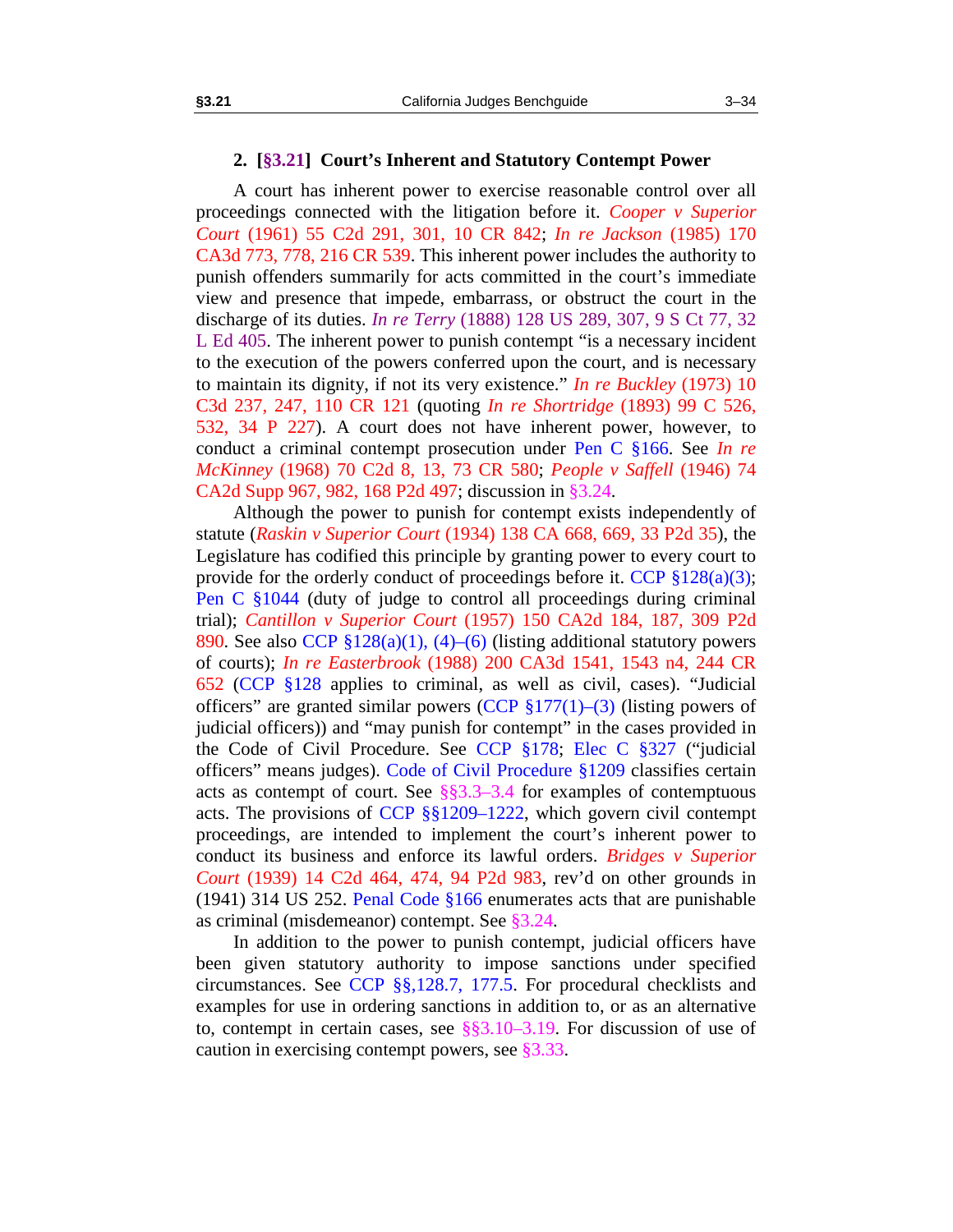#### <span id="page-35-0"></span>**2. [§3.21] Court's Inherent and Statutory Contempt Power**

A court has inherent power to exercise reasonable control over all proceedings connected with the litigation before it. *Cooper v Superior Court* (1961) 55 C2d 291, 301, 10 CR 842; *In re Jackson* (1985) 170 CA3d 773, 778, 216 CR 539. This inherent power includes the authority to punish offenders summarily for acts committed in the court's immediate view and presence that impede, embarrass, or obstruct the court in the discharge of its duties. *In re Terry* (1888) 128 US 289, 307, 9 S Ct 77, 32 L Ed 405. The inherent power to punish contempt "is a necessary incident to the execution of the powers conferred upon the court, and is necessary to maintain its dignity, if not its very existence." *In re Buckley* (1973) 10 C3d 237, 247, 110 CR 121 (quoting *In re Shortridge* (1893) 99 C 526, 532, 34 P 227). A court does not have inherent power, however, to conduct a criminal contempt prosecution under Pen C §166. See *In re McKinney* (1968) 70 C2d 8, 13, 73 CR 580; *People v Saffell* (1946) 74 CA2d Supp 967, 982, 168 P2d 497; discussion in [§3.24.](#page-38-0)

Although the power to punish for contempt exists independently of statute (*Raskin v Superior Court* (1934) 138 CA 668, 669, 33 P2d 35), the Legislature has codified this principle by granting power to every court to provide for the orderly conduct of proceedings before it. CCP  $$128(a)(3)$ ; Pen C §1044 (duty of judge to control all proceedings during criminal trial); *Cantillon v Superior Court* (1957) 150 CA2d 184, 187, 309 P2d 890. See also CCP  $\S 128(a)(1)$ , (4)–(6) (listing additional statutory powers of courts); *In re Easterbrook* (1988) 200 CA3d 1541, 1543 n4, 244 CR 652 (CCP §128 applies to criminal, as well as civil, cases). "Judicial officers" are granted similar powers (CCP  $\S177(1)$ –(3) (listing powers of judicial officers)) and "may punish for contempt" in the cases provided in the Code of Civil Procedure. See CCP §178; Elec C §327 ("judicial officers" means judges). Code of Civil Procedure §1209 classifies certain acts as contempt of court. See §[§3.3–](#page-7-0)[3.4](#page-12-0) for examples of contemptuous acts. The provisions of CCP §§1209–1222, which govern civil contempt proceedings, are intended to implement the court's inherent power to conduct its business and enforce its lawful orders. *Bridges v Superior Court* (1939) 14 C2d 464, 474, 94 P2d 983, rev'd on other grounds in (1941) 314 US 252. Penal Code  $$166$  enumerates acts that are punishable as criminal (misdemeanor) contempt. See [§3.24.](#page-38-0)

In addition to the power to punish contempt, judicial officers have been given statutory authority to impose sanctions under specified circumstances. See CCP §§,128.7, 177.5. For procedural checklists and examples for use in ordering sanctions in addition to, or as an alternative to, contempt in certain cases, see  $\S$ [§3.10–](#page-22-0)[3.19.](#page-33-1) For discussion of use of caution in exercising contempt powers, see [§3.33.](#page-43-0)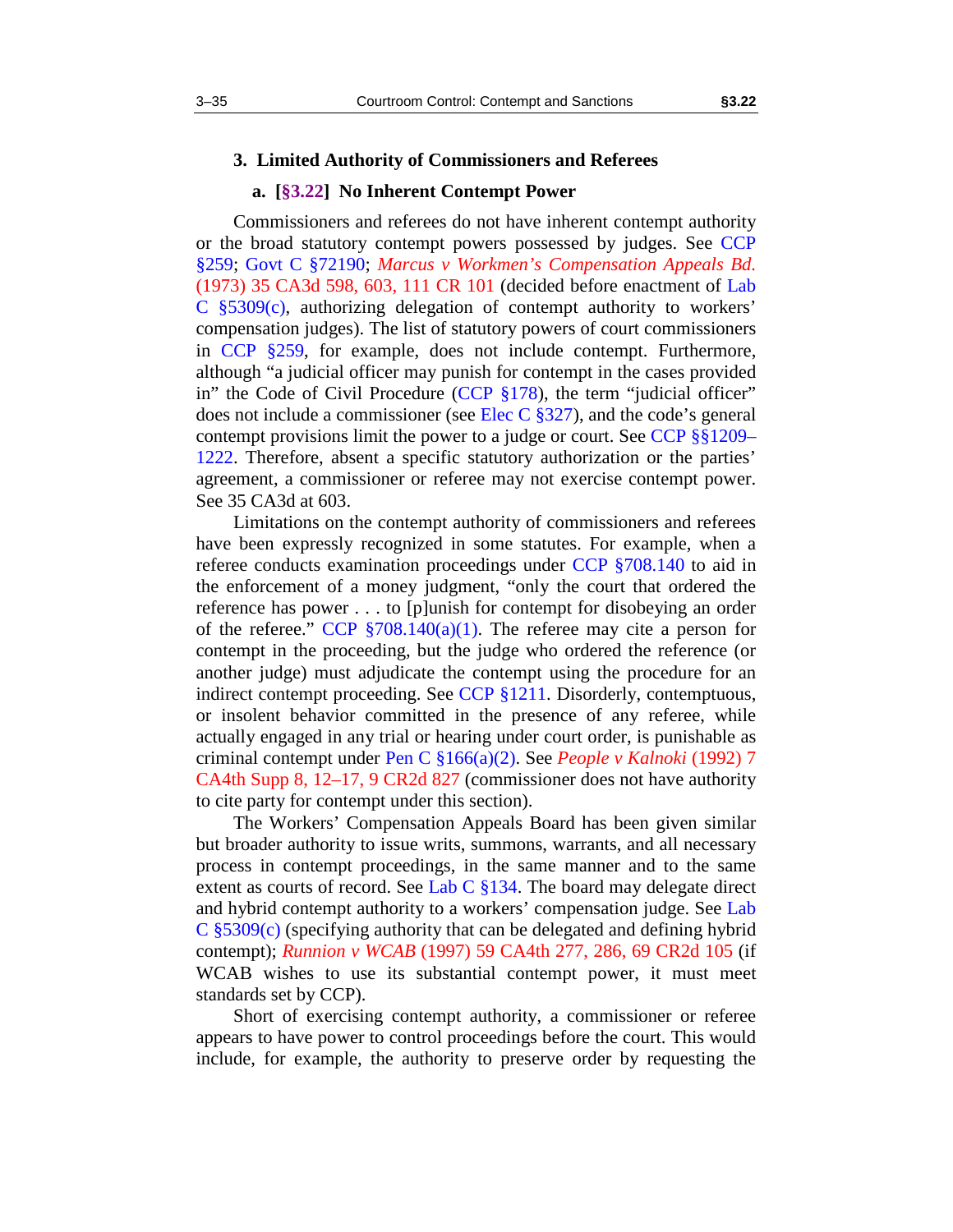## **3. Limited Authority of Commissioners and Referees**

## <span id="page-36-0"></span>**a. [§3.22] No Inherent Contempt Power**

Commissioners and referees do not have inherent contempt authority or the broad statutory contempt powers possessed by judges. See CCP §259; Govt C §72190; *Marcus v Workmen's Compensation Appeals Bd.* (1973) 35 CA3d 598, 603, 111 CR 101 (decided before enactment of Lab C §5309(c), authorizing delegation of contempt authority to workers' compensation judges). The list of statutory powers of court commissioners in CCP §259, for example, does not include contempt. Furthermore, although "a judicial officer may punish for contempt in the cases provided in" the Code of Civil Procedure (CCP §178), the term "judicial officer" does not include a commissioner (see Elec C  $\S 327$ ), and the code's general contempt provisions limit the power to a judge or court. See CCP §§1209– 1222. Therefore, absent a specific statutory authorization or the parties' agreement, a commissioner or referee may not exercise contempt power. See 35 CA3d at 603.

Limitations on the contempt authority of commissioners and referees have been expressly recognized in some statutes. For example, when a referee conducts examination proceedings under CCP §708.140 to aid in the enforcement of a money judgment, "only the court that ordered the reference has power . . . to [p]unish for contempt for disobeying an order of the referee." CCP  $\frac{$708.140(a)(1)}{2}$ . The referee may cite a person for contempt in the proceeding, but the judge who ordered the reference (or another judge) must adjudicate the contempt using the procedure for an indirect contempt proceeding. See CCP §1211. Disorderly, contemptuous, or insolent behavior committed in the presence of any referee, while actually engaged in any trial or hearing under court order, is punishable as criminal contempt under Pen C §166(a)(2). See *People v Kalnoki* (1992) 7 CA4th Supp 8, 12–17, 9 CR2d 827 (commissioner does not have authority to cite party for contempt under this section).

The Workers' Compensation Appeals Board has been given similar but broader authority to issue writs, summons, warrants, and all necessary process in contempt proceedings, in the same manner and to the same extent as courts of record. See Lab C §134. The board may delegate direct and hybrid contempt authority to a workers' compensation judge. See Lab C §5309(c) (specifying authority that can be delegated and defining hybrid contempt); *Runnion v WCAB* (1997) 59 CA4th 277, 286, 69 CR2d 105 (if WCAB wishes to use its substantial contempt power, it must meet standards set by CCP).

Short of exercising contempt authority, a commissioner or referee appears to have power to control proceedings before the court. This would include, for example, the authority to preserve order by requesting the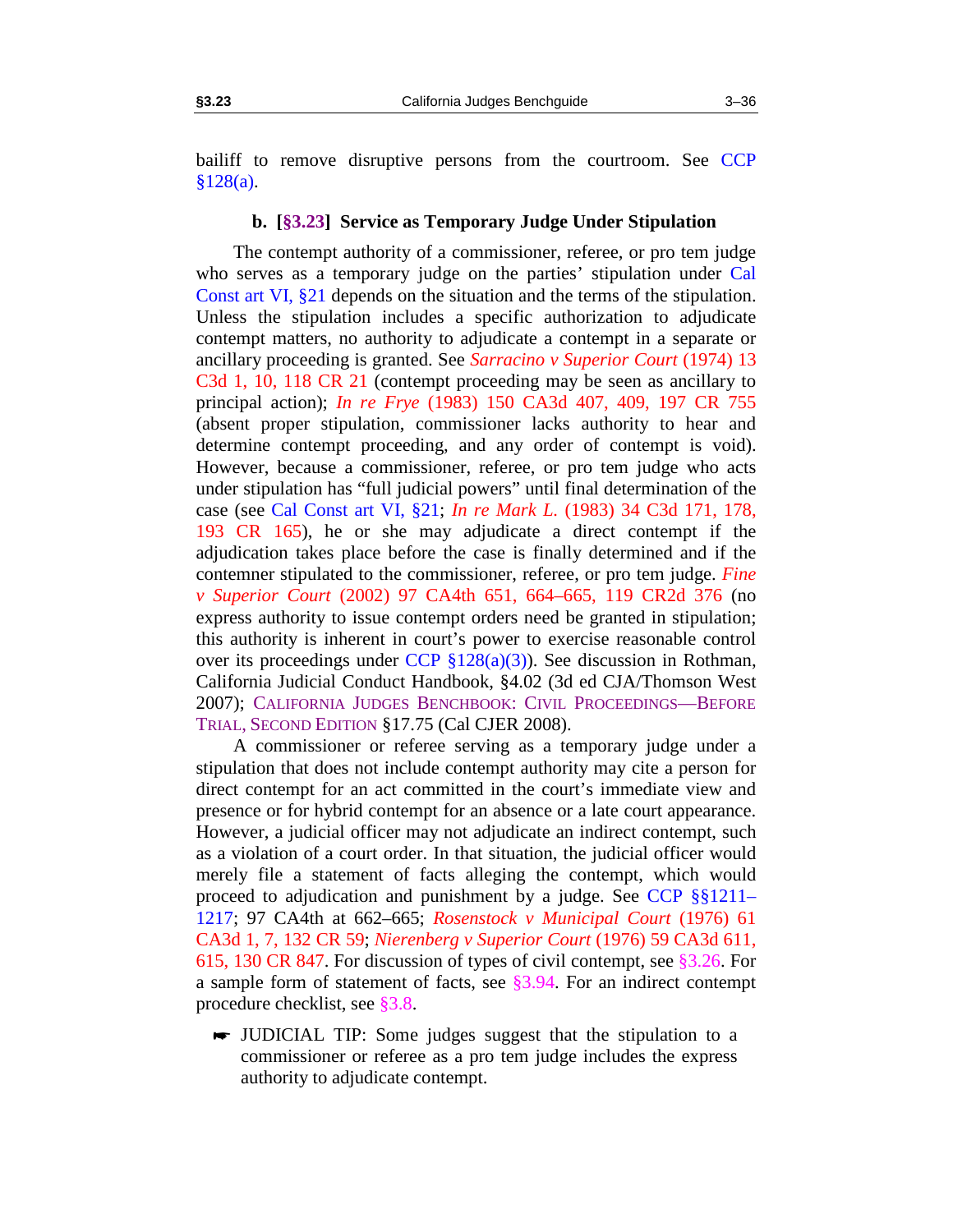bailiff to remove disruptive persons from the courtroom. See CCP §128(a).

## <span id="page-37-0"></span>**b. [§3.23] Service as Temporary Judge Under Stipulation**

The contempt authority of a commissioner, referee, or pro tem judge who serves as a temporary judge on the parties' stipulation under Cal Const art VI, §21 depends on the situation and the terms of the stipulation. Unless the stipulation includes a specific authorization to adjudicate contempt matters, no authority to adjudicate a contempt in a separate or ancillary proceeding is granted. See *Sarracino v Superior Court* (1974) 13 C3d 1, 10, 118 CR 21 (contempt proceeding may be seen as ancillary to principal action); *In re Frye* (1983) 150 CA3d 407, 409, 197 CR 755 (absent proper stipulation, commissioner lacks authority to hear and determine contempt proceeding, and any order of contempt is void). However, because a commissioner, referee, or pro tem judge who acts under stipulation has "full judicial powers" until final determination of the case (see Cal Const art VI, §21; *In re Mark L.* (1983) 34 C3d 171, 178, 193 CR 165), he or she may adjudicate a direct contempt if the adjudication takes place before the case is finally determined and if the contemner stipulated to the commissioner, referee, or pro tem judge. *Fine v Superior Court* (2002) 97 CA4th 651, 664–665, 119 CR2d 376 (no express authority to issue contempt orders need be granted in stipulation; this authority is inherent in court's power to exercise reasonable control over its proceedings under CCP  $$128(a)(3)$ ). See discussion in Rothman, California Judicial Conduct Handbook, §4.02 (3d ed CJA/Thomson West 2007); CALIFORNIA JUDGES BENCHBOOK: CIVIL PROCEEDINGS—BEFORE TRIAL, SECOND EDITION §17.75 (Cal CJER 2008).

A commissioner or referee serving as a temporary judge under a stipulation that does not include contempt authority may cite a person for direct contempt for an act committed in the court's immediate view and presence or for hybrid contempt for an absence or a late court appearance. However, a judicial officer may not adjudicate an indirect contempt, such as a violation of a court order. In that situation, the judicial officer would merely file a statement of facts alleging the contempt, which would proceed to adjudication and punishment by a judge. See CCP §§1211– 1217; 97 CA4th at 662–665; *Rosenstock v Municipal Court* (1976) 61 CA3d 1, 7, 132 CR 59; *Nierenberg v Superior Court* (1976) 59 CA3d 611, 615, 130 CR 847. For discussion of types of civil contempt, see [§3.26.](#page-39-0) For a sample form of statement of facts, see  $\S 3.94$ . For an indirect contempt procedure checklist, see [§3.8.](#page-18-0)

 JUDICIAL TIP: Some judges suggest that the stipulation to a commissioner or referee as a pro tem judge includes the express authority to adjudicate contempt.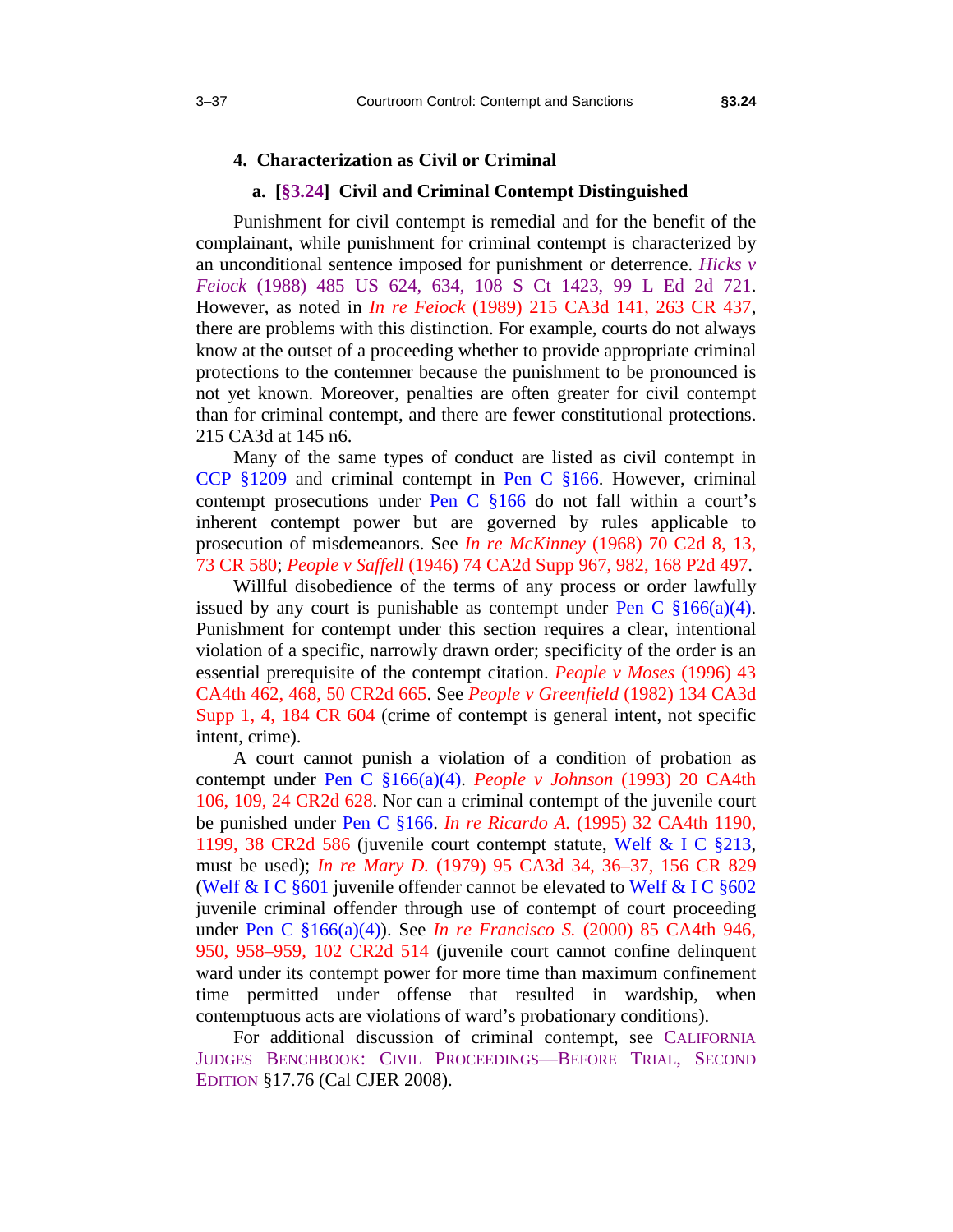### **4. Characterization as Civil or Criminal**

### **a. [§3.24] Civil and Criminal Contempt Distinguished**

Punishment for civil contempt is remedial and for the benefit of the complainant, while punishment for criminal contempt is characterized by an unconditional sentence imposed for punishment or deterrence. *Hicks v Feiock* (1988) 485 US 624, 634, 108 S Ct 1423, 99 L Ed 2d 721. However, as noted in *In re Feiock* (1989) 215 CA3d 141, 263 CR 437, there are problems with this distinction. For example, courts do not always know at the outset of a proceeding whether to provide appropriate criminal protections to the contemner because the punishment to be pronounced is not yet known. Moreover, penalties are often greater for civil contempt than for criminal contempt, and there are fewer constitutional protections. 215 CA3d at 145 n6.

Many of the same types of conduct are listed as civil contempt in CCP §1209 and criminal contempt in Pen C §166. However, criminal contempt prosecutions under Pen C  $\S166$  do not fall within a court's inherent contempt power but are governed by rules applicable to prosecution of misdemeanors. See *In re McKinney* (1968) 70 C2d 8, 13, 73 CR 580; *People v Saffell* (1946) 74 CA2d Supp 967, 982, 168 P2d 497.

Willful disobedience of the terms of any process or order lawfully issued by any court is punishable as contempt under Pen C  $\S166(a)(4)$ . Punishment for contempt under this section requires a clear, intentional violation of a specific, narrowly drawn order; specificity of the order is an essential prerequisite of the contempt citation. *People v Moses* (1996) 43 CA4th 462, 468, 50 CR2d 665. See *People v Greenfield* (1982) 134 CA3d Supp 1, 4, 184 CR 604 (crime of contempt is general intent, not specific intent, crime).

A court cannot punish a violation of a condition of probation as contempt under Pen C §166(a)(4). *People v Johnson* (1993) 20 CA4th 106, 109, 24 CR2d 628. Nor can a criminal contempt of the juvenile court be punished under Pen C §166. *In re Ricardo A.* (1995) 32 CA4th 1190, 1199, 38 CR2d 586 (juvenile court contempt statute, Welf & I C §213, must be used); *In re Mary D.* (1979) 95 CA3d 34, 36–37, 156 CR 829 (Welf & I C  $\S601$  juvenile offender cannot be elevated to Welf & I C  $\S602$ juvenile criminal offender through use of contempt of court proceeding under Pen C §166(a)(4)). See *In re Francisco S.* (2000) 85 CA4th 946, 950, 958–959, 102 CR2d 514 (juvenile court cannot confine delinquent ward under its contempt power for more time than maximum confinement time permitted under offense that resulted in wardship, when contemptuous acts are violations of ward's probationary conditions).

For additional discussion of criminal contempt, see CALIFORNIA JUDGES BENCHBOOK: CIVIL PROCEEDINGS—BEFORE TRIAL, SECOND EDITION §17.76 (Cal CJER 2008).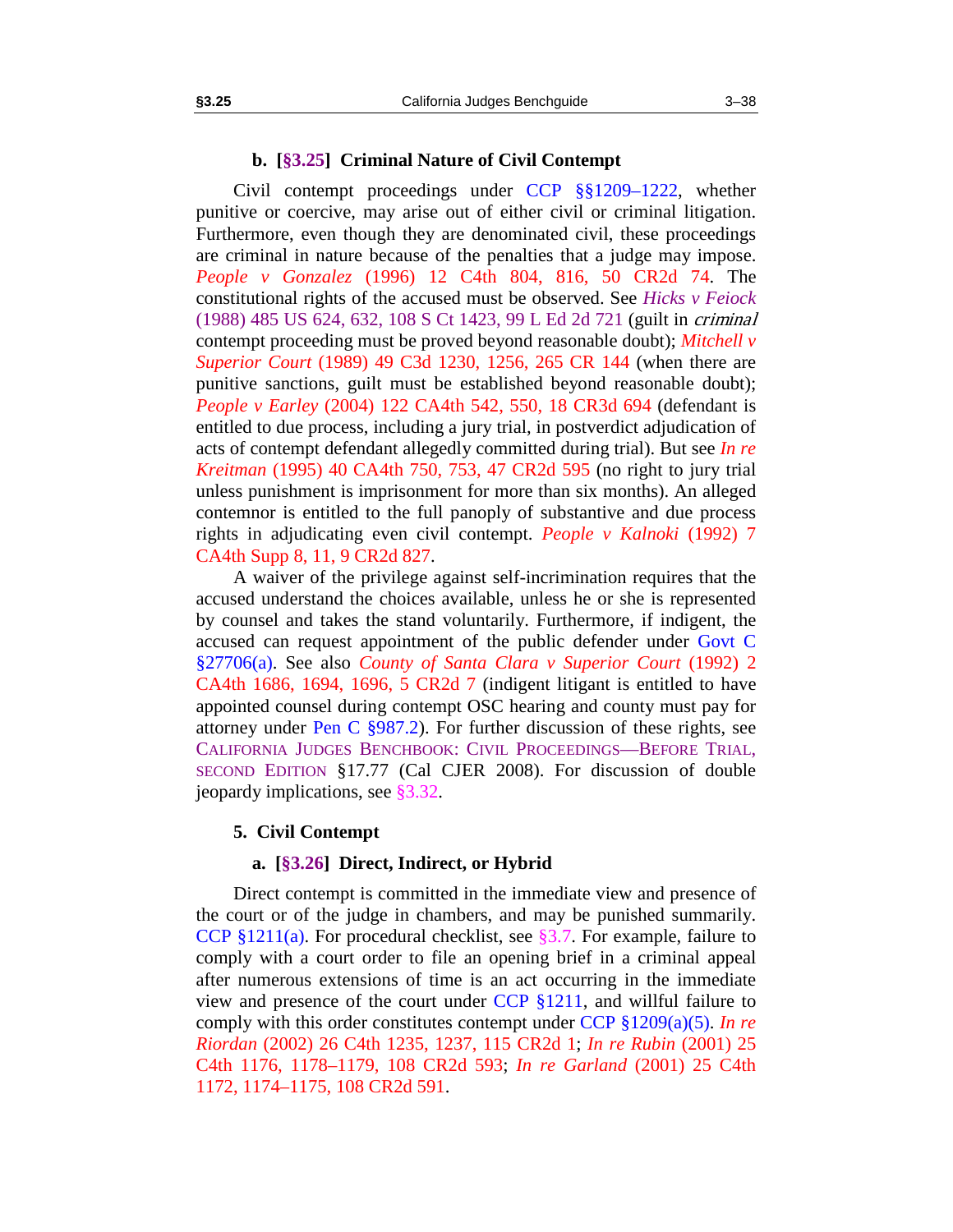## <span id="page-39-1"></span>**b. [§3.25] Criminal Nature of Civil Contempt**

Civil contempt proceedings under CCP §§1209–1222, whether punitive or coercive, may arise out of either civil or criminal litigation. Furthermore, even though they are denominated civil, these proceedings are criminal in nature because of the penalties that a judge may impose. *People v Gonzalez* (1996) 12 C4th 804, 816, 50 CR2d 74. The constitutional rights of the accused must be observed. See *Hicks v Feiock* (1988) 485 US 624, 632, 108 S Ct 1423, 99 L Ed 2d 721 (guilt in criminal contempt proceeding must be proved beyond reasonable doubt); *Mitchell v Superior Court* (1989) 49 C3d 1230, 1256, 265 CR 144 (when there are punitive sanctions, guilt must be established beyond reasonable doubt); *People v Earley* (2004) 122 CA4th 542, 550, 18 CR3d 694 (defendant is entitled to due process, including a jury trial, in postverdict adjudication of acts of contempt defendant allegedly committed during trial). But see *In re Kreitman* (1995) 40 CA4th 750, 753, 47 CR2d 595 (no right to jury trial unless punishment is imprisonment for more than six months). An alleged contemnor is entitled to the full panoply of substantive and due process rights in adjudicating even civil contempt. *People v Kalnoki* (1992) 7 CA4th Supp 8, 11, 9 CR2d 827.

A waiver of the privilege against self-incrimination requires that the accused understand the choices available, unless he or she is represented by counsel and takes the stand voluntarily. Furthermore, if indigent, the accused can request appointment of the public defender under Govt C §27706(a). See also *County of Santa Clara v Superior Court* (1992) 2 CA4th 1686, 1694, 1696, 5 CR2d 7 (indigent litigant is entitled to have appointed counsel during contempt OSC hearing and county must pay for attorney under Pen C §987.2). For further discussion of these rights, see CALIFORNIA JUDGES BENCHBOOK: CIVIL PROCEEDINGS—BEFORE TRIAL, SECOND EDITION §17.77 (Cal CJER 2008). For discussion of double jeopardy implications, see [§3.32.](#page-42-0)

## **5. Civil Contempt**

## <span id="page-39-0"></span>**a. [§3.26] Direct, Indirect, or Hybrid**

Direct contempt is committed in the immediate view and presence of the court or of the judge in chambers, and may be punished summarily. CCP  $\S 1211(a)$ . For procedural checklist, see  $\S 3.7$ . For example, failure to comply with a court order to file an opening brief in a criminal appeal after numerous extensions of time is an act occurring in the immediate view and presence of the court under CCP §1211, and willful failure to comply with this order constitutes contempt under CCP §1209(a)(5). *In re Riordan* (2002) 26 C4th 1235, 1237, 115 CR2d 1; *In re Rubin* (2001) 25 C4th 1176, 1178–1179, 108 CR2d 593; *In re Garland* (2001) 25 C4th 1172, 1174–1175, 108 CR2d 591.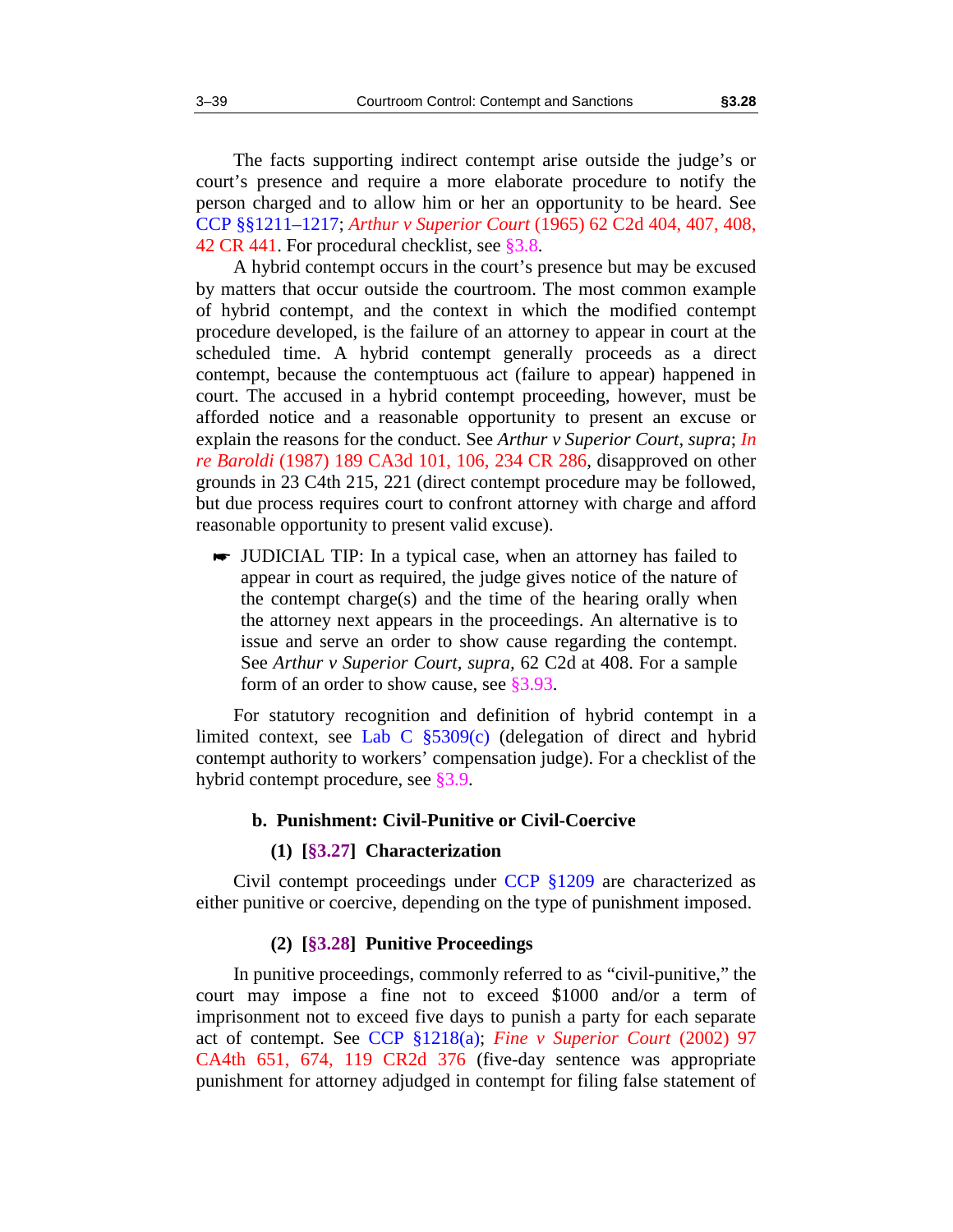The facts supporting indirect contempt arise outside the judge's or court's presence and require a more elaborate procedure to notify the person charged and to allow him or her an opportunity to be heard. See CCP §§1211–1217; *Arthur v Superior Court* (1965) 62 C2d 404, 407, 408, 42 CR 441. For procedural checklist, see [§3.8.](#page-18-0)

A hybrid contempt occurs in the court's presence but may be excused by matters that occur outside the courtroom. The most common example of hybrid contempt, and the context in which the modified contempt procedure developed, is the failure of an attorney to appear in court at the scheduled time. A hybrid contempt generally proceeds as a direct contempt, because the contemptuous act (failure to appear) happened in court. The accused in a hybrid contempt proceeding, however, must be afforded notice and a reasonable opportunity to present an excuse or explain the reasons for the conduct. See *Arthur v Superior Court, supra*; *In re Baroldi* (1987) 189 CA3d 101, 106, 234 CR 286, disapproved on other grounds in 23 C4th 215, 221 (direct contempt procedure may be followed, but due process requires court to confront attorney with charge and afford reasonable opportunity to present valid excuse).

 JUDICIAL TIP: In a typical case, when an attorney has failed to appear in court as required, the judge gives notice of the nature of the contempt charge(s) and the time of the hearing orally when the attorney next appears in the proceedings. An alternative is to issue and serve an order to show cause regarding the contempt. See *Arthur v Superior Court, supra,* 62 C2d at 408. For a sample form of an order to show cause, see [§3.93.](#page-87-0)

For statutory recognition and definition of hybrid contempt in a limited context, see Lab C §5309(c) (delegation of direct and hybrid contempt authority to workers' compensation judge). For a checklist of the hybrid contempt procedure, see [§3.9.](#page-21-0)

## **b. Punishment: Civil-Punitive or Civil-Coercive**

## <span id="page-40-0"></span>**(1) [§3.27] Characterization**

Civil contempt proceedings under CCP §1209 are characterized as either punitive or coercive, depending on the type of punishment imposed.

## **(2) [§3.28] Punitive Proceedings**

In punitive proceedings, commonly referred to as "civil-punitive," the court may impose a fine not to exceed \$1000 and/or a term of imprisonment not to exceed five days to punish a party for each separate act of contempt. See CCP §1218(a); *Fine v Superior Court* (2002) 97 CA4th 651, 674, 119 CR2d 376 (five-day sentence was appropriate punishment for attorney adjudged in contempt for filing false statement of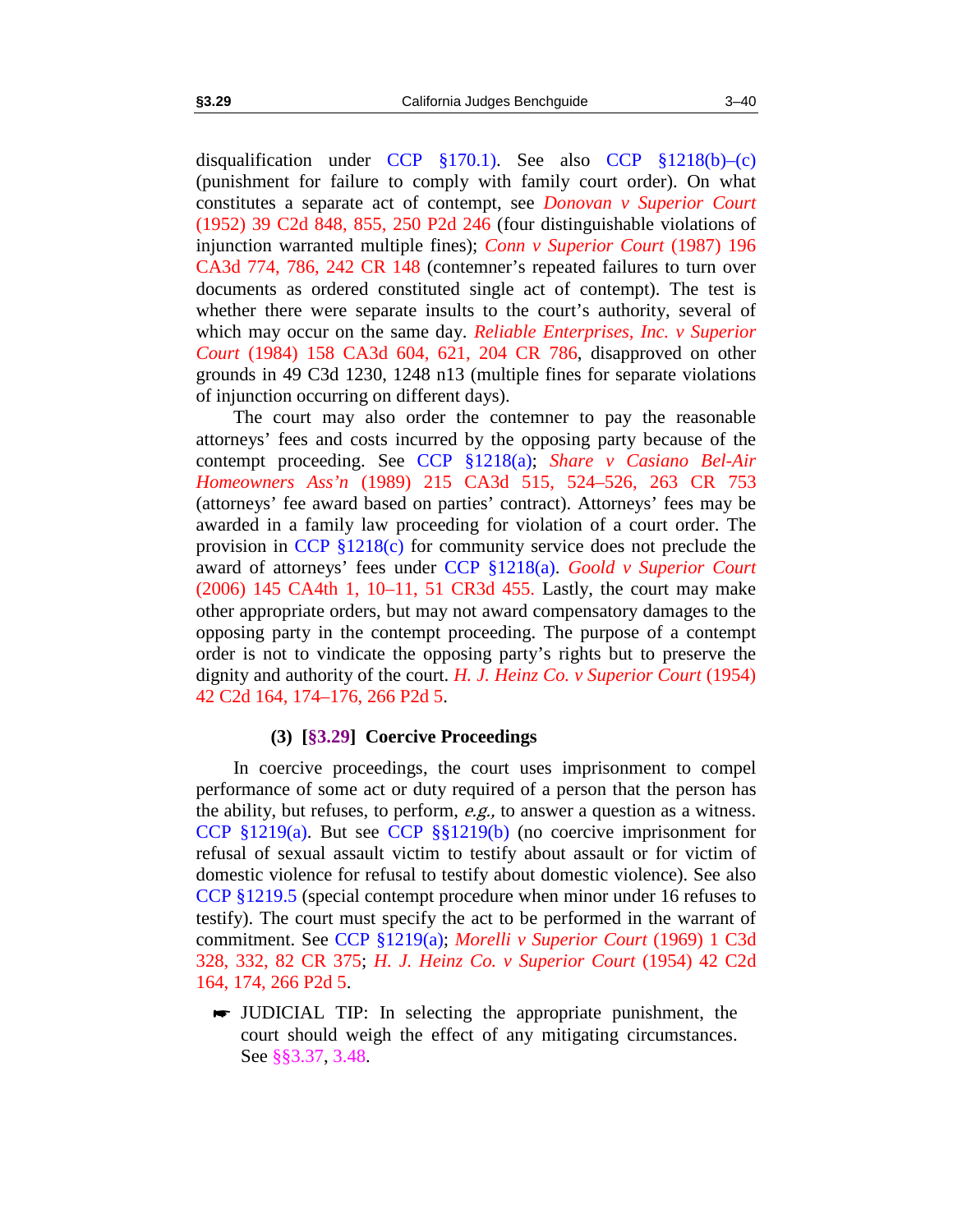disqualification under CCP  $\S 170.1$ ). See also CCP  $\S 1218(b)$ –(c) (punishment for failure to comply with family court order). On what constitutes a separate act of contempt, see *Donovan v Superior Court* (1952) 39 C2d 848, 855, 250 P2d 246 (four distinguishable violations of injunction warranted multiple fines); *Conn v Superior Court* (1987) 196 CA3d 774, 786, 242 CR 148 (contemner's repeated failures to turn over documents as ordered constituted single act of contempt). The test is whether there were separate insults to the court's authority, several of which may occur on the same day. *Reliable Enterprises, Inc. v Superior Court* (1984) 158 CA3d 604, 621, 204 CR 786, disapproved on other grounds in 49 C3d 1230, 1248 n13 (multiple fines for separate violations of injunction occurring on different days).

The court may also order the contemner to pay the reasonable attorneys' fees and costs incurred by the opposing party because of the contempt proceeding. See CCP §1218(a); *Share v Casiano Bel-Air Homeowners Ass'n* (1989) 215 CA3d 515, 524–526, 263 CR 753 (attorneys' fee award based on parties' contract). Attorneys' fees may be awarded in a family law proceeding for violation of a court order. The provision in CCP  $\S 1218(c)$  for community service does not preclude the award of attorneys' fees under CCP §1218(a). *Goold v Superior Court* (2006) 145 CA4th 1, 10–11, 51 CR3d 455. Lastly, the court may make other appropriate orders, but may not award compensatory damages to the opposing party in the contempt proceeding. The purpose of a contempt order is not to vindicate the opposing party's rights but to preserve the dignity and authority of the court. *H. J. Heinz Co. v Superior Court* (1954) 42 C2d 164, 174–176, 266 P2d 5.

# **(3) [§3.29] Coercive Proceedings**

In coercive proceedings, the court uses imprisonment to compel performance of some act or duty required of a person that the person has the ability, but refuses, to perform, e.g., to answer a question as a witness. CCP §1219(a). But see CCP §§1219(b) (no coercive imprisonment for refusal of sexual assault victim to testify about assault or for victim of domestic violence for refusal to testify about domestic violence). See also CCP §1219.5 (special contempt procedure when minor under 16 refuses to testify). The court must specify the act to be performed in the warrant of commitment. See CCP §1219(a); *Morelli v Superior Court* (1969) 1 C3d 328, 332, 82 CR 375; *H. J. Heinz Co. v Superior Court* (1954) 42 C2d 164, 174, 266 P2d 5.

 JUDICIAL TIP: In selecting the appropriate punishment, the court should weigh the effect of any mitigating circumstances. See §[§3.37,](#page-47-0) [3.48.](#page-53-0)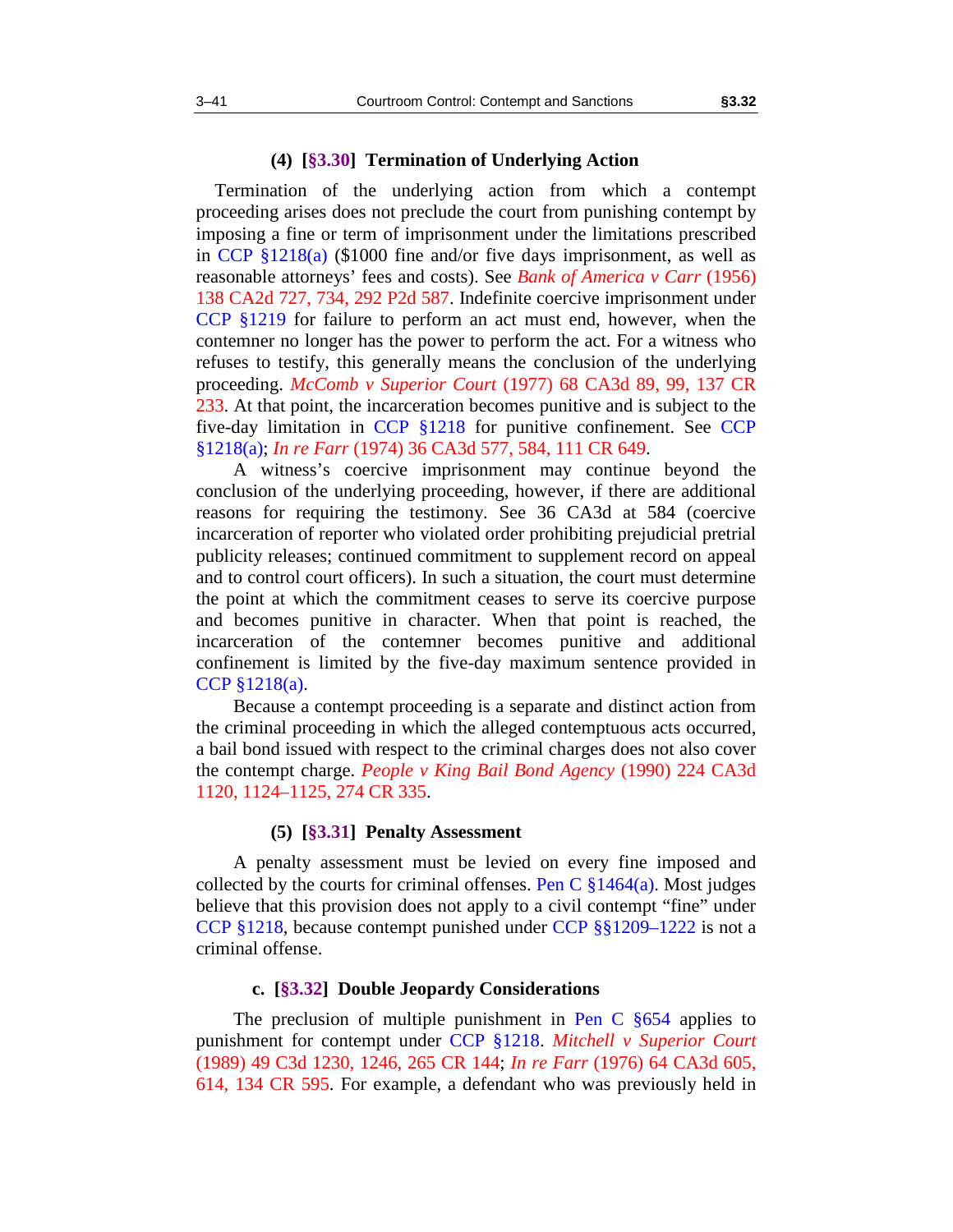# **(4) [§3.30] Termination of Underlying Action**

Termination of the underlying action from which a contempt proceeding arises does not preclude the court from punishing contempt by imposing a fine or term of imprisonment under the limitations prescribed in CCP §1218(a) (\$1000 fine and/or five days imprisonment, as well as reasonable attorneys' fees and costs). See *Bank of America v Carr* (1956) 138 CA2d 727, 734, 292 P2d 587. Indefinite coercive imprisonment under CCP §1219 for failure to perform an act must end, however, when the contemner no longer has the power to perform the act. For a witness who refuses to testify, this generally means the conclusion of the underlying proceeding. *McComb v Superior Court* (1977) 68 CA3d 89, 99, 137 CR 233. At that point, the incarceration becomes punitive and is subject to the five-day limitation in CCP §1218 for punitive confinement. See CCP §1218(a); *In re Farr* (1974) 36 CA3d 577, 584, 111 CR 649.

A witness's coercive imprisonment may continue beyond the conclusion of the underlying proceeding, however, if there are additional reasons for requiring the testimony. See 36 CA3d at 584 (coercive incarceration of reporter who violated order prohibiting prejudicial pretrial publicity releases; continued commitment to supplement record on appeal and to control court officers). In such a situation, the court must determine the point at which the commitment ceases to serve its coercive purpose and becomes punitive in character. When that point is reached, the incarceration of the contemner becomes punitive and additional confinement is limited by the five-day maximum sentence provided in CCP §1218(a).

Because a contempt proceeding is a separate and distinct action from the criminal proceeding in which the alleged contemptuous acts occurred, a bail bond issued with respect to the criminal charges does not also cover the contempt charge. *People v King Bail Bond Agency* (1990) 224 CA3d 1120, 1124–1125, 274 CR 335.

## <span id="page-42-1"></span>**(5) [§3.31] Penalty Assessment**

A penalty assessment must be levied on every fine imposed and collected by the courts for criminal offenses. Pen C  $\S 1464(a)$ . Most judges believe that this provision does not apply to a civil contempt "fine" under CCP §1218, because contempt punished under CCP §§1209–1222 is not a criminal offense.

#### <span id="page-42-0"></span>**c. [§3.32] Double Jeopardy Considerations**

The preclusion of multiple punishment in Pen C  $\S 654$  applies to punishment for contempt under CCP §1218. *Mitchell v Superior Court* (1989) 49 C3d 1230, 1246, 265 CR 144; *In re Farr* (1976) 64 CA3d 605, 614, 134 CR 595. For example, a defendant who was previously held in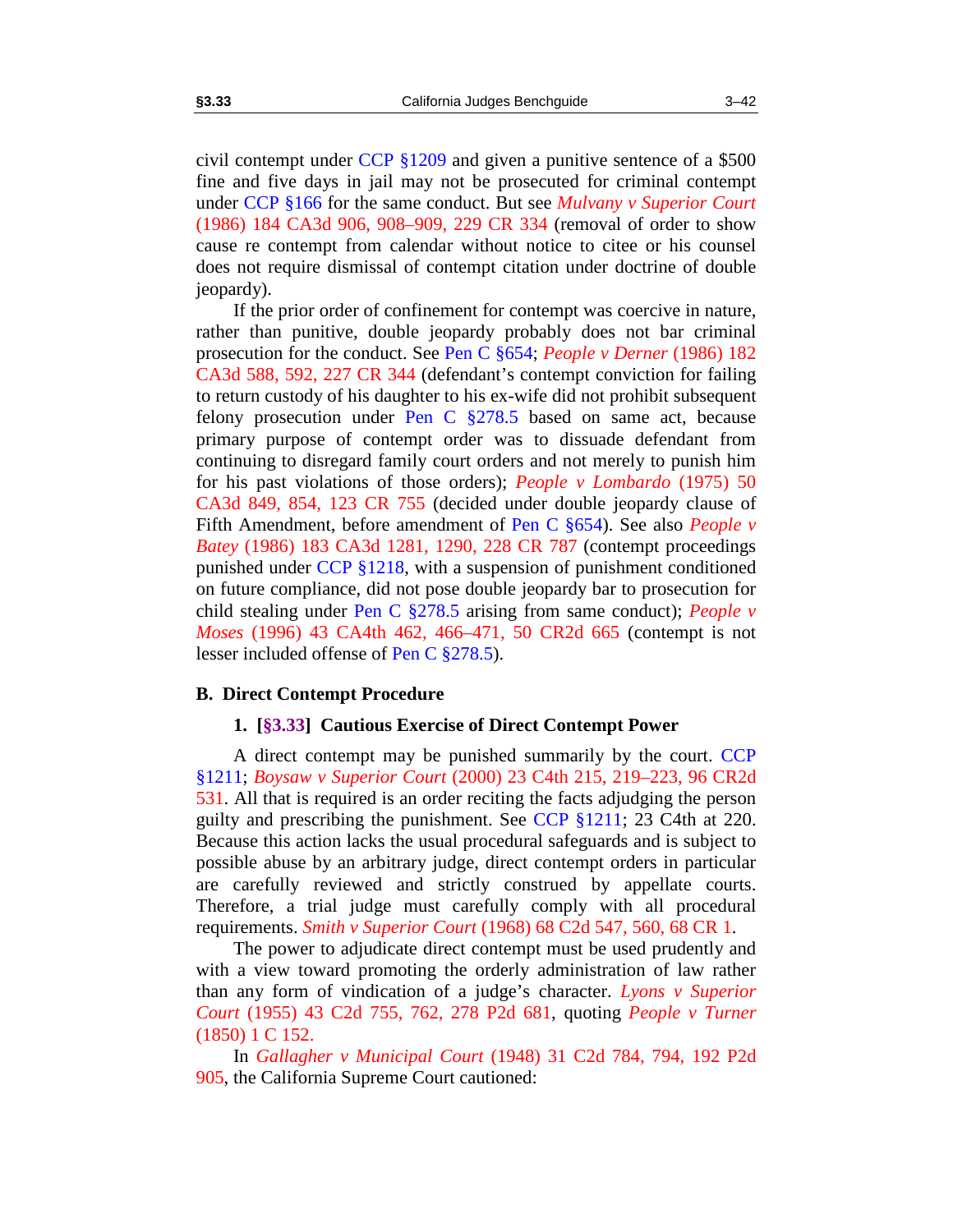civil contempt under CCP §1209 and given a punitive sentence of a \$500 fine and five days in jail may not be prosecuted for criminal contempt under CCP §166 for the same conduct. But see *Mulvany v Superior Court* (1986) 184 CA3d 906, 908–909, 229 CR 334 (removal of order to show cause re contempt from calendar without notice to citee or his counsel does not require dismissal of contempt citation under doctrine of double jeopardy).

If the prior order of confinement for contempt was coercive in nature, rather than punitive, double jeopardy probably does not bar criminal prosecution for the conduct. See Pen C §654; *People v Derner* (1986) 182 CA3d 588, 592, 227 CR 344 (defendant's contempt conviction for failing to return custody of his daughter to his ex-wife did not prohibit subsequent felony prosecution under Pen C §278.5 based on same act, because primary purpose of contempt order was to dissuade defendant from continuing to disregard family court orders and not merely to punish him for his past violations of those orders); *People v Lombardo* (1975) 50 CA3d 849, 854, 123 CR 755 (decided under double jeopardy clause of Fifth Amendment, before amendment of Pen C §654). See also *People v Batey* (1986) 183 CA3d 1281, 1290, 228 CR 787 (contempt proceedings punished under CCP §1218, with a suspension of punishment conditioned on future compliance, did not pose double jeopardy bar to prosecution for child stealing under Pen C §278.5 arising from same conduct); *People v Moses* (1996) 43 CA4th 462, 466–471, 50 CR2d 665 (contempt is not lesser included offense of Pen C §278.5).

## **B. Direct Contempt Procedure**

#### <span id="page-43-0"></span>**1. [§3.33] Cautious Exercise of Direct Contempt Power**

A direct contempt may be punished summarily by the court. CCP §1211; *Boysaw v Superior Court* (2000) 23 C4th 215, 219–223, 96 CR2d 531. All that is required is an order reciting the facts adjudging the person guilty and prescribing the punishment. See CCP §1211; 23 C4th at 220. Because this action lacks the usual procedural safeguards and is subject to possible abuse by an arbitrary judge, direct contempt orders in particular are carefully reviewed and strictly construed by appellate courts. Therefore, a trial judge must carefully comply with all procedural requirements. *Smith v Superior Court* (1968) 68 C2d 547, 560, 68 CR 1.

The power to adjudicate direct contempt must be used prudently and with a view toward promoting the orderly administration of law rather than any form of vindication of a judge's character. *Lyons v Superior Court* (1955) 43 C2d 755, 762, 278 P2d 681, quoting *People v Turner*  (1850) 1 C 152.

In *Gallagher v Municipal Court* (1948) 31 C2d 784, 794, 192 P2d 905, the California Supreme Court cautioned: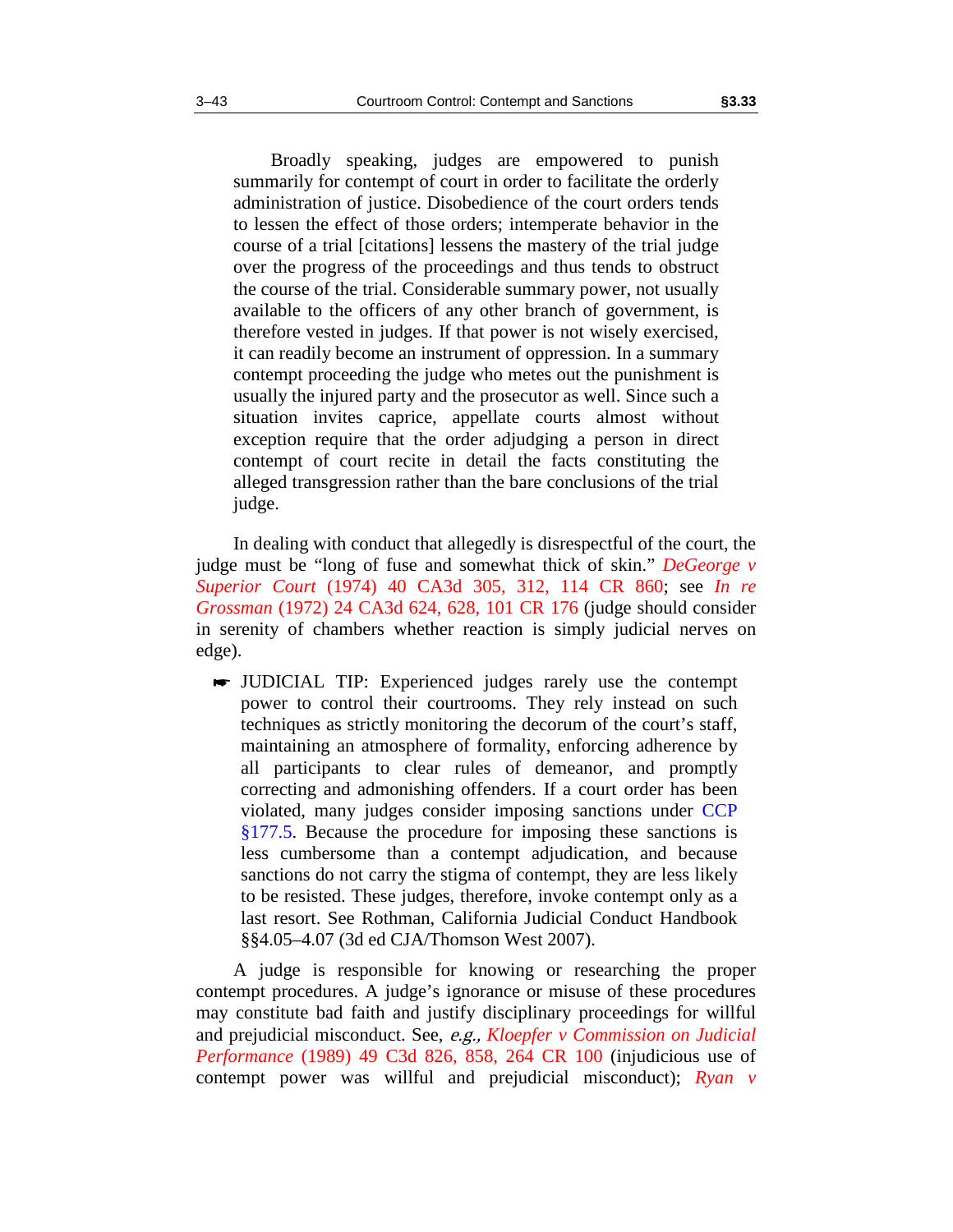Broadly speaking, judges are empowered to punish summarily for contempt of court in order to facilitate the orderly administration of justice. Disobedience of the court orders tends to lessen the effect of those orders; intemperate behavior in the course of a trial [citations] lessens the mastery of the trial judge over the progress of the proceedings and thus tends to obstruct the course of the trial. Considerable summary power, not usually available to the officers of any other branch of government, is therefore vested in judges. If that power is not wisely exercised, it can readily become an instrument of oppression. In a summary contempt proceeding the judge who metes out the punishment is usually the injured party and the prosecutor as well. Since such a situation invites caprice, appellate courts almost without exception require that the order adjudging a person in direct contempt of court recite in detail the facts constituting the alleged transgression rather than the bare conclusions of the trial judge.

In dealing with conduct that allegedly is disrespectful of the court, the judge must be "long of fuse and somewhat thick of skin." *DeGeorge v Superior Court* (1974) 40 CA3d 305, 312, 114 CR 860; see *In re Grossman* (1972) 24 CA3d 624, 628, 101 CR 176 (judge should consider in serenity of chambers whether reaction is simply judicial nerves on edge).

 JUDICIAL TIP: Experienced judges rarely use the contempt power to control their courtrooms. They rely instead on such techniques as strictly monitoring the decorum of the court's staff, maintaining an atmosphere of formality, enforcing adherence by all participants to clear rules of demeanor, and promptly correcting and admonishing offenders. If a court order has been violated, many judges consider imposing sanctions under CCP §177.5. Because the procedure for imposing these sanctions is less cumbersome than a contempt adjudication, and because sanctions do not carry the stigma of contempt, they are less likely to be resisted. These judges, therefore, invoke contempt only as a last resort. See Rothman, California Judicial Conduct Handbook §§4.05–4.07 (3d ed CJA/Thomson West 2007).

A judge is responsible for knowing or researching the proper contempt procedures. A judge's ignorance or misuse of these procedures may constitute bad faith and justify disciplinary proceedings for willful and prejudicial misconduct. See, e.g., *Kloepfer v Commission on Judicial Performance* (1989) 49 C3d 826, 858, 264 CR 100 (injudicious use of contempt power was willful and prejudicial misconduct); *Ryan v*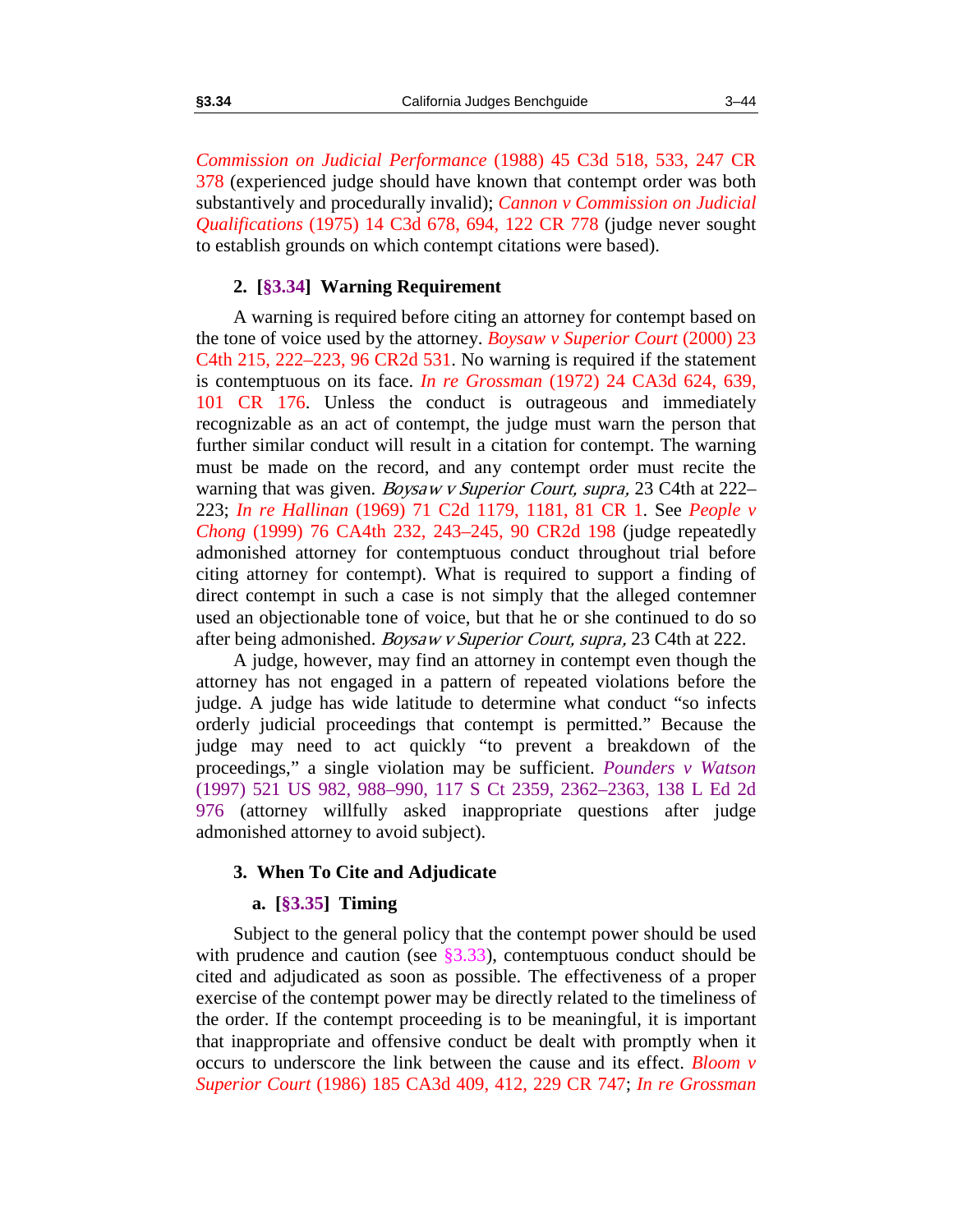*Commission on Judicial Performance* (1988) 45 C3d 518, 533, 247 CR 378 (experienced judge should have known that contempt order was both substantively and procedurally invalid); *Cannon v Commission on Judicial Qualifications* (1975) 14 C3d 678, 694, 122 CR 778 (judge never sought to establish grounds on which contempt citations were based).

## <span id="page-45-0"></span>**2. [§3.34] Warning Requirement**

A warning is required before citing an attorney for contempt based on the tone of voice used by the attorney. *Boysaw v Superior Court* (2000) 23 C4th 215, 222–223, 96 CR2d 531. No warning is required if the statement is contemptuous on its face. *In re Grossman* (1972) 24 CA3d 624, 639, 101 CR 176. Unless the conduct is outrageous and immediately recognizable as an act of contempt, the judge must warn the person that further similar conduct will result in a citation for contempt. The warning must be made on the record, and any contempt order must recite the warning that was given. *Boysaw v Superior Court, supra*, 23 C4th at 222– 223; *In re Hallinan* (1969) 71 C2d 1179, 1181, 81 CR 1. See *People v Chong* (1999) 76 CA4th 232, 243–245, 90 CR2d 198 (judge repeatedly admonished attorney for contemptuous conduct throughout trial before citing attorney for contempt). What is required to support a finding of direct contempt in such a case is not simply that the alleged contemner used an objectionable tone of voice, but that he or she continued to do so after being admonished. *Boysaw v Superior Court, supra*, 23 C4th at 222.

A judge, however, may find an attorney in contempt even though the attorney has not engaged in a pattern of repeated violations before the judge. A judge has wide latitude to determine what conduct "so infects orderly judicial proceedings that contempt is permitted." Because the judge may need to act quickly "to prevent a breakdown of the proceedings," a single violation may be sufficient. *Pounders v Watson* (1997) 521 US 982, 988–990, 117 S Ct 2359, 2362–2363, 138 L Ed 2d 976 (attorney willfully asked inappropriate questions after judge admonished attorney to avoid subject).

## **3. When To Cite and Adjudicate**

## **a. [§3.35] Timing**

Subject to the general policy that the contempt power should be used with prudence and caution (see  $\S 3.33$ ), contemptuous conduct should be cited and adjudicated as soon as possible. The effectiveness of a proper exercise of the contempt power may be directly related to the timeliness of the order. If the contempt proceeding is to be meaningful, it is important that inappropriate and offensive conduct be dealt with promptly when it occurs to underscore the link between the cause and its effect. *Bloom v Superior Court* (1986) 185 CA3d 409, 412, 229 CR 747; *In re Grossman*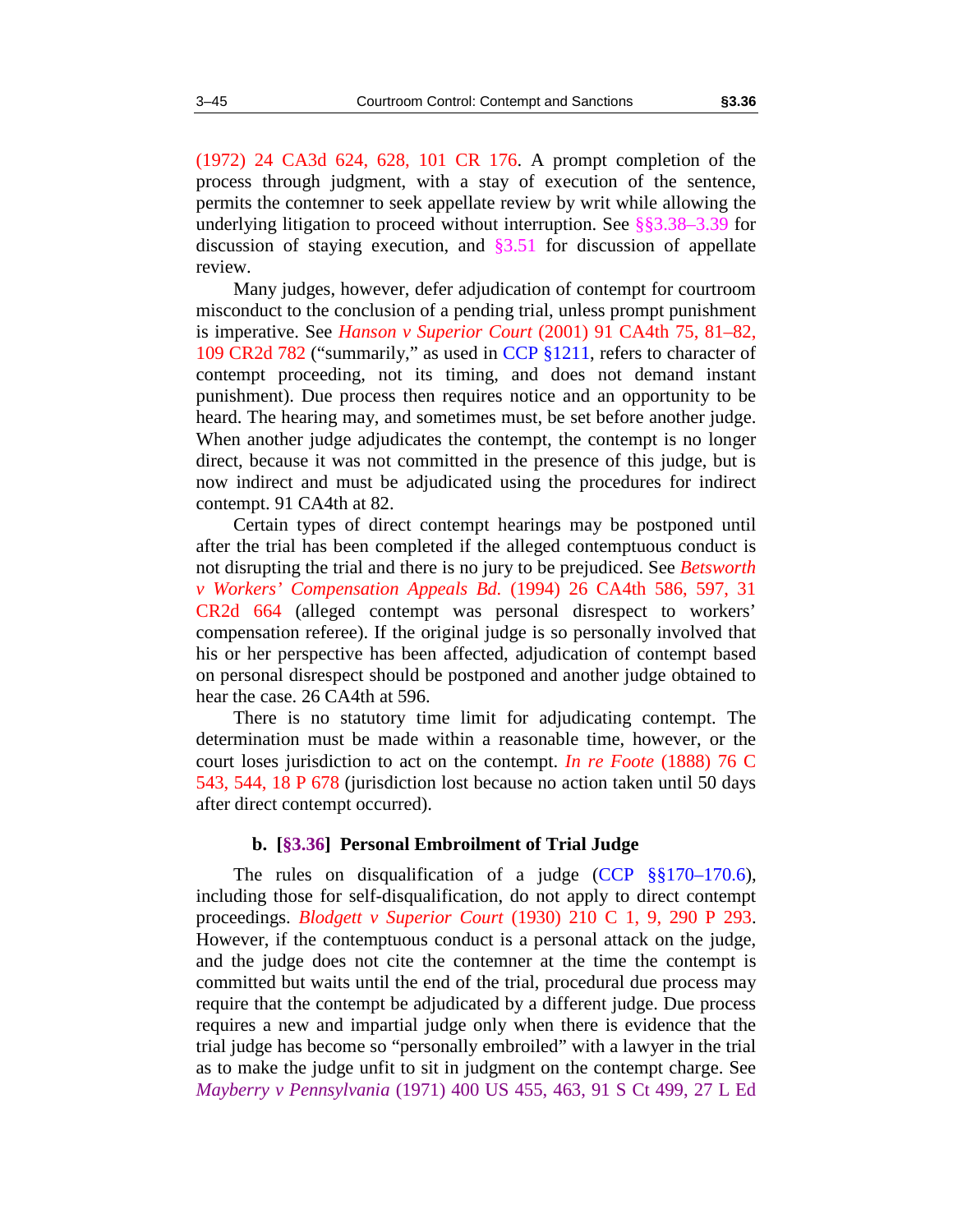(1972) 24 CA3d 624, 628, 101 CR 176. A prompt completion of the process through judgment, with a stay of execution of the sentence, permits the contemner to seek appellate review by writ while allowing the underlying litigation to proceed without interruption. See §[§3.38–](#page-47-1)[3.39](#page-48-0) for discussion of staying execution, and  $\S 3.51$  for discussion of appellate review.

Many judges, however, defer adjudication of contempt for courtroom misconduct to the conclusion of a pending trial, unless prompt punishment is imperative. See *Hanson v Superior Court* (2001) 91 CA4th 75, 81–82, 109 CR2d 782 ("summarily," as used in CCP §1211, refers to character of contempt proceeding, not its timing, and does not demand instant punishment). Due process then requires notice and an opportunity to be heard. The hearing may, and sometimes must, be set before another judge. When another judge adjudicates the contempt, the contempt is no longer direct, because it was not committed in the presence of this judge, but is now indirect and must be adjudicated using the procedures for indirect contempt. 91 CA4th at 82.

Certain types of direct contempt hearings may be postponed until after the trial has been completed if the alleged contemptuous conduct is not disrupting the trial and there is no jury to be prejudiced. See *Betsworth v Workers' Compensation Appeals Bd.* (1994) 26 CA4th 586, 597, 31 CR2d 664 (alleged contempt was personal disrespect to workers' compensation referee). If the original judge is so personally involved that his or her perspective has been affected, adjudication of contempt based on personal disrespect should be postponed and another judge obtained to hear the case. 26 CA4th at 596.

There is no statutory time limit for adjudicating contempt. The determination must be made within a reasonable time, however, or the court loses jurisdiction to act on the contempt. *In re Foote* (1888) 76 C 543, 544, 18 P 678 (jurisdiction lost because no action taken until 50 days after direct contempt occurred).

## **b. [§3.36] Personal Embroilment of Trial Judge**

The rules on disqualification of a judge (CCP §§170–170.6), including those for self-disqualification, do not apply to direct contempt proceedings. *Blodgett v Superior Court* (1930) 210 C 1, 9, 290 P 293. However, if the contemptuous conduct is a personal attack on the judge, and the judge does not cite the contemner at the time the contempt is committed but waits until the end of the trial, procedural due process may require that the contempt be adjudicated by a different judge. Due process requires a new and impartial judge only when there is evidence that the trial judge has become so "personally embroiled" with a lawyer in the trial as to make the judge unfit to sit in judgment on the contempt charge. See *Mayberry v Pennsylvania* (1971) 400 US 455, 463, 91 S Ct 499, 27 L Ed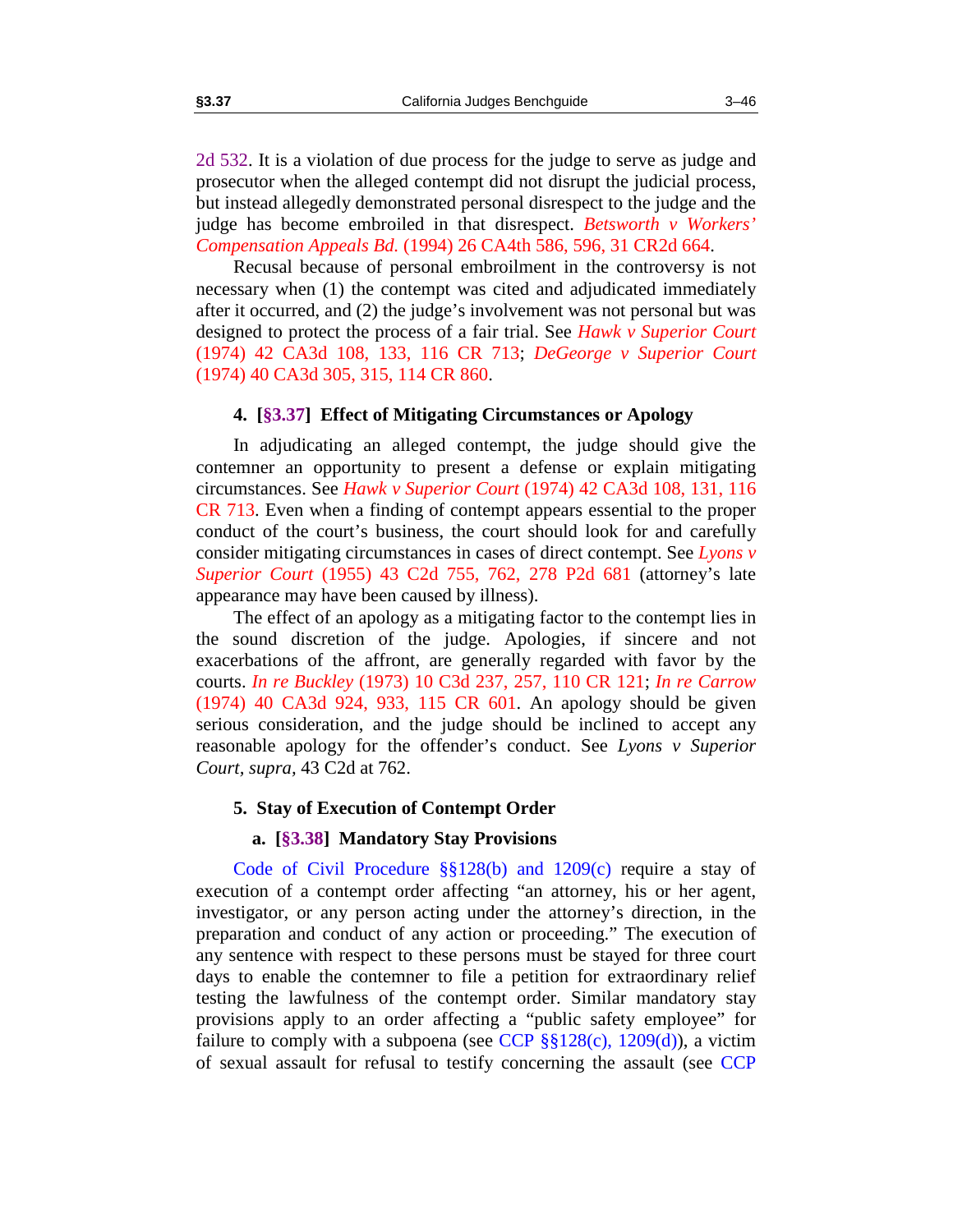2d 532. It is a violation of due process for the judge to serve as judge and prosecutor when the alleged contempt did not disrupt the judicial process, but instead allegedly demonstrated personal disrespect to the judge and the judge has become embroiled in that disrespect. *Betsworth v Workers' Compensation Appeals Bd.* (1994) 26 CA4th 586, 596, 31 CR2d 664.

Recusal because of personal embroilment in the controversy is not necessary when (1) the contempt was cited and adjudicated immediately after it occurred, and (2) the judge's involvement was not personal but was designed to protect the process of a fair trial. See *Hawk v Superior Court* (1974) 42 CA3d 108, 133, 116 CR 713; *DeGeorge v Superior Court* (1974) 40 CA3d 305, 315, 114 CR 860.

## <span id="page-47-0"></span>**4. [§3.37] Effect of Mitigating Circumstances or Apology**

In adjudicating an alleged contempt, the judge should give the contemner an opportunity to present a defense or explain mitigating circumstances. See *Hawk v Superior Court* (1974) 42 CA3d 108, 131, 116 CR 713. Even when a finding of contempt appears essential to the proper conduct of the court's business, the court should look for and carefully consider mitigating circumstances in cases of direct contempt. See *Lyons v Superior Court* (1955) 43 C2d 755, 762, 278 P2d 681 (attorney's late appearance may have been caused by illness).

The effect of an apology as a mitigating factor to the contempt lies in the sound discretion of the judge. Apologies, if sincere and not exacerbations of the affront, are generally regarded with favor by the courts. *In re Buckley* (1973) 10 C3d 237, 257, 110 CR 121; *In re Carrow* (1974) 40 CA3d 924, 933, 115 CR 601. An apology should be given serious consideration, and the judge should be inclined to accept any reasonable apology for the offender's conduct. See *Lyons v Superior Court, supra,* 43 C2d at 762.

## **5. Stay of Execution of Contempt Order**

## <span id="page-47-1"></span>**a. [§3.38] Mandatory Stay Provisions**

Code of Civil Procedure §§128(b) and 1209(c) require a stay of execution of a contempt order affecting "an attorney, his or her agent, investigator, or any person acting under the attorney's direction, in the preparation and conduct of any action or proceeding." The execution of any sentence with respect to these persons must be stayed for three court days to enable the contemner to file a petition for extraordinary relief testing the lawfulness of the contempt order. Similar mandatory stay provisions apply to an order affecting a "public safety employee" for failure to comply with a subpoena (see CCP  $\S$ §128(c), 1209(d)), a victim of sexual assault for refusal to testify concerning the assault (see CCP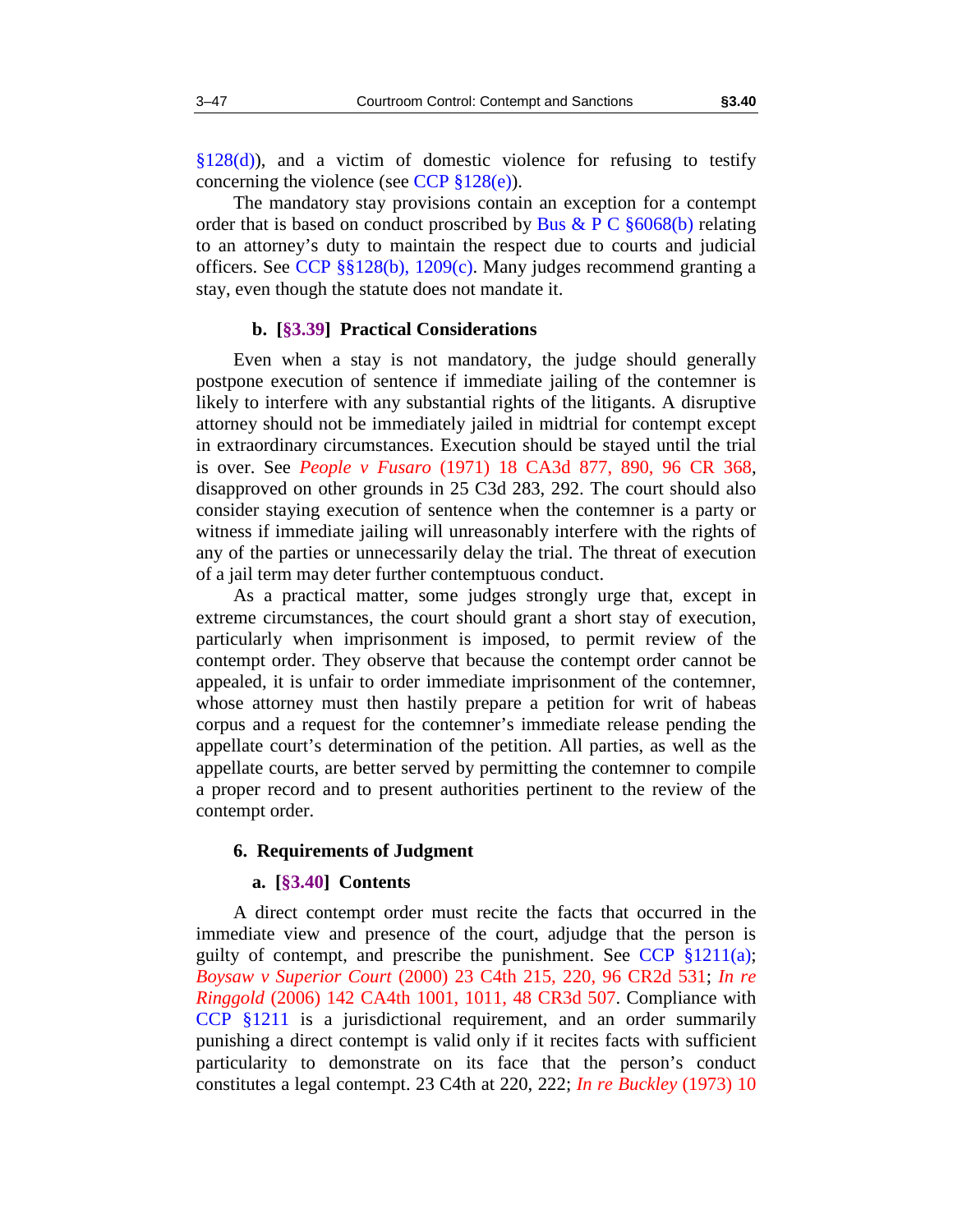$\S 128(d)$ , and a victim of domestic violence for refusing to testify concerning the violence (see CCP  $\S 128(e)$ ).

The mandatory stay provisions contain an exception for a contempt order that is based on conduct proscribed by Bus & P C  $\S 6068(b)$  relating to an attorney's duty to maintain the respect due to courts and judicial officers. See CCP §§128(b), 1209(c). Many judges recommend granting a stay, even though the statute does not mandate it.

## <span id="page-48-0"></span>**b. [§3.39] Practical Considerations**

Even when a stay is not mandatory, the judge should generally postpone execution of sentence if immediate jailing of the contemner is likely to interfere with any substantial rights of the litigants. A disruptive attorney should not be immediately jailed in midtrial for contempt except in extraordinary circumstances. Execution should be stayed until the trial is over. See *People v Fusaro* (1971) 18 CA3d 877, 890, 96 CR 368, disapproved on other grounds in 25 C3d 283, 292. The court should also consider staying execution of sentence when the contemner is a party or witness if immediate jailing will unreasonably interfere with the rights of any of the parties or unnecessarily delay the trial. The threat of execution of a jail term may deter further contemptuous conduct.

As a practical matter, some judges strongly urge that, except in extreme circumstances, the court should grant a short stay of execution, particularly when imprisonment is imposed, to permit review of the contempt order. They observe that because the contempt order cannot be appealed, it is unfair to order immediate imprisonment of the contemner, whose attorney must then hastily prepare a petition for writ of habeas corpus and a request for the contemner's immediate release pending the appellate court's determination of the petition. All parties, as well as the appellate courts, are better served by permitting the contemner to compile a proper record and to present authorities pertinent to the review of the contempt order.

## **6. Requirements of Judgment**

#### <span id="page-48-1"></span>**a. [§3.40] Contents**

A direct contempt order must recite the facts that occurred in the immediate view and presence of the court, adjudge that the person is guilty of contempt, and prescribe the punishment. See CCP  $\S 1211(a)$ ; *Boysaw v Superior Court* (2000) 23 C4th 215, 220, 96 CR2d 531; *In re Ringgold* (2006) 142 CA4th 1001, 1011, 48 CR3d 507. Compliance with CCP §1211 is a jurisdictional requirement, and an order summarily punishing a direct contempt is valid only if it recites facts with sufficient particularity to demonstrate on its face that the person's conduct constitutes a legal contempt. 23 C4th at 220, 222; *In re Buckley* (1973) 10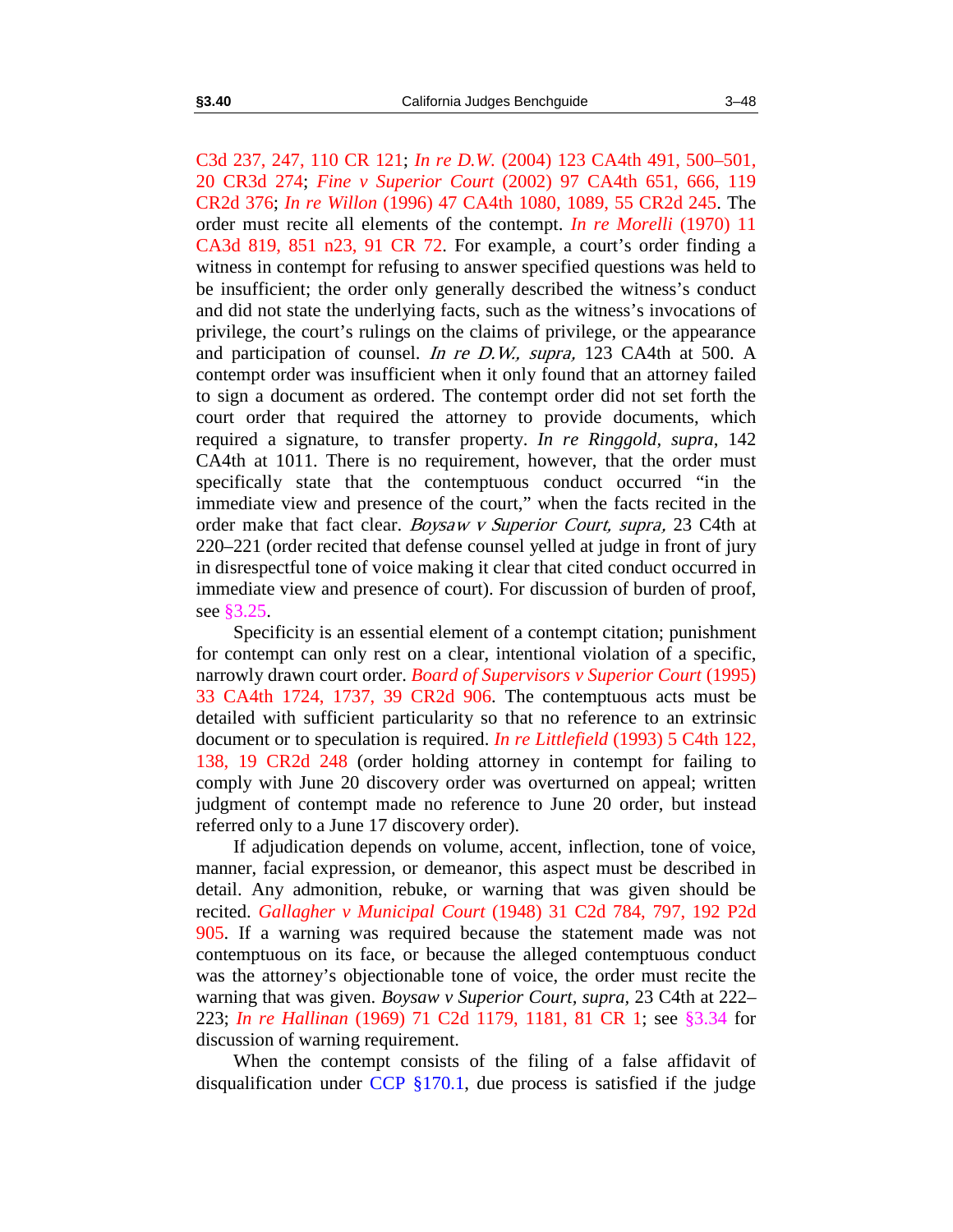C3d 237, 247, 110 CR 121; *In re D.W.* (2004) 123 CA4th 491, 500–501, 20 CR3d 274; *Fine v Superior Court* (2002) 97 CA4th 651, 666, 119 CR2d 376; *In re Willon* (1996) 47 CA4th 1080, 1089, 55 CR2d 245. The order must recite all elements of the contempt. *In re Morelli* (1970) 11 CA3d 819, 851 n23, 91 CR 72. For example, a court's order finding a witness in contempt for refusing to answer specified questions was held to be insufficient; the order only generally described the witness's conduct and did not state the underlying facts, such as the witness's invocations of privilege, the court's rulings on the claims of privilege, or the appearance and participation of counsel. In re D.W., supra, 123 CA4th at 500. A contempt order was insufficient when it only found that an attorney failed to sign a document as ordered. The contempt order did not set forth the court order that required the attorney to provide documents, which required a signature, to transfer property. *In re Ringgold, supra*, 142 CA4th at 1011. There is no requirement, however, that the order must specifically state that the contemptuous conduct occurred "in the immediate view and presence of the court," when the facts recited in the order make that fact clear. *Boysaw v Superior Court, supra*, 23 C4th at 220–221 (order recited that defense counsel yelled at judge in front of jury in disrespectful tone of voice making it clear that cited conduct occurred in immediate view and presence of court). For discussion of burden of proof, see [§3.25.](#page-39-1)

Specificity is an essential element of a contempt citation; punishment for contempt can only rest on a clear, intentional violation of a specific, narrowly drawn court order. *Board of Supervisors v Superior Court* (1995) 33 CA4th 1724, 1737, 39 CR2d 906. The contemptuous acts must be detailed with sufficient particularity so that no reference to an extrinsic document or to speculation is required. *In re Littlefield* (1993) 5 C4th 122, 138, 19 CR2d 248 (order holding attorney in contempt for failing to comply with June 20 discovery order was overturned on appeal; written judgment of contempt made no reference to June 20 order, but instead referred only to a June 17 discovery order).

If adjudication depends on volume, accent, inflection, tone of voice, manner, facial expression, or demeanor, this aspect must be described in detail. Any admonition, rebuke, or warning that was given should be recited. *Gallagher v Municipal Court* (1948) 31 C2d 784, 797, 192 P2d 905. If a warning was required because the statement made was not contemptuous on its face, or because the alleged contemptuous conduct was the attorney's objectionable tone of voice, the order must recite the warning that was given. *Boysaw v Superior Court, supra,* 23 C4th at 222– 223; *In re Hallinan* (1969) 71 C2d 1179, 1181, 81 CR 1; see [§3.34](#page-45-0) for discussion of warning requirement.

When the contempt consists of the filing of a false affidavit of disqualification under CCP §170.1, due process is satisfied if the judge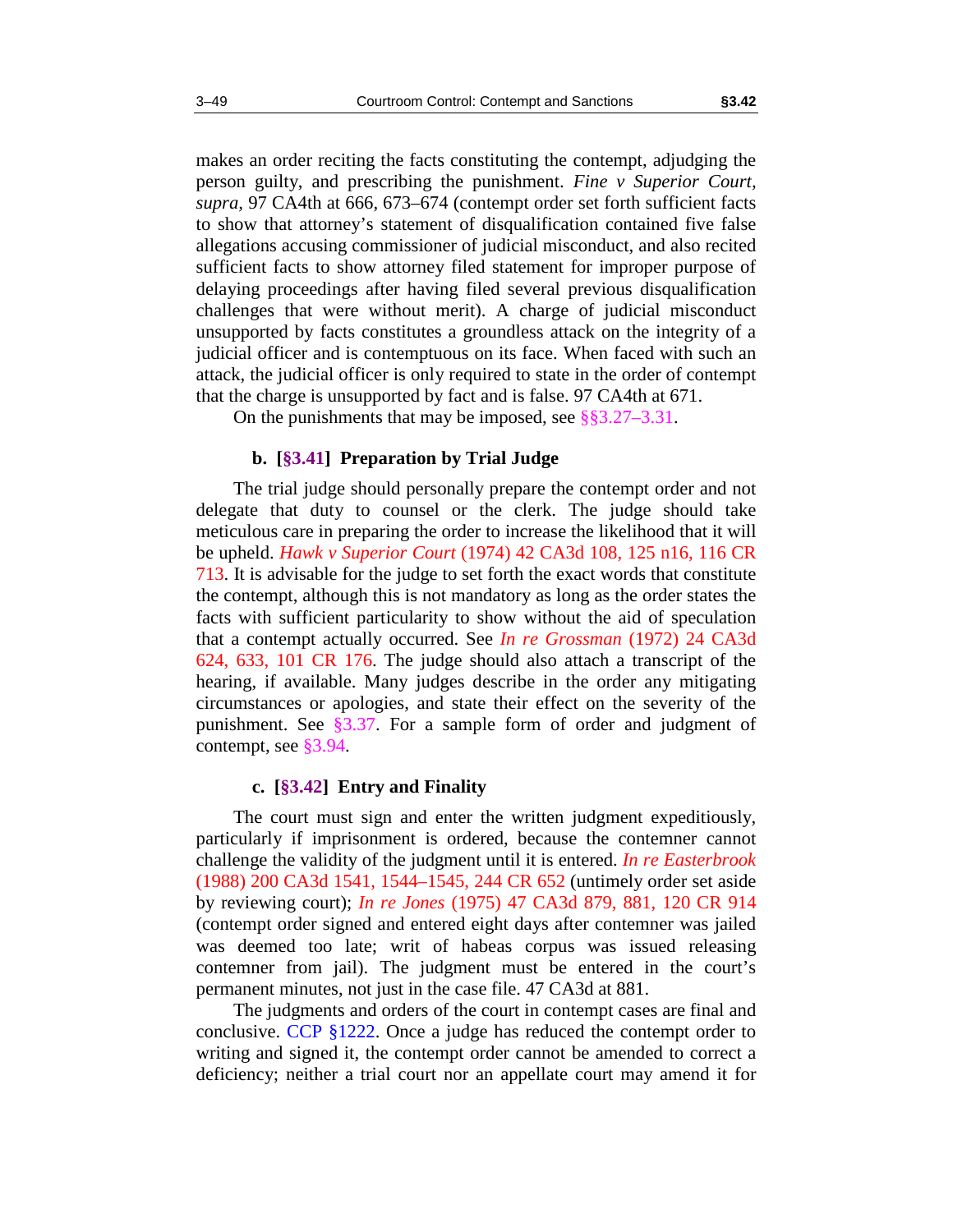makes an order reciting the facts constituting the contempt, adjudging the person guilty, and prescribing the punishment. *Fine v Superior Court, supra,* 97 CA4th at 666, 673–674 (contempt order set forth sufficient facts to show that attorney's statement of disqualification contained five false allegations accusing commissioner of judicial misconduct, and also recited sufficient facts to show attorney filed statement for improper purpose of delaying proceedings after having filed several previous disqualification challenges that were without merit). A charge of judicial misconduct unsupported by facts constitutes a groundless attack on the integrity of a judicial officer and is contemptuous on its face. When faced with such an attack, the judicial officer is only required to state in the order of contempt that the charge is unsupported by fact and is false. 97 CA4th at 671.

On the punishments that may be imposed, see §[§3.27–](#page-40-0)[3.31.](#page-42-1)

## **b. [§3.41] Preparation by Trial Judge**

The trial judge should personally prepare the contempt order and not delegate that duty to counsel or the clerk. The judge should take meticulous care in preparing the order to increase the likelihood that it will be upheld. *Hawk v Superior Court* (1974) 42 CA3d 108, 125 n16, 116 CR 713. It is advisable for the judge to set forth the exact words that constitute the contempt, although this is not mandatory as long as the order states the facts with sufficient particularity to show without the aid of speculation that a contempt actually occurred. See *In re Grossman* (1972) 24 CA3d 624, 633, 101 CR 176. The judge should also attach a transcript of the hearing, if available. Many judges describe in the order any mitigating circumstances or apologies, and state their effect on the severity of the punishment. See [§3.37.](#page-47-0) For a sample form of order and judgment of contempt, see [§3.94.](#page-88-0)

## <span id="page-50-0"></span>**c. [§3.42] Entry and Finality**

The court must sign and enter the written judgment expeditiously, particularly if imprisonment is ordered, because the contemner cannot challenge the validity of the judgment until it is entered. *In re Easterbrook*  (1988) 200 CA3d 1541, 1544–1545, 244 CR 652 (untimely order set aside by reviewing court); *In re Jones* (1975) 47 CA3d 879, 881, 120 CR 914 (contempt order signed and entered eight days after contemner was jailed was deemed too late; writ of habeas corpus was issued releasing contemner from jail). The judgment must be entered in the court's permanent minutes, not just in the case file. 47 CA3d at 881.

The judgments and orders of the court in contempt cases are final and conclusive. CCP §1222. Once a judge has reduced the contempt order to writing and signed it, the contempt order cannot be amended to correct a deficiency; neither a trial court nor an appellate court may amend it for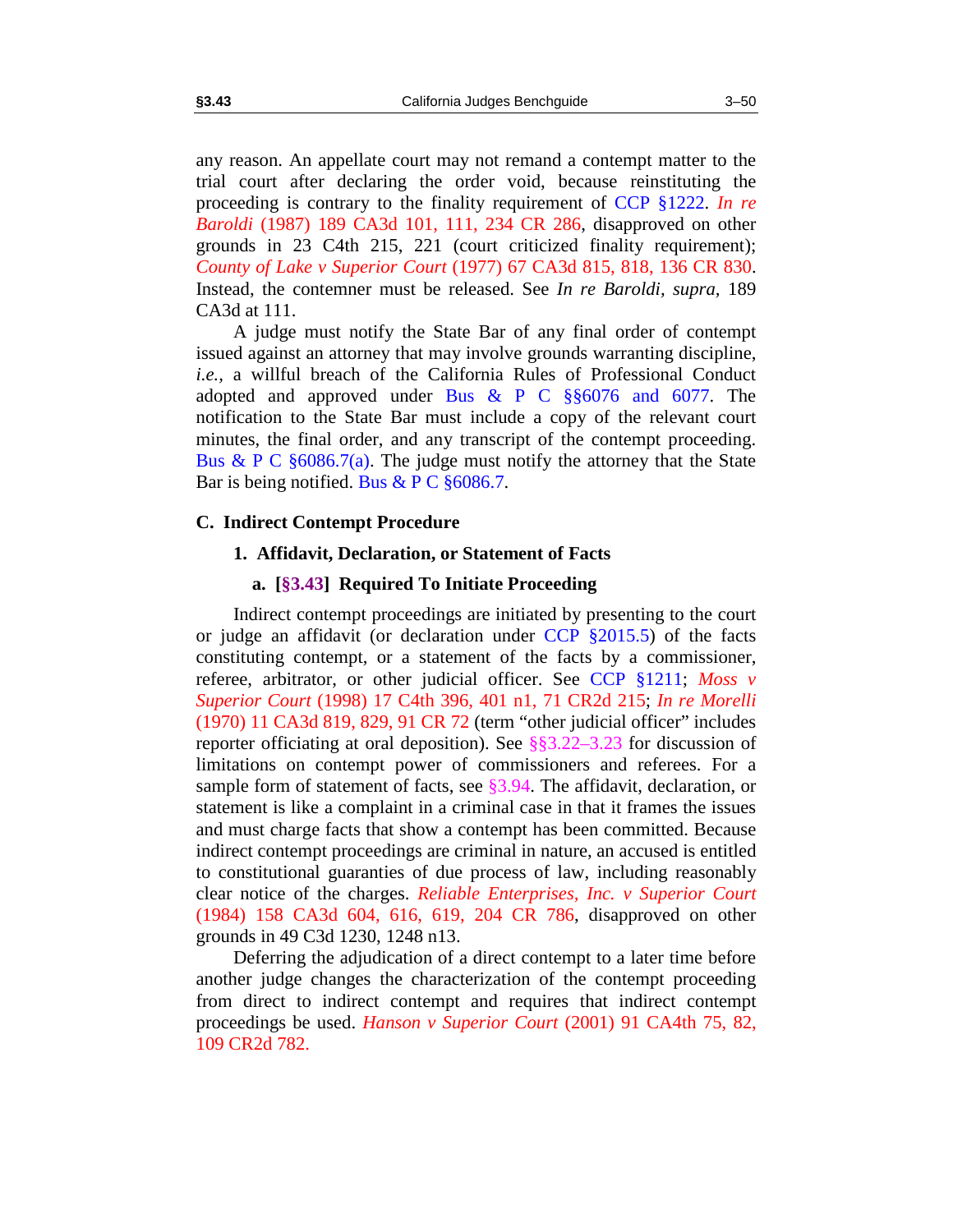any reason. An appellate court may not remand a contempt matter to the trial court after declaring the order void, because reinstituting the proceeding is contrary to the finality requirement of CCP §1222. *In re Baroldi* (1987) 189 CA3d 101, 111, 234 CR 286, disapproved on other grounds in 23 C4th 215, 221 (court criticized finality requirement); *County of Lake v Superior Court* (1977) 67 CA3d 815, 818, 136 CR 830. Instead, the contemner must be released. See *In re Baroldi, supra,* 189 CA3d at 111.

A judge must notify the State Bar of any final order of contempt issued against an attorney that may involve grounds warranting discipline, *i.e.,* a willful breach of the California Rules of Professional Conduct adopted and approved under Bus & P C §§6076 and 6077. The notification to the State Bar must include a copy of the relevant court minutes, the final order, and any transcript of the contempt proceeding. Bus & P C  $§6086.7(a)$ . The judge must notify the attorney that the State Bar is being notified. Bus & P C  $\S 6086.7$ .

#### **C. Indirect Contempt Procedure**

## **1. Affidavit, Declaration, or Statement of Facts**

#### **a. [§3.43] Required To Initiate Proceeding**

Indirect contempt proceedings are initiated by presenting to the court or judge an affidavit (or declaration under CCP §2015.5) of the facts constituting contempt, or a statement of the facts by a commissioner, referee, arbitrator, or other judicial officer. See CCP §1211; *Moss v Superior Court* (1998) 17 C4th 396, 401 n1, 71 CR2d 215; *In re Morelli* (1970) 11 CA3d 819, 829, 91 CR 72 (term "other judicial officer" includes reporter officiating at oral deposition). See §[§3.22–](#page-36-0)[3.23](#page-37-0) for discussion of limitations on contempt power of commissioners and referees. For a sample form of statement of facts, see  $\S 3.94$ . The affidavit, declaration, or statement is like a complaint in a criminal case in that it frames the issues and must charge facts that show a contempt has been committed. Because indirect contempt proceedings are criminal in nature, an accused is entitled to constitutional guaranties of due process of law, including reasonably clear notice of the charges. *Reliable Enterprises, Inc. v Superior Court*  (1984) 158 CA3d 604, 616, 619, 204 CR 786, disapproved on other grounds in 49 C3d 1230, 1248 n13.

Deferring the adjudication of a direct contempt to a later time before another judge changes the characterization of the contempt proceeding from direct to indirect contempt and requires that indirect contempt proceedings be used. *Hanson v Superior Court* (2001) 91 CA4th 75, 82, 109 CR2d 782.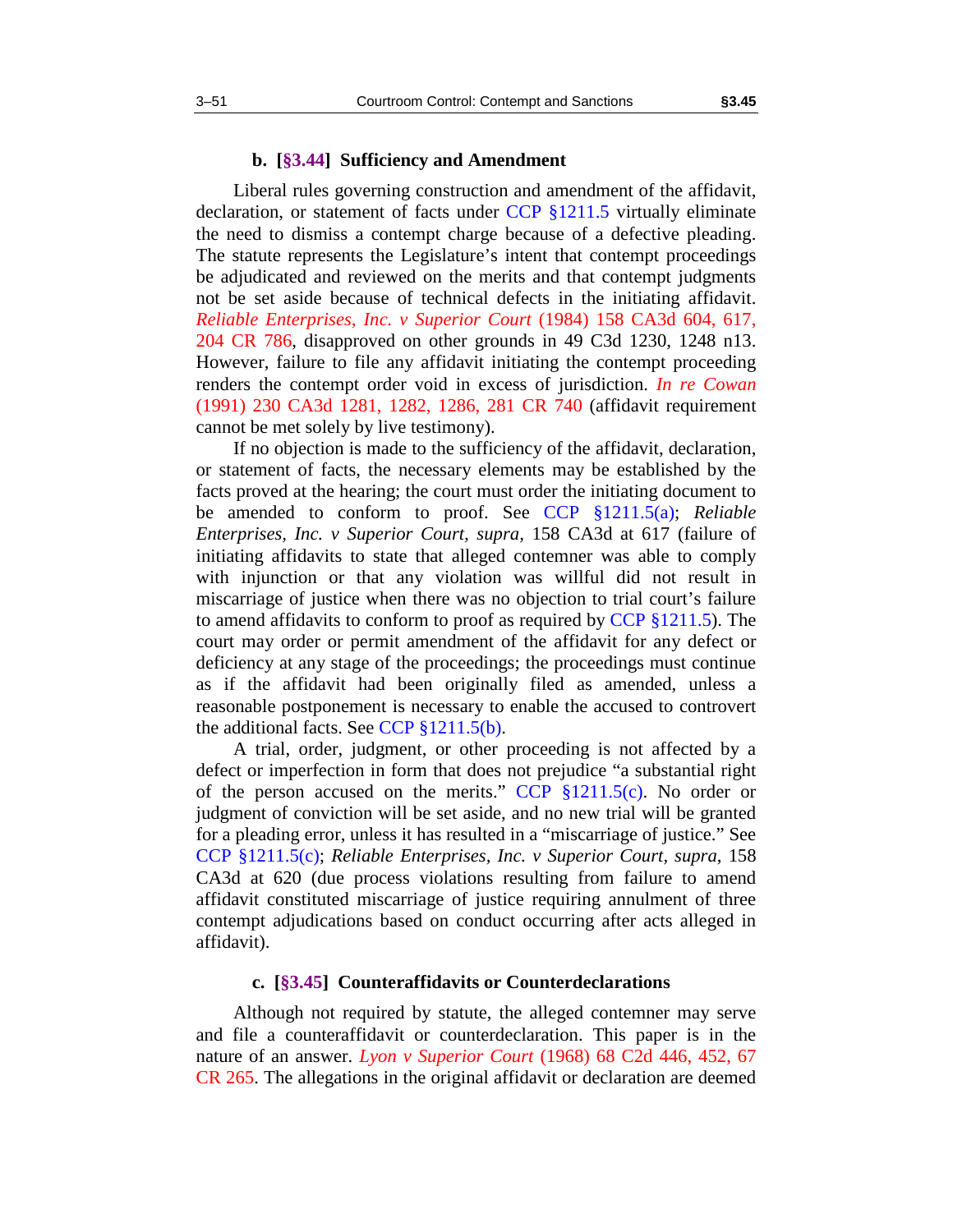### **b. [§3.44] Sufficiency and Amendment**

Liberal rules governing construction and amendment of the affidavit, declaration, or statement of facts under CCP §1211.5 virtually eliminate the need to dismiss a contempt charge because of a defective pleading. The statute represents the Legislature's intent that contempt proceedings be adjudicated and reviewed on the merits and that contempt judgments not be set aside because of technical defects in the initiating affidavit. *Reliable Enterprises, Inc. v Superior Court* (1984) 158 CA3d 604, 617, 204 CR 786, disapproved on other grounds in 49 C3d 1230, 1248 n13. However, failure to file any affidavit initiating the contempt proceeding renders the contempt order void in excess of jurisdiction. *In re Cowan* (1991) 230 CA3d 1281, 1282, 1286, 281 CR 740 (affidavit requirement cannot be met solely by live testimony).

If no objection is made to the sufficiency of the affidavit, declaration, or statement of facts, the necessary elements may be established by the facts proved at the hearing; the court must order the initiating document to be amended to conform to proof. See CCP §1211.5(a); *Reliable Enterprises, Inc. v Superior Court, supra,* 158 CA3d at 617 (failure of initiating affidavits to state that alleged contemner was able to comply with injunction or that any violation was willful did not result in miscarriage of justice when there was no objection to trial court's failure to amend affidavits to conform to proof as required by CCP §1211.5). The court may order or permit amendment of the affidavit for any defect or deficiency at any stage of the proceedings; the proceedings must continue as if the affidavit had been originally filed as amended, unless a reasonable postponement is necessary to enable the accused to controvert the additional facts. See CCP §1211.5(b).

A trial, order, judgment, or other proceeding is not affected by a defect or imperfection in form that does not prejudice "a substantial right of the person accused on the merits." CCP  $\S 1211.5(c)$ . No order or judgment of conviction will be set aside, and no new trial will be granted for a pleading error, unless it has resulted in a "miscarriage of justice." See CCP §1211.5(c); *Reliable Enterprises, Inc. v Superior Court, supra*, 158 CA3d at 620 (due process violations resulting from failure to amend affidavit constituted miscarriage of justice requiring annulment of three contempt adjudications based on conduct occurring after acts alleged in affidavit).

## **c. [§3.45] Counteraffidavits or Counterdeclarations**

Although not required by statute, the alleged contemner may serve and file a counteraffidavit or counterdeclaration. This paper is in the nature of an answer. *Lyon v Superior Court* (1968) 68 C2d 446, 452, 67 CR 265. The allegations in the original affidavit or declaration are deemed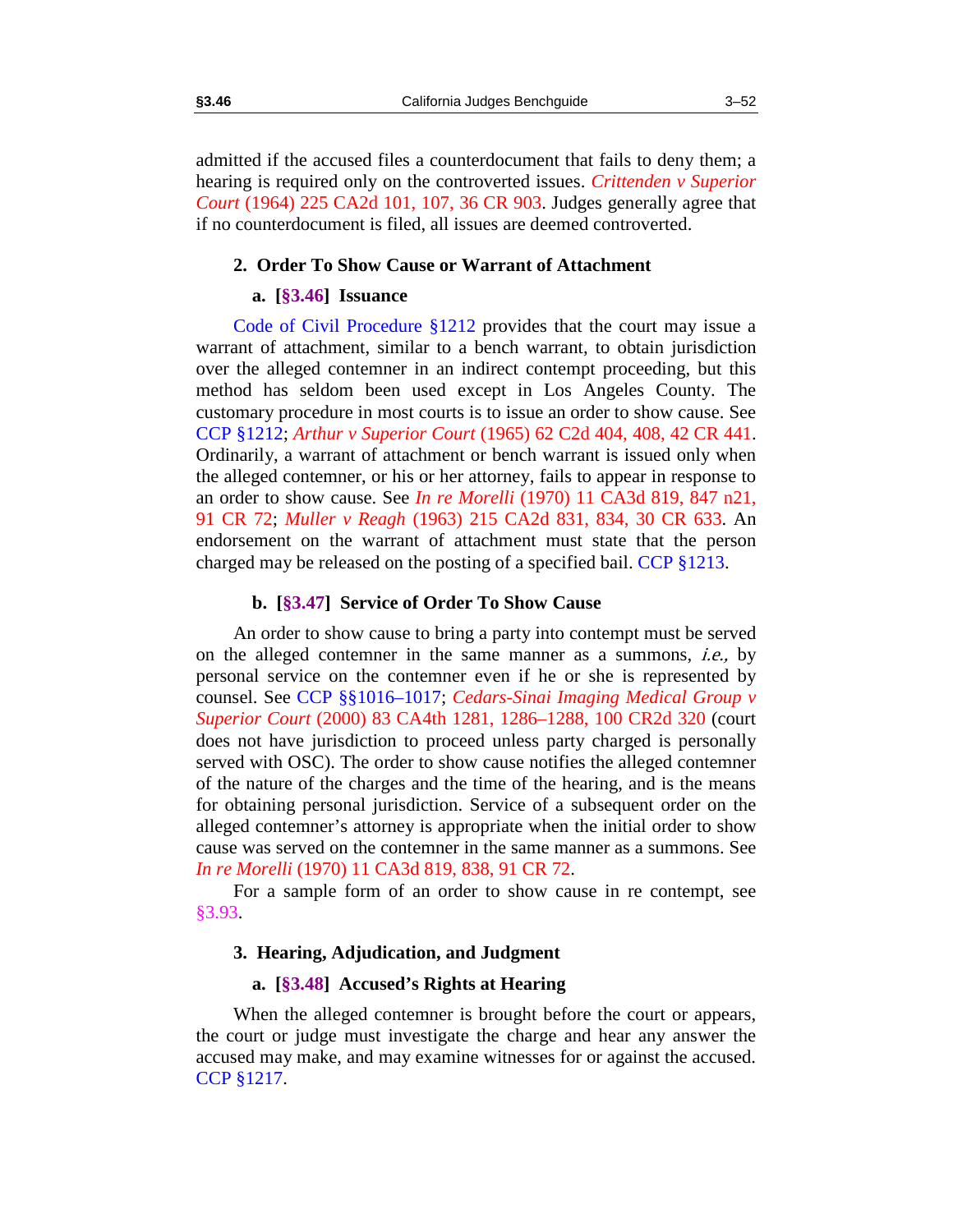admitted if the accused files a counterdocument that fails to deny them; a hearing is required only on the controverted issues. *Crittenden v Superior Court* (1964) 225 CA2d 101, 107, 36 CR 903. Judges generally agree that if no counterdocument is filed, all issues are deemed controverted.

## **2. Order To Show Cause or Warrant of Attachment**

### <span id="page-53-1"></span>**a. [§3.46] Issuance**

Code of Civil Procedure §1212 provides that the court may issue a warrant of attachment, similar to a bench warrant, to obtain jurisdiction over the alleged contemner in an indirect contempt proceeding, but this method has seldom been used except in Los Angeles County. The customary procedure in most courts is to issue an order to show cause. See CCP §1212; *Arthur v Superior Court* (1965) 62 C2d 404, 408, 42 CR 441. Ordinarily, a warrant of attachment or bench warrant is issued only when the alleged contemner, or his or her attorney, fails to appear in response to an order to show cause. See *In re Morelli* (1970) 11 CA3d 819, 847 n21, 91 CR 72; *Muller v Reagh* (1963) 215 CA2d 831, 834, 30 CR 633. An endorsement on the warrant of attachment must state that the person charged may be released on the posting of a specified bail. CCP §1213.

### **b. [§3.47] Service of Order To Show Cause**

An order to show cause to bring a party into contempt must be served on the alleged contemner in the same manner as a summons, i.e., by personal service on the contemner even if he or she is represented by counsel. See CCP §§1016–1017; *Cedars-Sinai Imaging Medical Group v Superior Court* (2000) 83 CA4th 1281, 1286–1288, 100 CR2d 320 (court does not have jurisdiction to proceed unless party charged is personally served with OSC). The order to show cause notifies the alleged contemner of the nature of the charges and the time of the hearing, and is the means for obtaining personal jurisdiction. Service of a subsequent order on the alleged contemner's attorney is appropriate when the initial order to show cause was served on the contemner in the same manner as a summons. See *In re Morelli* (1970) 11 CA3d 819, 838, 91 CR 72.

For a sample form of an order to show cause in re contempt, see [§3.93.](#page-87-0)

## **3. Hearing, Adjudication, and Judgment**

## <span id="page-53-0"></span>**a. [§3.48] Accused's Rights at Hearing**

When the alleged contemner is brought before the court or appears, the court or judge must investigate the charge and hear any answer the accused may make, and may examine witnesses for or against the accused. CCP §1217.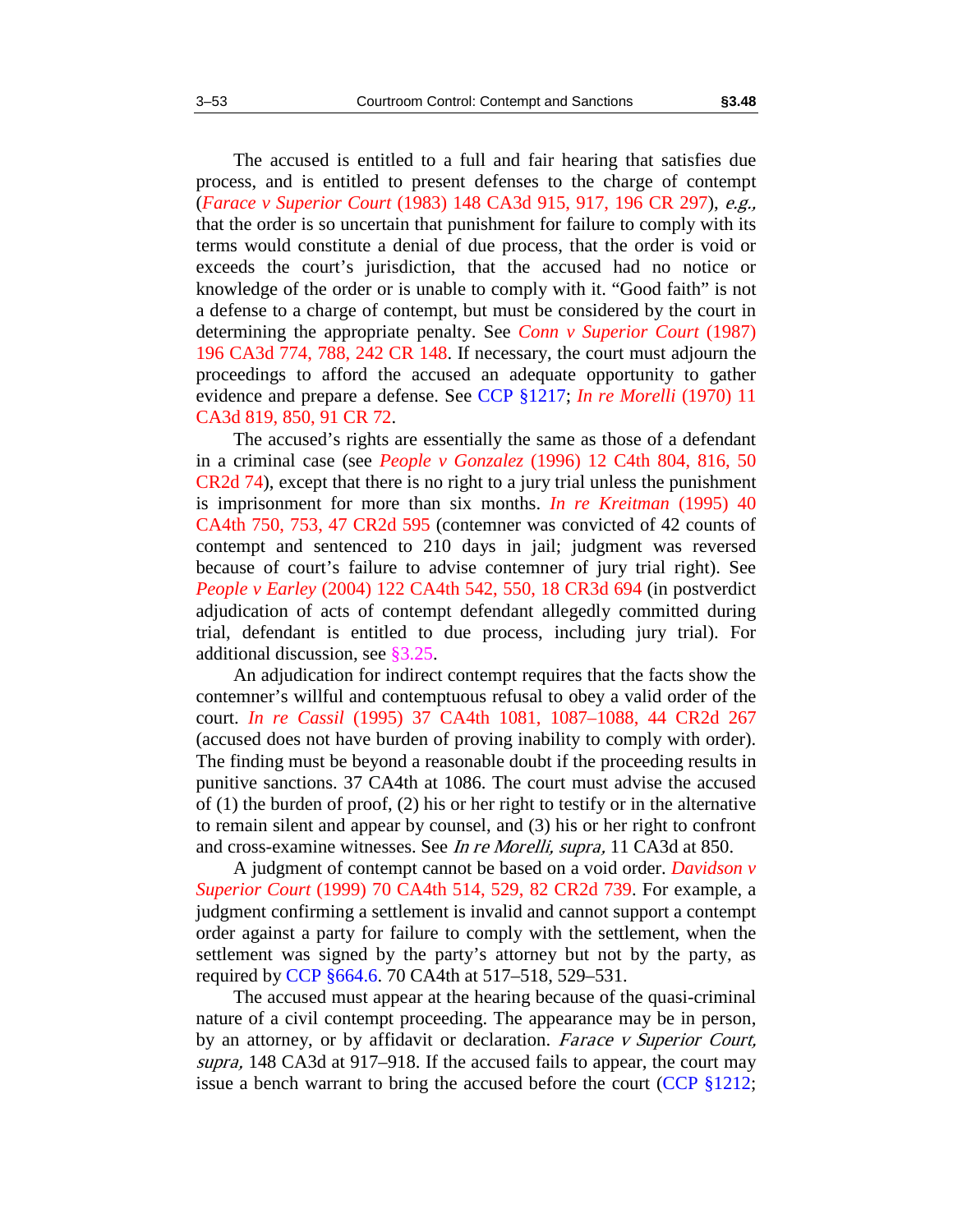The accused is entitled to a full and fair hearing that satisfies due process, and is entitled to present defenses to the charge of contempt (*Farace v Superior Court* (1983) 148 CA3d 915, 917, 196 CR 297), e.g., that the order is so uncertain that punishment for failure to comply with its terms would constitute a denial of due process, that the order is void or exceeds the court's jurisdiction, that the accused had no notice or knowledge of the order or is unable to comply with it. "Good faith" is not a defense to a charge of contempt, but must be considered by the court in determining the appropriate penalty. See *Conn v Superior Court* (1987) 196 CA3d 774, 788, 242 CR 148. If necessary, the court must adjourn the proceedings to afford the accused an adequate opportunity to gather evidence and prepare a defense. See CCP §1217; *In re Morelli* (1970) 11 CA3d 819, 850, 91 CR 72.

The accused's rights are essentially the same as those of a defendant in a criminal case (see *People v Gonzalez* (1996) 12 C4th 804, 816, 50 CR2d 74), except that there is no right to a jury trial unless the punishment is imprisonment for more than six months. *In re Kreitman* (1995) 40 CA4th 750, 753, 47 CR2d 595 (contemner was convicted of 42 counts of contempt and sentenced to 210 days in jail; judgment was reversed because of court's failure to advise contemner of jury trial right). See *People v Earley* (2004) 122 CA4th 542, 550, 18 CR3d 694 (in postverdict adjudication of acts of contempt defendant allegedly committed during trial, defendant is entitled to due process, including jury trial). For additional discussion, see [§3.25.](#page-39-1)

An adjudication for indirect contempt requires that the facts show the contemner's willful and contemptuous refusal to obey a valid order of the court. *In re Cassil* (1995) 37 CA4th 1081, 1087–1088, 44 CR2d 267 (accused does not have burden of proving inability to comply with order). The finding must be beyond a reasonable doubt if the proceeding results in punitive sanctions. 37 CA4th at 1086. The court must advise the accused of (1) the burden of proof, (2) his or her right to testify or in the alternative to remain silent and appear by counsel, and (3) his or her right to confront and cross-examine witnesses. See In re Morelli, supra, 11 CA3d at 850.

A judgment of contempt cannot be based on a void order. *Davidson v Superior Court* (1999) 70 CA4th 514, 529, 82 CR2d 739. For example, a judgment confirming a settlement is invalid and cannot support a contempt order against a party for failure to comply with the settlement, when the settlement was signed by the party's attorney but not by the party, as required by CCP §664.6. 70 CA4th at 517–518, 529–531.

The accused must appear at the hearing because of the quasi-criminal nature of a civil contempt proceeding. The appearance may be in person, by an attorney, or by affidavit or declaration. Farace v Superior Court, supra, 148 CA3d at 917–918. If the accused fails to appear, the court may issue a bench warrant to bring the accused before the court (CCP §1212;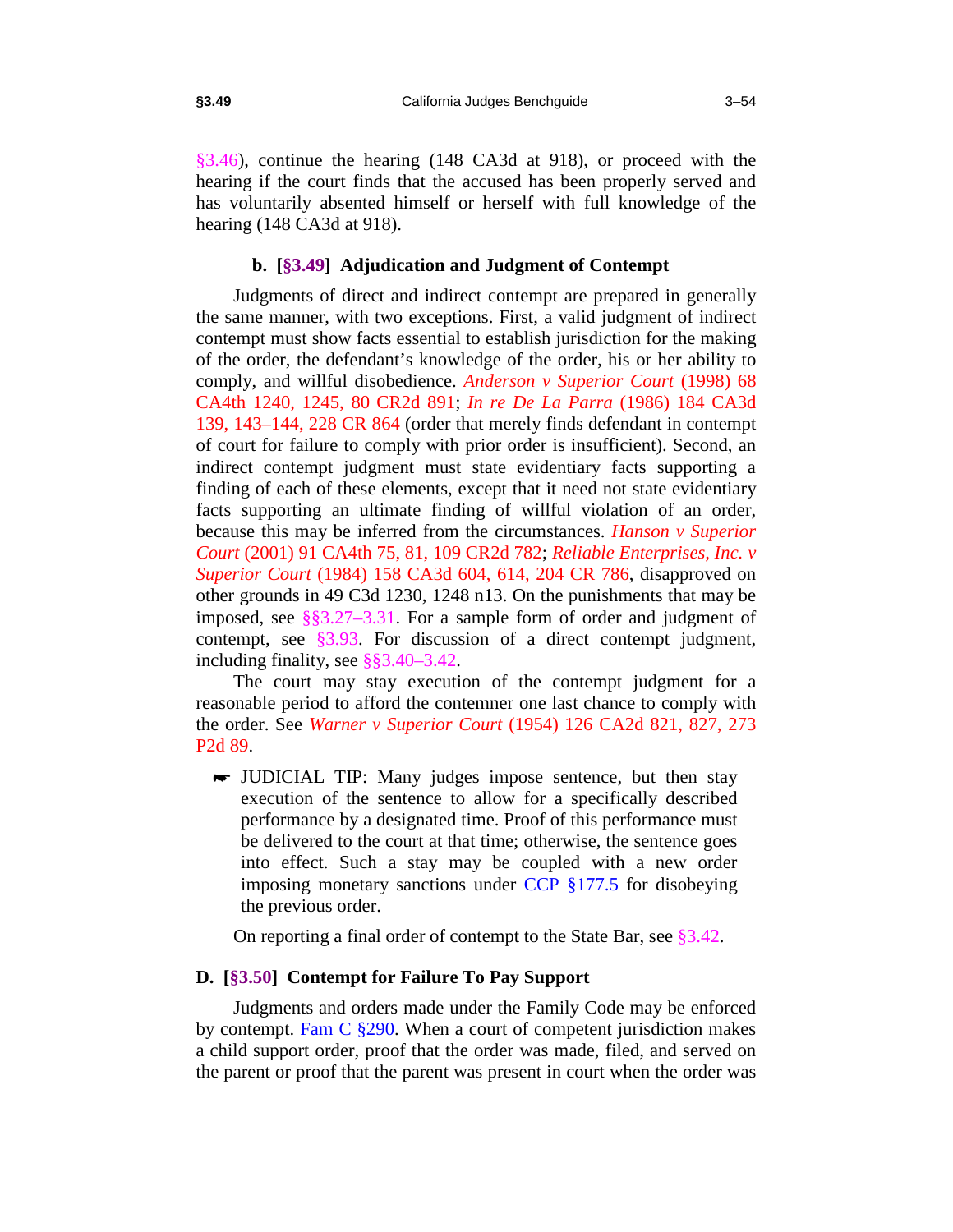[§3.46\)](#page-53-1), continue the hearing (148 CA3d at 918), or proceed with the hearing if the court finds that the accused has been properly served and has voluntarily absented himself or herself with full knowledge of the hearing (148 CA3d at 918).

## **b. [§3.49] Adjudication and Judgment of Contempt**

Judgments of direct and indirect contempt are prepared in generally the same manner, with two exceptions. First, a valid judgment of indirect contempt must show facts essential to establish jurisdiction for the making of the order, the defendant's knowledge of the order, his or her ability to comply, and willful disobedience. *Anderson v Superior Court* (1998) 68 CA4th 1240, 1245, 80 CR2d 891; *In re De La Parra* (1986) 184 CA3d 139, 143–144, 228 CR 864 (order that merely finds defendant in contempt of court for failure to comply with prior order is insufficient). Second, an indirect contempt judgment must state evidentiary facts supporting a finding of each of these elements, except that it need not state evidentiary facts supporting an ultimate finding of willful violation of an order, because this may be inferred from the circumstances. *Hanson v Superior Court* (2001) 91 CA4th 75, 81, 109 CR2d 782; *Reliable Enterprises, Inc. v Superior Court* (1984) 158 CA3d 604, 614, 204 CR 786, disapproved on other grounds in 49 C3d 1230, 1248 n13. On the punishments that may be imposed, see  $\S$ [§3.27](#page-40-0)[–3.31.](#page-42-1) For a sample form of order and judgment of contempt, see [§3.93.](#page-87-0) For discussion of a direct contempt judgment, including finality, see §[§3.40–](#page-48-1)[3.42.](#page-50-0)

The court may stay execution of the contempt judgment for a reasonable period to afford the contemner one last chance to comply with the order. See *Warner v Superior Court* (1954) 126 CA2d 821, 827, 273 P2d 89.

 JUDICIAL TIP: Many judges impose sentence, but then stay execution of the sentence to allow for a specifically described performance by a designated time. Proof of this performance must be delivered to the court at that time; otherwise, the sentence goes into effect. Such a stay may be coupled with a new order imposing monetary sanctions under CCP §177.5 for disobeying the previous order.

On reporting a final order of contempt to the State Bar, see [§3.42.](#page-50-0)

## **D. [§3.50] Contempt for Failure To Pay Support**

Judgments and orders made under the Family Code may be enforced by contempt. Fam  $\text{C}$  §290. When a court of competent jurisdiction makes a child support order, proof that the order was made, filed, and served on the parent or proof that the parent was present in court when the order was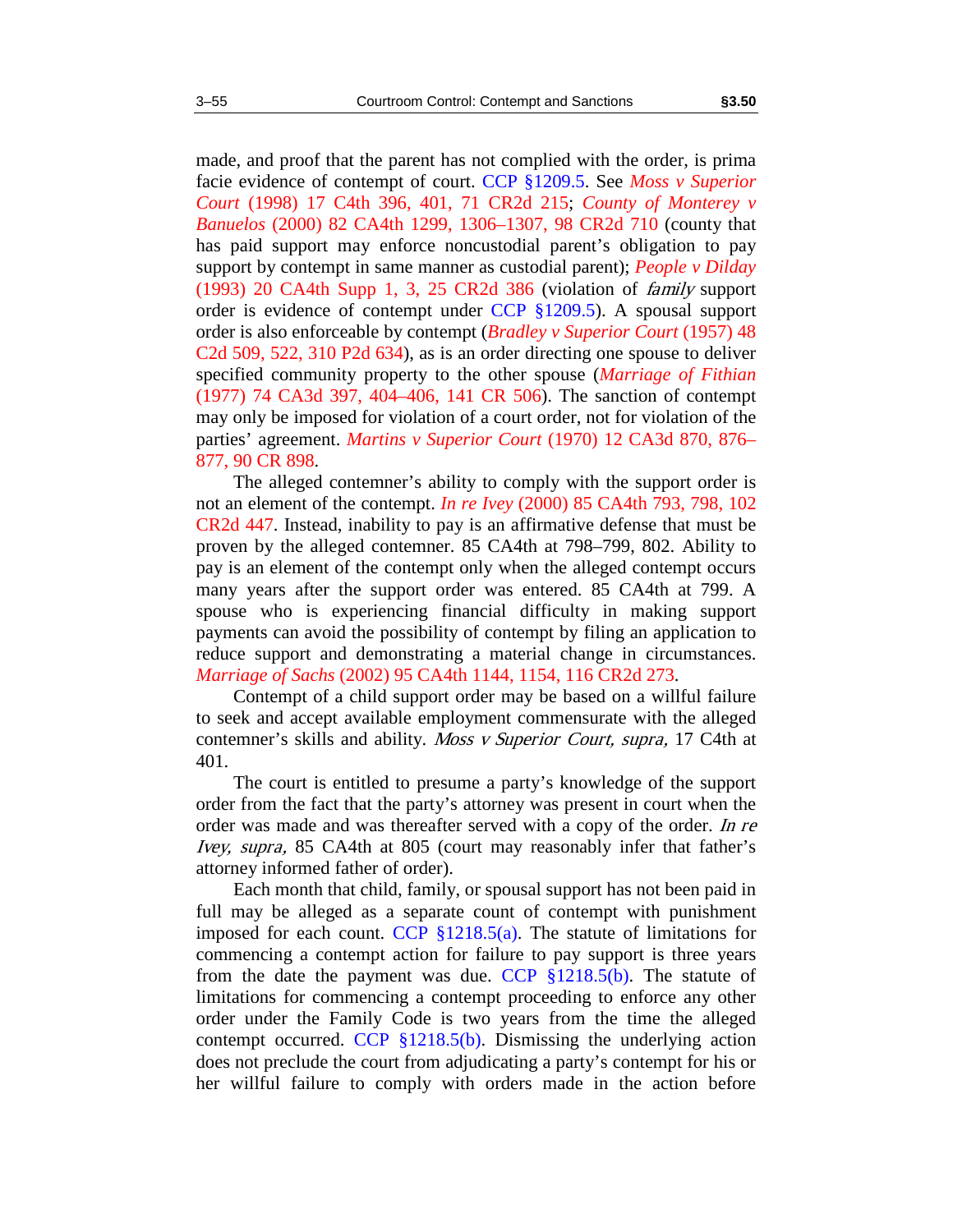made, and proof that the parent has not complied with the order, is prima facie evidence of contempt of court. CCP §1209.5. See *Moss v Superior Court* (1998) 17 C4th 396, 401, 71 CR2d 215; *County of Monterey v Banuelos* (2000) 82 CA4th 1299, 1306–1307, 98 CR2d 710 (county that has paid support may enforce noncustodial parent's obligation to pay support by contempt in same manner as custodial parent); *People v Dilday* (1993) 20 CA4th Supp 1, 3, 25 CR2d 386 (violation of family support order is evidence of contempt under CCP §1209.5). A spousal support order is also enforceable by contempt (*Bradley v Superior Court* (1957) 48 C2d 509, 522, 310 P2d 634), as is an order directing one spouse to deliver specified community property to the other spouse (*Marriage of Fithian* (1977) 74 CA3d 397, 404–406, 141 CR 506). The sanction of contempt may only be imposed for violation of a court order, not for violation of the parties' agreement. *Martins v Superior Court* (1970) 12 CA3d 870, 876– 877, 90 CR 898.

The alleged contemner's ability to comply with the support order is not an element of the contempt. *In re Ivey* (2000) 85 CA4th 793, 798, 102 CR2d 447. Instead, inability to pay is an affirmative defense that must be proven by the alleged contemner. 85 CA4th at 798–799, 802. Ability to pay is an element of the contempt only when the alleged contempt occurs many years after the support order was entered. 85 CA4th at 799. A spouse who is experiencing financial difficulty in making support payments can avoid the possibility of contempt by filing an application to reduce support and demonstrating a material change in circumstances. *Marriage of Sachs* (2002) 95 CA4th 1144, 1154, 116 CR2d 273.

Contempt of a child support order may be based on a willful failure to seek and accept available employment commensurate with the alleged contemner's skills and ability. Moss v Superior Court, supra, 17 C4th at 401.

The court is entitled to presume a party's knowledge of the support order from the fact that the party's attorney was present in court when the order was made and was thereafter served with a copy of the order. In re Ivey, supra, 85 CA4th at 805 (court may reasonably infer that father's attorney informed father of order).

Each month that child, family, or spousal support has not been paid in full may be alleged as a separate count of contempt with punishment imposed for each count. CCP  $\S 1218.5(a)$ . The statute of limitations for commencing a contempt action for failure to pay support is three years from the date the payment was due. CCP  $\S 1218.5(b)$ . The statute of limitations for commencing a contempt proceeding to enforce any other order under the Family Code is two years from the time the alleged contempt occurred. CCP §1218.5(b). Dismissing the underlying action does not preclude the court from adjudicating a party's contempt for his or her willful failure to comply with orders made in the action before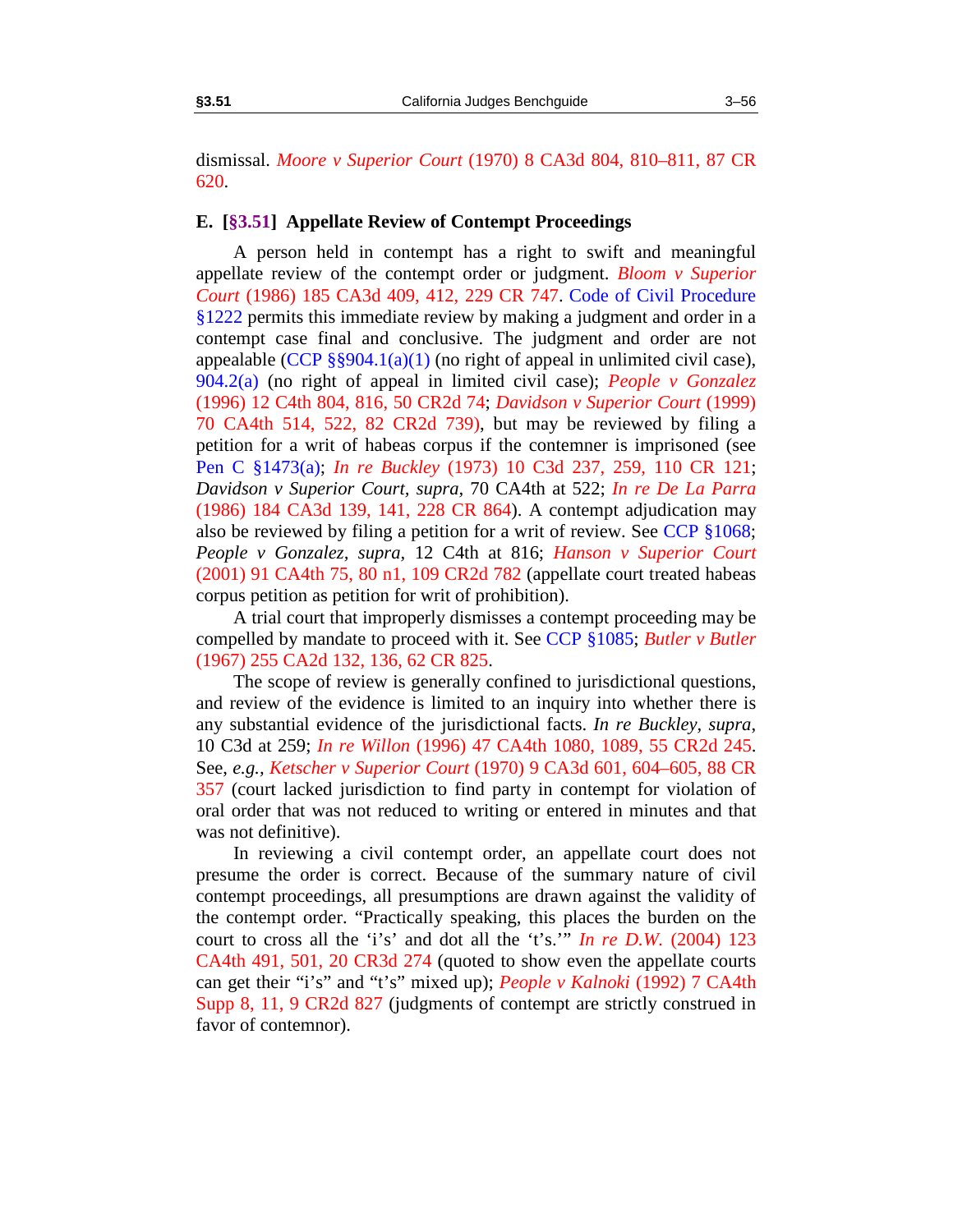dismissal. *Moore v Superior Court* (1970) 8 CA3d 804, 810–811, 87 CR 620.

### <span id="page-57-0"></span>**E. [§3.51] Appellate Review of Contempt Proceedings**

A person held in contempt has a right to swift and meaningful appellate review of the contempt order or judgment. *Bloom v Superior Court* (1986) 185 CA3d 409, 412, 229 CR 747. Code of Civil Procedure §1222 permits this immediate review by making a judgment and order in a contempt case final and conclusive. The judgment and order are not appealable (CCP  $\S$ §904.1(a)(1) (no right of appeal in unlimited civil case), 904.2(a) (no right of appeal in limited civil case); *People v Gonzalez* (1996) 12 C4th 804, 816, 50 CR2d 74; *Davidson v Superior Court* (1999) 70 CA4th 514, 522, 82 CR2d 739), but may be reviewed by filing a petition for a writ of habeas corpus if the contemner is imprisoned (see Pen C §1473(a); *In re Buckley* (1973) 10 C3d 237, 259, 110 CR 121; *Davidson v Superior Court, supra,* 70 CA4th at 522; *In re De La Parra*  (1986) 184 CA3d 139, 141, 228 CR 864). A contempt adjudication may also be reviewed by filing a petition for a writ of review. See CCP §1068; *People v Gonzalez, supra,* 12 C4th at 816; *Hanson v Superior Court* (2001) 91 CA4th 75, 80 n1, 109 CR2d 782 (appellate court treated habeas corpus petition as petition for writ of prohibition).

A trial court that improperly dismisses a contempt proceeding may be compelled by mandate to proceed with it. See CCP §1085; *Butler v Butler* (1967) 255 CA2d 132, 136, 62 CR 825.

The scope of review is generally confined to jurisdictional questions, and review of the evidence is limited to an inquiry into whether there is any substantial evidence of the jurisdictional facts. *In re Buckley, supra*, 10 C3d at 259; *In re Willon* (1996) 47 CA4th 1080, 1089, 55 CR2d 245. See, *e.g., Ketscher v Superior Court* (1970) 9 CA3d 601, 604–605, 88 CR 357 (court lacked jurisdiction to find party in contempt for violation of oral order that was not reduced to writing or entered in minutes and that was not definitive).

In reviewing a civil contempt order, an appellate court does not presume the order is correct. Because of the summary nature of civil contempt proceedings, all presumptions are drawn against the validity of the contempt order. "Practically speaking, this places the burden on the court to cross all the 'i's' and dot all the 't's.'" *In re D.W.* (2004) 123 CA4th 491, 501, 20 CR3d 274 (quoted to show even the appellate courts can get their "i's" and "t's" mixed up); *People v Kalnoki* (1992) 7 CA4th Supp 8, 11, 9 CR2d 827 (judgments of contempt are strictly construed in favor of contemnor).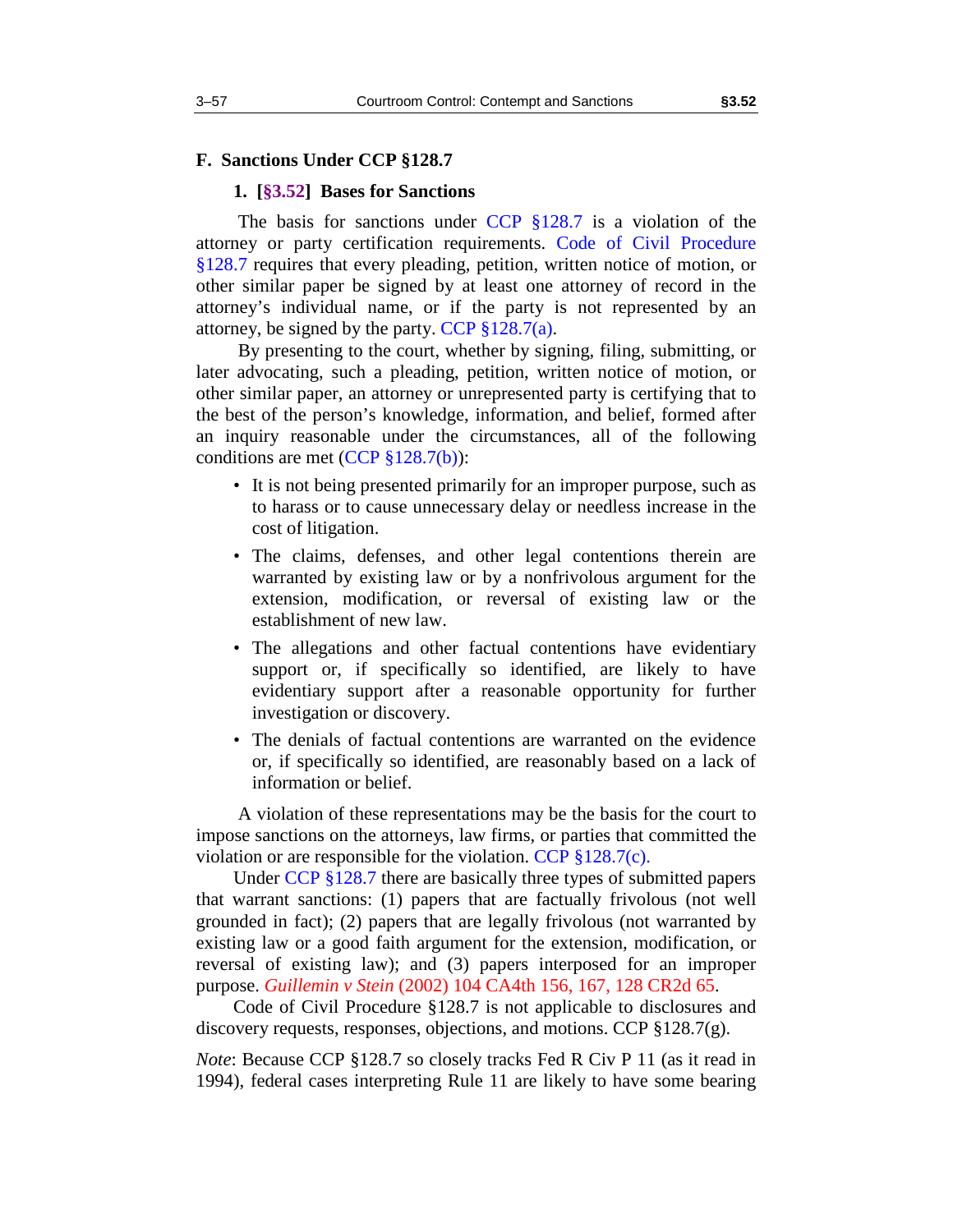## **F. Sanctions Under CCP §128.7**

#### **1. [§3.52] Bases for Sanctions**

The basis for sanctions under CCP §128.7 is a violation of the attorney or party certification requirements. Code of Civil Procedure §128.7 requires that every pleading, petition, written notice of motion, or other similar paper be signed by at least one attorney of record in the attorney's individual name, or if the party is not represented by an attorney, be signed by the party. CCP §128.7(a).

By presenting to the court, whether by signing, filing, submitting, or later advocating, such a pleading, petition, written notice of motion, or other similar paper, an attorney or unrepresented party is certifying that to the best of the person's knowledge, information, and belief, formed after an inquiry reasonable under the circumstances, all of the following conditions are met (CCP §128.7(b)):

- It is not being presented primarily for an improper purpose, such as to harass or to cause unnecessary delay or needless increase in the cost of litigation.
- The claims, defenses, and other legal contentions therein are warranted by existing law or by a nonfrivolous argument for the extension, modification, or reversal of existing law or the establishment of new law.
- The allegations and other factual contentions have evidentiary support or, if specifically so identified, are likely to have evidentiary support after a reasonable opportunity for further investigation or discovery.
- The denials of factual contentions are warranted on the evidence or, if specifically so identified, are reasonably based on a lack of information or belief.

A violation of these representations may be the basis for the court to impose sanctions on the attorneys, law firms, or parties that committed the violation or are responsible for the violation. CCP  $\S 128.7(c)$ .

Under CCP §128.7 there are basically three types of submitted papers that warrant sanctions: (1) papers that are factually frivolous (not well grounded in fact); (2) papers that are legally frivolous (not warranted by existing law or a good faith argument for the extension, modification, or reversal of existing law); and (3) papers interposed for an improper purpose. *Guillemin v Stein* (2002) 104 CA4th 156, 167, 128 CR2d 65.

Code of Civil Procedure §128.7 is not applicable to disclosures and discovery requests, responses, objections, and motions. CCP §128.7(g).

*Note*: Because CCP §128.7 so closely tracks Fed R Civ P 11 (as it read in 1994), federal cases interpreting Rule 11 are likely to have some bearing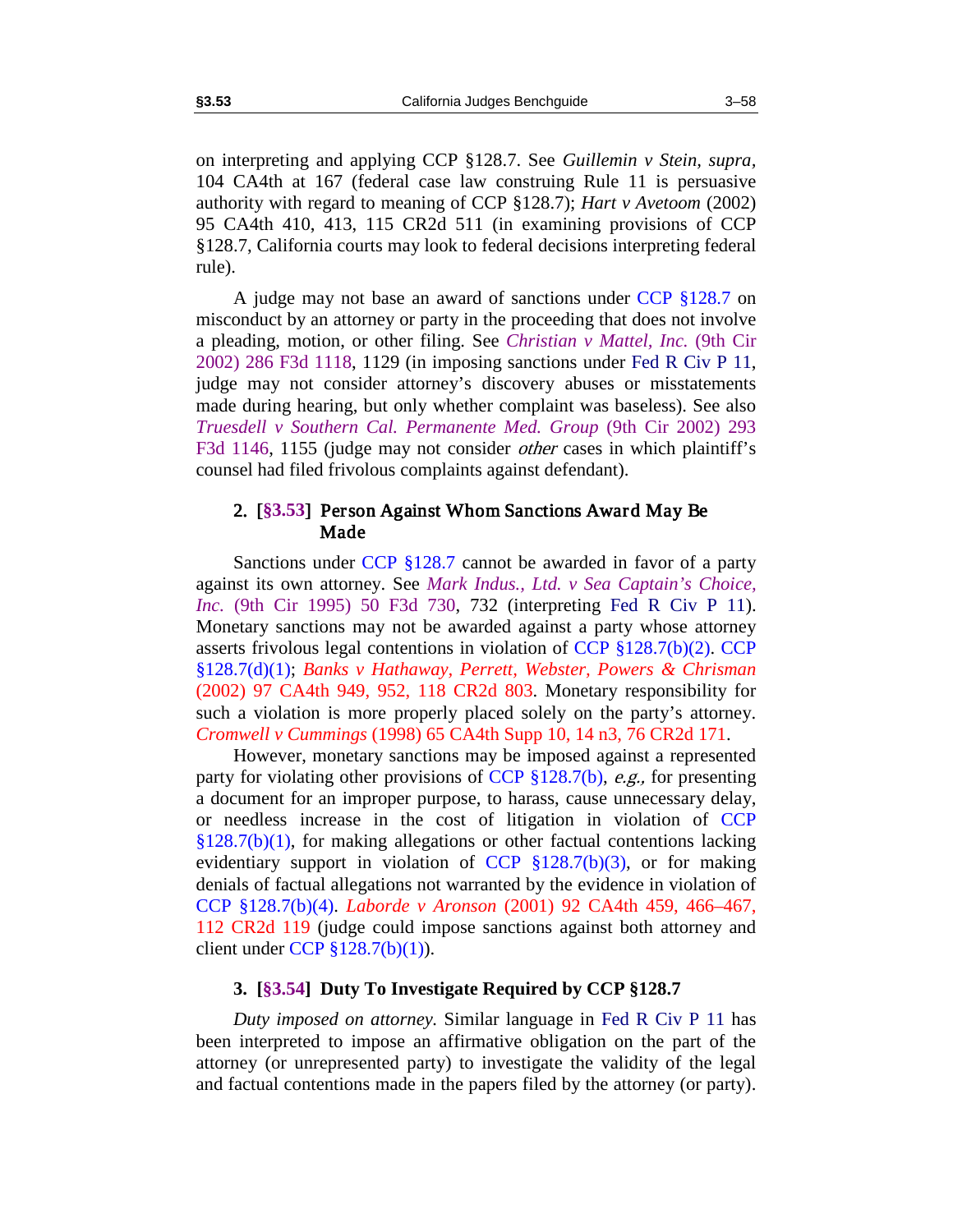on interpreting and applying CCP §128.7. See *Guillemin v Stein, supra,* 104 CA4th at 167 (federal case law construing Rule 11 is persuasive authority with regard to meaning of CCP §128.7); *Hart v Avetoom* (2002) 95 CA4th 410, 413, 115 CR2d 511 (in examining provisions of CCP §128.7, California courts may look to federal decisions interpreting federal rule).

A judge may not base an award of sanctions under CCP §128.7 on misconduct by an attorney or party in the proceeding that does not involve a pleading, motion, or other filing. See *Christian v Mattel, Inc.* (9th Cir 2002) 286 F3d 1118, 1129 (in imposing sanctions under Fed R Civ P 11, judge may not consider attorney's discovery abuses or misstatements made during hearing, but only whether complaint was baseless). See also *Truesdell v Southern Cal. Permanente Med. Group* (9th Cir 2002) 293 F3d 1146, 1155 (judge may not consider other cases in which plaintiff's counsel had filed frivolous complaints against defendant).

# 2. [**§3.53**] Person Against Whom Sanctions Award May Be Made

Sanctions under CCP §128.7 cannot be awarded in favor of a party against its own attorney. See *Mark Indus., Ltd. v Sea Captain's Choice, Inc.* (9th Cir 1995) 50 F3d 730, 732 (interpreting Fed R Civ P 11). Monetary sanctions may not be awarded against a party whose attorney asserts frivolous legal contentions in violation of CCP §128.7(b)(2). CCP §128.7(d)(1); *Banks v Hathaway, Perrett, Webster, Powers & Chrisman* (2002) 97 CA4th 949, 952, 118 CR2d 803. Monetary responsibility for such a violation is more properly placed solely on the party's attorney. *Cromwell v Cummings* (1998) 65 CA4th Supp 10, 14 n3, 76 CR2d 171.

However, monetary sanctions may be imposed against a represented party for violating other provisions of CCP  $\S 128.7(b)$ , e.g., for presenting a document for an improper purpose, to harass, cause unnecessary delay, or needless increase in the cost of litigation in violation of CCP  $§128.7(b)(1)$ , for making allegations or other factual contentions lacking evidentiary support in violation of CCP  $\S 128.7(b)(3)$ , or for making denials of factual allegations not warranted by the evidence in violation of CCP §128.7(b)(4). *Laborde v Aronson* (2001) 92 CA4th 459, 466–467, 112 CR2d 119 (judge could impose sanctions against both attorney and client under CCP  $\S 128.7(b)(1)$ .

#### **3. [§3.54] Duty To Investigate Required by CCP §128.7**

*Duty imposed on attorney.* Similar language in Fed R Civ P 11 has been interpreted to impose an affirmative obligation on the part of the attorney (or unrepresented party) to investigate the validity of the legal and factual contentions made in the papers filed by the attorney (or party).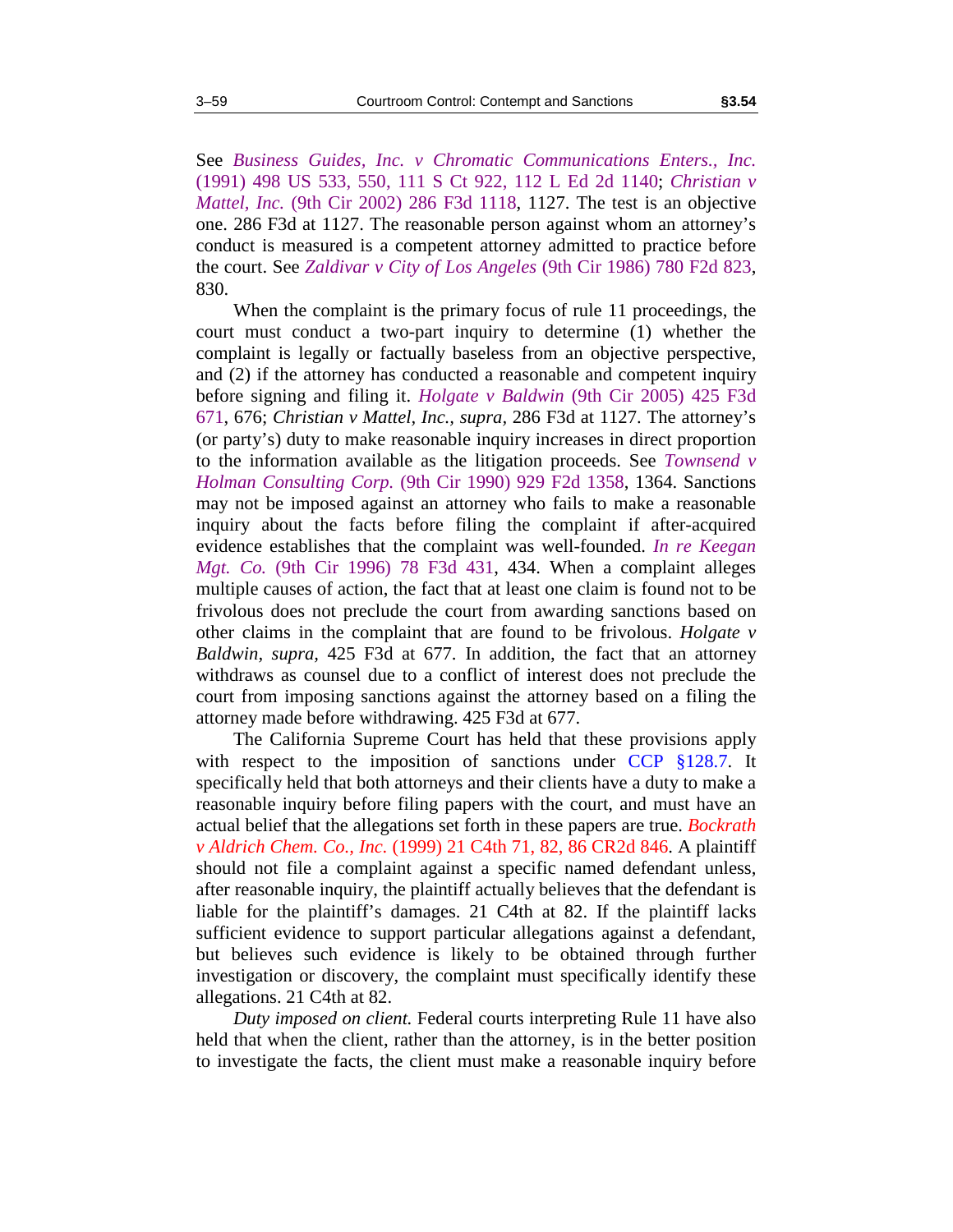See *Business Guides, Inc. v Chromatic Communications Enters., Inc.* (1991) 498 US 533, 550, 111 S Ct 922, 112 L Ed 2d 1140; *Christian v Mattel, Inc.* (9th Cir 2002) 286 F3d 1118, 1127. The test is an objective one. 286 F3d at 1127. The reasonable person against whom an attorney's conduct is measured is a competent attorney admitted to practice before the court. See *Zaldivar v City of Los Angeles* (9th Cir 1986) 780 F2d 823, 830.

When the complaint is the primary focus of rule 11 proceedings, the court must conduct a two-part inquiry to determine (1) whether the complaint is legally or factually baseless from an objective perspective, and (2) if the attorney has conducted a reasonable and competent inquiry before signing and filing it. *Holgate v Baldwin* (9th Cir 2005) 425 F3d 671, 676; *Christian v Mattel, Inc., supra,* 286 F3d at 1127. The attorney's (or party's) duty to make reasonable inquiry increases in direct proportion to the information available as the litigation proceeds. See *Townsend v Holman Consulting Corp.* (9th Cir 1990) 929 F2d 1358, 1364. Sanctions may not be imposed against an attorney who fails to make a reasonable inquiry about the facts before filing the complaint if after-acquired evidence establishes that the complaint was well-founded. *In re Keegan Mgt. Co.* (9th Cir 1996) 78 F3d 431, 434. When a complaint alleges multiple causes of action, the fact that at least one claim is found not to be frivolous does not preclude the court from awarding sanctions based on other claims in the complaint that are found to be frivolous. *Holgate v Baldwin, supra,* 425 F3d at 677. In addition, the fact that an attorney withdraws as counsel due to a conflict of interest does not preclude the court from imposing sanctions against the attorney based on a filing the attorney made before withdrawing. 425 F3d at 677.

The California Supreme Court has held that these provisions apply with respect to the imposition of sanctions under CCP §128.7. It specifically held that both attorneys and their clients have a duty to make a reasonable inquiry before filing papers with the court, and must have an actual belief that the allegations set forth in these papers are true. *Bockrath v Aldrich Chem. Co., Inc.* (1999) 21 C4th 71, 82, 86 CR2d 846. A plaintiff should not file a complaint against a specific named defendant unless, after reasonable inquiry, the plaintiff actually believes that the defendant is liable for the plaintiff's damages. 21 C4th at 82. If the plaintiff lacks sufficient evidence to support particular allegations against a defendant, but believes such evidence is likely to be obtained through further investigation or discovery, the complaint must specifically identify these allegations. 21 C4th at 82.

*Duty imposed on client.* Federal courts interpreting Rule 11 have also held that when the client, rather than the attorney, is in the better position to investigate the facts, the client must make a reasonable inquiry before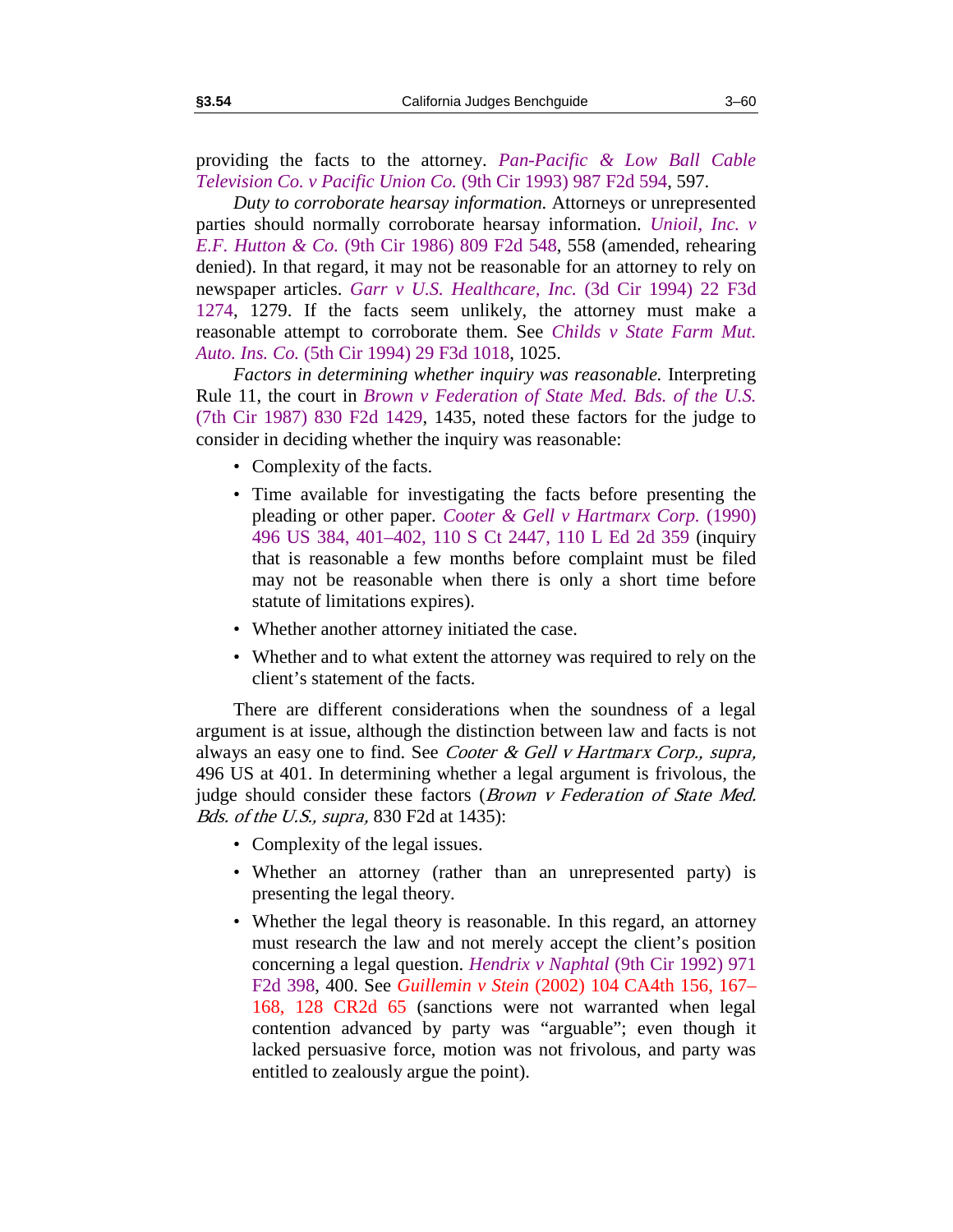providing the facts to the attorney. *Pan-Pacific & Low Ball Cable Television Co. v Pacific Union Co.* (9th Cir 1993) 987 F2d 594, 597.

*Duty to corroborate hearsay information.* Attorneys or unrepresented parties should normally corroborate hearsay information. *Unioil, Inc. v E.F. Hutton & Co.* (9th Cir 1986) 809 F2d 548, 558 (amended, rehearing denied). In that regard, it may not be reasonable for an attorney to rely on newspaper articles. *Garr v U.S. Healthcare, Inc.* (3d Cir 1994) 22 F3d 1274, 1279. If the facts seem unlikely, the attorney must make a reasonable attempt to corroborate them. See *Childs v State Farm Mut. Auto. Ins. Co.* (5th Cir 1994) 29 F3d 1018, 1025.

*Factors in determining whether inquiry was reasonable.* Interpreting Rule 11, the court in *Brown v Federation of State Med. Bds. of the U.S.* (7th Cir 1987) 830 F2d 1429, 1435, noted these factors for the judge to consider in deciding whether the inquiry was reasonable:

- Complexity of the facts.
- Time available for investigating the facts before presenting the pleading or other paper. *Cooter & Gell v Hartmarx Corp.* (1990) 496 US 384, 401–402, 110 S Ct 2447, 110 L Ed 2d 359 (inquiry that is reasonable a few months before complaint must be filed may not be reasonable when there is only a short time before statute of limitations expires).
- Whether another attorney initiated the case.
- Whether and to what extent the attorney was required to rely on the client's statement of the facts.

There are different considerations when the soundness of a legal argument is at issue, although the distinction between law and facts is not always an easy one to find. See Cooter & Gell v Hartmarx Corp., supra, 496 US at 401. In determining whether a legal argument is frivolous, the judge should consider these factors (Brown v Federation of State Med. *Bds. of the U.S., supra,* 830 F2d at 1435):

- Complexity of the legal issues.
- Whether an attorney (rather than an unrepresented party) is presenting the legal theory.
- Whether the legal theory is reasonable. In this regard, an attorney must research the law and not merely accept the client's position concerning a legal question. *Hendrix v Naphtal* (9th Cir 1992) 971 F2d 398, 400. See *Guillemin v Stein* (2002) 104 CA4th 156, 167– 168, 128 CR2d 65 (sanctions were not warranted when legal contention advanced by party was "arguable"; even though it lacked persuasive force, motion was not frivolous, and party was entitled to zealously argue the point).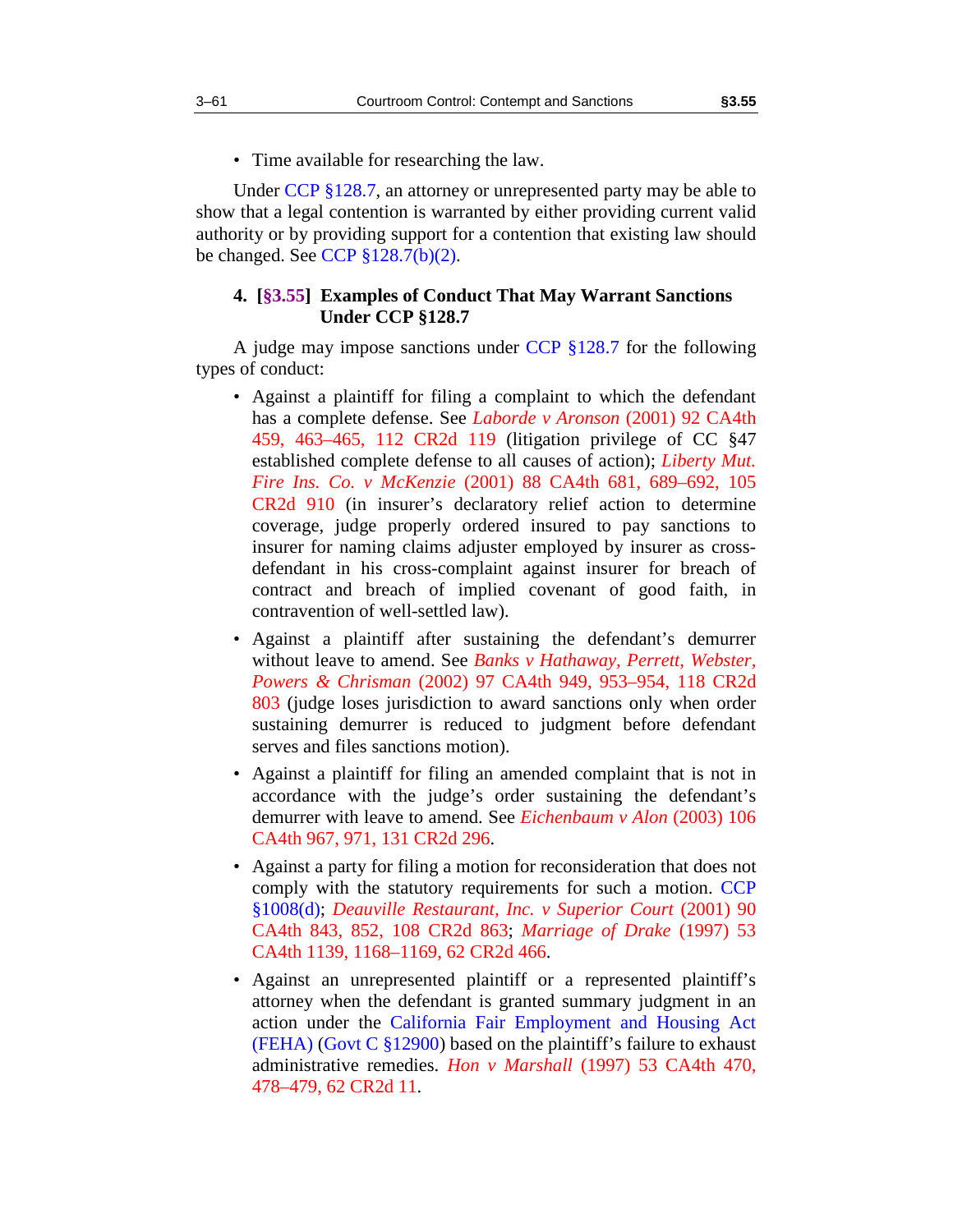• Time available for researching the law.

Under CCP §128.7, an attorney or unrepresented party may be able to show that a legal contention is warranted by either providing current valid authority or by providing support for a contention that existing law should be changed. See CCP  $\S 128.7(b)(2)$ .

# **4. [§3.55] Examples of Conduct That May Warrant Sanctions Under CCP §128.7**

A judge may impose sanctions under CCP §128.7 for the following types of conduct:

- Against a plaintiff for filing a complaint to which the defendant has a complete defense. See *Laborde v Aronson* (2001) 92 CA4th 459, 463–465, 112 CR2d 119 (litigation privilege of CC §47 established complete defense to all causes of action); *Liberty Mut. Fire Ins. Co. v McKenzie* (2001) 88 CA4th 681, 689–692, 105 CR2d 910 (in insurer's declaratory relief action to determine coverage, judge properly ordered insured to pay sanctions to insurer for naming claims adjuster employed by insurer as crossdefendant in his cross-complaint against insurer for breach of contract and breach of implied covenant of good faith, in contravention of well-settled law).
- Against a plaintiff after sustaining the defendant's demurrer without leave to amend. See *Banks v Hathaway, Perrett, Webster, Powers & Chrisman* (2002) 97 CA4th 949, 953–954, 118 CR2d 803 (judge loses jurisdiction to award sanctions only when order sustaining demurrer is reduced to judgment before defendant serves and files sanctions motion).
- Against a plaintiff for filing an amended complaint that is not in accordance with the judge's order sustaining the defendant's demurrer with leave to amend. See *Eichenbaum v Alon* (2003) 106 CA4th 967, 971, 131 CR2d 296.
- Against a party for filing a motion for reconsideration that does not comply with the statutory requirements for such a motion. CCP §1008(d); *Deauville Restaurant, Inc. v Superior Court* (2001) 90 CA4th 843, 852, 108 CR2d 863; *Marriage of Drake* (1997) 53 CA4th 1139, 1168–1169, 62 CR2d 466.
- Against an unrepresented plaintiff or a represented plaintiff's attorney when the defendant is granted summary judgment in an action under the California Fair Employment and Housing Act (FEHA) (Govt C  $\S 12900$ ) based on the plaintiff's failure to exhaust administrative remedies. *Hon v Marshall* (1997) 53 CA4th 470, 478–479, 62 CR2d 11.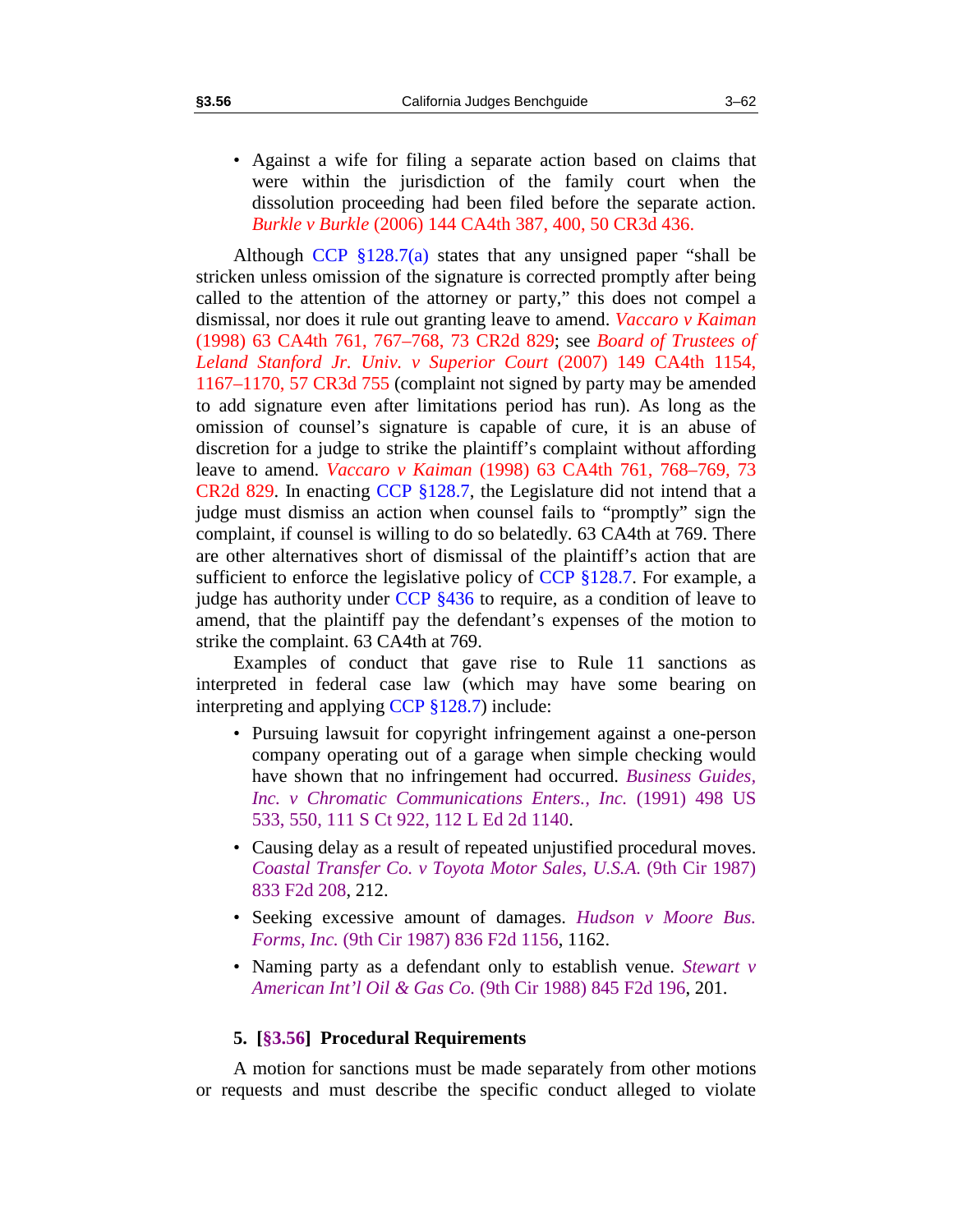• Against a wife for filing a separate action based on claims that were within the jurisdiction of the family court when the dissolution proceeding had been filed before the separate action. *Burkle v Burkle* (2006) 144 CA4th 387, 400, 50 CR3d 436.

Although CCP  $\S 128.7(a)$  states that any unsigned paper "shall be stricken unless omission of the signature is corrected promptly after being called to the attention of the attorney or party," this does not compel a dismissal, nor does it rule out granting leave to amend. *Vaccaro v Kaiman* (1998) 63 CA4th 761, 767–768, 73 CR2d 829; see *Board of Trustees of Leland Stanford Jr. Univ. v Superior Court* (2007) 149 CA4th 1154, 1167–1170, 57 CR3d 755 (complaint not signed by party may be amended to add signature even after limitations period has run). As long as the omission of counsel's signature is capable of cure, it is an abuse of discretion for a judge to strike the plaintiff's complaint without affording leave to amend. *Vaccaro v Kaiman* (1998) 63 CA4th 761, 768–769, 73 CR2d 829. In enacting CCP §128.7, the Legislature did not intend that a judge must dismiss an action when counsel fails to "promptly" sign the complaint, if counsel is willing to do so belatedly. 63 CA4th at 769. There are other alternatives short of dismissal of the plaintiff's action that are sufficient to enforce the legislative policy of  $\overline{CCP}$  §128.7. For example, a judge has authority under CCP §436 to require, as a condition of leave to amend, that the plaintiff pay the defendant's expenses of the motion to strike the complaint. 63 CA4th at 769.

Examples of conduct that gave rise to Rule 11 sanctions as interpreted in federal case law (which may have some bearing on interpreting and applying CCP §128.7) include:

- Pursuing lawsuit for copyright infringement against a one-person company operating out of a garage when simple checking would have shown that no infringement had occurred. *Business Guides, Inc. v Chromatic Communications Enters., Inc.* (1991) 498 US 533, 550, 111 S Ct 922, 112 L Ed 2d 1140.
- Causing delay as a result of repeated unjustified procedural moves. *Coastal Transfer Co. v Toyota Motor Sales, U.S.A.* (9th Cir 1987) 833 F2d 208, 212.
- Seeking excessive amount of damages. *Hudson v Moore Bus. Forms, Inc.* (9th Cir 1987) 836 F2d 1156, 1162.
- Naming party as a defendant only to establish venue. *Stewart v American Int'l Oil & Gas Co.* (9th Cir 1988) 845 F2d 196, 201.

#### **5. [§3.56] Procedural Requirements**

A motion for sanctions must be made separately from other motions or requests and must describe the specific conduct alleged to violate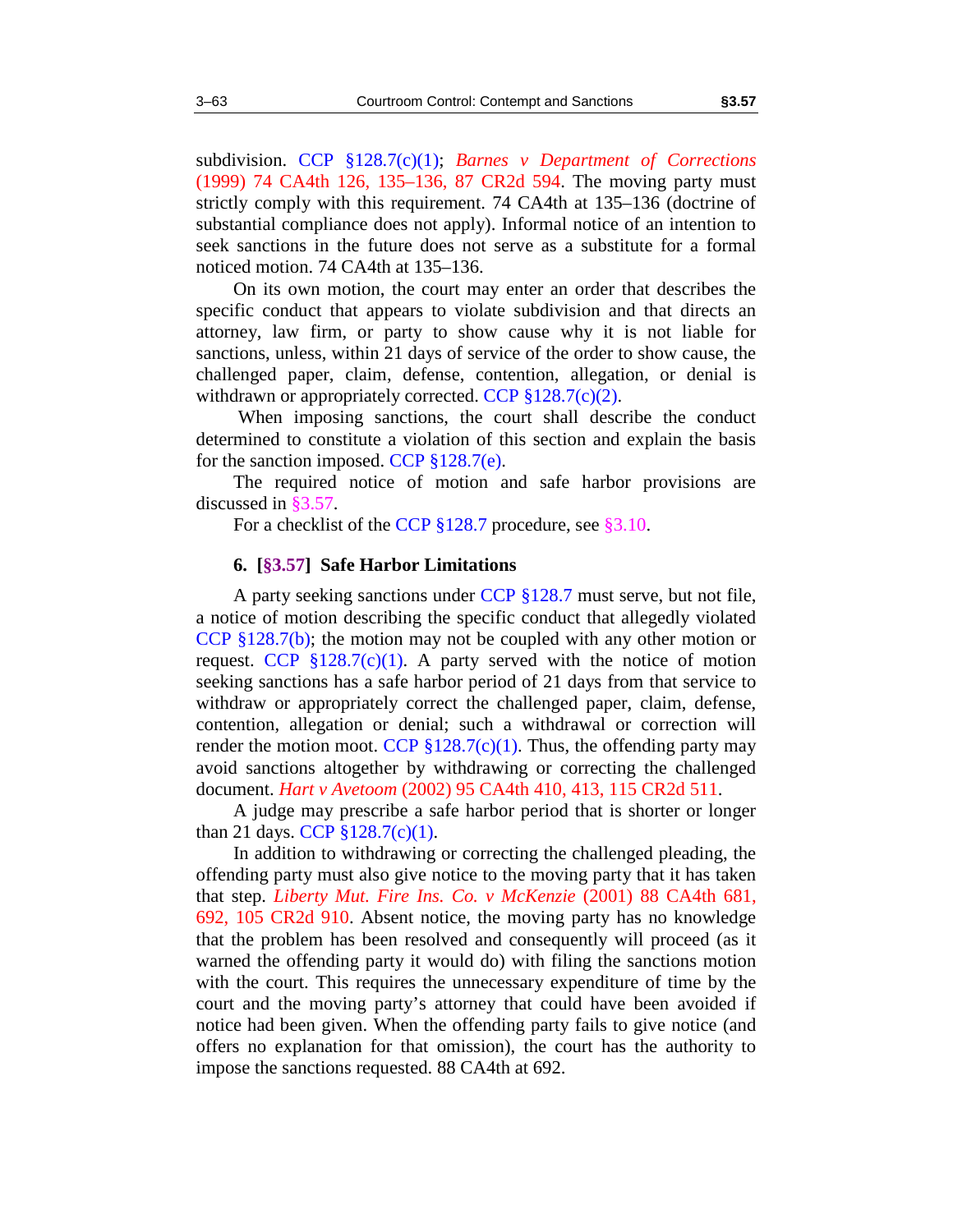subdivision. CCP §128.7(c)(1); *Barnes v Department of Corrections* (1999) 74 CA4th 126, 135–136, 87 CR2d 594. The moving party must strictly comply with this requirement. 74 CA4th at 135–136 (doctrine of substantial compliance does not apply). Informal notice of an intention to seek sanctions in the future does not serve as a substitute for a formal noticed motion. 74 CA4th at 135–136.

On its own motion, the court may enter an order that describes the specific conduct that appears to violate subdivision and that directs an attorney, law firm, or party to show cause why it is not liable for sanctions, unless, within 21 days of service of the order to show cause, the challenged paper, claim, defense, contention, allegation, or denial is withdrawn or appropriately corrected. CCP  $\S 128.7(c)(2)$ .

When imposing sanctions, the court shall describe the conduct determined to constitute a violation of this section and explain the basis for the sanction imposed. CCP §128.7(e).

The required notice of motion and safe harbor provisions are discussed in [§3.57.](#page-64-0)

<span id="page-64-0"></span>For a checklist of the CCP §128.7 procedure, see [§3.10.](#page-22-0)

### **6. [§3.57] Safe Harbor Limitations**

A party seeking sanctions under CCP §128.7 must serve, but not file, a notice of motion describing the specific conduct that allegedly violated CCP  $\S 128.7(b)$ ; the motion may not be coupled with any other motion or request. CCP  $$128.7(c)(1)$ . A party served with the notice of motion seeking sanctions has a safe harbor period of 21 days from that service to withdraw or appropriately correct the challenged paper, claim, defense, contention, allegation or denial; such a withdrawal or correction will render the motion moot. CCP  $\S 128.7(c)(1)$ . Thus, the offending party may avoid sanctions altogether by withdrawing or correcting the challenged document. *Hart v Avetoom* (2002) 95 CA4th 410, 413, 115 CR2d 511.

A judge may prescribe a safe harbor period that is shorter or longer than 21 days. CCP  $$128.7(c)(1)$ .

In addition to withdrawing or correcting the challenged pleading, the offending party must also give notice to the moving party that it has taken that step. *Liberty Mut. Fire Ins. Co. v McKenzie* (2001) 88 CA4th 681, 692, 105 CR2d 910. Absent notice, the moving party has no knowledge that the problem has been resolved and consequently will proceed (as it warned the offending party it would do) with filing the sanctions motion with the court. This requires the unnecessary expenditure of time by the court and the moving party's attorney that could have been avoided if notice had been given. When the offending party fails to give notice (and offers no explanation for that omission), the court has the authority to impose the sanctions requested. 88 CA4th at 692.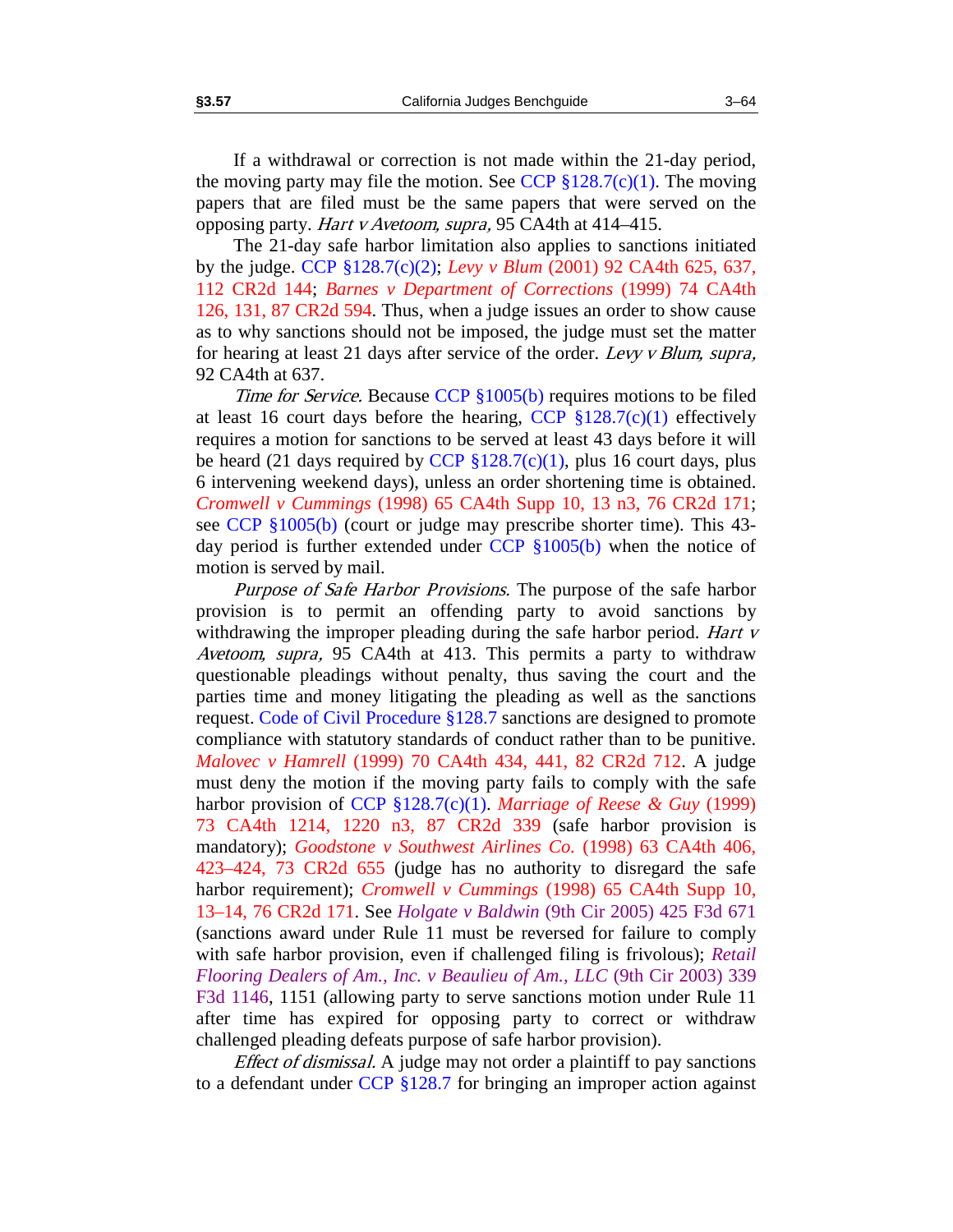If a withdrawal or correction is not made within the 21-day period, the moving party may file the motion. See CCP  $$128.7(c)(1)$ . The moving papers that are filed must be the same papers that were served on the opposing party. Hart v Avetoom, supra, 95 CA4th at 414–415.

The 21-day safe harbor limitation also applies to sanctions initiated by the judge. CCP §128.7(c)(2); *Levy v Blum* (2001) 92 CA4th 625, 637, 112 CR2d 144; *Barnes v Department of Corrections* (1999) 74 CA4th 126, 131, 87 CR2d 594. Thus, when a judge issues an order to show cause as to why sanctions should not be imposed, the judge must set the matter for hearing at least 21 days after service of the order. Levy v Blum, supra, 92 CA4th at 637.

Time for Service. Because CCP §1005(b) requires motions to be filed at least 16 court days before the hearing, CCP  $$128.7(c)(1)$  effectively requires a motion for sanctions to be served at least 43 days before it will be heard (21 days required by CCP  $$128.7(c)(1)$ , plus 16 court days, plus 6 intervening weekend days), unless an order shortening time is obtained. *Cromwell v Cummings* (1998) 65 CA4th Supp 10, 13 n3, 76 CR2d 171; see CCP §1005(b) (court or judge may prescribe shorter time). This 43 day period is further extended under CCP §1005(b) when the notice of motion is served by mail.

Purpose of Safe Harbor Provisions. The purpose of the safe harbor provision is to permit an offending party to avoid sanctions by withdrawing the improper pleading during the safe harbor period. *Hart v* Avetoom, supra, 95 CA4th at 413. This permits a party to withdraw questionable pleadings without penalty, thus saving the court and the parties time and money litigating the pleading as well as the sanctions request. Code of Civil Procedure §128.7 sanctions are designed to promote compliance with statutory standards of conduct rather than to be punitive. *Malovec v Hamrell* (1999) 70 CA4th 434, 441, 82 CR2d 712. A judge must deny the motion if the moving party fails to comply with the safe harbor provision of CCP §128.7(c)(1). *Marriage of Reese & Guy* (1999) 73 CA4th 1214, 1220 n3, 87 CR2d 339 (safe harbor provision is mandatory); *Goodstone v Southwest Airlines Co.* (1998) 63 CA4th 406, 423–424, 73 CR2d 655 (judge has no authority to disregard the safe harbor requirement); *Cromwell v Cummings* (1998) 65 CA4th Supp 10, 13–14, 76 CR2d 171. See *Holgate v Baldwin* (9th Cir 2005) 425 F3d 671 (sanctions award under Rule 11 must be reversed for failure to comply with safe harbor provision, even if challenged filing is frivolous); *Retail Flooring Dealers of Am., Inc. v Beaulieu of Am., LLC* (9th Cir 2003) 339 F3d 1146, 1151 (allowing party to serve sanctions motion under Rule 11 after time has expired for opposing party to correct or withdraw challenged pleading defeats purpose of safe harbor provision).

Effect of dismissal. A judge may not order a plaintiff to pay sanctions to a defendant under CCP §128.7 for bringing an improper action against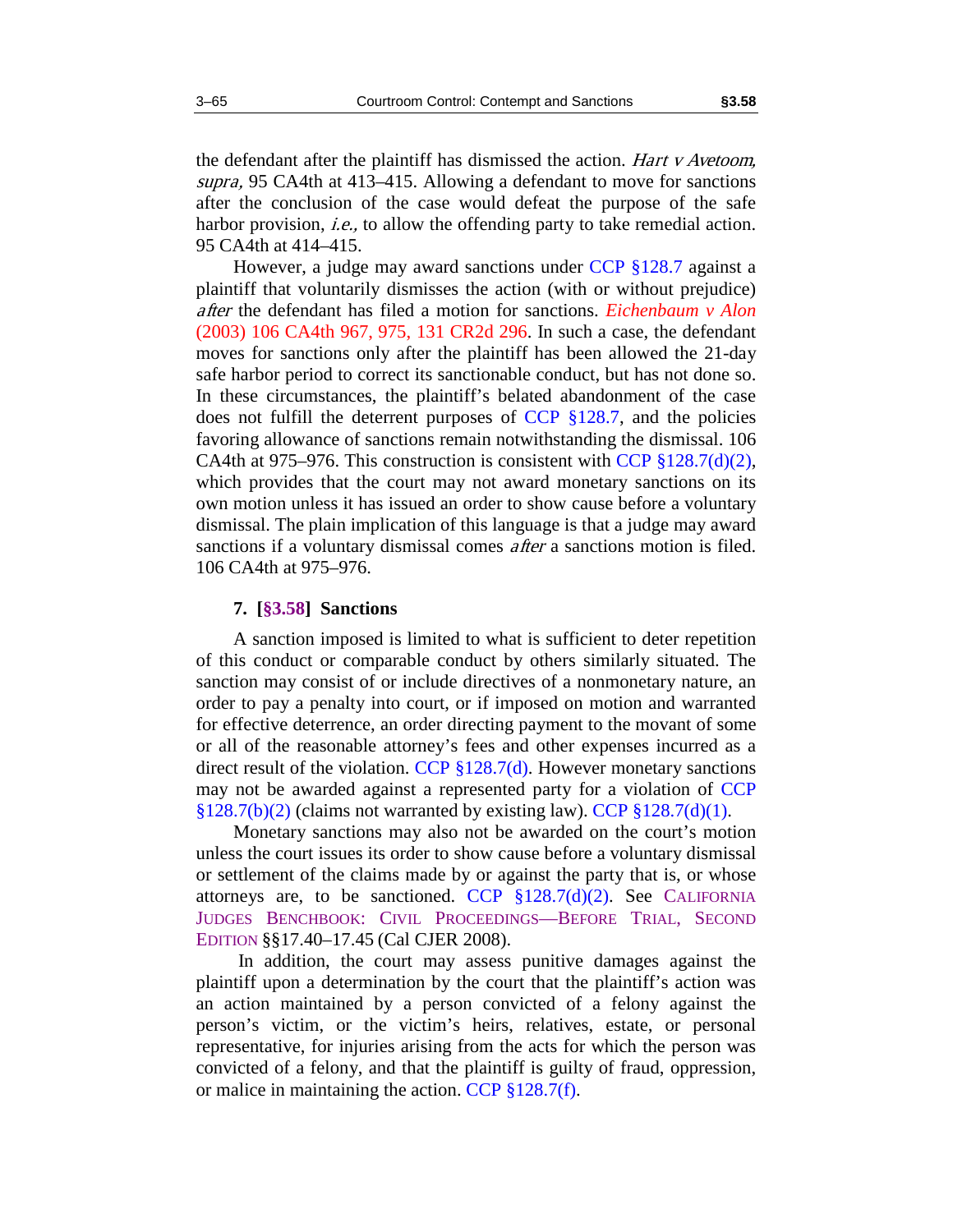the defendant after the plaintiff has dismissed the action. *Hart v Avetoom*, supra, 95 CA4th at 413–415. Allowing a defendant to move for sanctions after the conclusion of the case would defeat the purpose of the safe harbor provision, *i.e.*, to allow the offending party to take remedial action. 95 CA4th at 414–415.

However, a judge may award sanctions under CCP §128.7 against a plaintiff that voluntarily dismisses the action (with or without prejudice) after the defendant has filed a motion for sanctions. *Eichenbaum v Alon* (2003) 106 CA4th 967, 975, 131 CR2d 296. In such a case, the defendant moves for sanctions only after the plaintiff has been allowed the 21-day safe harbor period to correct its sanctionable conduct, but has not done so. In these circumstances, the plaintiff's belated abandonment of the case does not fulfill the deterrent purposes of CCP §128.7, and the policies favoring allowance of sanctions remain notwithstanding the dismissal. 106 CA4th at 975–976. This construction is consistent with CCP  $\S 128.7(d)(2)$ , which provides that the court may not award monetary sanctions on its own motion unless it has issued an order to show cause before a voluntary dismissal. The plain implication of this language is that a judge may award sanctions if a voluntary dismissal comes *after* a sanctions motion is filed. 106 CA4th at 975–976.

## **7. [§3.58] Sanctions**

A sanction imposed is limited to what is sufficient to deter repetition of this conduct or comparable conduct by others similarly situated. The sanction may consist of or include directives of a nonmonetary nature, an order to pay a penalty into court, or if imposed on motion and warranted for effective deterrence, an order directing payment to the movant of some or all of the reasonable attorney's fees and other expenses incurred as a direct result of the violation. CCP  $$128.7(d)$ . However monetary sanctions may not be awarded against a represented party for a violation of CCP  $\S 128.7(b)(2)$  (claims not warranted by existing law). CCP  $\S 128.7(d)(1)$ .

Monetary sanctions may also not be awarded on the court's motion unless the court issues its order to show cause before a voluntary dismissal or settlement of the claims made by or against the party that is, or whose attorneys are, to be sanctioned. CCP  $$128.7(d)(2)$ . See CALIFORNIA JUDGES BENCHBOOK: CIVIL PROCEEDINGS—BEFORE TRIAL, SECOND EDITION §§17.40–17.45 (Cal CJER 2008).

In addition, the court may assess punitive damages against the plaintiff upon a determination by the court that the plaintiff's action was an action maintained by a person convicted of a felony against the person's victim, or the victim's heirs, relatives, estate, or personal representative, for injuries arising from the acts for which the person was convicted of a felony, and that the plaintiff is guilty of fraud, oppression, or malice in maintaining the action. CCP §128.7(f).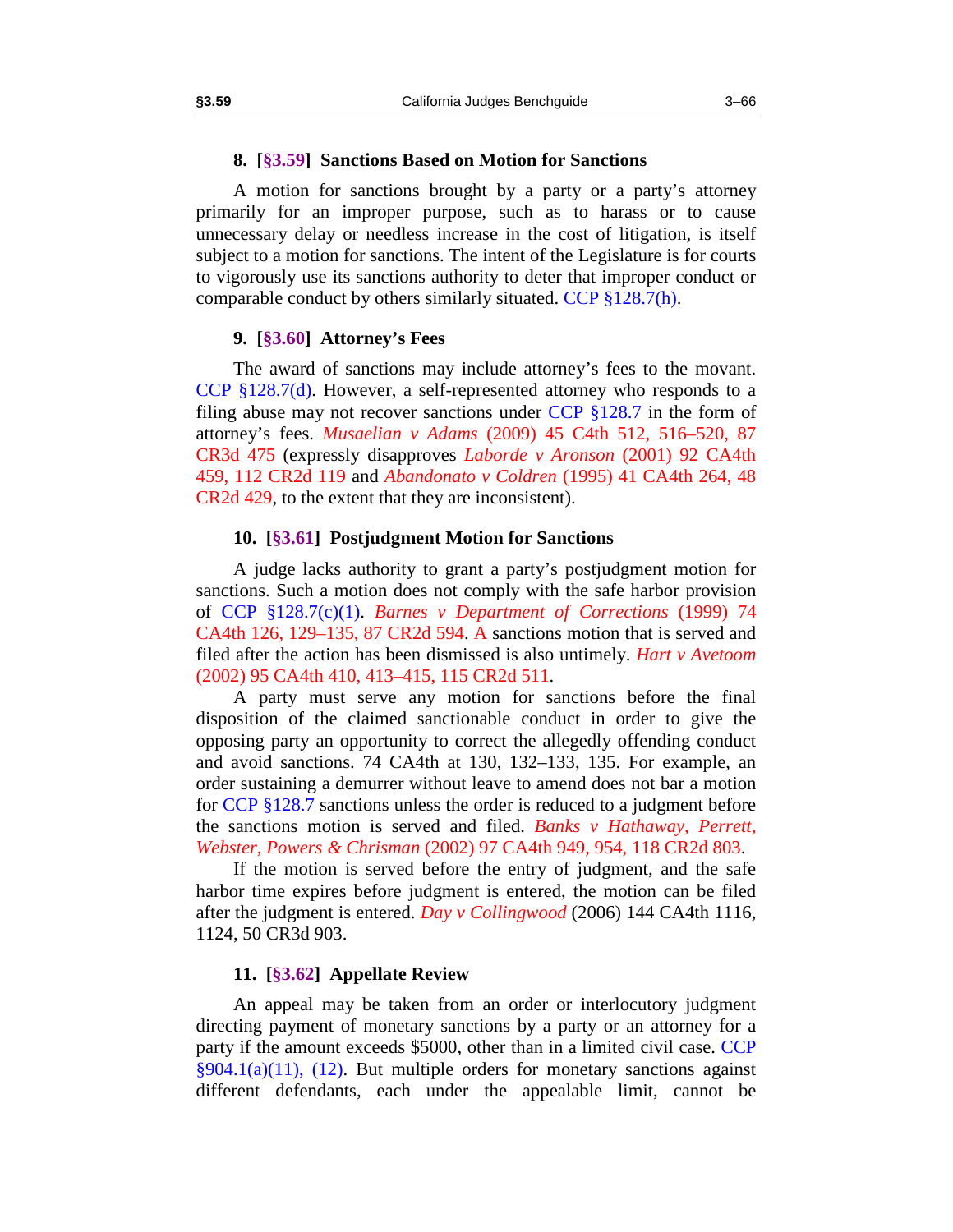### **8. [§3.59] Sanctions Based on Motion for Sanctions**

A motion for sanctions brought by a party or a party's attorney primarily for an improper purpose, such as to harass or to cause unnecessary delay or needless increase in the cost of litigation, is itself subject to a motion for sanctions. The intent of the Legislature is for courts to vigorously use its sanctions authority to deter that improper conduct or comparable conduct by others similarly situated. CCP §128.7(h).

## **9. [§3.60] Attorney's Fees**

The award of sanctions may include attorney's fees to the movant. CCP §128.7(d). However, a self-represented attorney who responds to a filing abuse may not recover sanctions under CCP §128.7 in the form of attorney's fees. *Musaelian v Adams* (2009) 45 C4th 512, 516–520, 87 CR3d 475 (expressly disapproves *Laborde v Aronson* (2001) 92 CA4th 459, 112 CR2d 119 and *Abandonato v Coldren* (1995) 41 CA4th 264, 48 CR2d 429, to the extent that they are inconsistent).

## **10. [§3.61] Postjudgment Motion for Sanctions**

A judge lacks authority to grant a party's postjudgment motion for sanctions. Such a motion does not comply with the safe harbor provision of CCP §128.7(c)(1). *Barnes v Department of Corrections* (1999) 74 CA4th 126, 129–135, 87 CR2d 594. A sanctions motion that is served and filed after the action has been dismissed is also untimely. *Hart v Avetoom*  (2002) 95 CA4th 410, 413–415, 115 CR2d 511.

A party must serve any motion for sanctions before the final disposition of the claimed sanctionable conduct in order to give the opposing party an opportunity to correct the allegedly offending conduct and avoid sanctions. 74 CA4th at 130, 132–133, 135. For example, an order sustaining a demurrer without leave to amend does not bar a motion for CCP §128.7 sanctions unless the order is reduced to a judgment before the sanctions motion is served and filed. *Banks v Hathaway, Perrett, Webster, Powers & Chrisman* (2002) 97 CA4th 949, 954, 118 CR2d 803.

If the motion is served before the entry of judgment, and the safe harbor time expires before judgment is entered, the motion can be filed after the judgment is entered. *Day v Collingwood* (2006) 144 CA4th 1116, 1124, 50 CR3d 903.

## <span id="page-67-0"></span>**11. [§3.62] Appellate Review**

An appeal may be taken from an order or interlocutory judgment directing payment of monetary sanctions by a party or an attorney for a party if the amount exceeds \$5000, other than in a limited civil case. CCP  $§904.1(a)(11)$ ,  $(12)$ . But multiple orders for monetary sanctions against different defendants, each under the appealable limit, cannot be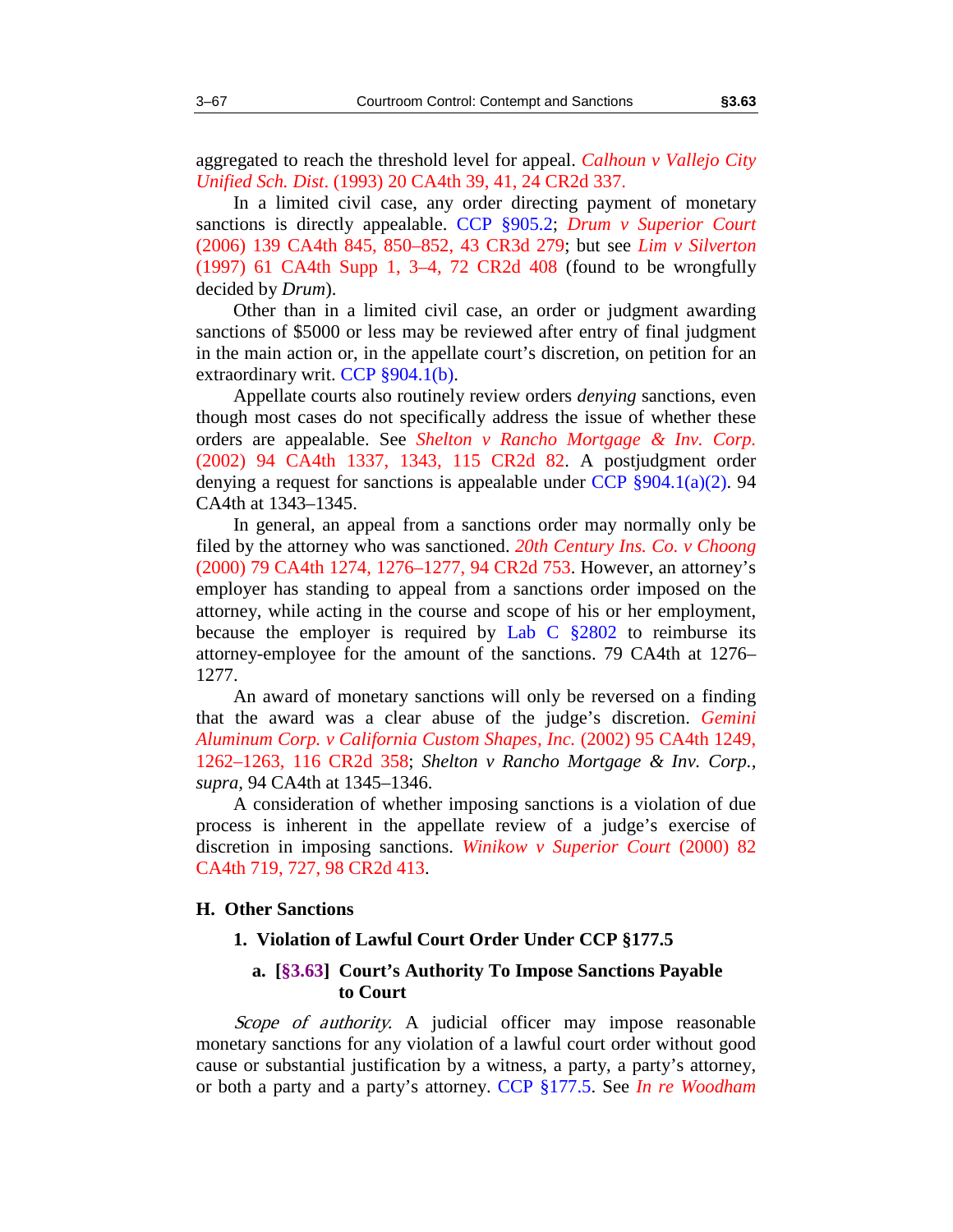aggregated to reach the threshold level for appeal. *Calhoun v Vallejo City Unified Sch. Dist*. (1993) 20 CA4th 39, 41, 24 CR2d 337.

In a limited civil case, any order directing payment of monetary sanctions is directly appealable. CCP §905.2; *Drum v Superior Court* (2006) 139 CA4th 845, 850–852, 43 CR3d 279; but see *Lim v Silverton* (1997) 61 CA4th Supp 1, 3–4, 72 CR2d 408 (found to be wrongfully decided by *Drum*).

Other than in a limited civil case, an order or judgment awarding sanctions of \$5000 or less may be reviewed after entry of final judgment in the main action or, in the appellate court's discretion, on petition for an extraordinary writ. CCP §904.1(b).

Appellate courts also routinely review orders *denying* sanctions, even though most cases do not specifically address the issue of whether these orders are appealable. See *Shelton v Rancho Mortgage & Inv. Corp.* (2002) 94 CA4th 1337, 1343, 115 CR2d 82. A postjudgment order denying a request for sanctions is appealable under CCP  $\S 904.1(a)(2)$ . 94 CA4th at 1343–1345.

In general, an appeal from a sanctions order may normally only be filed by the attorney who was sanctioned. *20th Century Ins. Co. v Choong* (2000) 79 CA4th 1274, 1276–1277, 94 CR2d 753. However, an attorney's employer has standing to appeal from a sanctions order imposed on the attorney, while acting in the course and scope of his or her employment, because the employer is required by Lab C  $\S 2802$  to reimburse its attorney-employee for the amount of the sanctions. 79 CA4th at 1276– 1277.

An award of monetary sanctions will only be reversed on a finding that the award was a clear abuse of the judge's discretion. *Gemini Aluminum Corp. v California Custom Shapes, Inc.* (2002) 95 CA4th 1249, 1262–1263, 116 CR2d 358; *Shelton v Rancho Mortgage & Inv. Corp., supra,* 94 CA4th at 1345–1346.

A consideration of whether imposing sanctions is a violation of due process is inherent in the appellate review of a judge's exercise of discretion in imposing sanctions. *Winikow v Superior Court* (2000) 82 CA4th 719, 727, 98 CR2d 413.

## **H. Other Sanctions**

### **1. Violation of Lawful Court Order Under CCP §177.5**

# **a. [§3.63] Court's Authority To Impose Sanctions Payable to Court**

Scope of authority. A judicial officer may impose reasonable monetary sanctions for any violation of a lawful court order without good cause or substantial justification by a witness, a party, a party's attorney, or both a party and a party's attorney. CCP §177.5. See *In re Woodham*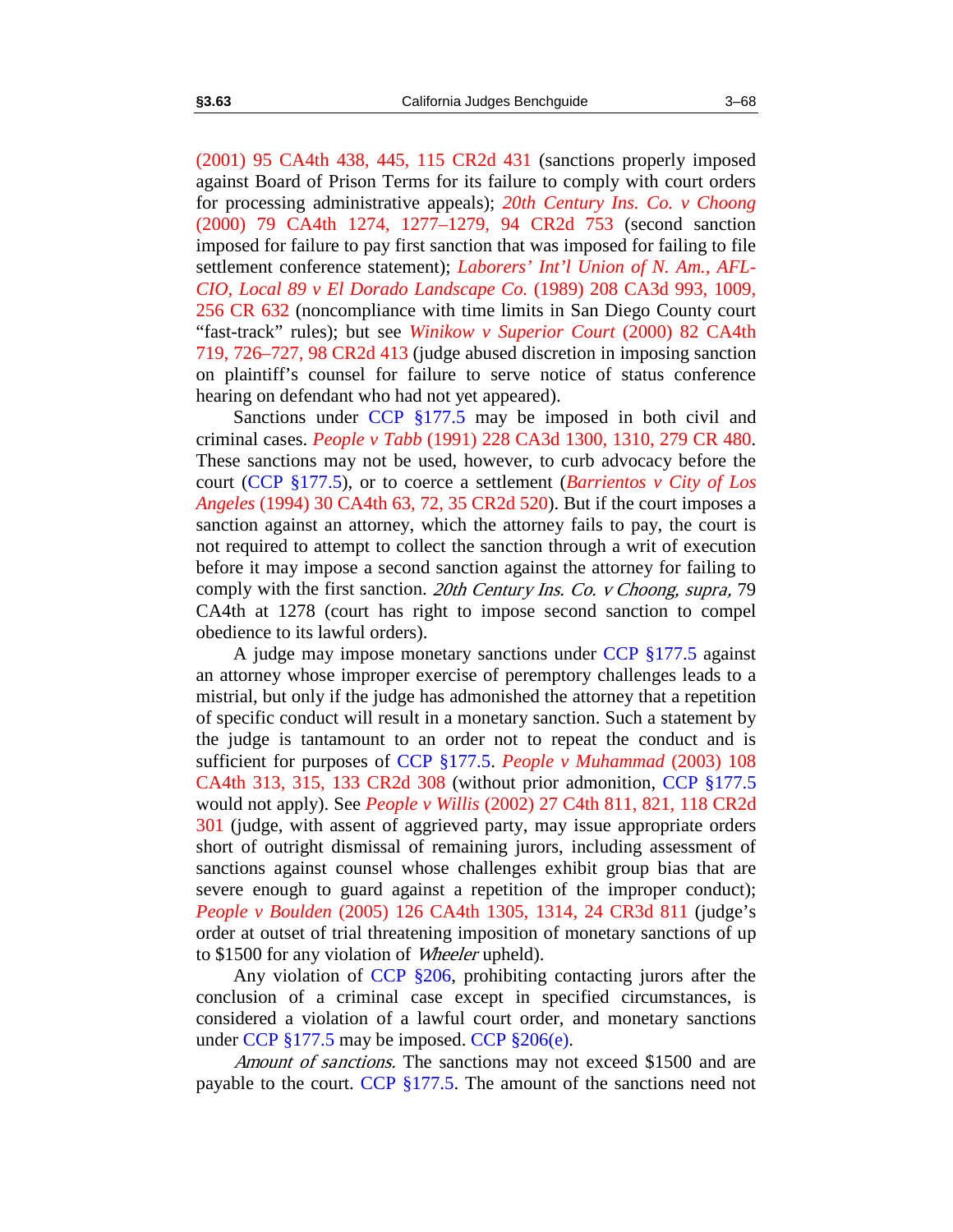(2001) 95 CA4th 438, 445, 115 CR2d 431 (sanctions properly imposed against Board of Prison Terms for its failure to comply with court orders for processing administrative appeals); *20th Century Ins. Co. v Choong* (2000) 79 CA4th 1274, 1277–1279, 94 CR2d 753 (second sanction imposed for failure to pay first sanction that was imposed for failing to file settlement conference statement); *Laborers' Int'l Union of N. Am., AFL-CIO, Local 89 v El Dorado Landscape Co.* (1989) 208 CA3d 993, 1009, 256 CR 632 (noncompliance with time limits in San Diego County court "fast-track" rules); but see *Winikow v Superior Court* (2000) 82 CA4th 719, 726–727, 98 CR2d 413 (judge abused discretion in imposing sanction on plaintiff's counsel for failure to serve notice of status conference hearing on defendant who had not yet appeared).

Sanctions under CCP §177.5 may be imposed in both civil and criminal cases. *People v Tabb* (1991) 228 CA3d 1300, 1310, 279 CR 480. These sanctions may not be used, however, to curb advocacy before the court (CCP §177.5), or to coerce a settlement (*Barrientos v City of Los Angeles* (1994) 30 CA4th 63, 72, 35 CR2d 520). But if the court imposes a sanction against an attorney, which the attorney fails to pay, the court is not required to attempt to collect the sanction through a writ of execution before it may impose a second sanction against the attorney for failing to comply with the first sanction. 20th Century Ins. Co. v Choong, supra, 79 CA4th at 1278 (court has right to impose second sanction to compel obedience to its lawful orders).

A judge may impose monetary sanctions under CCP §177.5 against an attorney whose improper exercise of peremptory challenges leads to a mistrial, but only if the judge has admonished the attorney that a repetition of specific conduct will result in a monetary sanction. Such a statement by the judge is tantamount to an order not to repeat the conduct and is sufficient for purposes of CCP §177.5. *People v Muhammad* (2003) 108 CA4th 313, 315, 133 CR2d 308 (without prior admonition, CCP §177.5 would not apply). See *People v Willis* (2002) 27 C4th 811, 821, 118 CR2d 301 (judge, with assent of aggrieved party, may issue appropriate orders short of outright dismissal of remaining jurors, including assessment of sanctions against counsel whose challenges exhibit group bias that are severe enough to guard against a repetition of the improper conduct); *People v Boulden* (2005) 126 CA4th 1305, 1314, 24 CR3d 811 (judge's order at outset of trial threatening imposition of monetary sanctions of up to \$1500 for any violation of *Wheeler* upheld).

Any violation of CCP §206, prohibiting contacting jurors after the conclusion of a criminal case except in specified circumstances, is considered a violation of a lawful court order, and monetary sanctions under CCP §177.5 may be imposed. CCP §206(e).

Amount of sanctions. The sanctions may not exceed \$1500 and are payable to the court. CCP §177.5. The amount of the sanctions need not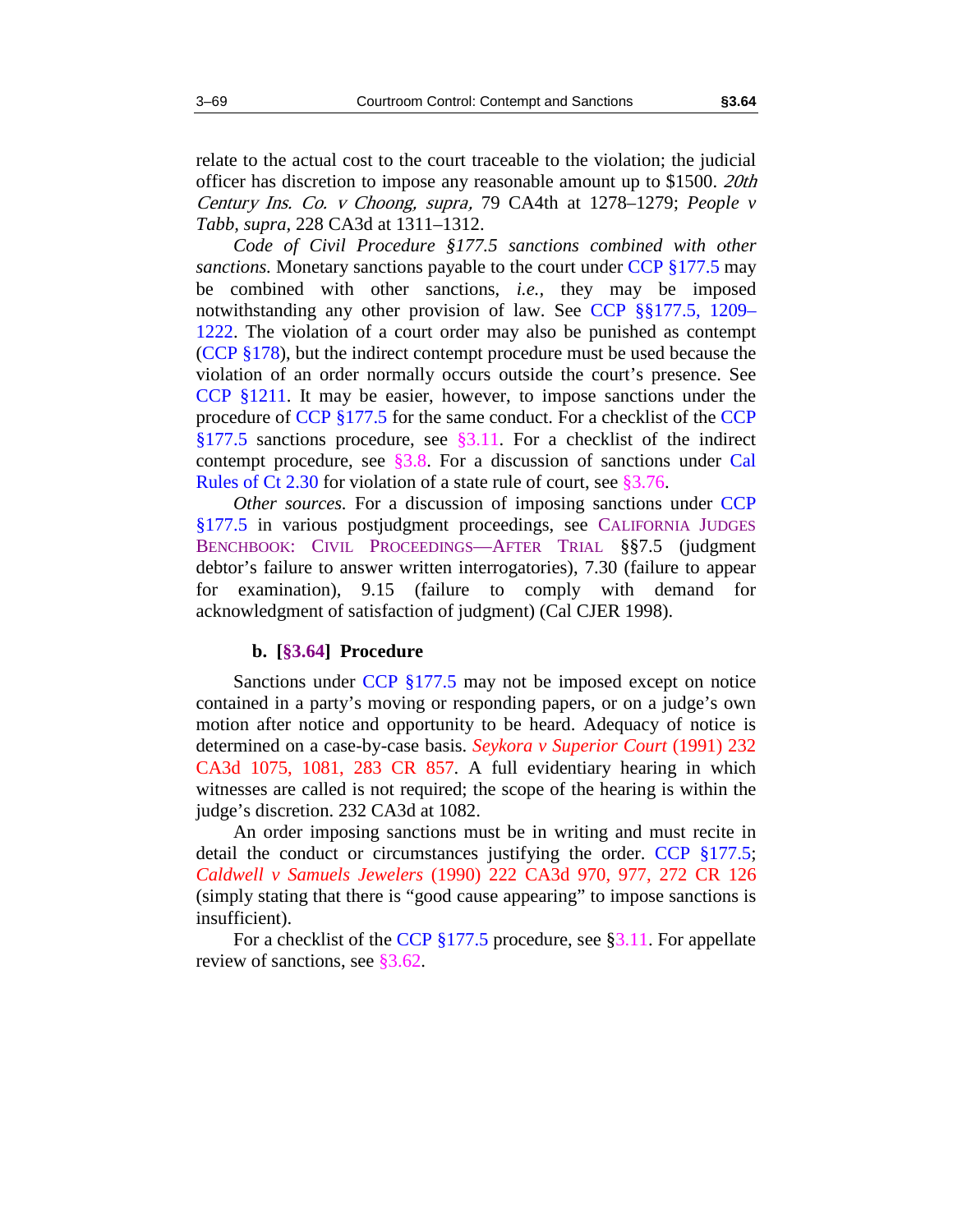relate to the actual cost to the court traceable to the violation; the judicial officer has discretion to impose any reasonable amount up to \$1500. 20th Century Ins. Co. v Choong, supra, 79 CA4th at 1278–1279; *People v Tabb, supra*, 228 CA3d at 1311–1312.

*Code of Civil Procedure §177.5 sanctions combined with other sanctions.* Monetary sanctions payable to the court under CCP §177.5 may be combined with other sanctions, *i.e.,* they may be imposed notwithstanding any other provision of law. See CCP §§177.5, 1209– 1222. The violation of a court order may also be punished as contempt (CCP §178), but the indirect contempt procedure must be used because the violation of an order normally occurs outside the court's presence. See CCP §1211. It may be easier, however, to impose sanctions under the procedure of CCP §177.5 for the same conduct. For a checklist of the CCP §177.5 sanctions procedure, see [§3.11.](#page-24-0) For a checklist of the indirect contempt procedure, see  $\S 3.8$ . For a discussion of sanctions under Cal Rules of Ct 2.30 for violation of a state rule of court, see [§3.76.](#page-77-0)

*Other sources.* For a discussion of imposing sanctions under CCP §177.5 in various postjudgment proceedings, see CALIFORNIA JUDGES BENCHBOOK: CIVIL PROCEEDINGS—AFTER TRIAL §§7.5 (judgment debtor's failure to answer written interrogatories), 7.30 (failure to appear for examination), 9.15 (failure to comply with demand for acknowledgment of satisfaction of judgment) (Cal CJER 1998).

### **b. [§3.64] Procedure**

Sanctions under CCP §177.5 may not be imposed except on notice contained in a party's moving or responding papers, or on a judge's own motion after notice and opportunity to be heard. Adequacy of notice is determined on a case-by-case basis. *Seykora v Superior Court* (1991) 232 CA3d 1075, 1081, 283 CR 857. A full evidentiary hearing in which witnesses are called is not required; the scope of the hearing is within the judge's discretion. 232 CA3d at 1082.

An order imposing sanctions must be in writing and must recite in detail the conduct or circumstances justifying the order. CCP §177.5; *Caldwell v Samuels Jewelers* (1990) 222 CA3d 970, 977, 272 CR 126 (simply stating that there is "good cause appearing" to impose sanctions is insufficient).

For a checklist of the CCP §177.5 procedure, see [§3.11.](#page-24-0) For appellate review of sanctions, see [§3.62.](#page-67-0)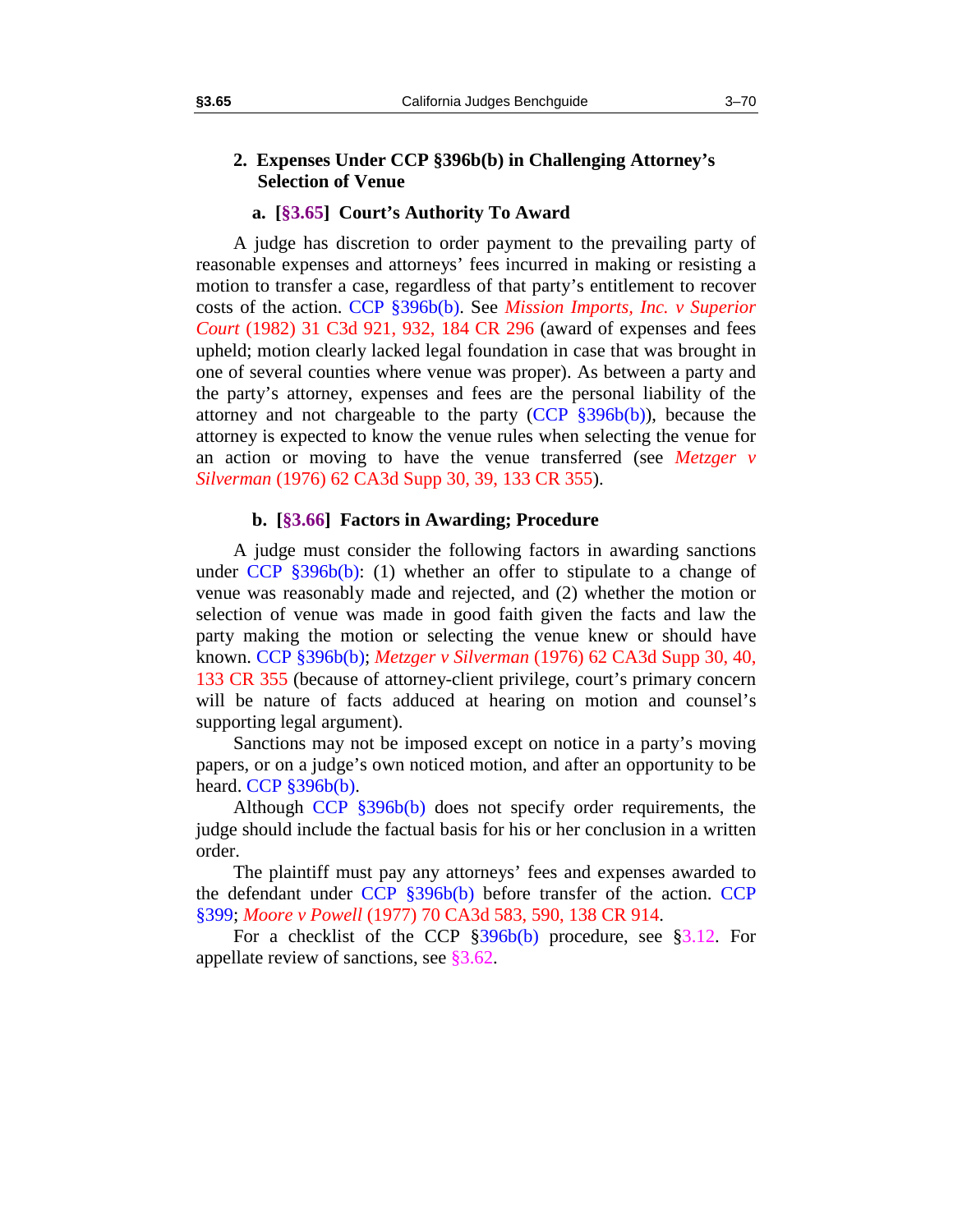# **2. Expenses Under CCP §396b(b) in Challenging Attorney's Selection of Venue**

## **a. [§3.65] Court's Authority To Award**

A judge has discretion to order payment to the prevailing party of reasonable expenses and attorneys' fees incurred in making or resisting a motion to transfer a case, regardless of that party's entitlement to recover costs of the action. CCP §396b(b). See *Mission Imports, Inc. v Superior Court* (1982) 31 C3d 921, 932, 184 CR 296 (award of expenses and fees upheld; motion clearly lacked legal foundation in case that was brought in one of several counties where venue was proper). As between a party and the party's attorney, expenses and fees are the personal liability of the attorney and not chargeable to the party  $(CCP \S 396b(b))$ , because the attorney is expected to know the venue rules when selecting the venue for an action or moving to have the venue transferred (see *Metzger v Silverman* (1976) 62 CA3d Supp 30, 39, 133 CR 355).

## **b. [§3.66] Factors in Awarding; Procedure**

A judge must consider the following factors in awarding sanctions under CCP  $\S 396b(b)$ : (1) whether an offer to stipulate to a change of venue was reasonably made and rejected, and (2) whether the motion or selection of venue was made in good faith given the facts and law the party making the motion or selecting the venue knew or should have known. CCP §396b(b); *Metzger v Silverman* (1976) 62 CA3d Supp 30, 40, 133 CR 355 (because of attorney-client privilege, court's primary concern will be nature of facts adduced at hearing on motion and counsel's supporting legal argument).

Sanctions may not be imposed except on notice in a party's moving papers, or on a judge's own noticed motion, and after an opportunity to be heard. CCP §396b(b).

Although CCP §396b(b) does not specify order requirements, the judge should include the factual basis for his or her conclusion in a written order.

The plaintiff must pay any attorneys' fees and expenses awarded to the defendant under CCP §396b(b) before transfer of the action. CCP §399; *Moore v Powell* (1977) 70 CA3d 583, 590, 138 CR 914.

For a checklist of the CCP §396b(b) procedure, see [§3.12.](#page-26-0) For appellate review of sanctions, see [§3.62.](#page-67-0)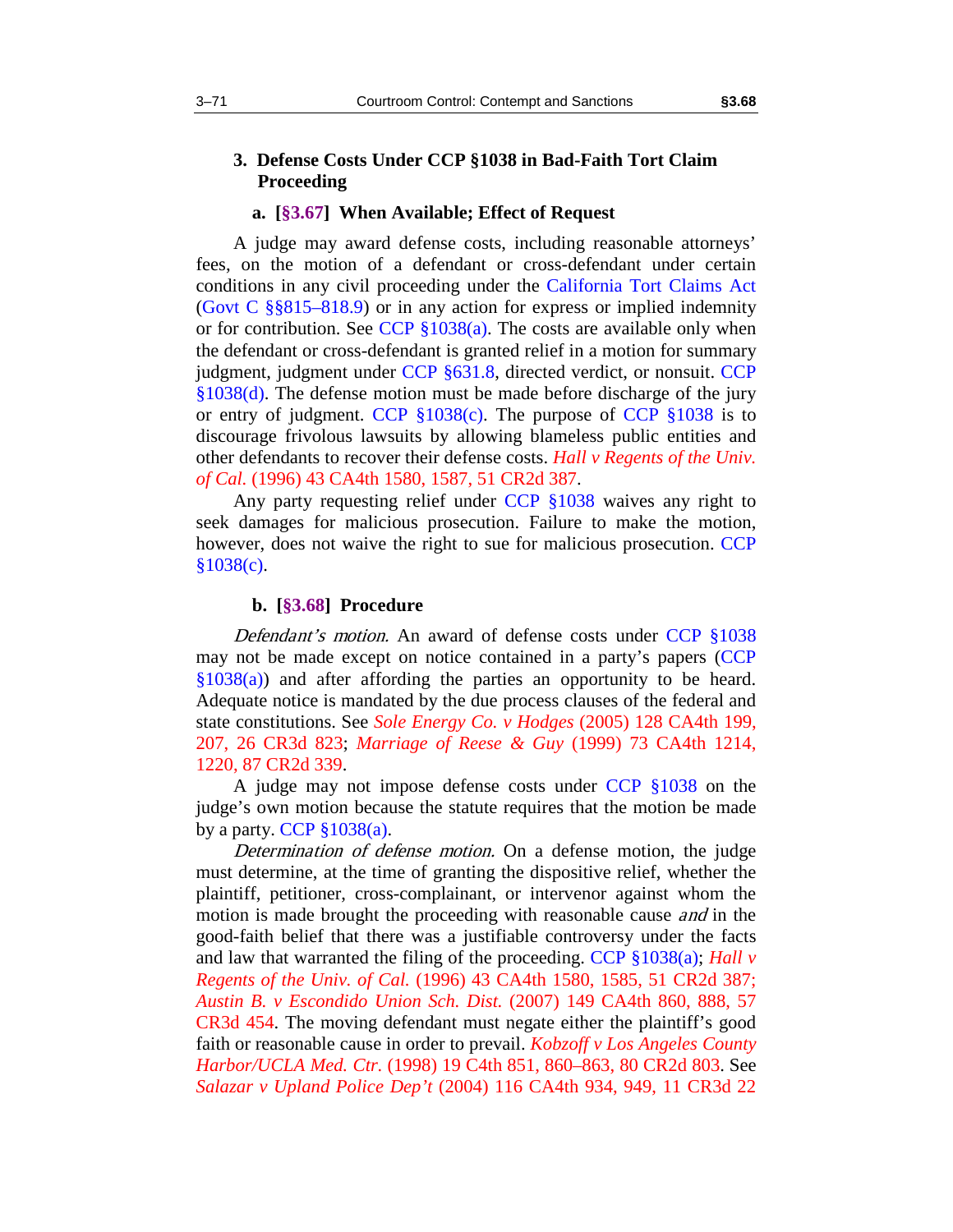# **3. Defense Costs Under CCP §1038 in Bad-Faith Tort Claim Proceeding**

### <span id="page-72-0"></span>**a. [§3.67] When Available; Effect of Request**

A judge may award defense costs, including reasonable attorneys' fees, on the motion of a defendant or cross-defendant under certain conditions in any civil proceeding under the California Tort Claims Act (Govt C §§815–818.9) or in any action for express or implied indemnity or for contribution. See CCP  $\S 1038(a)$ . The costs are available only when the defendant or cross-defendant is granted relief in a motion for summary judgment, judgment under CCP §631.8, directed verdict, or nonsuit. CCP §1038(d). The defense motion must be made before discharge of the jury or entry of judgment. CCP §1038(c). The purpose of CCP §1038 is to discourage frivolous lawsuits by allowing blameless public entities and other defendants to recover their defense costs. *Hall v Regents of the Univ. of Cal.* (1996) 43 CA4th 1580, 1587, 51 CR2d 387.

Any party requesting relief under CCP §1038 waives any right to seek damages for malicious prosecution. Failure to make the motion, however, does not waive the right to sue for malicious prosecution. CCP  $§1038(c)$ .

#### <span id="page-72-1"></span>**b. [§3.68] Procedure**

Defendant's motion. An award of defense costs under CCP §1038 may not be made except on notice contained in a party's papers (CCP  $\S 1038(a)$ ) and after affording the parties an opportunity to be heard. Adequate notice is mandated by the due process clauses of the federal and state constitutions. See *Sole Energy Co. v Hodges* (2005) 128 CA4th 199, 207, 26 CR3d 823; *Marriage of Reese & Guy* (1999) 73 CA4th 1214, 1220, 87 CR2d 339.

A judge may not impose defense costs under CCP §1038 on the judge's own motion because the statute requires that the motion be made by a party. CCP  $\S 1038(a)$ .

Determination of defense motion. On a defense motion, the judge must determine, at the time of granting the dispositive relief, whether the plaintiff, petitioner, cross-complainant, or intervenor against whom the motion is made brought the proceeding with reasonable cause *and* in the good-faith belief that there was a justifiable controversy under the facts and law that warranted the filing of the proceeding. CCP §1038(a); *Hall v Regents of the Univ. of Cal.* (1996) 43 CA4th 1580, 1585, 51 CR2d 387; *Austin B. v Escondido Union Sch. Dist.* (2007) 149 CA4th 860, 888, 57 CR3d 454. The moving defendant must negate either the plaintiff's good faith or reasonable cause in order to prevail. *Kobzoff v Los Angeles County Harbor/UCLA Med. Ctr.* (1998) 19 C4th 851, 860–863, 80 CR2d 803. See *Salazar v Upland Police Dep't* (2004) 116 CA4th 934, 949, 11 CR3d 22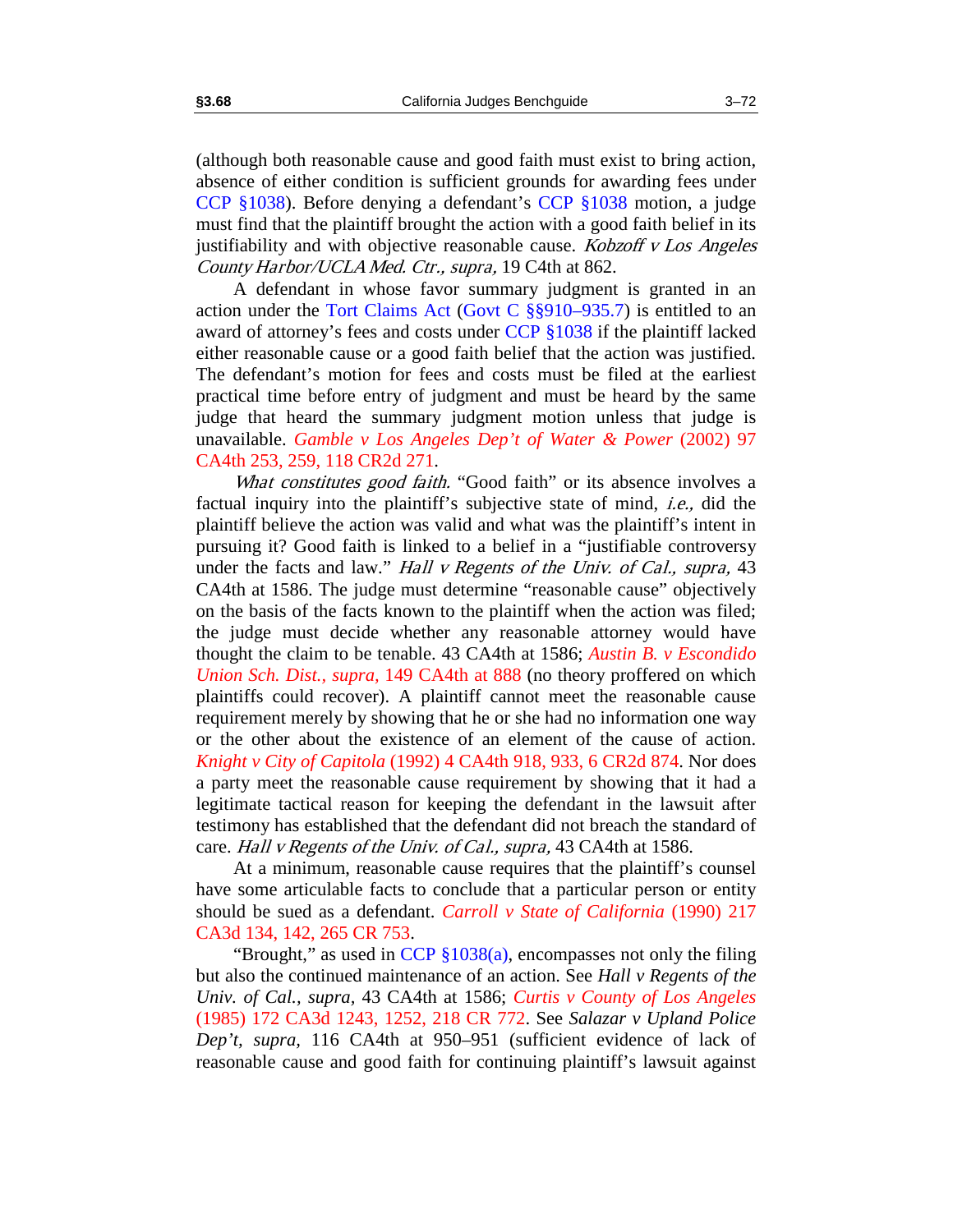(although both reasonable cause and good faith must exist to bring action, absence of either condition is sufficient grounds for awarding fees under CCP §1038). Before denying a defendant's CCP §1038 motion, a judge must find that the plaintiff brought the action with a good faith belief in its justifiability and with objective reasonable cause. Kobzoff  $v$  Los Angeles County Harbor/UCLA Med. Ctr., supra, 19 C4th at 862.

A defendant in whose favor summary judgment is granted in an action under the Tort Claims Act (Govt C §§910–935.7) is entitled to an award of attorney's fees and costs under CCP §1038 if the plaintiff lacked either reasonable cause or a good faith belief that the action was justified. The defendant's motion for fees and costs must be filed at the earliest practical time before entry of judgment and must be heard by the same judge that heard the summary judgment motion unless that judge is unavailable. *Gamble v Los Angeles Dep't of Water & Power* (2002) 97 CA4th 253, 259, 118 CR2d 271.

What constitutes good faith. "Good faith" or its absence involves a factual inquiry into the plaintiff's subjective state of mind, *i.e.*, did the plaintiff believe the action was valid and what was the plaintiff's intent in pursuing it? Good faith is linked to a belief in a "justifiable controversy under the facts and law." Hall v Regents of the Univ. of Cal., supra, 43 CA4th at 1586. The judge must determine "reasonable cause" objectively on the basis of the facts known to the plaintiff when the action was filed; the judge must decide whether any reasonable attorney would have thought the claim to be tenable. 43 CA4th at 1586; *Austin B. v Escondido Union Sch. Dist., supra,* 149 CA4th at 888 (no theory proffered on which plaintiffs could recover). A plaintiff cannot meet the reasonable cause requirement merely by showing that he or she had no information one way or the other about the existence of an element of the cause of action. *Knight v City of Capitola* (1992) 4 CA4th 918, 933, 6 CR2d 874. Nor does a party meet the reasonable cause requirement by showing that it had a legitimate tactical reason for keeping the defendant in the lawsuit after testimony has established that the defendant did not breach the standard of care. Hall v Regents of the Univ. of Cal., supra, 43 CA4th at 1586.

At a minimum, reasonable cause requires that the plaintiff's counsel have some articulable facts to conclude that a particular person or entity should be sued as a defendant. *Carroll v State of California* (1990) 217 CA3d 134, 142, 265 CR 753.

"Brought," as used in CCP  $\S 1038(a)$ , encompasses not only the filing but also the continued maintenance of an action. See *Hall v Regents of the Univ. of Cal., supra,* 43 CA4th at 1586; *Curtis v County of Los Angeles* (1985) 172 CA3d 1243, 1252, 218 CR 772. See *Salazar v Upland Police Dep't, supra,* 116 CA4th at 950–951 (sufficient evidence of lack of reasonable cause and good faith for continuing plaintiff's lawsuit against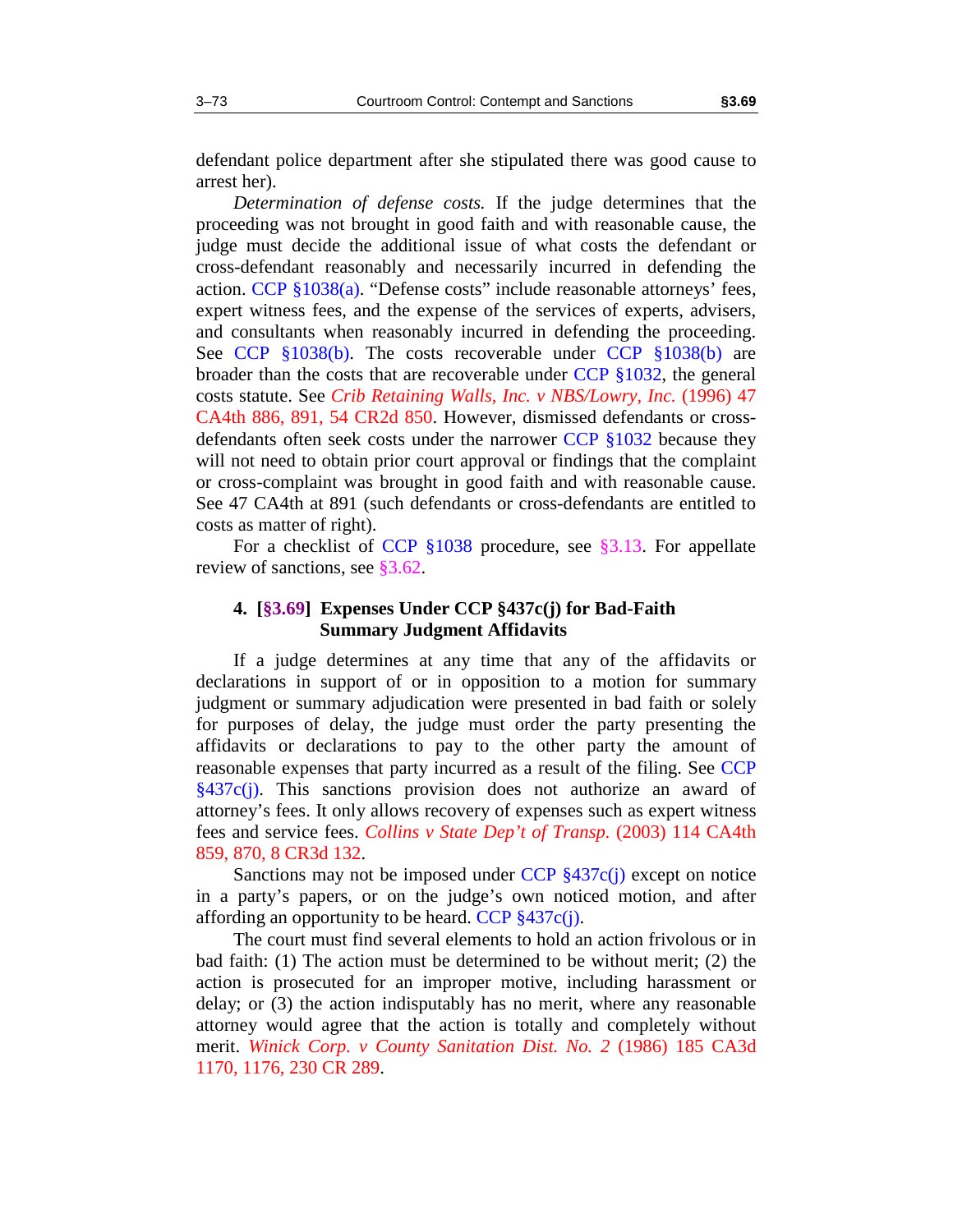defendant police department after she stipulated there was good cause to arrest her).

*Determination of defense costs.* If the judge determines that the proceeding was not brought in good faith and with reasonable cause, the judge must decide the additional issue of what costs the defendant or cross-defendant reasonably and necessarily incurred in defending the action. CCP §1038(a). "Defense costs" include reasonable attorneys' fees, expert witness fees, and the expense of the services of experts, advisers, and consultants when reasonably incurred in defending the proceeding. See CCP §1038(b). The costs recoverable under CCP §1038(b) are broader than the costs that are recoverable under CCP §1032, the general costs statute. See *Crib Retaining Walls, Inc. v NBS/Lowry, Inc.* (1996) 47 CA4th 886, 891, 54 CR2d 850. However, dismissed defendants or crossdefendants often seek costs under the narrower CCP §1032 because they will not need to obtain prior court approval or findings that the complaint or cross-complaint was brought in good faith and with reasonable cause. See 47 CA4th at 891 (such defendants or cross-defendants are entitled to costs as matter of right).

For a checklist of CCP §1038 procedure, see [§3.13.](#page-27-0) For appellate review of sanctions, see [§3.62.](#page-67-0)

# <span id="page-74-0"></span>**4. [§3.69] Expenses Under CCP §437c(j) for Bad-Faith Summary Judgment Affidavits**

If a judge determines at any time that any of the affidavits or declarations in support of or in opposition to a motion for summary judgment or summary adjudication were presented in bad faith or solely for purposes of delay, the judge must order the party presenting the affidavits or declarations to pay to the other party the amount of reasonable expenses that party incurred as a result of the filing. See CCP  $§437c(j)$ . This sanctions provision does not authorize an award of attorney's fees. It only allows recovery of expenses such as expert witness fees and service fees. *Collins v State Dep't of Transp.* (2003) 114 CA4th 859, 870, 8 CR3d 132.

Sanctions may not be imposed under CCP  $\S 437c(i)$  except on notice in a party's papers, or on the judge's own noticed motion, and after affording an opportunity to be heard. CCP  $§437c(i)$ .

The court must find several elements to hold an action frivolous or in bad faith:  $(1)$  The action must be determined to be without merit;  $(2)$  the action is prosecuted for an improper motive, including harassment or delay; or (3) the action indisputably has no merit, where any reasonable attorney would agree that the action is totally and completely without merit. *Winick Corp. v County Sanitation Dist. No. 2* (1986) 185 CA3d 1170, 1176, 230 CR 289.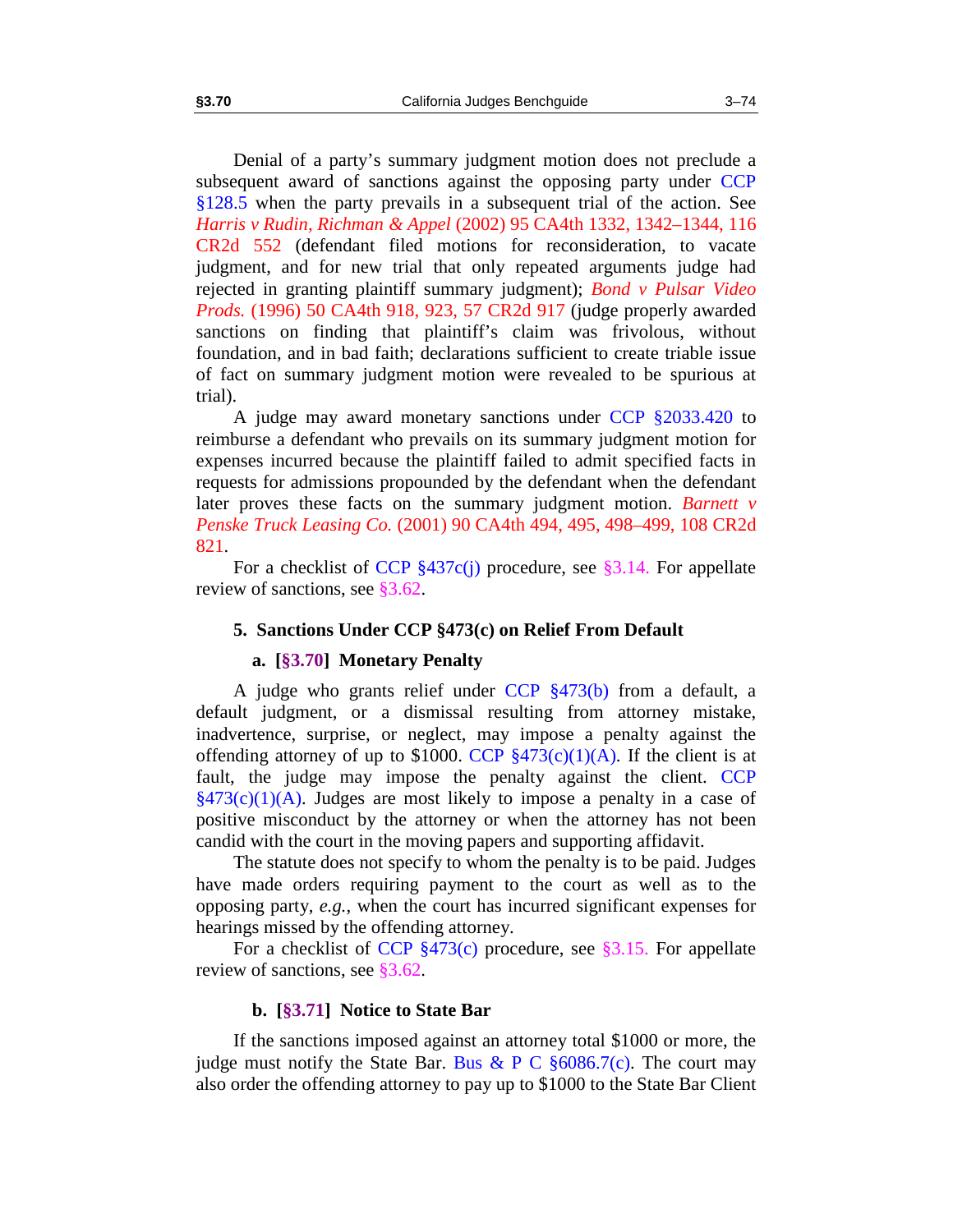Denial of a party's summary judgment motion does not preclude a subsequent award of sanctions against the opposing party under CCP §128.5 when the party prevails in a subsequent trial of the action. See *Harris v Rudin, Richman & Appel* (2002) 95 CA4th 1332, 1342–1344, 116 CR2d 552 (defendant filed motions for reconsideration, to vacate judgment, and for new trial that only repeated arguments judge had rejected in granting plaintiff summary judgment); *Bond v Pulsar Video Prods.* (1996) 50 CA4th 918, 923, 57 CR2d 917 (judge properly awarded sanctions on finding that plaintiff's claim was frivolous, without foundation, and in bad faith; declarations sufficient to create triable issue of fact on summary judgment motion were revealed to be spurious at trial).

A judge may award monetary sanctions under CCP §2033.420 to reimburse a defendant who prevails on its summary judgment motion for expenses incurred because the plaintiff failed to admit specified facts in requests for admissions propounded by the defendant when the defendant later proves these facts on the summary judgment motion. *Barnett v Penske Truck Leasing Co.* (2001) 90 CA4th 494, 495, 498–499, 108 CR2d 821.

For a checklist of CCP §437c(j) procedure, see [§3.14.](#page-28-0) For appellate review of sanctions, see [§3.62.](#page-67-0)

#### **5. Sanctions Under CCP §473(c) on Relief From Default**

#### <span id="page-75-1"></span>**a. [§3.70] Monetary Penalty**

A judge who grants relief under CCP §473(b) from a default, a default judgment, or a dismissal resulting from attorney mistake, inadvertence, surprise, or neglect, may impose a penalty against the offending attorney of up to \$1000. CCP  $\frac{8473(c)(1)(A)}{A}$ . If the client is at fault, the judge may impose the penalty against the client. CCP  $\frac{\S 473(c)(1)(A)}{A}$ . Judges are most likely to impose a penalty in a case of positive misconduct by the attorney or when the attorney has not been candid with the court in the moving papers and supporting affidavit.

The statute does not specify to whom the penalty is to be paid. Judges have made orders requiring payment to the court as well as to the opposing party, *e.g.*, when the court has incurred significant expenses for hearings missed by the offending attorney.

For a checklist of CCP §473(c) procedure, see [§3.15.](#page-30-0) For appellate review of sanctions, see [§3.62.](#page-67-0)

#### <span id="page-75-0"></span>**b. [§3.71] Notice to State Bar**

If the sanctions imposed against an attorney total \$1000 or more, the judge must notify the State Bar. Bus & P C  $\S 6086.7(c)$ . The court may also order the offending attorney to pay up to \$1000 to the State Bar Client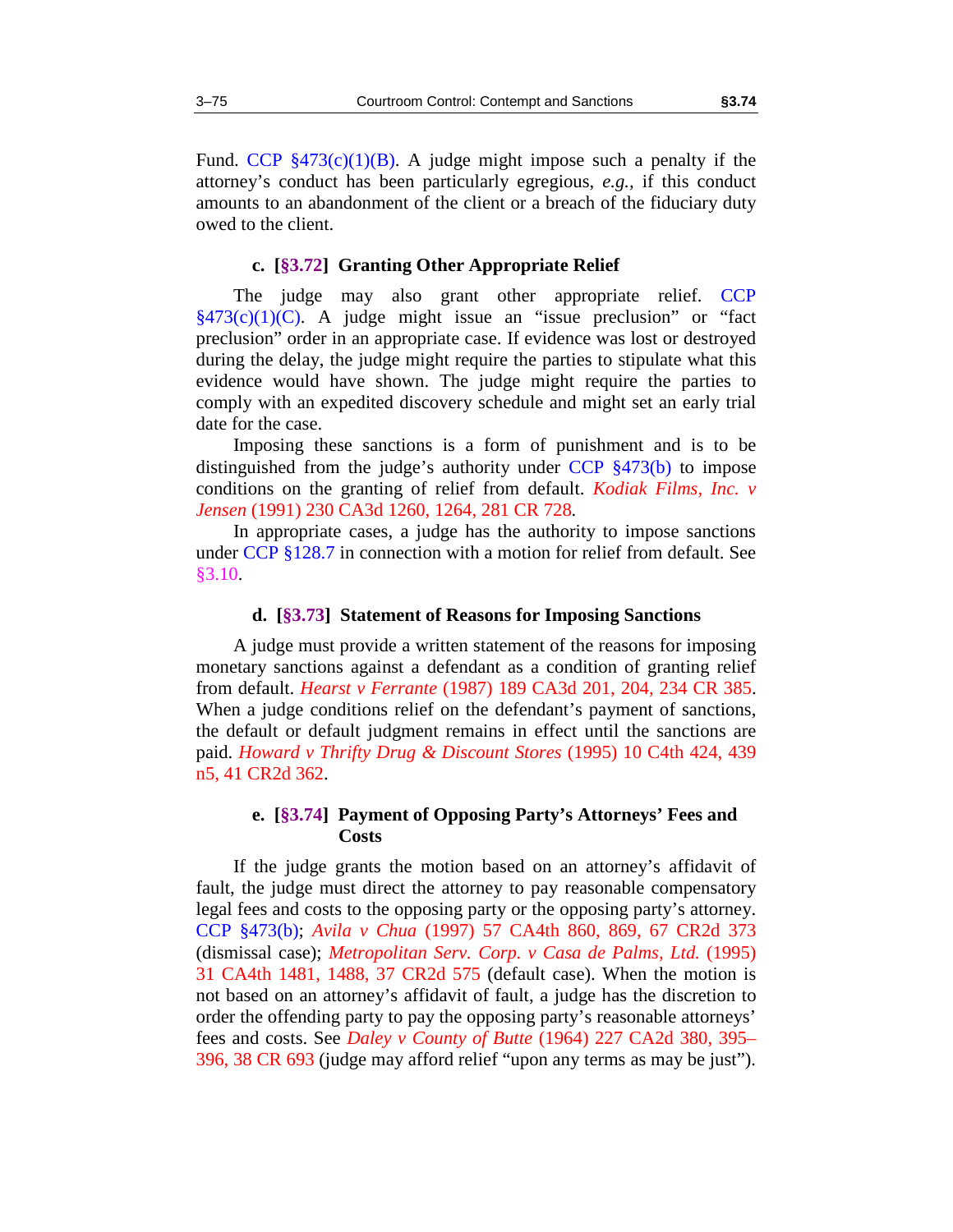Fund. CCP  $$473(c)(1)(B)$ . A judge might impose such a penalty if the attorney's conduct has been particularly egregious, *e.g.,* if this conduct amounts to an abandonment of the client or a breach of the fiduciary duty owed to the client.

### <span id="page-76-0"></span>**c. [§3.72] Granting Other Appropriate Relief**

The judge may also grant other appropriate relief. CCP  $\frac{\$473(c)(1)(C)}{2}$ . A judge might issue an "issue preclusion" or "fact" preclusion" order in an appropriate case. If evidence was lost or destroyed during the delay, the judge might require the parties to stipulate what this evidence would have shown. The judge might require the parties to comply with an expedited discovery schedule and might set an early trial date for the case.

Imposing these sanctions is a form of punishment and is to be distinguished from the judge's authority under CCP §473(b) to impose conditions on the granting of relief from default. *Kodiak Films, Inc. v Jensen* (1991) 230 CA3d 1260, 1264, 281 CR 728.

In appropriate cases, a judge has the authority to impose sanctions under CCP §128.7 in connection with a motion for relief from default. See [§3.10.](#page-22-0)

#### <span id="page-76-2"></span>**d. [§3.73] Statement of Reasons for Imposing Sanctions**

A judge must provide a written statement of the reasons for imposing monetary sanctions against a defendant as a condition of granting relief from default. *Hearst v Ferrante* (1987) 189 CA3d 201, 204, 234 CR 385. When a judge conditions relief on the defendant's payment of sanctions, the default or default judgment remains in effect until the sanctions are paid. *Howard v Thrifty Drug & Discount Stores* (1995) 10 C4th 424, 439 n5, 41 CR2d 362.

# <span id="page-76-1"></span>**e. [§3.74] Payment of Opposing Party's Attorneys' Fees and Costs**

If the judge grants the motion based on an attorney's affidavit of fault, the judge must direct the attorney to pay reasonable compensatory legal fees and costs to the opposing party or the opposing party's attorney. CCP §473(b); *Avila v Chua* (1997) 57 CA4th 860, 869, 67 CR2d 373 (dismissal case); *Metropolitan Serv. Corp. v Casa de Palms, Ltd.* (1995) 31 CA4th 1481, 1488, 37 CR2d 575 (default case). When the motion is not based on an attorney's affidavit of fault, a judge has the discretion to order the offending party to pay the opposing party's reasonable attorneys' fees and costs. See *Daley v County of Butte* (1964) 227 CA2d 380, 395– 396, 38 CR 693 (judge may afford relief "upon any terms as may be just").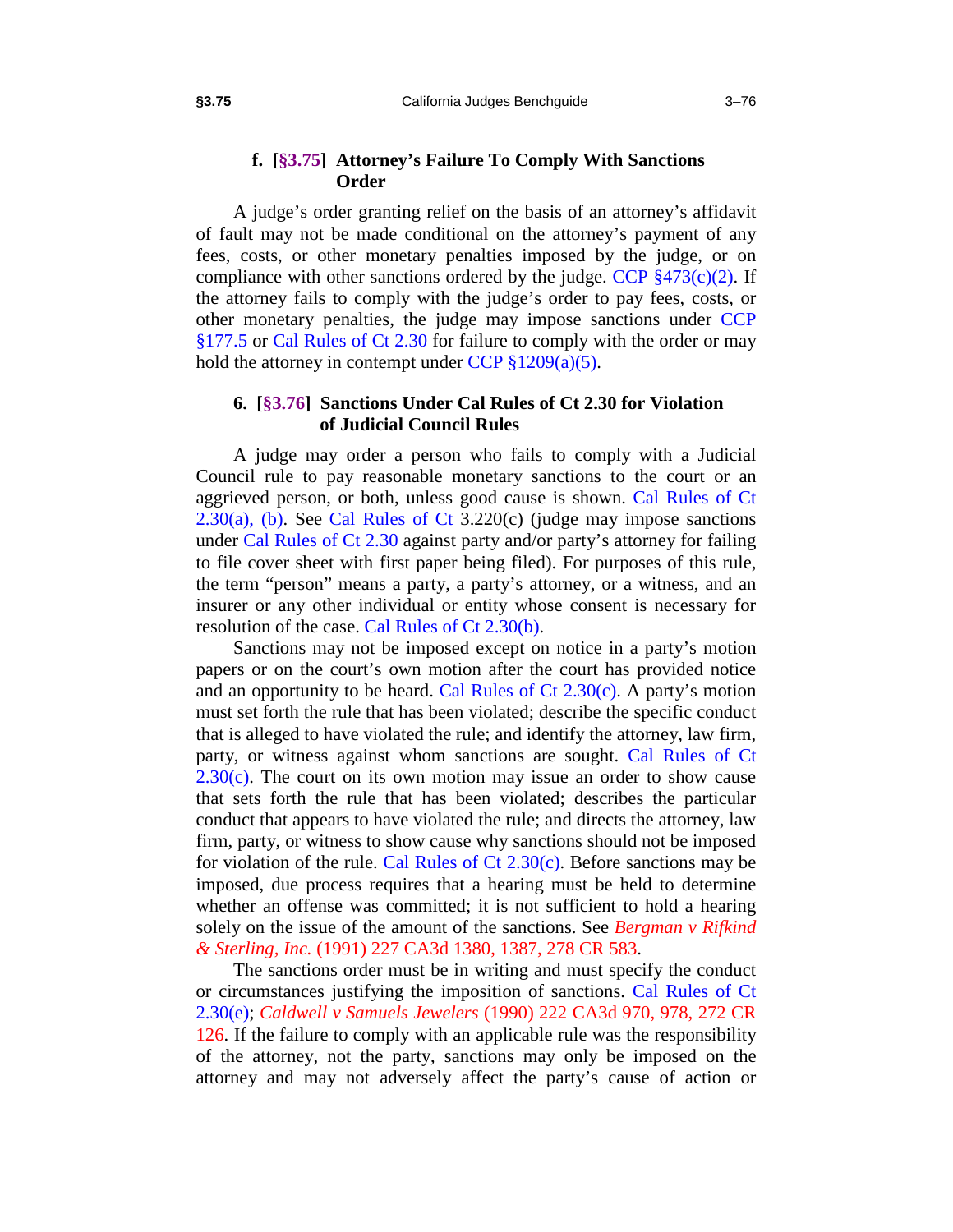# <span id="page-77-1"></span>**f. [§3.75] Attorney's Failure To Comply With Sanctions Order**

A judge's order granting relief on the basis of an attorney's affidavit of fault may not be made conditional on the attorney's payment of any fees, costs, or other monetary penalties imposed by the judge, or on compliance with other sanctions ordered by the judge. CCP  $\S 473(c)(2)$ . If the attorney fails to comply with the judge's order to pay fees, costs, or other monetary penalties, the judge may impose sanctions under CCP §177.5 or Cal Rules of Ct 2.30 for failure to comply with the order or may hold the attorney in contempt under CCP  $\S 1209(a)(5)$ .

# <span id="page-77-0"></span>**6. [§3.76] Sanctions Under Cal Rules of Ct 2.30 for Violation of Judicial Council Rules**

A judge may order a person who fails to comply with a Judicial Council rule to pay reasonable monetary sanctions to the court or an aggrieved person, or both, unless good cause is shown. Cal Rules of Ct 2.30(a), (b). See Cal Rules of Ct 3.220(c) (judge may impose sanctions under Cal Rules of Ct 2.30 against party and/or party's attorney for failing to file cover sheet with first paper being filed). For purposes of this rule, the term "person" means a party, a party's attorney, or a witness, and an insurer or any other individual or entity whose consent is necessary for resolution of the case. Cal Rules of Ct 2.30(b).

Sanctions may not be imposed except on notice in a party's motion papers or on the court's own motion after the court has provided notice and an opportunity to be heard. Cal Rules of Ct  $2.30(c)$ . A party's motion must set forth the rule that has been violated; describe the specific conduct that is alleged to have violated the rule; and identify the attorney, law firm, party, or witness against whom sanctions are sought. Cal Rules of Ct  $2.30(c)$ . The court on its own motion may issue an order to show cause that sets forth the rule that has been violated; describes the particular conduct that appears to have violated the rule; and directs the attorney, law firm, party, or witness to show cause why sanctions should not be imposed for violation of the rule. Cal Rules of Ct 2.30(c). Before sanctions may be imposed, due process requires that a hearing must be held to determine whether an offense was committed; it is not sufficient to hold a hearing solely on the issue of the amount of the sanctions. See *Bergman v Rifkind & Sterling, Inc.* (1991) 227 CA3d 1380, 1387, 278 CR 583.

The sanctions order must be in writing and must specify the conduct or circumstances justifying the imposition of sanctions. Cal Rules of Ct 2.30(e); *Caldwell v Samuels Jewelers* (1990) 222 CA3d 970, 978, 272 CR 126. If the failure to comply with an applicable rule was the responsibility of the attorney, not the party, sanctions may only be imposed on the attorney and may not adversely affect the party's cause of action or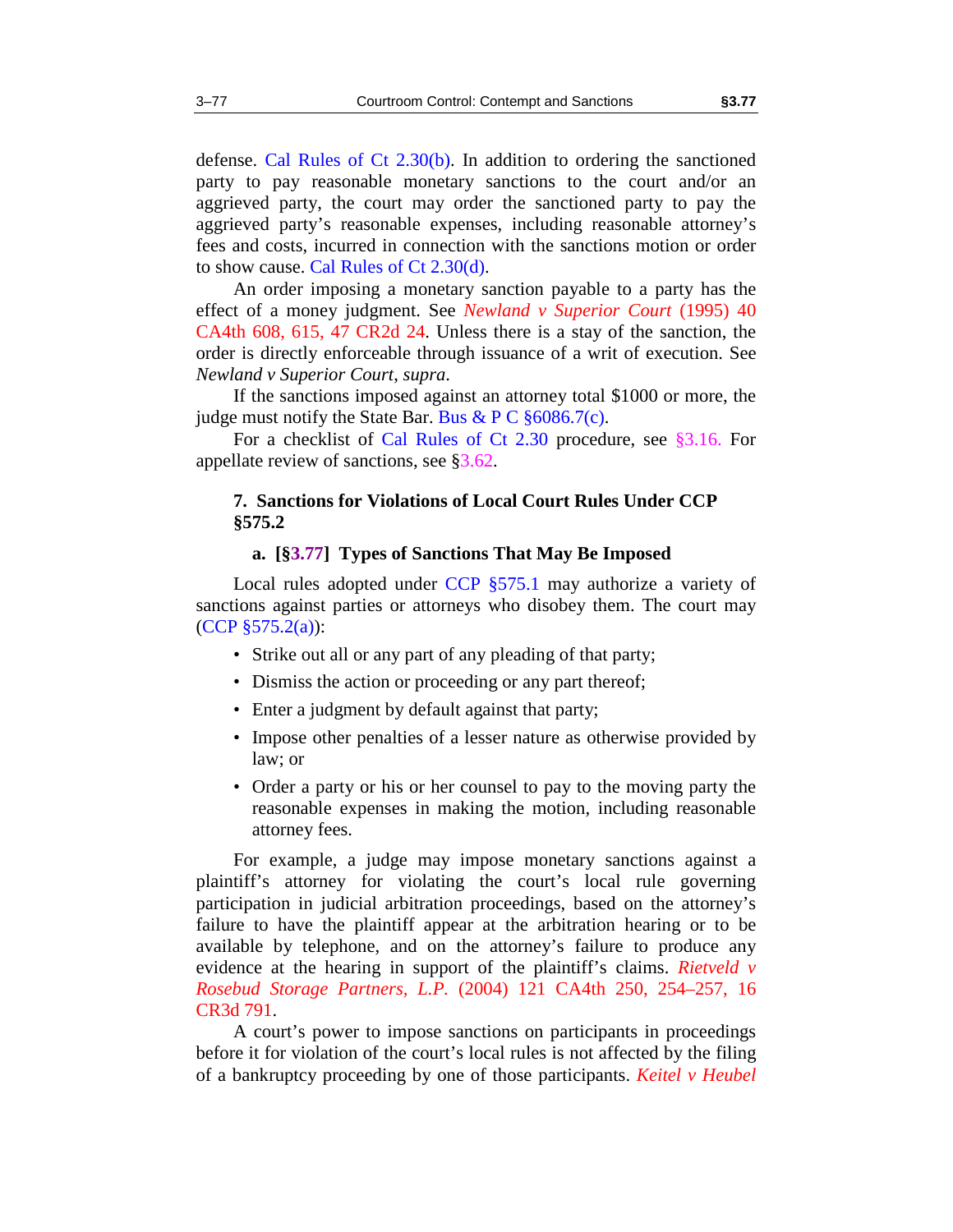defense. Cal Rules of Ct 2.30(b). In addition to ordering the sanctioned party to pay reasonable monetary sanctions to the court and/or an aggrieved party, the court may order the sanctioned party to pay the aggrieved party's reasonable expenses, including reasonable attorney's fees and costs, incurred in connection with the sanctions motion or order to show cause. Cal Rules of Ct 2.30(d).

An order imposing a monetary sanction payable to a party has the effect of a money judgment. See *Newland v Superior Court* (1995) 40 CA4th 608, 615, 47 CR2d 24. Unless there is a stay of the sanction, the order is directly enforceable through issuance of a writ of execution. See *Newland v Superior Court*, *supra*.

If the sanctions imposed against an attorney total \$1000 or more, the judge must notify the State Bar. Bus & P C  $\S 6086.7(c)$ .

For a checklist of Cal Rules of Ct 2.30 procedure, see [§3.16.](#page-31-0) For appellate review of sanctions, see [§3.62.](#page-67-0)

# **7. Sanctions for Violations of Local Court Rules Under CCP §575.2**

### <span id="page-78-0"></span>**a. [§3.77] Types of Sanctions That May Be Imposed**

Local rules adopted under CCP §575.1 may authorize a variety of sanctions against parties or attorneys who disobey them. The court may (CCP §575.2(a)):

- Strike out all or any part of any pleading of that party;
- Dismiss the action or proceeding or any part thereof;
- Enter a judgment by default against that party;
- Impose other penalties of a lesser nature as otherwise provided by law; or
- Order a party or his or her counsel to pay to the moving party the reasonable expenses in making the motion, including reasonable attorney fees.

For example, a judge may impose monetary sanctions against a plaintiff's attorney for violating the court's local rule governing participation in judicial arbitration proceedings, based on the attorney's failure to have the plaintiff appear at the arbitration hearing or to be available by telephone, and on the attorney's failure to produce any evidence at the hearing in support of the plaintiff's claims. *Rietveld v Rosebud Storage Partners, L.P.* (2004) 121 CA4th 250, 254–257, 16 CR3d 791.

A court's power to impose sanctions on participants in proceedings before it for violation of the court's local rules is not affected by the filing of a bankruptcy proceeding by one of those participants. *Keitel v Heubel*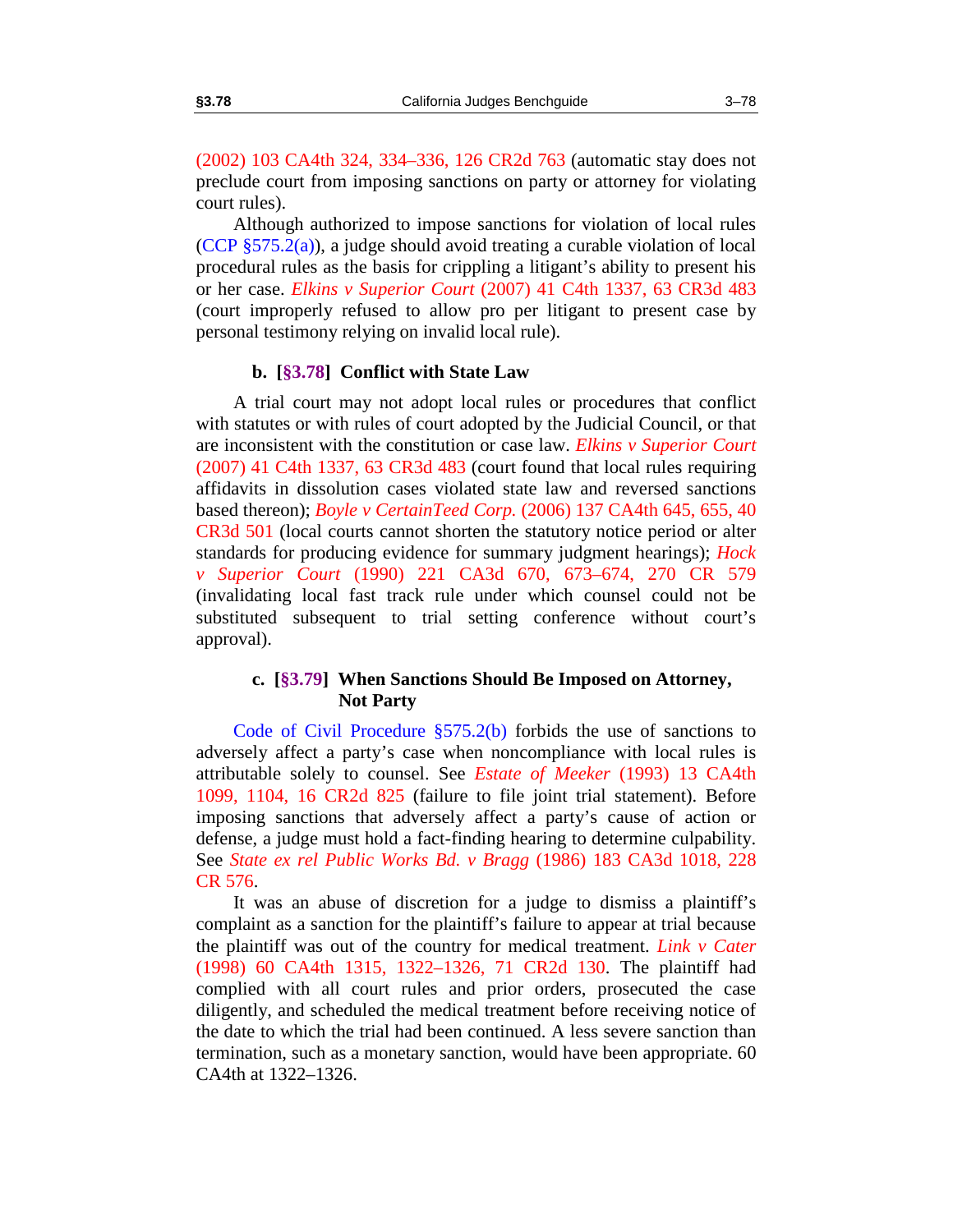(2002) 103 CA4th 324, 334–336, 126 CR2d 763 (automatic stay does not preclude court from imposing sanctions on party or attorney for violating court rules).

Although authorized to impose sanctions for violation of local rules (CCP §575.2(a)), a judge should avoid treating a curable violation of local procedural rules as the basis for crippling a litigant's ability to present his or her case. *Elkins v Superior Court* (2007) 41 C4th 1337, 63 CR3d 483 (court improperly refused to allow pro per litigant to present case by personal testimony relying on invalid local rule).

### <span id="page-79-1"></span>**b. [§3.78] Conflict with State Law**

A trial court may not adopt local rules or procedures that conflict with statutes or with rules of court adopted by the Judicial Council, or that are inconsistent with the constitution or case law. *Elkins v Superior Court* (2007) 41 C4th 1337, 63 CR3d 483 (court found that local rules requiring affidavits in dissolution cases violated state law and reversed sanctions based thereon); *Boyle v CertainTeed Corp.* (2006) 137 CA4th 645, 655, 40 CR3d 501 (local courts cannot shorten the statutory notice period or alter standards for producing evidence for summary judgment hearings); *Hock v Superior Court* (1990) 221 CA3d 670, 673–674, 270 CR 579 (invalidating local fast track rule under which counsel could not be substituted subsequent to trial setting conference without court's approval).

# <span id="page-79-0"></span>**c. [§3.79] When Sanctions Should Be Imposed on Attorney, Not Party**

Code of Civil Procedure §575.2(b) forbids the use of sanctions to adversely affect a party's case when noncompliance with local rules is attributable solely to counsel. See *Estate of Meeker* (1993) 13 CA4th 1099, 1104, 16 CR2d 825 (failure to file joint trial statement). Before imposing sanctions that adversely affect a party's cause of action or defense, a judge must hold a fact-finding hearing to determine culpability. See *State ex rel Public Works Bd. v Bragg* (1986) 183 CA3d 1018, 228 CR 576.

It was an abuse of discretion for a judge to dismiss a plaintiff's complaint as a sanction for the plaintiff's failure to appear at trial because the plaintiff was out of the country for medical treatment. *Link v Cater* (1998) 60 CA4th 1315, 1322–1326, 71 CR2d 130. The plaintiff had complied with all court rules and prior orders, prosecuted the case diligently, and scheduled the medical treatment before receiving notice of the date to which the trial had been continued. A less severe sanction than termination, such as a monetary sanction, would have been appropriate. 60 CA4th at 1322–1326.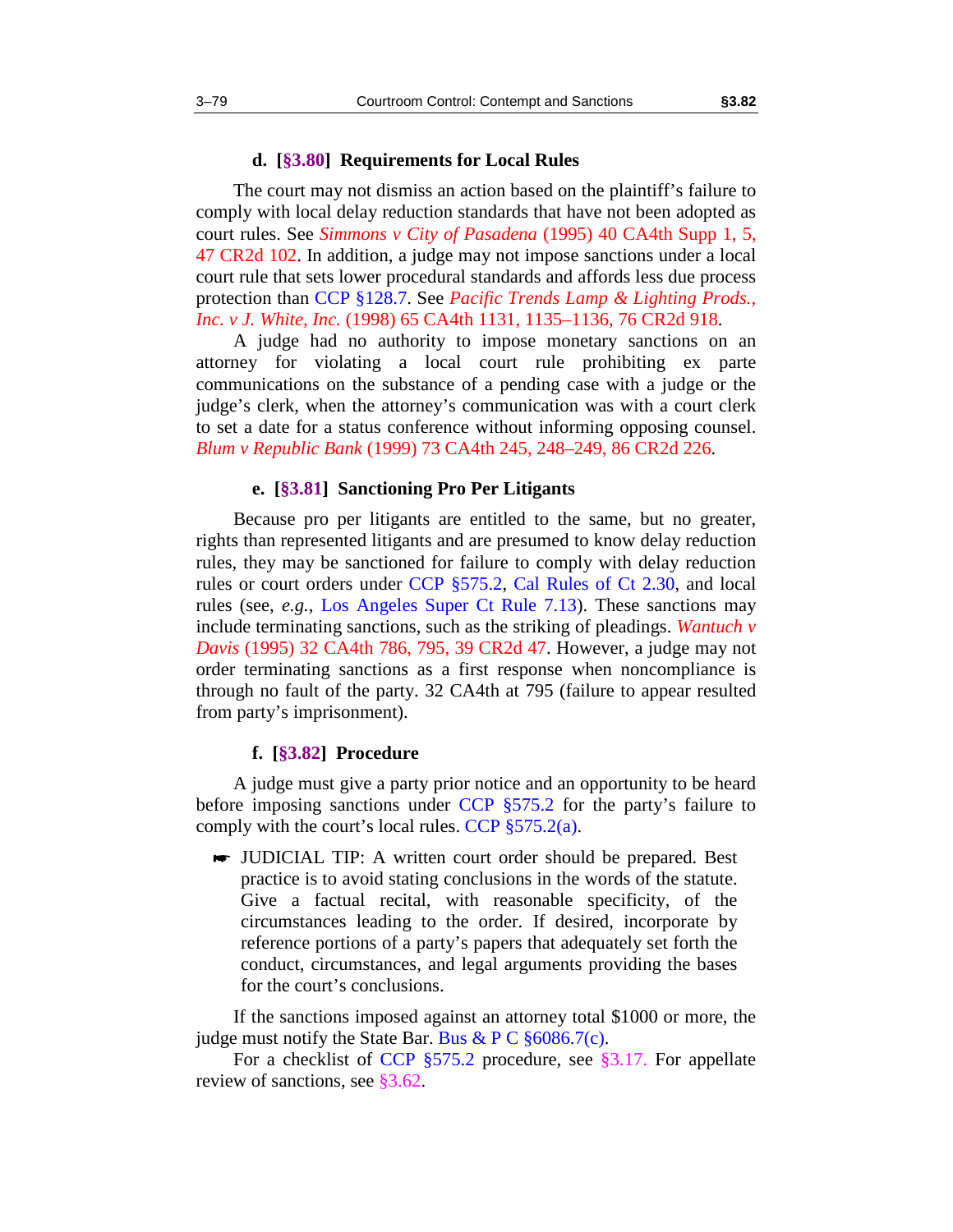#### <span id="page-80-1"></span>**d. [§3.80] Requirements for Local Rules**

The court may not dismiss an action based on the plaintiff's failure to comply with local delay reduction standards that have not been adopted as court rules. See *Simmons v City of Pasadena* (1995) 40 CA4th Supp 1, 5, 47 CR2d 102. In addition, a judge may not impose sanctions under a local court rule that sets lower procedural standards and affords less due process protection than CCP §128.7. See *Pacific Trends Lamp & Lighting Prods., Inc. v J. White, Inc.* (1998) 65 CA4th 1131, 1135–1136, 76 CR2d 918.

A judge had no authority to impose monetary sanctions on an attorney for violating a local court rule prohibiting ex parte communications on the substance of a pending case with a judge or the judge's clerk, when the attorney's communication was with a court clerk to set a date for a status conference without informing opposing counsel. *Blum v Republic Bank* (1999) 73 CA4th 245, 248–249, 86 CR2d 226.

#### <span id="page-80-2"></span>**e. [§3.81] Sanctioning Pro Per Litigants**

Because pro per litigants are entitled to the same, but no greater, rights than represented litigants and are presumed to know delay reduction rules, they may be sanctioned for failure to comply with delay reduction rules or court orders under CCP §575.2, Cal Rules of Ct 2.30, and local rules (see, *e.g.,* Los Angeles Super Ct Rule 7.13). These sanctions may include terminating sanctions, such as the striking of pleadings. *Wantuch v Davis* (1995) 32 CA4th 786, 795, 39 CR2d 47. However, a judge may not order terminating sanctions as a first response when noncompliance is through no fault of the party. 32 CA4th at 795 (failure to appear resulted from party's imprisonment).

#### <span id="page-80-0"></span>**f. [§3.82] Procedure**

A judge must give a party prior notice and an opportunity to be heard before imposing sanctions under CCP §575.2 for the party's failure to comply with the court's local rules. CCP  $\S 575.2(a)$ .

► JUDICIAL TIP: A written court order should be prepared. Best practice is to avoid stating conclusions in the words of the statute. Give a factual recital, with reasonable specificity, of the circumstances leading to the order. If desired, incorporate by reference portions of a party's papers that adequately set forth the conduct, circumstances, and legal arguments providing the bases for the court's conclusions.

If the sanctions imposed against an attorney total \$1000 or more, the judge must notify the State Bar. Bus & P C  $\S 6086.7(c)$ .

For a checklist of CCP §575.2 procedure, see [§3.17.](#page-32-0) For appellate review of sanctions, see [§3.62.](#page-67-0)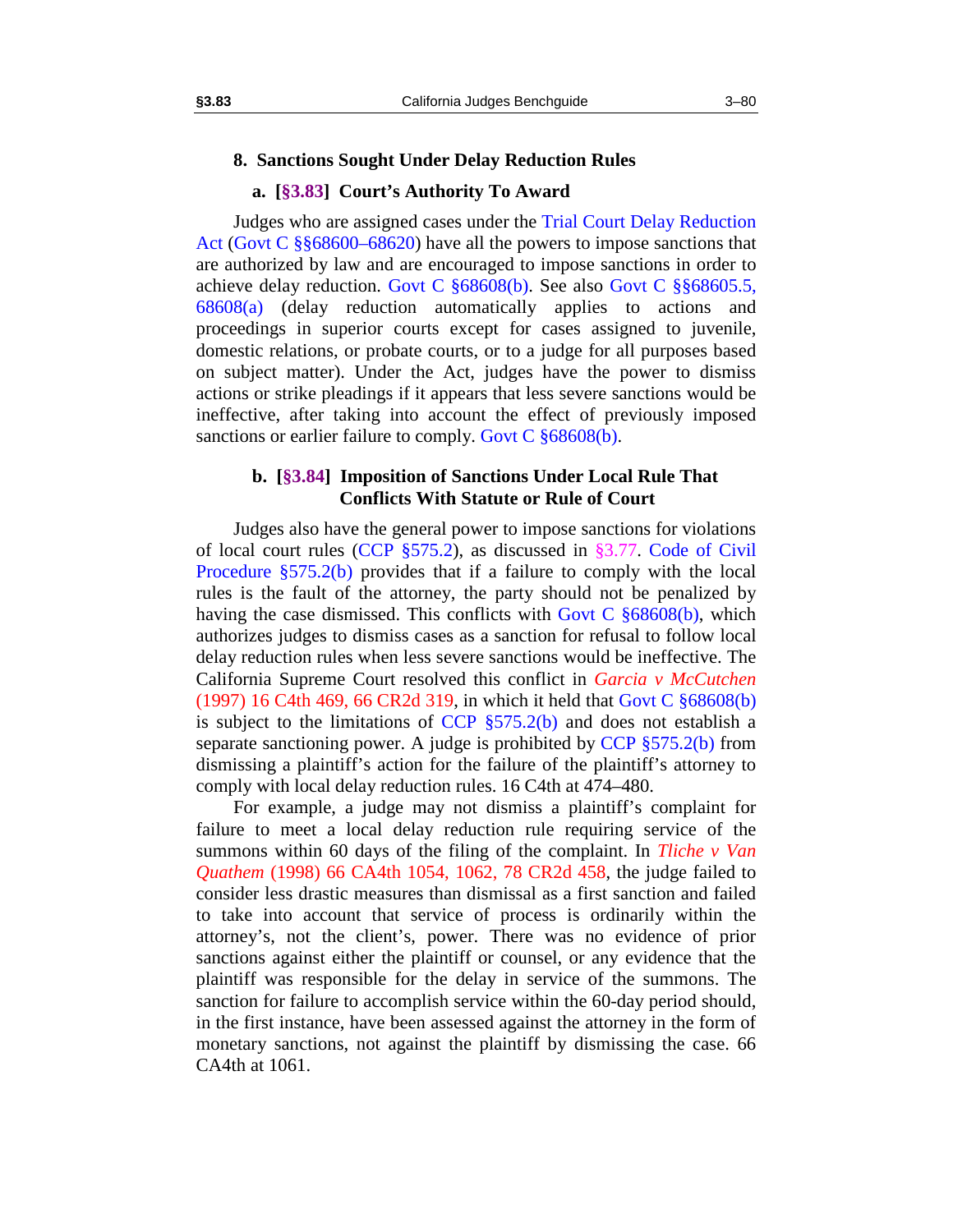#### **8. Sanctions Sought Under Delay Reduction Rules**

### <span id="page-81-1"></span>**a. [§3.83] Court's Authority To Award**

Judges who are assigned cases under the Trial Court Delay Reduction Act (Govt C §§68600–68620) have all the powers to impose sanctions that are authorized by law and are encouraged to impose sanctions in order to achieve delay reduction. Govt C §68608(b). See also Govt C §§68605.5, 68608(a) (delay reduction automatically applies to actions and proceedings in superior courts except for cases assigned to juvenile, domestic relations, or probate courts, or to a judge for all purposes based on subject matter). Under the Act, judges have the power to dismiss actions or strike pleadings if it appears that less severe sanctions would be ineffective, after taking into account the effect of previously imposed sanctions or earlier failure to comply. Govt C  $\S 68608(b)$ .

# <span id="page-81-0"></span>**b. [§3.84] Imposition of Sanctions Under Local Rule That Conflicts With Statute or Rule of Court**

Judges also have the general power to impose sanctions for violations of local court rules (CCP §575.2), as discussed in [§3.77.](#page-78-0) Code of Civil Procedure §575.2(b) provides that if a failure to comply with the local rules is the fault of the attorney, the party should not be penalized by having the case dismissed. This conflicts with Govt C  $\S 68608(b)$ , which authorizes judges to dismiss cases as a sanction for refusal to follow local delay reduction rules when less severe sanctions would be ineffective. The California Supreme Court resolved this conflict in *Garcia v McCutchen* (1997) 16 C4th 469, 66 CR2d 319, in which it held that Govt C §68608(b) is subject to the limitations of CCP  $\S 575.2(b)$  and does not establish a separate sanctioning power. A judge is prohibited by CCP §575.2(b) from dismissing a plaintiff's action for the failure of the plaintiff's attorney to comply with local delay reduction rules. 16 C4th at 474–480.

For example, a judge may not dismiss a plaintiff's complaint for failure to meet a local delay reduction rule requiring service of the summons within 60 days of the filing of the complaint. In *Tliche v Van Quathem* (1998) 66 CA4th 1054, 1062, 78 CR2d 458, the judge failed to consider less drastic measures than dismissal as a first sanction and failed to take into account that service of process is ordinarily within the attorney's, not the client's, power. There was no evidence of prior sanctions against either the plaintiff or counsel, or any evidence that the plaintiff was responsible for the delay in service of the summons. The sanction for failure to accomplish service within the 60-day period should, in the first instance, have been assessed against the attorney in the form of monetary sanctions, not against the plaintiff by dismissing the case. 66 CA4th at 1061.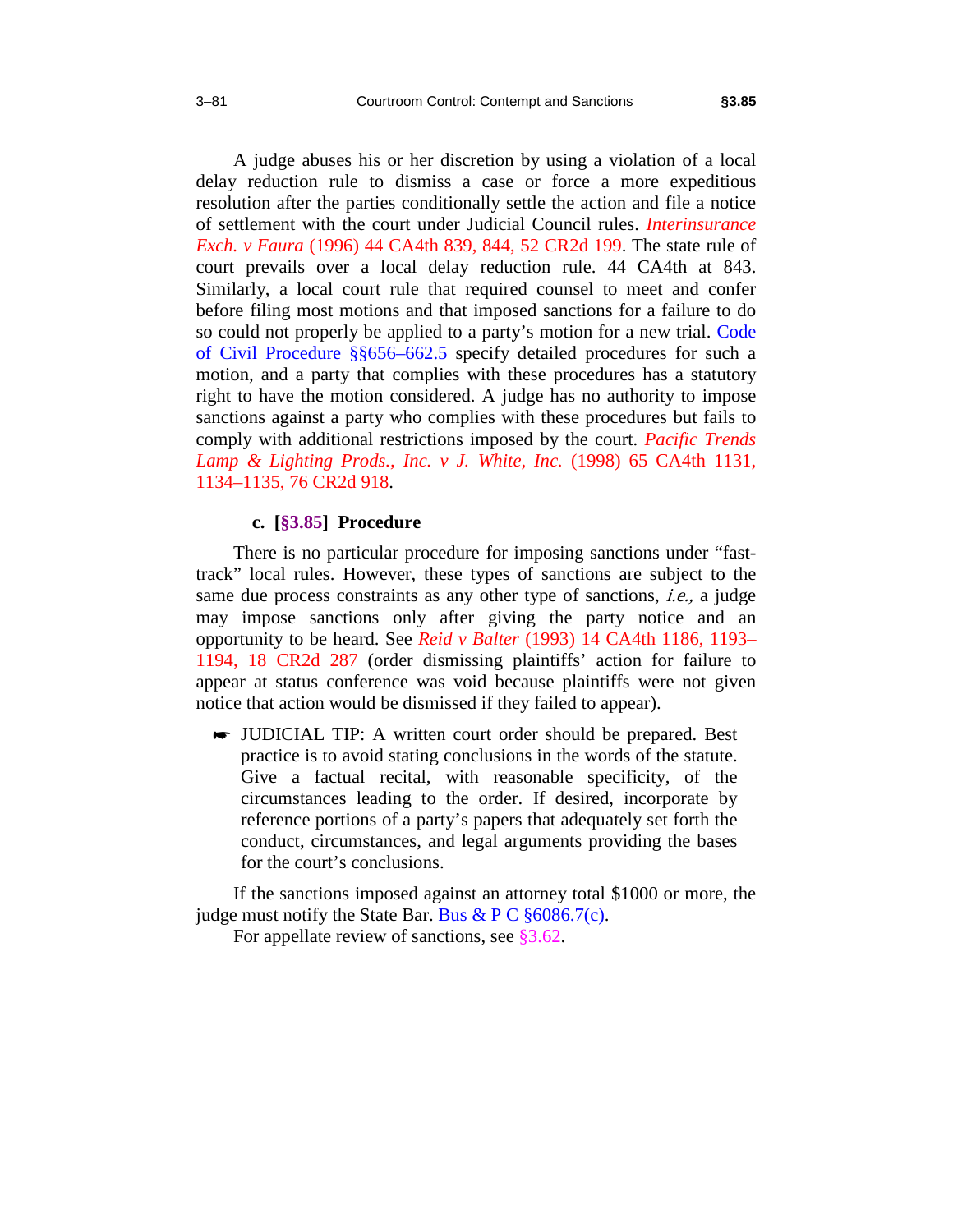A judge abuses his or her discretion by using a violation of a local delay reduction rule to dismiss a case or force a more expeditious resolution after the parties conditionally settle the action and file a notice of settlement with the court under Judicial Council rules. *Interinsurance Exch. v Faura* (1996) 44 CA4th 839, 844, 52 CR2d 199. The state rule of court prevails over a local delay reduction rule. 44 CA4th at 843. Similarly, a local court rule that required counsel to meet and confer before filing most motions and that imposed sanctions for a failure to do so could not properly be applied to a party's motion for a new trial. Code of Civil Procedure §§656–662.5 specify detailed procedures for such a motion, and a party that complies with these procedures has a statutory right to have the motion considered. A judge has no authority to impose sanctions against a party who complies with these procedures but fails to comply with additional restrictions imposed by the court. *Pacific Trends Lamp & Lighting Prods., Inc. v J. White, Inc.* (1998) 65 CA4th 1131, 1134–1135, 76 CR2d 918.

#### <span id="page-82-0"></span>**c. [§3.85] Procedure**

There is no particular procedure for imposing sanctions under "fasttrack" local rules. However, these types of sanctions are subject to the same due process constraints as any other type of sanctions, *i.e.*, a judge may impose sanctions only after giving the party notice and an opportunity to be heard. See *Reid v Balter* (1993) 14 CA4th 1186, 1193– 1194, 18 CR2d 287 (order dismissing plaintiffs' action for failure to appear at status conference was void because plaintiffs were not given notice that action would be dismissed if they failed to appear).

 JUDICIAL TIP: A written court order should be prepared. Best practice is to avoid stating conclusions in the words of the statute. Give a factual recital, with reasonable specificity, of the circumstances leading to the order. If desired, incorporate by reference portions of a party's papers that adequately set forth the conduct, circumstances, and legal arguments providing the bases for the court's conclusions.

If the sanctions imposed against an attorney total \$1000 or more, the judge must notify the State Bar. Bus & P C  $\S 6086.7(c)$ .

For appellate review of sanctions, see [§3.62.](#page-67-0)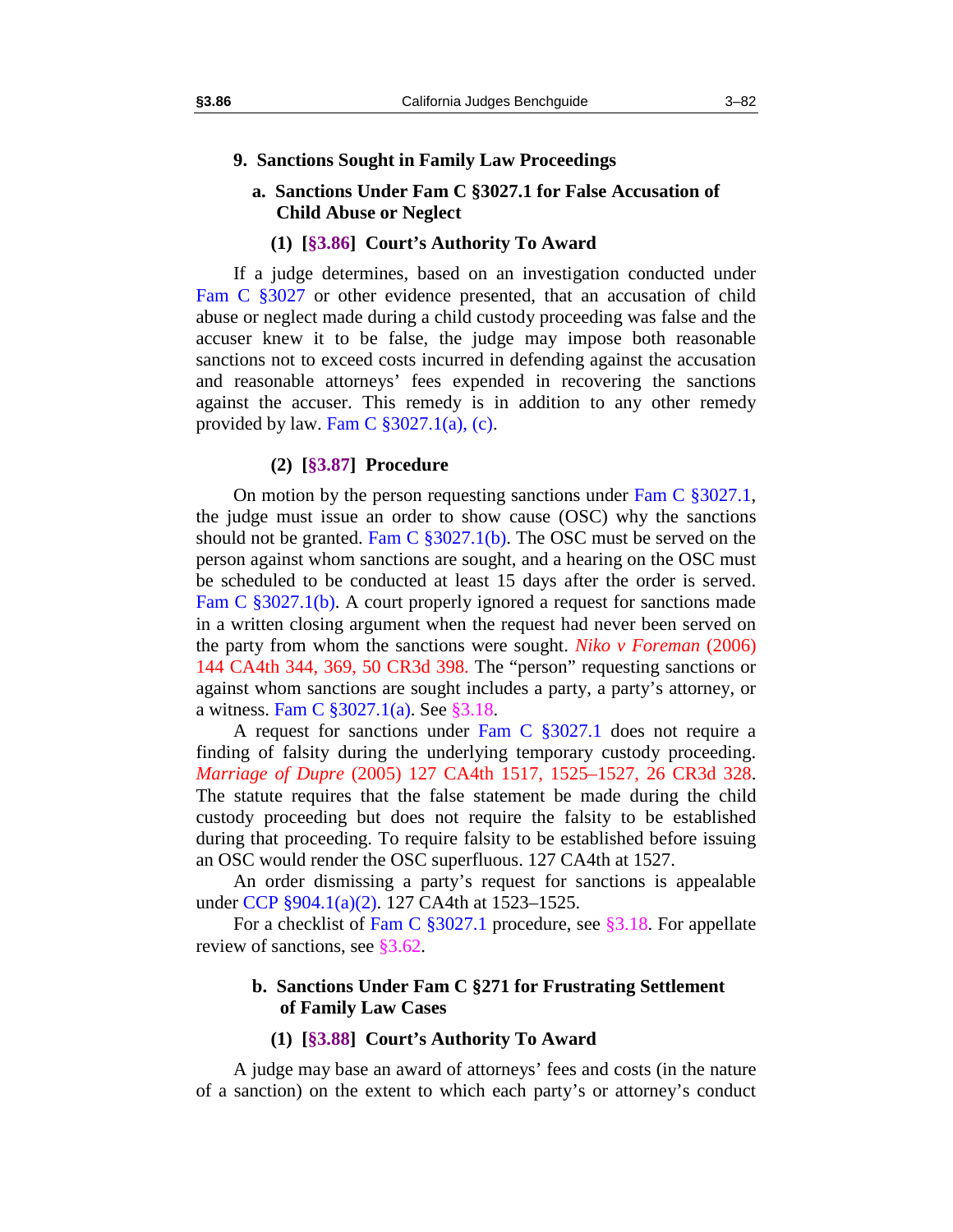#### **9. Sanctions Sought in Family Law Proceedings**

# **a. Sanctions Under Fam C §3027.1 for False Accusation of Child Abuse or Neglect**

### <span id="page-83-2"></span>**(1) [§3.86] Court's Authority To Award**

If a judge determines, based on an investigation conducted under Fam C §3027 or other evidence presented, that an accusation of child abuse or neglect made during a child custody proceeding was false and the accuser knew it to be false, the judge may impose both reasonable sanctions not to exceed costs incurred in defending against the accusation and reasonable attorneys' fees expended in recovering the sanctions against the accuser. This remedy is in addition to any other remedy provided by law. Fam C  $\S 3027.1(a)$ , (c).

### <span id="page-83-1"></span>**(2) [§3.87] Procedure**

On motion by the person requesting sanctions under Fam C §3027.1, the judge must issue an order to show cause (OSC) why the sanctions should not be granted. Fam C  $\S 3027.1(b)$ . The OSC must be served on the person against whom sanctions are sought, and a hearing on the OSC must be scheduled to be conducted at least 15 days after the order is served. Fam C §3027.1(b). A court properly ignored a request for sanctions made in a written closing argument when the request had never been served on the party from whom the sanctions were sought. *Niko v Foreman* (2006) 144 CA4th 344, 369, 50 CR3d 398. The "person" requesting sanctions or against whom sanctions are sought includes a party, a party's attorney, or a witness. Fam C §3027.1(a). See [§3.18.](#page-33-0)

A request for sanctions under Fam C §3027.1 does not require a finding of falsity during the underlying temporary custody proceeding. *Marriage of Dupre* (2005) 127 CA4th 1517, 1525–1527, 26 CR3d 328. The statute requires that the false statement be made during the child custody proceeding but does not require the falsity to be established during that proceeding. To require falsity to be established before issuing an OSC would render the OSC superfluous. 127 CA4th at 1527.

An order dismissing a party's request for sanctions is appealable under CCP §904.1(a)(2). 127 CA4th at 1523–1525.

For a checklist of Fam C §3027.1 procedure, see [§3.18.](#page-33-0) For appellate review of sanctions, see [§3.62.](#page-67-0)

# **b. Sanctions Under Fam C §271 for Frustrating Settlement of Family Law Cases**

### <span id="page-83-0"></span>**(1) [§3.88] Court's Authority To Award**

A judge may base an award of attorneys' fees and costs (in the nature of a sanction) on the extent to which each party's or attorney's conduct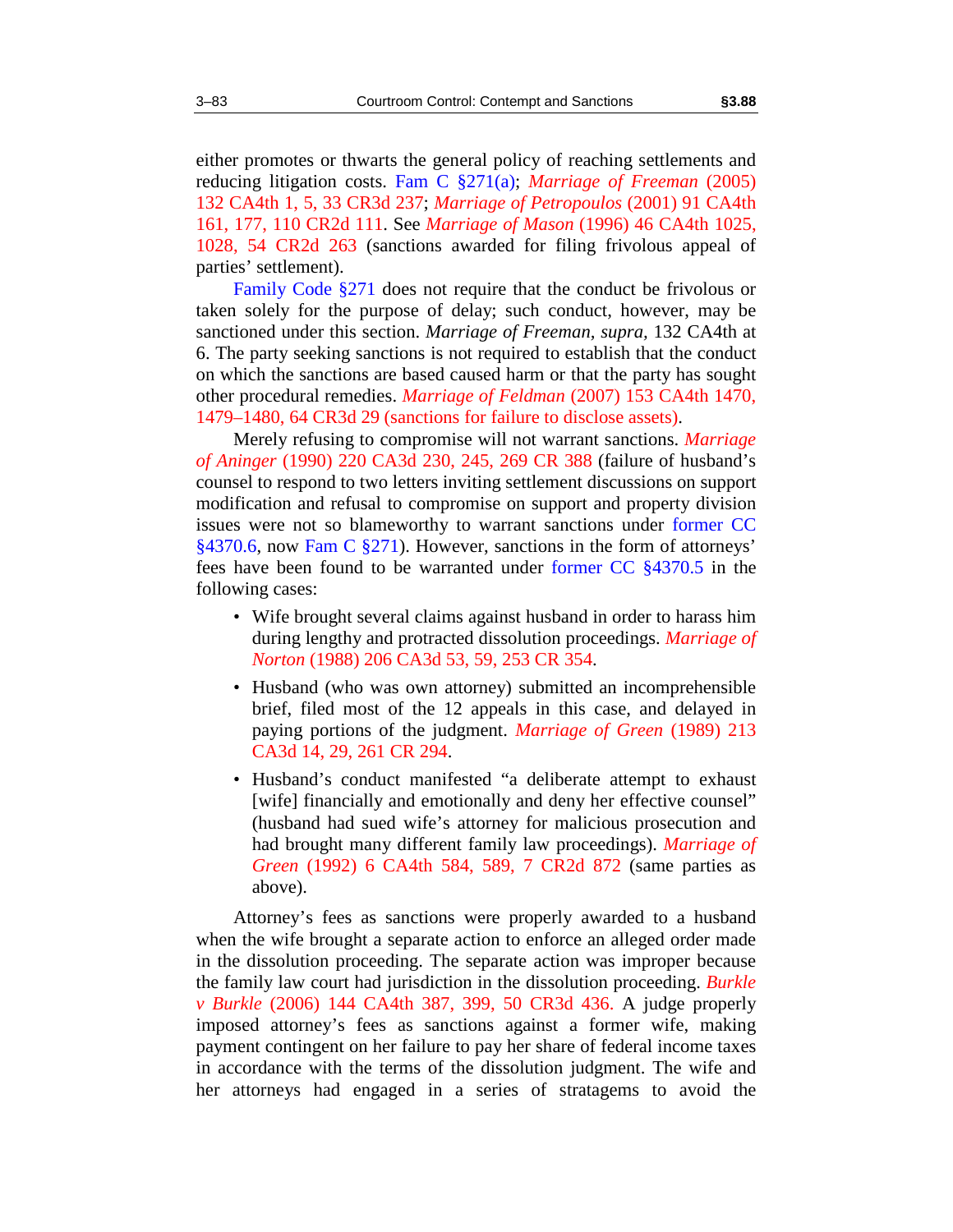either promotes or thwarts the general policy of reaching settlements and reducing litigation costs. Fam C §271(a); *Marriage of Freeman* (2005) 132 CA4th 1, 5, 33 CR3d 237; *Marriage of Petropoulos* (2001) 91 CA4th 161, 177, 110 CR2d 111. See *Marriage of Mason* (1996) 46 CA4th 1025, 1028, 54 CR2d 263 (sanctions awarded for filing frivolous appeal of parties' settlement).

Family Code §271 does not require that the conduct be frivolous or taken solely for the purpose of delay; such conduct, however, may be sanctioned under this section. *Marriage of Freeman, supra,* 132 CA4th at 6. The party seeking sanctions is not required to establish that the conduct on which the sanctions are based caused harm or that the party has sought other procedural remedies. *Marriage of Feldman* (2007) 153 CA4th 1470, 1479–1480, 64 CR3d 29 (sanctions for failure to disclose assets).

Merely refusing to compromise will not warrant sanctions. *Marriage of Aninger* (1990) 220 CA3d 230, 245, 269 CR 388 (failure of husband's counsel to respond to two letters inviting settlement discussions on support modification and refusal to compromise on support and property division issues were not so blameworthy to warrant sanctions under former CC §4370.6, now Fam C §271). However, sanctions in the form of attorneys' fees have been found to be warranted under former CC §4370.5 in the following cases:

- Wife brought several claims against husband in order to harass him during lengthy and protracted dissolution proceedings. *Marriage of Norton* (1988) 206 CA3d 53, 59, 253 CR 354.
- Husband (who was own attorney) submitted an incomprehensible brief, filed most of the 12 appeals in this case, and delayed in paying portions of the judgment. *Marriage of Green* (1989) 213 CA3d 14, 29, 261 CR 294.
- Husband's conduct manifested "a deliberate attempt to exhaust [wife] financially and emotionally and deny her effective counsel" (husband had sued wife's attorney for malicious prosecution and had brought many different family law proceedings). *Marriage of Green* (1992) 6 CA4th 584, 589, 7 CR2d 872 (same parties as above).

Attorney's fees as sanctions were properly awarded to a husband when the wife brought a separate action to enforce an alleged order made in the dissolution proceeding. The separate action was improper because the family law court had jurisdiction in the dissolution proceeding. *Burkle v Burkle* (2006) 144 CA4th 387, 399, 50 CR3d 436. A judge properly imposed attorney's fees as sanctions against a former wife, making payment contingent on her failure to pay her share of federal income taxes in accordance with the terms of the dissolution judgment. The wife and her attorneys had engaged in a series of stratagems to avoid the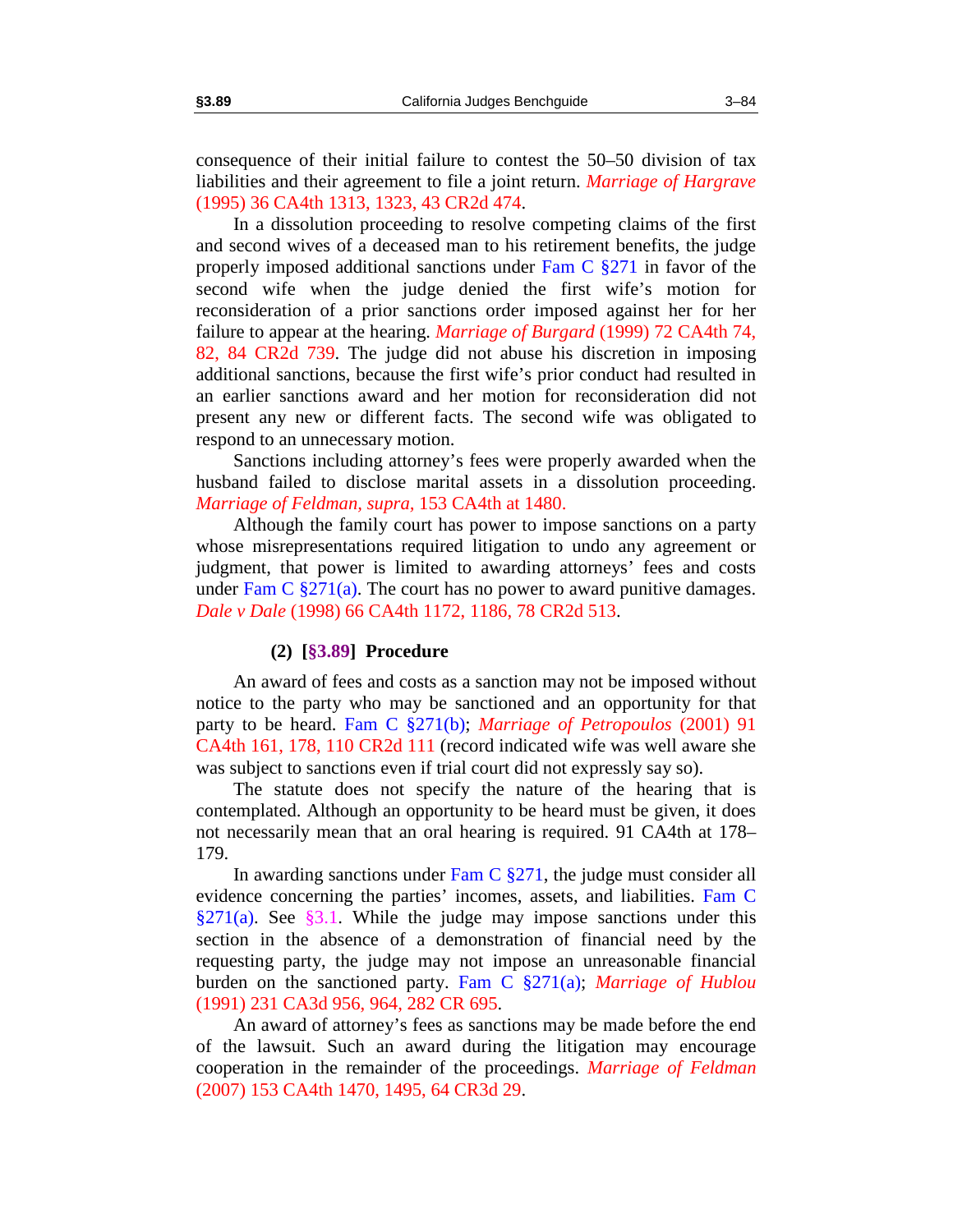consequence of their initial failure to contest the 50–50 division of tax liabilities and their agreement to file a joint return. *Marriage of Hargrave* (1995) 36 CA4th 1313, 1323, 43 CR2d 474.

In a dissolution proceeding to resolve competing claims of the first and second wives of a deceased man to his retirement benefits, the judge properly imposed additional sanctions under Fam C §271 in favor of the second wife when the judge denied the first wife's motion for reconsideration of a prior sanctions order imposed against her for her failure to appear at the hearing. *Marriage of Burgard* (1999) 72 CA4th 74, 82, 84 CR2d 739. The judge did not abuse his discretion in imposing additional sanctions, because the first wife's prior conduct had resulted in an earlier sanctions award and her motion for reconsideration did not present any new or different facts. The second wife was obligated to respond to an unnecessary motion.

Sanctions including attorney's fees were properly awarded when the husband failed to disclose marital assets in a dissolution proceeding. *Marriage of Feldman, supra,* 153 CA4th at 1480.

Although the family court has power to impose sanctions on a party whose misrepresentations required litigation to undo any agreement or judgment, that power is limited to awarding attorneys' fees and costs under Fam C  $\S271(a)$ . The court has no power to award punitive damages. *Dale v Dale* (1998) 66 CA4th 1172, 1186, 78 CR2d 513.

#### <span id="page-85-0"></span>**(2) [§3.89] Procedure**

An award of fees and costs as a sanction may not be imposed without notice to the party who may be sanctioned and an opportunity for that party to be heard. Fam C §271(b); *Marriage of Petropoulos* (2001) 91 CA4th 161, 178, 110 CR2d 111 (record indicated wife was well aware she was subject to sanctions even if trial court did not expressly say so).

The statute does not specify the nature of the hearing that is contemplated. Although an opportunity to be heard must be given, it does not necessarily mean that an oral hearing is required. 91 CA4th at 178– 179.

In awarding sanctions under Fam C  $\S271$ , the judge must consider all evidence concerning the parties' incomes, assets, and liabilities. Fam C  $\S271(a)$ . See  $\S3.1$ . While the judge may impose sanctions under this section in the absence of a demonstration of financial need by the requesting party, the judge may not impose an unreasonable financial burden on the sanctioned party. Fam C §271(a); *Marriage of Hublou* (1991) 231 CA3d 956, 964, 282 CR 695.

An award of attorney's fees as sanctions may be made before the end of the lawsuit. Such an award during the litigation may encourage cooperation in the remainder of the proceedings. *Marriage of Feldman* (2007) 153 CA4th 1470, 1495, 64 CR3d 29.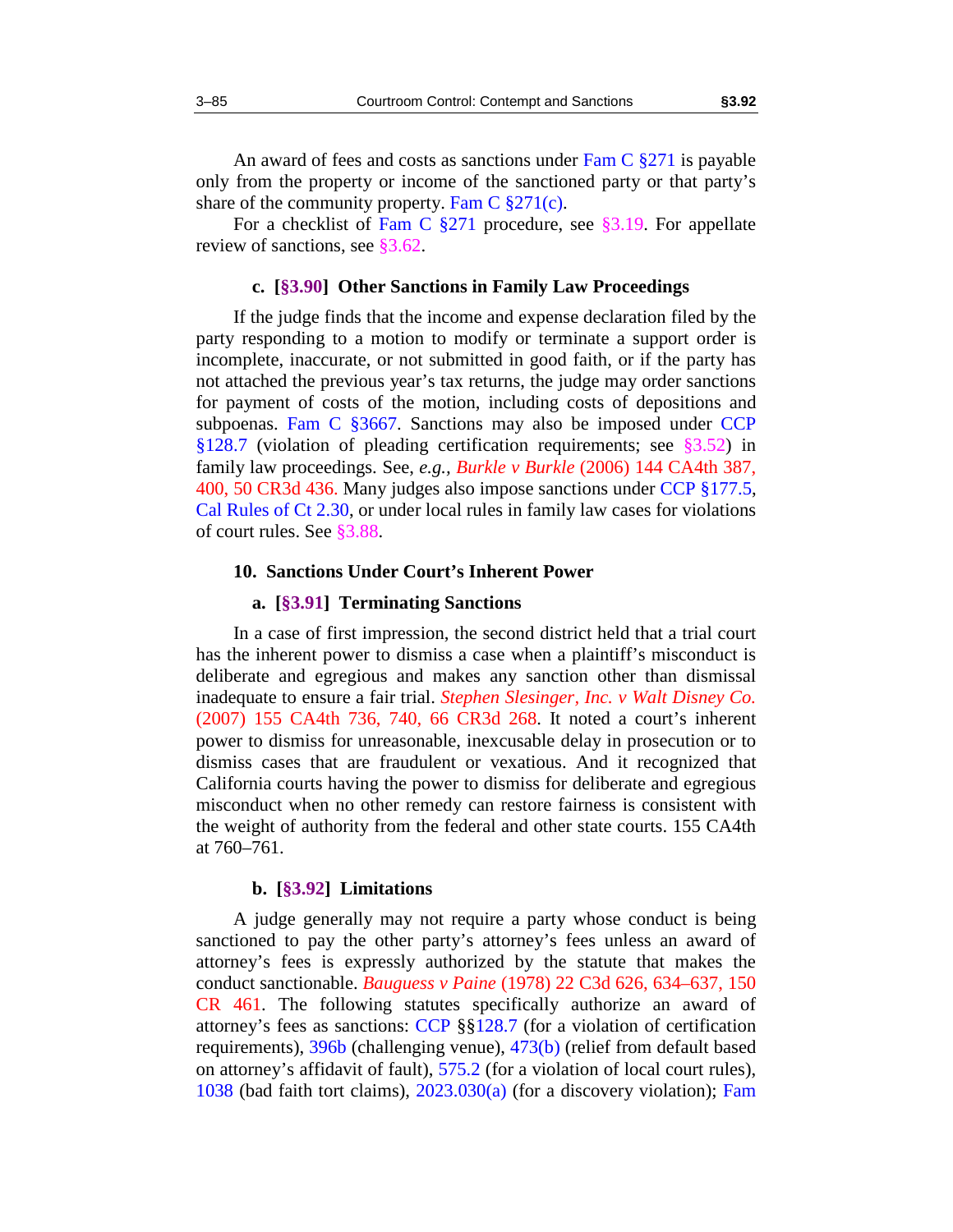An award of fees and costs as sanctions under Fam C  $\S 271$  is payable only from the property or income of the sanctioned party or that party's share of the community property. Fam  $\text{C} \text{ } \text{\$} 271\text{(c)}$ .

For a checklist of Fam C §271 procedure, see [§3.19.](#page-33-1) For appellate review of sanctions, see [§3.62.](#page-67-0)

#### <span id="page-86-1"></span>**c. [§3.90] Other Sanctions in Family Law Proceedings**

If the judge finds that the income and expense declaration filed by the party responding to a motion to modify or terminate a support order is incomplete, inaccurate, or not submitted in good faith, or if the party has not attached the previous year's tax returns, the judge may order sanctions for payment of costs of the motion, including costs of depositions and subpoenas. Fam C §3667. Sanctions may also be imposed under CCP  $§128.7$  (violation of pleading certification requirements; see [§3.52\)](#page-58-0) in family law proceedings. See, *e.g., Burkle v Burkle* (2006) 144 CA4th 387, 400, 50 CR3d 436. Many judges also impose sanctions under CCP §177.5, Cal Rules of Ct 2.30, or under local rules in family law cases for violations of court rules. See [§3.88.](#page-83-0)

## **10. Sanctions Under Court's Inherent Power**

## **a. [§3.91] Terminating Sanctions**

In a case of first impression, the second district held that a trial court has the inherent power to dismiss a case when a plaintiff's misconduct is deliberate and egregious and makes any sanction other than dismissal inadequate to ensure a fair trial. *Stephen Slesinger, Inc. v Walt Disney Co.* (2007) 155 CA4th 736, 740, 66 CR3d 268. It noted a court's inherent power to dismiss for unreasonable, inexcusable delay in prosecution or to dismiss cases that are fraudulent or vexatious. And it recognized that California courts having the power to dismiss for deliberate and egregious misconduct when no other remedy can restore fairness is consistent with the weight of authority from the federal and other state courts. 155 CA4th at 760–761.

## <span id="page-86-0"></span>**b. [§3.92] Limitations**

A judge generally may not require a party whose conduct is being sanctioned to pay the other party's attorney's fees unless an award of attorney's fees is expressly authorized by the statute that makes the conduct sanctionable. *Bauguess v Paine* (1978) 22 C3d 626, 634–637, 150 CR 461. The following statutes specifically authorize an award of attorney's fees as sanctions: CCP §§128.7 (for a violation of certification requirements), 396b (challenging venue), 473(b) (relief from default based on attorney's affidavit of fault), 575.2 (for a violation of local court rules), 1038 (bad faith tort claims), 2023.030(a) (for a discovery violation); Fam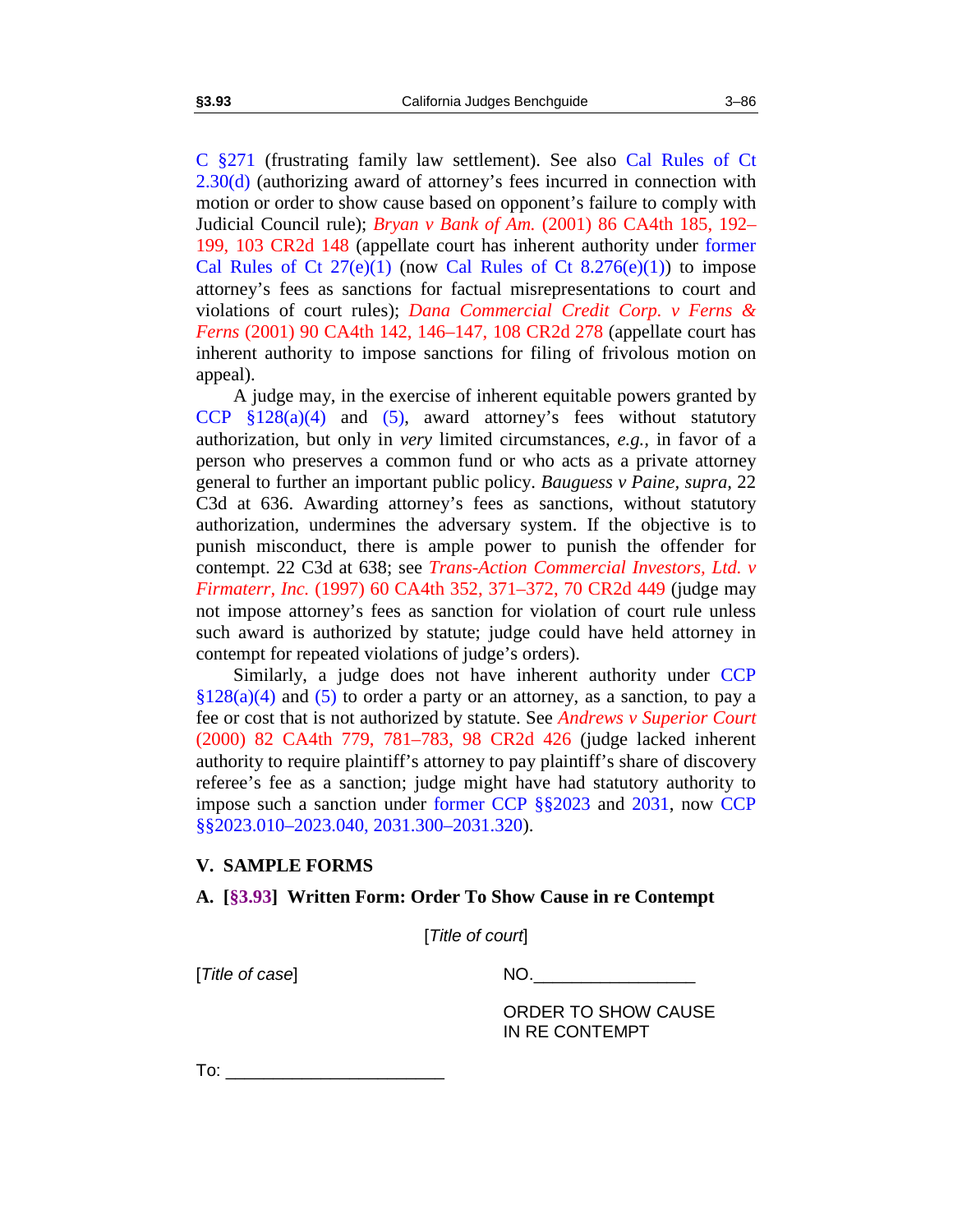C §271 (frustrating family law settlement). See also Cal Rules of Ct 2.30(d) (authorizing award of attorney's fees incurred in connection with motion or order to show cause based on opponent's failure to comply with Judicial Council rule); *Bryan v Bank of Am.* (2001) 86 CA4th 185, 192– 199, 103 CR2d 148 (appellate court has inherent authority under former Cal Rules of Ct  $27(e)(1)$  (now Cal Rules of Ct  $8.276(e)(1)$ ) to impose attorney's fees as sanctions for factual misrepresentations to court and violations of court rules); *Dana Commercial Credit Corp. v Ferns & Ferns* (2001) 90 CA4th 142, 146–147, 108 CR2d 278 (appellate court has inherent authority to impose sanctions for filing of frivolous motion on appeal).

A judge may, in the exercise of inherent equitable powers granted by CCP  $$128(a)(4)$  and (5), award attorney's fees without statutory authorization, but only in *very* limited circumstances, *e.g.,* in favor of a person who preserves a common fund or who acts as a private attorney general to further an important public policy. *Bauguess v Paine, supra,* 22 C3d at 636. Awarding attorney's fees as sanctions, without statutory authorization, undermines the adversary system. If the objective is to punish misconduct, there is ample power to punish the offender for contempt. 22 C3d at 638; see *Trans-Action Commercial Investors, Ltd. v Firmaterr, Inc.* (1997) 60 CA4th 352, 371–372, 70 CR2d 449 (judge may not impose attorney's fees as sanction for violation of court rule unless such award is authorized by statute; judge could have held attorney in contempt for repeated violations of judge's orders).

Similarly, a judge does not have inherent authority under CCP  $\S 128(a)(4)$  and (5) to order a party or an attorney, as a sanction, to pay a fee or cost that is not authorized by statute. See *Andrews v Superior Court* (2000) 82 CA4th 779, 781–783, 98 CR2d 426 (judge lacked inherent authority to require plaintiff's attorney to pay plaintiff's share of discovery referee's fee as a sanction; judge might have had statutory authority to impose such a sanction under former CCP §§2023 and 2031, now CCP §§2023.010–2023.040, 2031.300–2031.320).

### **V. SAMPLE FORMS**

#### <span id="page-87-0"></span>**A. [§3.93] Written Form: Order To Show Cause in re Contempt**

[*Title of court*]

[*Title of case*] NO.\_\_\_\_\_\_\_\_\_\_\_\_\_\_\_\_\_

ORDER TO SHOW CAUSE IN RE CONTEMPT

To:  $\_\_$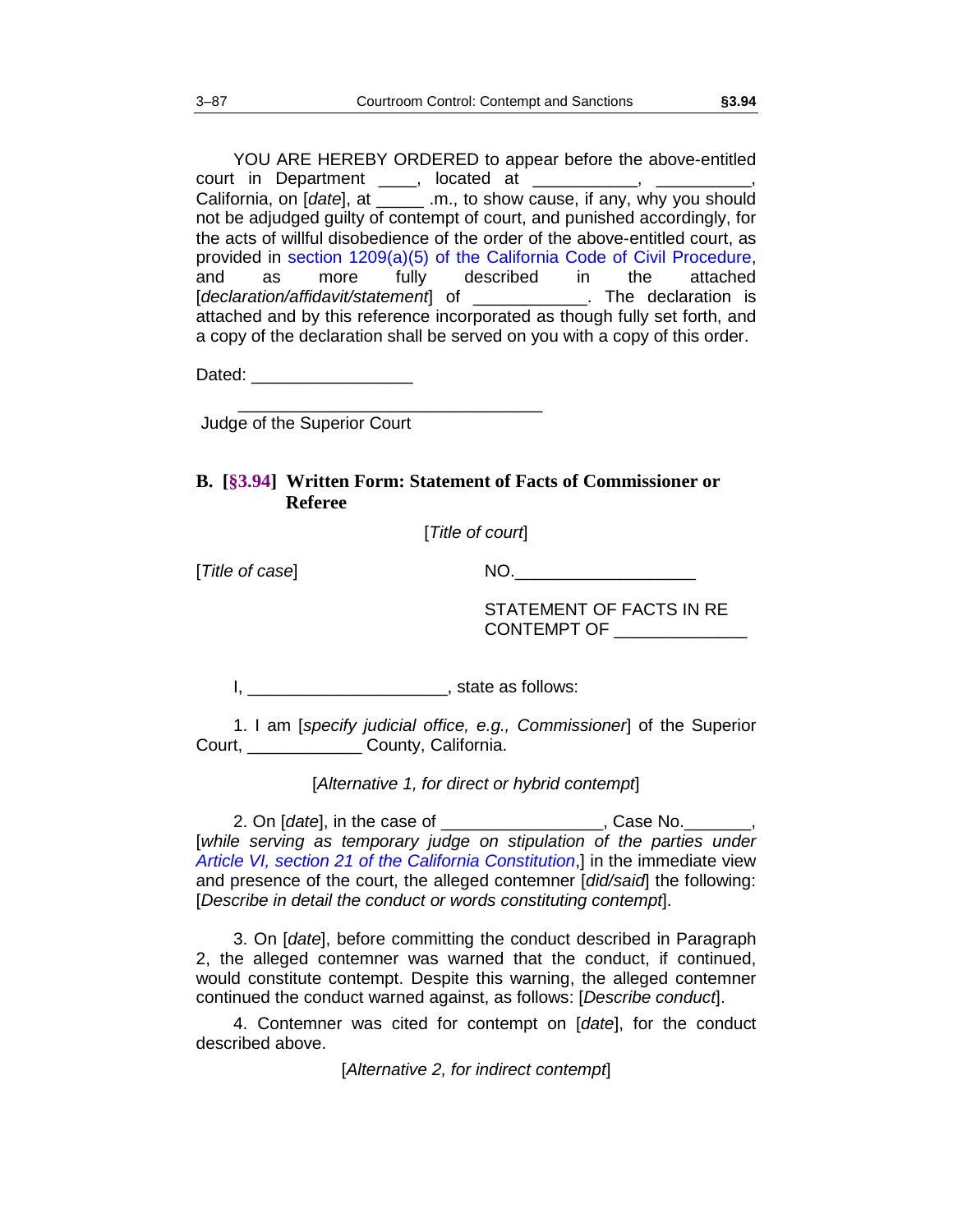YOU ARE HEREBY ORDERED to appear before the above-entitled court in Department \_\_\_\_, located at \_\_\_\_\_\_\_\_\_\_, \_\_\_\_\_\_ California, on [*date*], at \_\_\_\_\_ .m., to show cause, if any, why you should not be adjudged guilty of contempt of court, and punished accordingly, for the acts of willful disobedience of the order of the above-entitled court, as provided in section 1209(a)(5) of the California Code of Civil Procedure, and as more fully described in the attached [*declaration/affidavit/statement*] of \_\_\_\_\_\_\_\_\_\_\_\_. The declaration is attached and by this reference incorporated as though fully set forth, and a copy of the declaration shall be served on you with a copy of this order.

Dated:  $\Box$ 

Judge of the Superior Court

# <span id="page-88-0"></span>**B. [§3.94] Written Form: Statement of Facts of Commissioner or Referee**

[*Title of court*]

[*Title of case*] NO.\_\_\_\_\_\_\_\_\_\_\_\_\_\_\_\_\_\_\_

STATEMENT OF FACTS IN RE CONTEMPT OF \_\_\_\_\_\_\_\_\_\_\_\_\_\_\_

 $I$ ,  $\qquad \qquad \qquad \qquad$ , state as follows:

\_\_\_\_\_\_\_\_\_\_\_\_\_\_\_\_\_\_\_\_\_\_\_\_\_\_\_\_\_\_\_\_

1. I am [*specify judicial office, e.g., Commissioner*] of the Superior Court, \_\_\_\_\_\_\_\_\_\_\_\_ County, California.

[*Alternative 1, for direct or hybrid contempt*]

2. On [*date*], in the case of \_\_\_\_\_\_\_\_\_\_\_\_\_\_\_\_\_, Case No.\_\_\_\_\_\_\_, [*while serving as temporary judge on stipulation of the parties under Article VI, section 21 of the California Constitution*,] in the immediate view and presence of the court, the alleged contemner [*did/said*] the following: [*Describe in detail the conduct or words constituting contempt*].

3. On [*date*], before committing the conduct described in Paragraph 2, the alleged contemner was warned that the conduct, if continued, would constitute contempt. Despite this warning, the alleged contemner continued the conduct warned against, as follows: [*Describe conduct*].

4. Contemner was cited for contempt on [*date*], for the conduct described above.

[*Alternative 2, for indirect contempt*]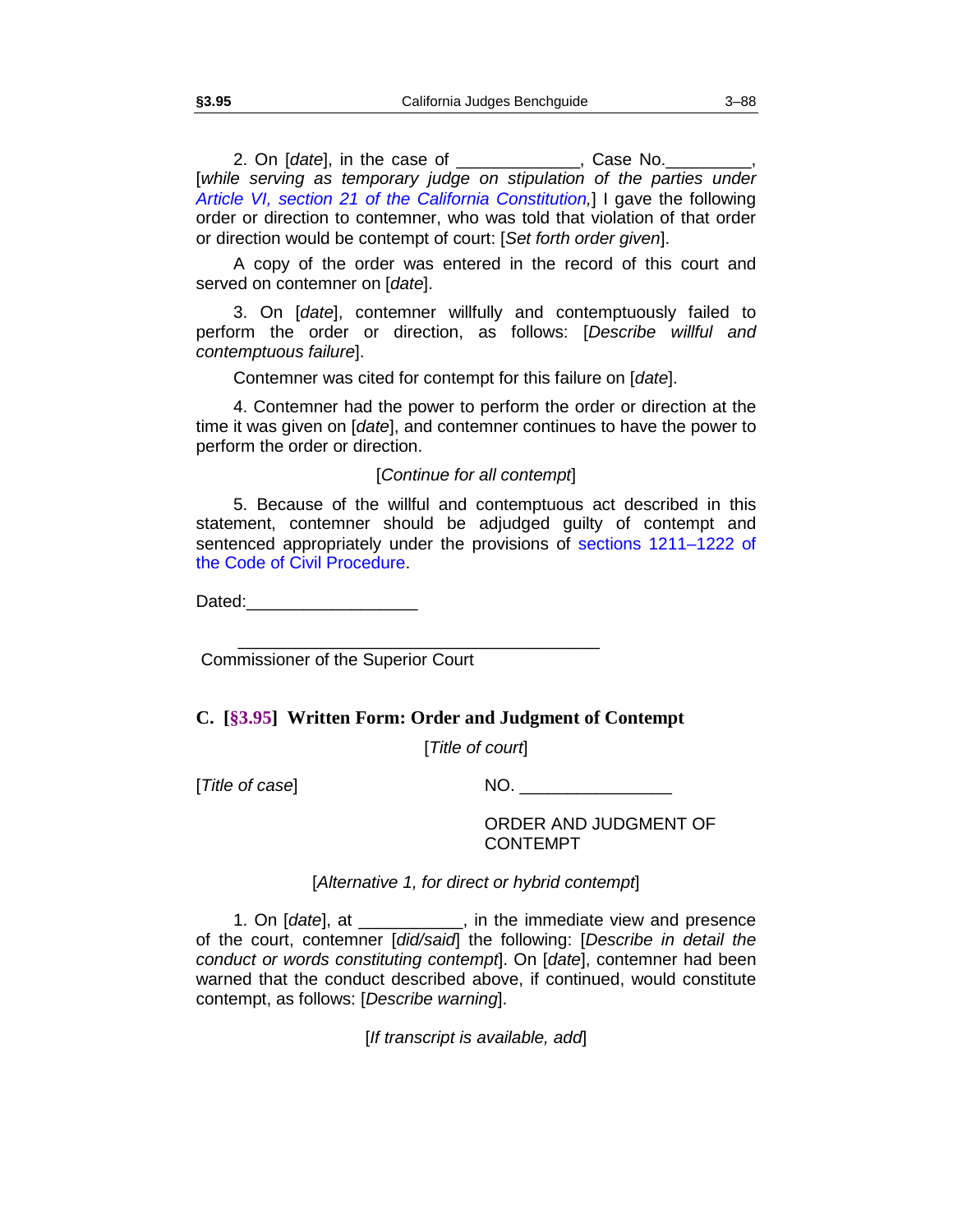2. On [*date*], in the case of \_\_\_\_\_\_\_\_\_\_\_\_\_, Case No.\_\_\_\_\_\_\_\_\_, [*while serving as temporary judge on stipulation of the parties under Article VI, section 21 of the California Constitution,*] I gave the following order or direction to contemner, who was told that violation of that order or direction would be contempt of court: [*Set forth order given*].

A copy of the order was entered in the record of this court and served on contemner on [*date*].

3. On [*date*], contemner willfully and contemptuously failed to perform the order or direction, as follows: [*Describe willful and contemptuous failure*].

Contemner was cited for contempt for this failure on [*date*].

4. Contemner had the power to perform the order or direction at the time it was given on [*date*], and contemner continues to have the power to perform the order or direction.

## [*Continue for all contempt*]

5. Because of the willful and contemptuous act described in this statement, contemner should be adjudged guilty of contempt and sentenced appropriately under the provisions of sections 1211–1222 of the Code of Civil Procedure.

Dated:

Commissioner of the Superior Court

# <span id="page-89-0"></span>**C. [§3.95] Written Form: Order and Judgment of Contempt**

\_\_\_\_\_\_\_\_\_\_\_\_\_\_\_\_\_\_\_\_\_\_\_\_\_\_\_\_\_\_\_\_\_\_\_\_\_\_

|  |  |  | [Title of court] |  |
|--|--|--|------------------|--|
|--|--|--|------------------|--|

[*Title of case*] NO. \_\_\_\_\_\_\_\_\_\_\_\_\_\_\_\_

ORDER AND JUDGMENT OF CONTEMPT

[*Alternative 1, for direct or hybrid contempt*]

1. On [*date*], at \_\_\_\_\_\_\_\_\_\_\_, in the immediate view and presence of the court, contemner [*did/said*] the following: [*Describe in detail the conduct or words constituting contempt*]. On [*date*], contemner had been warned that the conduct described above, if continued, would constitute contempt, as follows: [*Describe warning*].

[*If transcript is available, add*]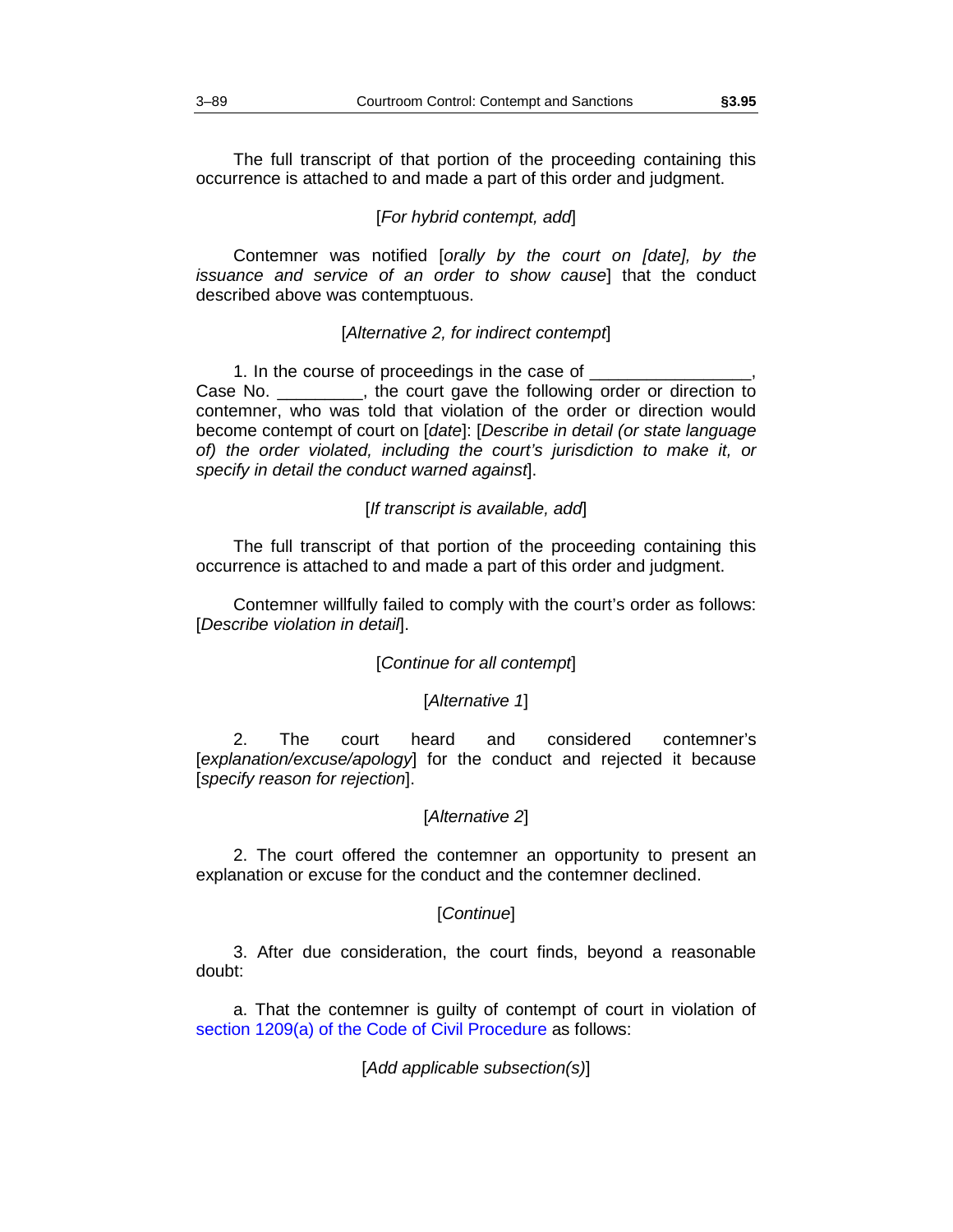The full transcript of that portion of the proceeding containing this occurrence is attached to and made a part of this order and judgment.

# [*For hybrid contempt, add*]

Contemner was notified [*orally by the court on [date], by the issuance and service of an order to show cause*] that the conduct described above was contemptuous.

## [*Alternative 2, for indirect contempt*]

1. In the course of proceedings in the case of Case No. \_\_\_\_\_\_\_\_\_, the court gave the following order or direction to contemner, who was told that violation of the order or direction would become contempt of court on [*date*]: [*Describe in detail (or state language of) the order violated, including the court's jurisdiction to make it, or specify in detail the conduct warned against*].

## [*If transcript is available, add*]

The full transcript of that portion of the proceeding containing this occurrence is attached to and made a part of this order and judgment.

Contemner willfully failed to comply with the court's order as follows: [*Describe violation in detail*].

### [*Continue for all contempt*]

## [*Alternative 1*]

2. The court heard and considered contemner's [*explanation/excuse/apology*] for the conduct and rejected it because [*specify reason for rejection*].

### [*Alternative 2*]

2. The court offered the contemner an opportunity to present an explanation or excuse for the conduct and the contemner declined.

### [*Continue*]

3. After due consideration, the court finds, beyond a reasonable doubt:

a. That the contemner is guilty of contempt of court in violation of section 1209(a) of the Code of Civil Procedure as follows:

[*Add applicable subsection(s)*]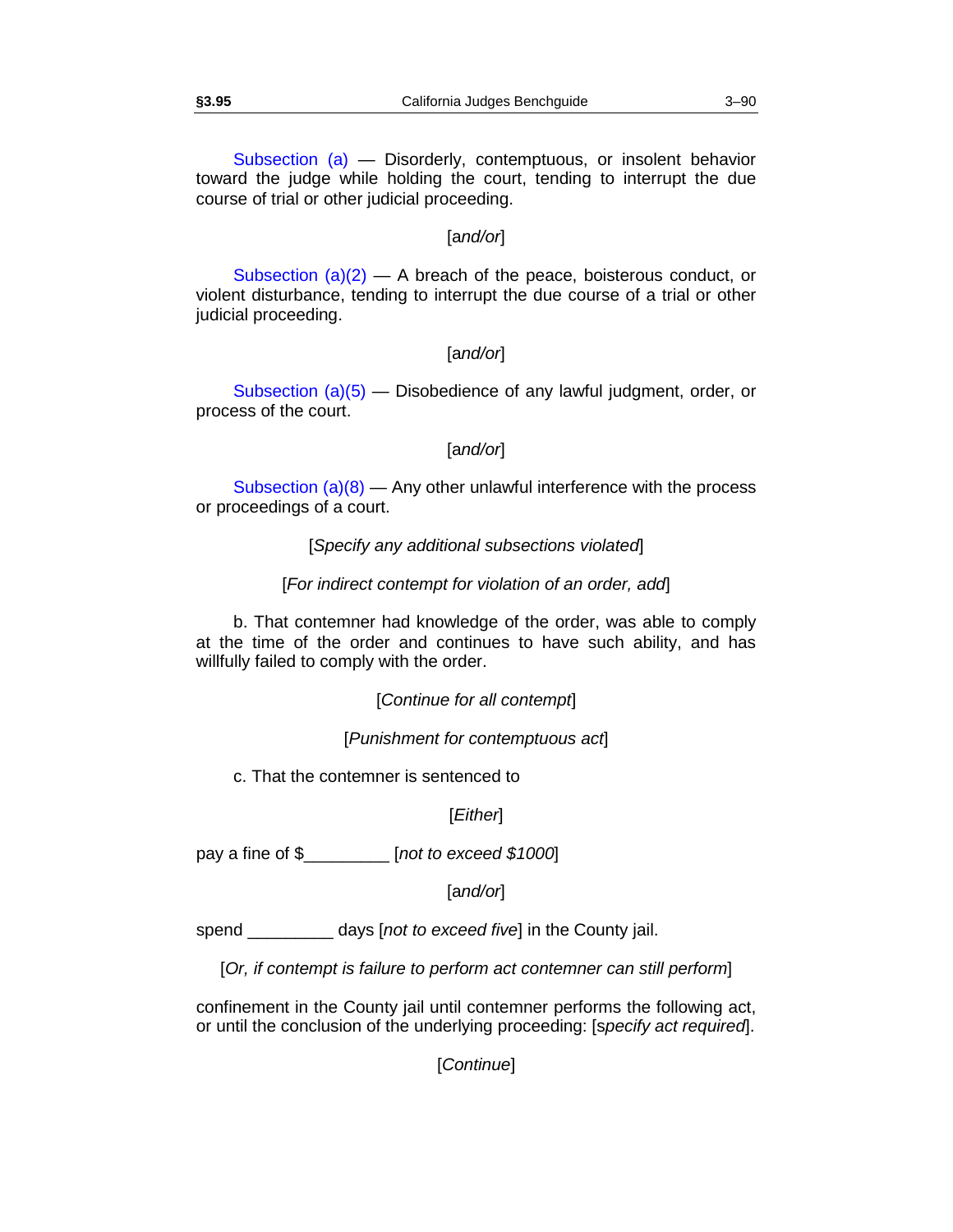Subsection (a) — Disorderly, contemptuous, or insolent behavior toward the judge while holding the court, tending to interrupt the due course of trial or other judicial proceeding.

# [a*nd/or*]

Subsection  $(a)(2)$  — A breach of the peace, boisterous conduct, or violent disturbance, tending to interrupt the due course of a trial or other judicial proceeding.

# [a*nd/or*]

Subsection (a)(5) — Disobedience of any lawful judgment, order, or process of the court.

# [a*nd/or*]

Subsection  $(a)(8)$  — Any other unlawful interference with the process or proceedings of a court.

## [*Specify any additional subsections violated*]

## [*For indirect contempt for violation of an order, add*]

b. That contemner had knowledge of the order, was able to comply at the time of the order and continues to have such ability, and has willfully failed to comply with the order.

# [*Continue for all contempt*]

# [*Punishment for contemptuous act*]

c. That the contemner is sentenced to

[*Either*]

pay a fine of \$\_\_\_\_\_\_\_\_\_ [*not to exceed \$1000*]

[a*nd/or*]

spend \_\_\_\_\_\_\_\_\_ days [*not to exceed five*] in the County jail.

[*Or, if contempt is failure to perform act contemner can still perform*]

confinement in the County jail until contemner performs the following act, or until the conclusion of the underlying proceeding: [s*pecify act required*].

[*Continue*]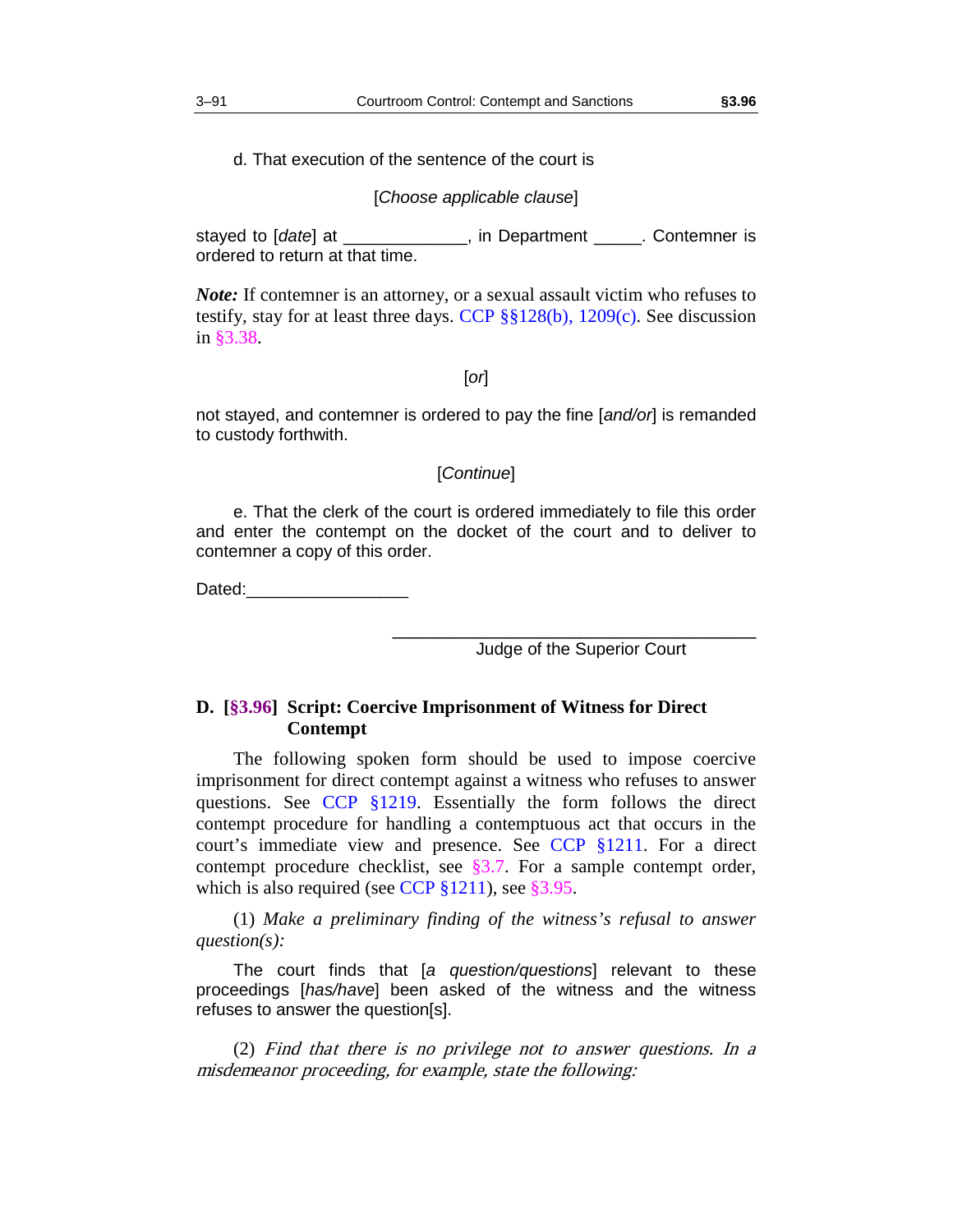### d. That execution of the sentence of the court is

[*Choose applicable clause*]

stayed to [*date*] at \_\_\_\_\_\_\_\_\_\_\_\_\_, in Department \_\_\_\_\_. Contemner is ordered to return at that time.

*Note:* If contemner is an attorney, or a sexual assault victim who refuses to testify, stay for at least three days. CCP  $\S$ §128(b), 1209(c). See discussion in [§3.38.](#page-47-0)

### [*or*]

not stayed, and contemner is ordered to pay the fine [*and/or*] is remanded to custody forthwith.

# [*Continue*]

e. That the clerk of the court is ordered immediately to file this order and enter the contempt on the docket of the court and to deliver to contemner a copy of this order.

Dated:

\_\_\_\_\_\_\_\_\_\_\_\_\_\_\_\_\_\_\_\_\_\_\_\_\_\_\_\_\_\_\_\_\_\_\_ Judge of the Superior Court

# <span id="page-92-0"></span>**D. [§3.96] Script: Coercive Imprisonment of Witness for Direct Contempt**

The following spoken form should be used to impose coercive imprisonment for direct contempt against a witness who refuses to answer questions. See CCP §1219. Essentially the form follows the direct contempt procedure for handling a contemptuous act that occurs in the court's immediate view and presence. See CCP §1211. For a direct contempt procedure checklist, see [§3.7.](#page-16-0) For a sample contempt order, which is also required (see CCP  $\S 1211$ ), see  $\S 3.95$ .

(1) *Make a preliminary finding of the witness's refusal to answer question(s):*

The court finds that [*a question/questions*] relevant to these proceedings [*has/have*] been asked of the witness and the witness refuses to answer the question[s].

(2) Find that there is no privilege not to answer questions. In a misdemeanor proceeding, for example, state the following: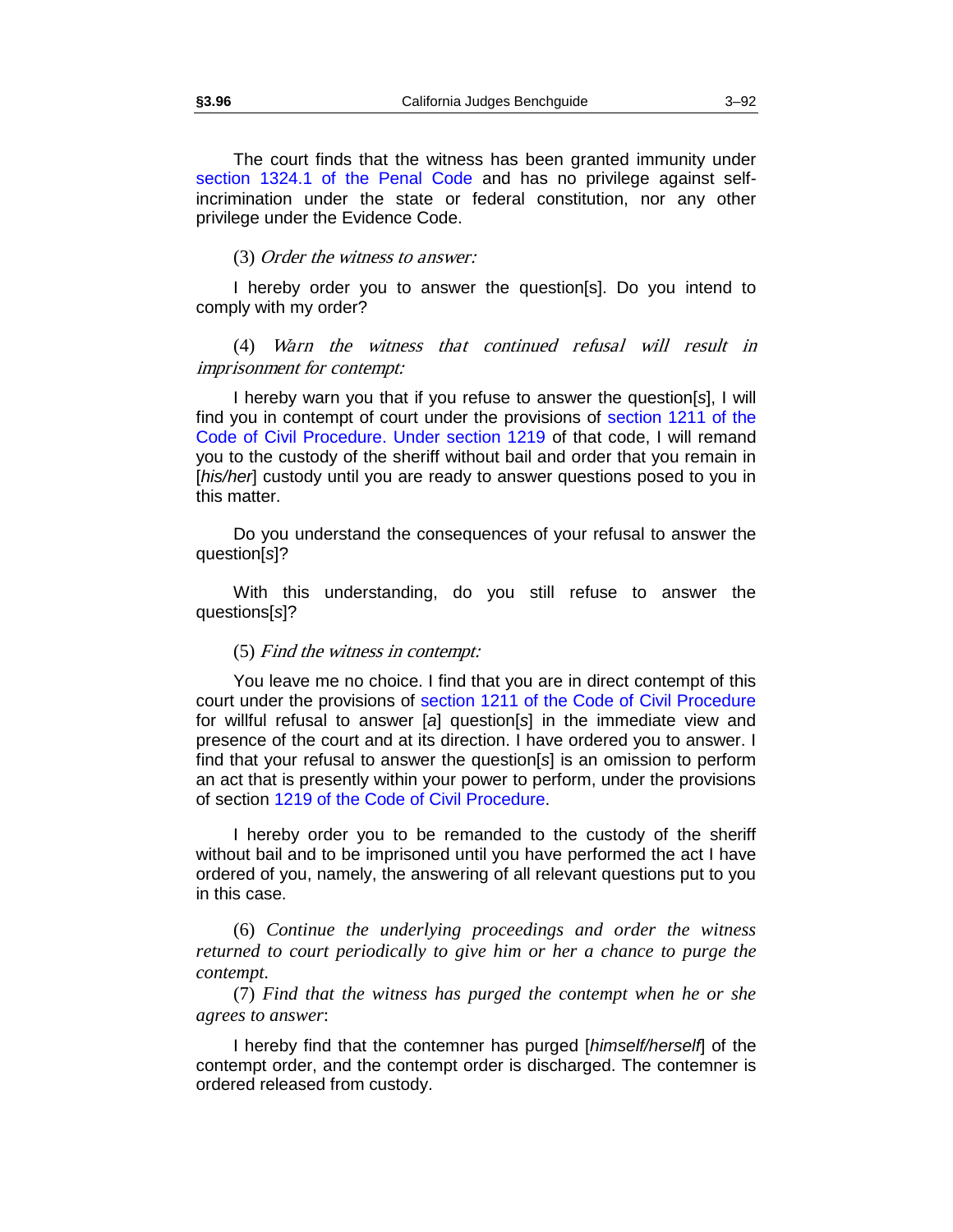The court finds that the witness has been granted immunity under section 1324.1 of the Penal Code and has no privilege against selfincrimination under the state or federal constitution, nor any other privilege under the Evidence Code.

(3) Order the witness to answer:

I hereby order you to answer the question[s]. Do you intend to comply with my order?

(4) Warn the witness that continued refusal will result in imprisonment for contempt:

I hereby warn you that if you refuse to answer the question[*s*], I will find you in contempt of court under the provisions of section 1211 of the Code of Civil Procedure. Under section 1219 of that code, I will remand you to the custody of the sheriff without bail and order that you remain in [*his/her*] custody until you are ready to answer questions posed to you in this matter.

Do you understand the consequences of your refusal to answer the question[*s*]?

With this understanding, do you still refuse to answer the questions[*s*]?

### (5) Find the witness in contempt:

You leave me no choice. I find that you are in direct contempt of this court under the provisions of section 1211 of the Code of Civil Procedure for willful refusal to answer [*a*] question[*s*] in the immediate view and presence of the court and at its direction. I have ordered you to answer. I find that your refusal to answer the question[*s*] is an omission to perform an act that is presently within your power to perform, under the provisions of section 1219 of the Code of Civil Procedure.

I hereby order you to be remanded to the custody of the sheriff without bail and to be imprisoned until you have performed the act I have ordered of you, namely, the answering of all relevant questions put to you in this case.

(6) *Continue the underlying proceedings and order the witness returned to court periodically to give him or her a chance to purge the contempt.*

(7) *Find that the witness has purged the contempt when he or she agrees to answer*:

I hereby find that the contemner has purged [*himself/herself*] of the contempt order, and the contempt order is discharged. The contemner is ordered released from custody.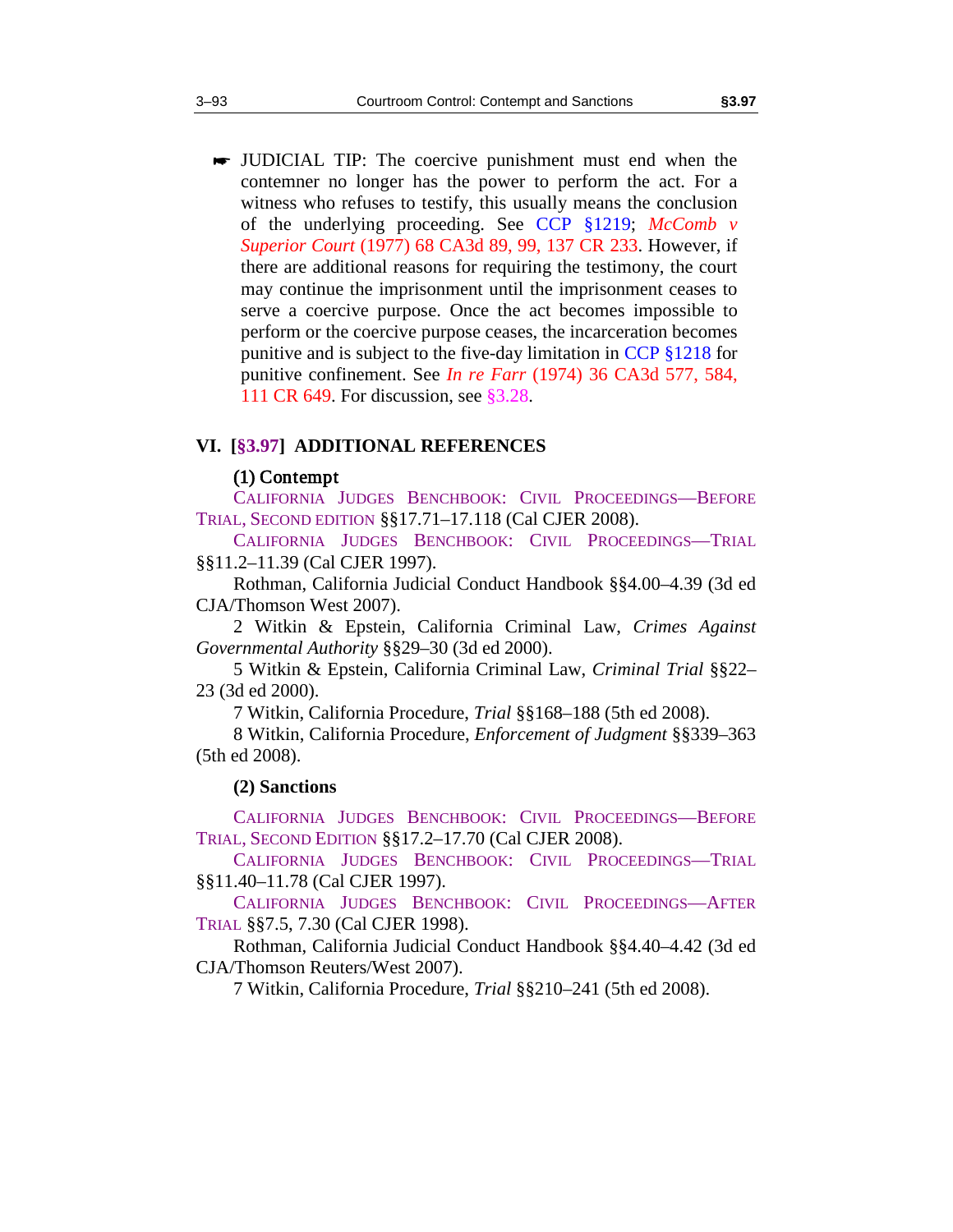JUDICIAL TIP: The coercive punishment must end when the contemner no longer has the power to perform the act. For a witness who refuses to testify, this usually means the conclusion of the underlying proceeding. See CCP §1219; *McComb v Superior Court* (1977) 68 CA3d 89, 99, 137 CR 233. However, if there are additional reasons for requiring the testimony, the court may continue the imprisonment until the imprisonment ceases to serve a coercive purpose. Once the act becomes impossible to perform or the coercive purpose ceases, the incarceration becomes punitive and is subject to the five-day limitation in CCP §1218 for punitive confinement. See *In re Farr* (1974) 36 CA3d 577, 584, 111 CR 649. For discussion, see [§3.28.](#page-40-0)

#### **VI. [§3.97] ADDITIONAL REFERENCES**

## (1) Contempt

CALIFORNIA JUDGES BENCHBOOK: CIVIL PROCEEDINGS—BEFORE TRIAL, SECOND EDITION §§17.71–17.118 (Cal CJER 2008).

CALIFORNIA JUDGES BENCHBOOK: CIVIL PROCEEDINGS—TRIAL §§11.2–11.39 (Cal CJER 1997).

Rothman, California Judicial Conduct Handbook §§4.00–4.39 (3d ed CJA/Thomson West 2007).

2 Witkin & Epstein, California Criminal Law, *Crimes Against Governmental Authority* §§29–30 (3d ed 2000).

5 Witkin & Epstein, California Criminal Law, *Criminal Trial* §§22– 23 (3d ed 2000).

7 Witkin, California Procedure, *Trial* §§168–188 (5th ed 2008).

8 Witkin, California Procedure, *Enforcement of Judgment* §§339–363 (5th ed 2008).

### **(2) Sanctions**

CALIFORNIA JUDGES BENCHBOOK: CIVIL PROCEEDINGS—BEFORE TRIAL, SECOND EDITION §§17.2–17.70 (Cal CJER 2008).

CALIFORNIA JUDGES BENCHBOOK: CIVIL PROCEEDINGS—TRIAL §§11.40–11.78 (Cal CJER 1997).

CALIFORNIA JUDGES BENCHBOOK: CIVIL PROCEEDINGS—AFTER TRIAL §§7.5, 7.30 (Cal CJER 1998).

Rothman, California Judicial Conduct Handbook §§4.40–4.42 (3d ed CJA/Thomson Reuters/West 2007).

7 Witkin, California Procedure, *Trial* §§210–241 (5th ed 2008).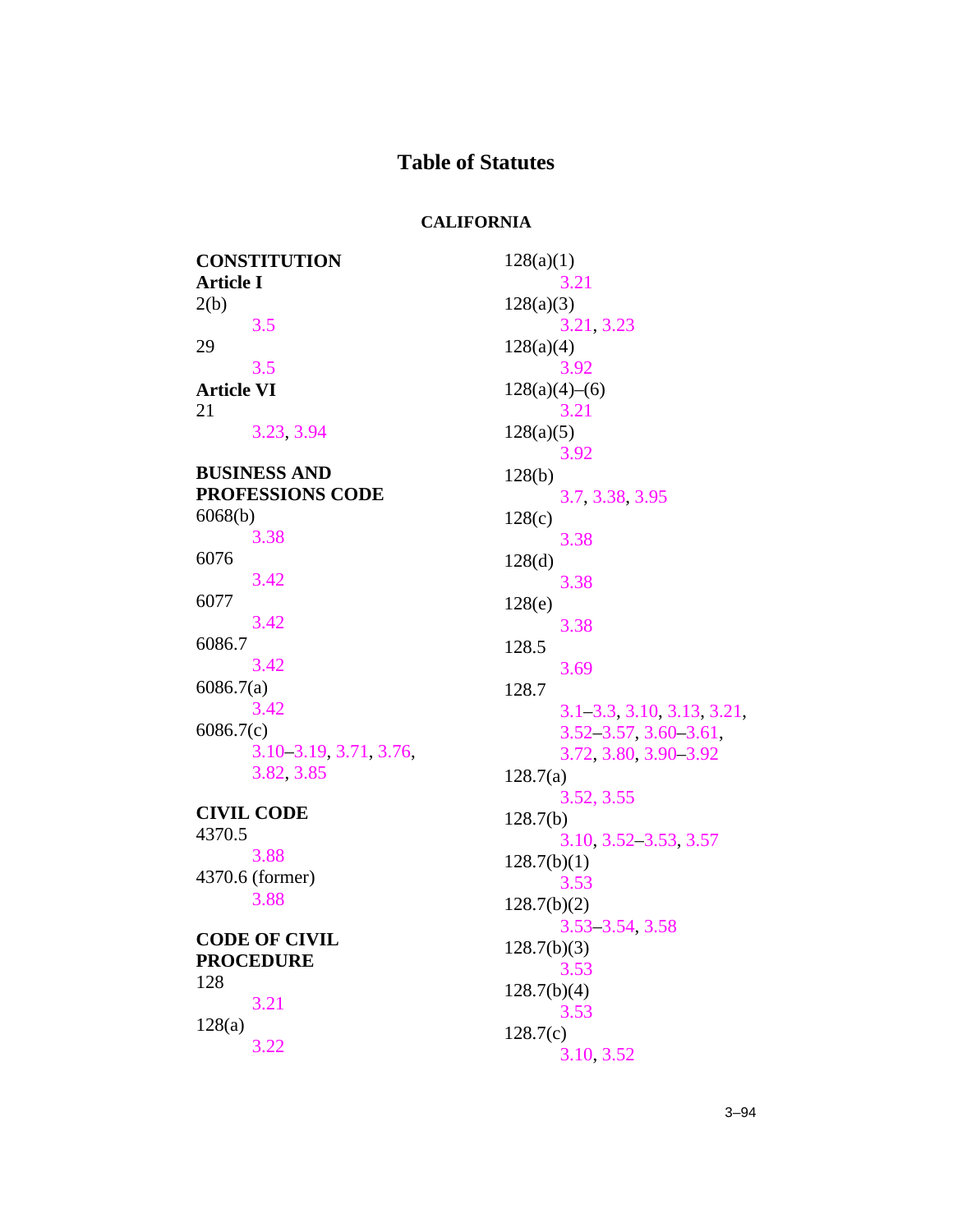# **Table of Statutes**

# **CALIFORNIA**

**CONSTITUTION Article I** 2(b) [3.5](#page-13-0) 29 [3.5](#page-13-0) **Article VI** 21 [3.23,](#page-37-0) [3.94](#page-88-0) **BUSINESS AND PROFESSIONS CODE** 6068(b) [3.38](#page-47-0) 6076 [3.42](#page-50-0) 6077 [3.42](#page-50-0) 6086.7 [3.42](#page-50-0) 6086.7(a) [3.42](#page-50-0) 6086.7(c) [3.10–](#page-22-0)[3.19,](#page-33-1) [3.71,](#page-75-0) [3.76,](#page-77-0) [3.82,](#page-80-0) [3.85](#page-82-0) **CIVIL CODE** 4370.5 [3.88](#page-83-0) 4370.6 (former) [3.88](#page-83-0) **CODE OF CIVIL PROCEDURE**

128 [3.21](#page-35-0) 128(a) [3.22](#page-36-0)  $128(a)(1)$ [3.21](#page-35-0) 128(a)(3) [3.21,](#page-35-0) [3.23](#page-37-0)  $128(a)(4)$ [3.92](#page-86-0)  $128(a)(4)–(6)$ [3.21](#page-35-0)  $128(a)(5)$ [3.92](#page-86-0) 128(b) [3.7,](#page-16-0) [3.38,](#page-47-0) [3.95](#page-89-0) 128(c) [3.38](#page-47-0) 128(d) [3.38](#page-47-0) 128(e) [3.38](#page-47-0) 128.5 [3.69](#page-74-0) 128.7 [3.1–](#page-6-0)[3.3,](#page-7-0) [3.10,](#page-22-0) [3.13,](#page-27-0) [3.21,](#page-35-0) [3.52–](#page-58-0)[3.57,](#page-64-0) [3.60–](#page-67-1)[3.61,](#page-67-2) [3.72,](#page-76-0) [3.80,](#page-80-1) [3.90–](#page-86-1)[3.92](#page-86-0) 128.7(a) [3.52,](#page-58-0) [3.55](#page-62-0) 128.7(b) [3.10,](#page-22-0) [3.52–](#page-58-0)[3.53,](#page-59-0) [3.57](#page-64-0) 128.7(b)(1) [3.53](#page-59-0) 128.7(b)(2) [3.53–](#page-59-0)[3.54,](#page-59-1) [3.58](#page-66-0) 128.7(b)(3) [3.53](#page-59-0) 128.7(b)(4) [3.53](#page-59-0) 128.7(c) [3.10,](#page-22-0) [3.52](#page-58-0)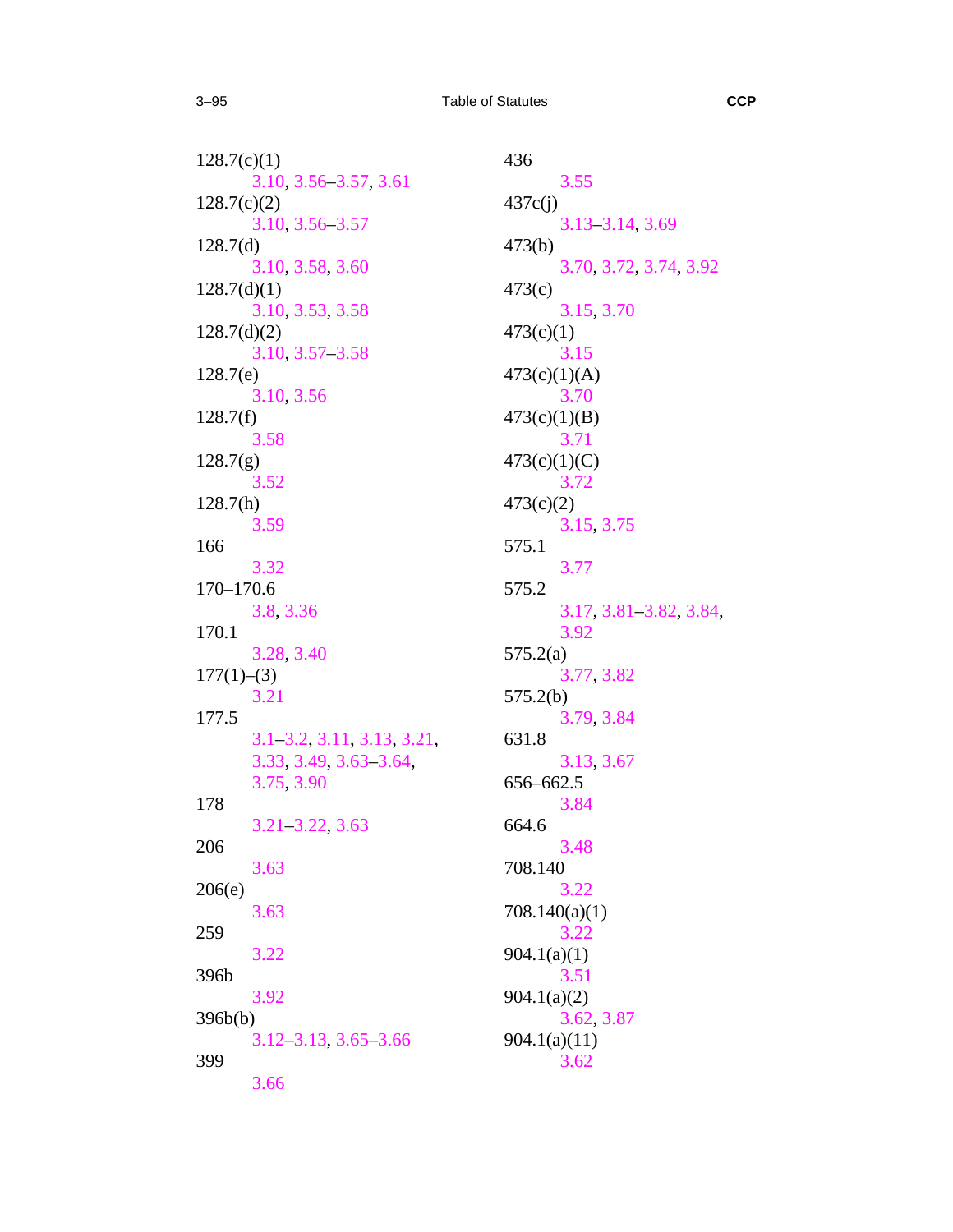$128.7(c)(1)$ [3.10,](#page-22-0) [3.56–](#page-63-0)[3.57,](#page-64-0) [3.61](#page-67-2) 128.7(c)(2) [3.10,](#page-22-0) [3.56–](#page-63-0)[3.57](#page-64-0) 128.7(d) [3.10,](#page-22-0) [3.58,](#page-66-0) [3.60](#page-67-1)  $128.7(d)(1)$ [3.10,](#page-22-0) [3.53,](#page-59-0) [3.58](#page-66-0) 128.7(d)(2) [3.10,](#page-22-0) [3.57–](#page-64-0)[3.58](#page-66-0) 128.7(e) [3.10,](#page-22-0) [3.56](#page-63-0) 128.7(f) [3.58](#page-66-0) 128.7(g) [3.52](#page-58-0) 128.7(h) [3.59](#page-67-3) 166 [3.32](#page-42-0) 170–170.6 [3.8,](#page-18-0) [3.36](#page-46-0) 170.1 [3.28,](#page-40-0) [3.40](#page-48-0)  $177(1)–(3)$ [3.21](#page-35-0) 177.5 [3.1–](#page-6-0)[3.2,](#page-6-1) [3.11,](#page-24-0) [3.13,](#page-27-0) [3.21,](#page-35-0) [3.33,](#page-43-0) [3.49,](#page-55-0) [3.63–](#page-68-0)[3.64,](#page-70-0) [3.75,](#page-77-1) [3.90](#page-86-1) 178 [3.21–](#page-35-0)[3.22,](#page-36-0) [3.63](#page-68-0) 206 [3.63](#page-68-0) 206(e) [3.63](#page-68-0) 259 [3.22](#page-36-0) 396b [3.92](#page-86-0) 396b(b) [3.12–](#page-26-0)[3.13,](#page-27-0) [3.65–](#page-71-0)[3.66](#page-71-1) 399 [3.66](#page-71-1)

436 [3.55](#page-62-0) 437c(j) [3.13–](#page-27-0)[3.14,](#page-28-0) [3.69](#page-74-0) 473(b) [3.70,](#page-75-1) [3.72,](#page-76-0) [3.74,](#page-76-1) [3.92](#page-86-0) 473(c) [3.15,](#page-30-0) [3.70](#page-75-1) 473(c)(1) [3.15](#page-30-0)  $473(c)(1)(A)$ [3.70](#page-75-1) 473(c)(1)(B) [3.71](#page-75-0) 473(c)(1)(C) [3.72](#page-76-0) 473(c)(2) [3.15,](#page-30-0) [3.75](#page-77-1) 575.1 [3.77](#page-78-0) 575.2 [3.17,](#page-32-0) [3.81–](#page-80-2)[3.82,](#page-80-0) [3.84,](#page-81-0) [3.92](#page-86-0) 575.2(a) [3.77,](#page-78-0) [3.82](#page-80-0) 575.2(b) [3.79,](#page-79-0) [3.84](#page-81-0) 631.8 [3.13,](#page-27-0) [3.67](#page-72-0) 656–662.5 [3.84](#page-81-0) 664.6 [3.48](#page-53-0) 708.140 [3.22](#page-36-0) 708.140(a)(1) [3.22](#page-36-0) 904.1(a)(1) [3.51](#page-57-0) 904.1(a)(2) [3.62,](#page-67-0) [3.87](#page-83-1) 904.1(a)(11) [3.62](#page-67-0)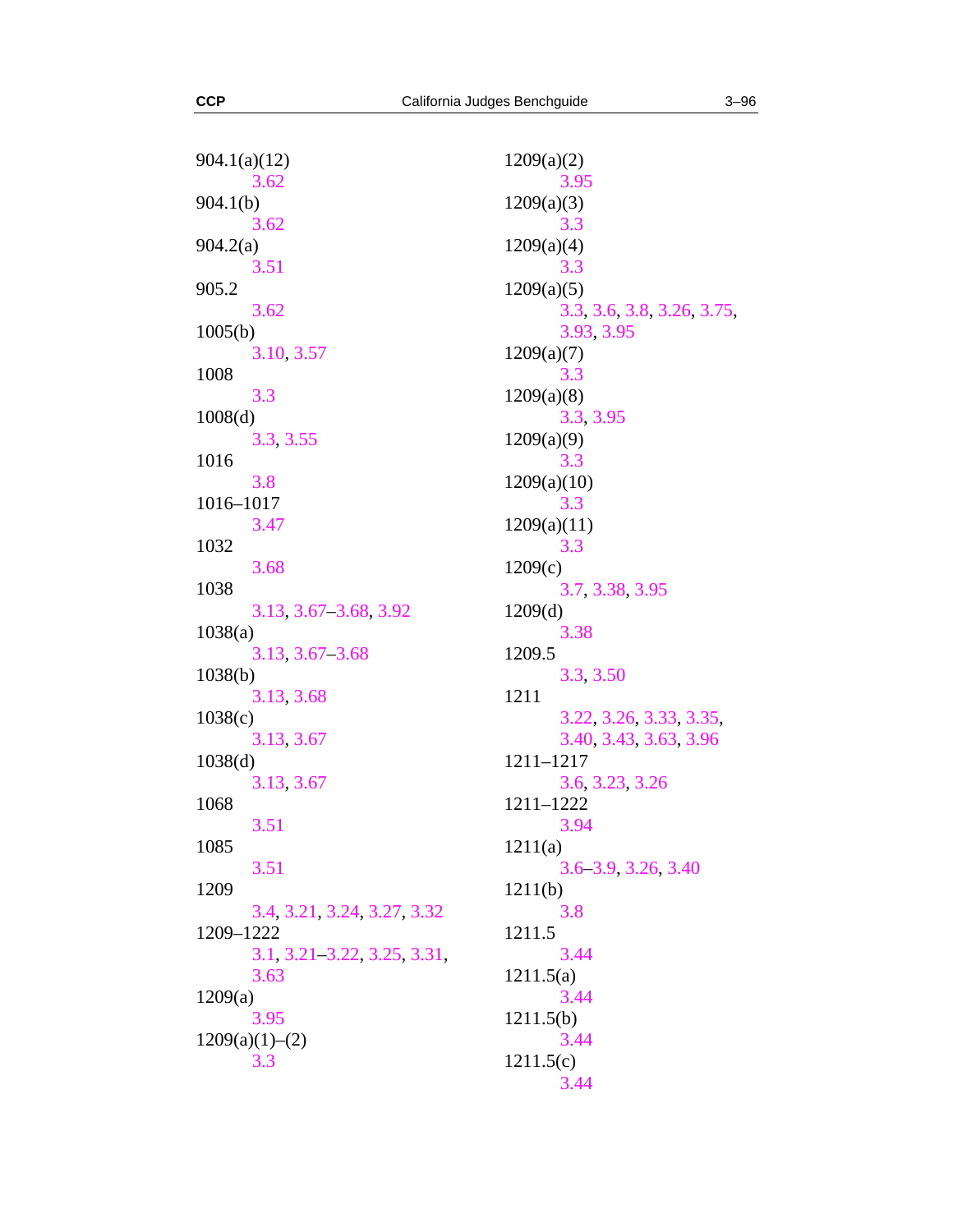904.1(a)(12) [3.62](#page-67-0) 904.1(b) [3.62](#page-67-0) 904.2(a) [3.51](#page-57-0) 905.2 [3.62](#page-67-0) 1005(b) [3.10,](#page-22-0) [3.57](#page-64-0) 1008 [3.3](#page-7-0) 1008(d) [3.3,](#page-7-0) [3.55](#page-62-0) 1016 [3.8](#page-18-0) 1016–1017 [3.47](#page-53-1) 1032 [3.68](#page-72-1) 1038 [3.13,](#page-27-0) [3.67–](#page-72-0)[3.68,](#page-72-1) [3.92](#page-86-0) 1038(a) [3.13,](#page-27-0) [3.67–](#page-72-0)[3.68](#page-72-1) 1038(b) [3.13,](#page-27-0) [3.68](#page-72-1) 1038(c) [3.13,](#page-27-0) [3.67](#page-72-0) 1038(d) [3.13,](#page-27-0) [3.67](#page-72-0) 1068 [3.51](#page-57-0) 1085 [3.51](#page-57-0) 1209 [3.4,](#page-12-0) [3.21,](#page-35-0) [3.24,](#page-38-0) [3.27,](#page-40-1) [3.32](#page-42-0) 1209–1222 [3.1,](#page-6-0) [3.21–](#page-35-0)[3.22,](#page-36-0) [3.25,](#page-39-0) [3.31,](#page-42-1) [3.63](#page-68-0) 1209(a) [3.95](#page-89-0)  $1209(a)(1)-(2)$ [3.3](#page-7-0)

1209(a)(2) [3.95](#page-89-0) 1209(a)(3) [3.3](#page-7-0) 1209(a)(4) [3.3](#page-7-0) 1209(a)(5) [3.3,](#page-7-0) [3.6,](#page-15-0) [3.8,](#page-18-0) [3.26,](#page-39-1) [3.75,](#page-77-1) [3.93,](#page-87-0) [3.95](#page-89-0) 1209(a)(7) [3.3](#page-7-0) 1209(a)(8) [3.3,](#page-7-0) [3.95](#page-89-0) 1209(a)(9) [3.3](#page-7-0) 1209(a)(10) [3.3](#page-7-0) 1209(a)(11) [3.3](#page-7-0) 1209(c) [3.7,](#page-16-0) [3.38,](#page-47-0) [3.95](#page-89-0) 1209(d) [3.38](#page-47-0) 1209.5 [3.3,](#page-7-0) [3.50](#page-55-1) 1211 [3.22,](#page-36-0) [3.26,](#page-39-1) [3.33,](#page-43-0) [3.35,](#page-45-0) [3.40,](#page-48-0) [3.43,](#page-51-0) [3.63,](#page-68-0) [3.96](#page-92-0) 1211–1217 [3.6,](#page-15-0) [3.23,](#page-37-0) [3.26](#page-39-1) 1211–1222 [3.94](#page-88-0) 1211(a) [3.6–](#page-15-0)[3.9,](#page-21-0) [3.26,](#page-39-1) [3.40](#page-48-0) 1211(b) [3.8](#page-18-0) 1211.5 [3.44](#page-52-0) 1211.5(a) [3.44](#page-52-0) 1211.5(b) [3.44](#page-52-0) 1211.5(c) [3.44](#page-52-0)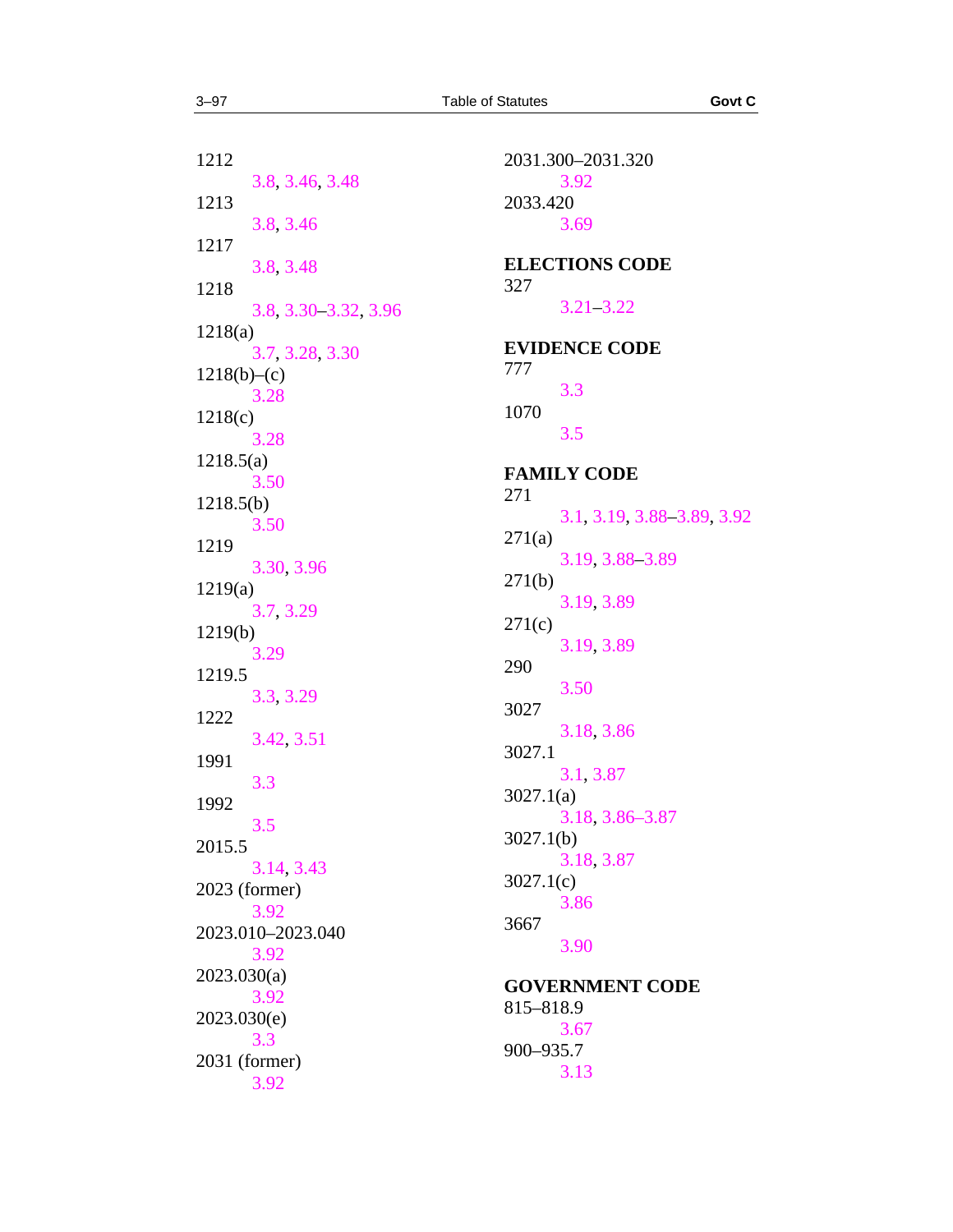1212 [3.8,](#page-18-0) [3.46,](#page-53-2) [3.48](#page-53-0) 1213 [3.8,](#page-18-0) [3.46](#page-53-2) 1217 [3.8,](#page-18-0) [3.48](#page-53-0) 1218 [3.8,](#page-18-0) [3.30–](#page-42-2)[3.32,](#page-42-0) [3.96](#page-92-0) 1218(a) [3.7,](#page-16-0) [3.28,](#page-40-0) [3.30](#page-42-2)  $1218(b)$ –(c) [3.28](#page-40-0) 1218(c) [3.28](#page-40-0) 1218.5(a) [3.50](#page-55-1) 1218.5(b) [3.50](#page-55-1) 1219 [3.30,](#page-42-2) [3.96](#page-92-0) 1219(a) [3.7,](#page-16-0) [3.29](#page-41-0) 1219(b) [3.29](#page-41-0) 1219.5 [3.3,](#page-7-0) [3.29](#page-41-0) 1222 [3.42,](#page-50-0) [3.51](#page-57-0) 1991 [3.3](#page-7-0) 1992 [3.5](#page-13-0) 2015.5 [3.14,](#page-28-0) [3.43](#page-51-0) 2023 (former) [3.92](#page-86-0) 2023.010–2023.040 [3.92](#page-86-0) 2023.030(a) [3.92](#page-86-0) 2023.030(e) [3.3](#page-7-0) 2031 (former) [3.92](#page-86-0)

2031.300–2031.320 [3.92](#page-86-0) 2033.420 [3.69](#page-74-0) **ELECTIONS CODE** 327 [3.21–](#page-35-0)[3.22](#page-36-0) **EVIDENCE CODE** 777 [3.3](#page-7-0) 1070 [3.5](#page-13-0) **FAMILY CODE** 271 [3.1,](#page-6-0) [3.19,](#page-33-1) [3.88–](#page-83-0)[3.89,](#page-85-0) [3.92](#page-86-0) 271(a) [3.19,](#page-33-1) [3.88–](#page-83-0)[3.89](#page-85-0) 271(b) [3.19,](#page-33-1) [3.89](#page-85-0) 271(c) [3.19,](#page-33-1) [3.89](#page-85-0) 290 [3.50](#page-55-1) 3027 [3.18,](#page-33-0) [3.86](#page-83-2) 3027.1 [3.1,](#page-6-0) [3.87](#page-83-1) 3027.1(a) [3.18,](#page-33-0) [3.86–](#page-83-2)[3.87](#page-83-1) 3027.1(b) [3.18,](#page-33-0) [3.87](#page-83-1) 3027.1(c) [3.86](#page-83-2) 3667 [3.90](#page-86-1) **GOVERNMENT CODE** 815–818.9 [3.67](#page-72-0)

900–935.7 [3.13](#page-27-0)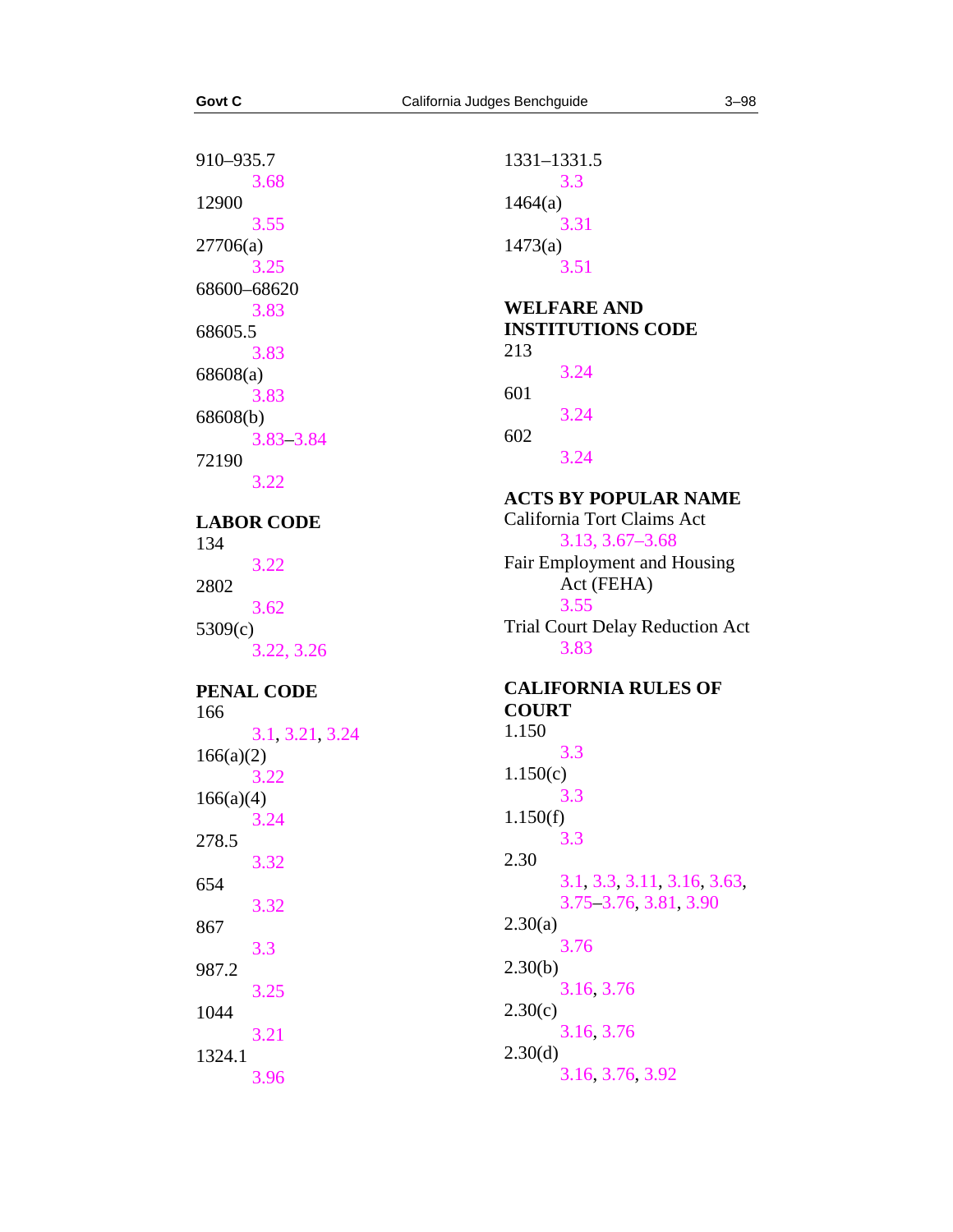910–935.7 [3.68](#page-72-1) 12900 [3.55](#page-62-0) 27706(a) [3.25](#page-39-0) 68600–68620 [3.83](#page-81-1) 68605.5 [3.83](#page-81-1) 68608(a) [3.83](#page-81-1) 68608(b) [3.83–](#page-81-1)[3.84](#page-81-0) 72190 [3.22](#page-36-0) **LABOR CODE** 134 [3.22](#page-36-0) 2802 [3.62](#page-67-0) 5309(c) [3.22,](#page-36-0) [3.26](#page-39-1) **PENAL CODE** 166 [3.1,](#page-6-0) [3.21,](#page-35-0) [3.24](#page-38-0) 166(a)(2) [3.22](#page-36-0) 166(a)(4) [3.24](#page-38-0) 278.5 [3.32](#page-42-0) 654 [3.32](#page-42-0) 867 [3.3](#page-7-0) 987.2 [3.25](#page-39-0) 1044 [3.21](#page-35-0) 1324.1 [3.96](#page-92-0)

1331–1331.5 [3.3](#page-7-0) 1464(a) [3.31](#page-42-1) 1473(a) [3.51](#page-57-0) **WELFARE AND INSTITUTIONS CODE** 213 [3.24](#page-38-0) 601 [3.24](#page-38-0) 602 [3.24](#page-38-0) **ACTS BY POPULAR NAME** California Tort Claims Act [3.13,](#page-27-0) [3.67–](#page-72-0)[3.68](#page-72-1) Fair Employment and Housing Act (FEHA) [3.55](#page-62-0) Trial Court Delay Reduction Act [3.83](#page-81-1) **CALIFORNIA RULES OF COURT** 1.150 [3.3](#page-7-0) 1.150(c) [3.3](#page-7-0) 1.150(f) [3.3](#page-7-0) 2.30 [3.1,](#page-6-0) [3.3,](#page-7-0) [3.11,](#page-24-0) [3.16,](#page-31-0) [3.63,](#page-68-0) [3.75–](#page-77-1)[3.76,](#page-77-0) [3.81,](#page-80-2) [3.90](#page-86-1)  $2.30(a)$ [3.76](#page-77-0) 2.30(b) [3.16,](#page-31-0) [3.76](#page-77-0) 2.30(c) [3.16,](#page-31-0) [3.76](#page-77-0)  $2.30(d)$ [3.16,](#page-31-0) [3.76,](#page-77-0) [3.92](#page-86-0)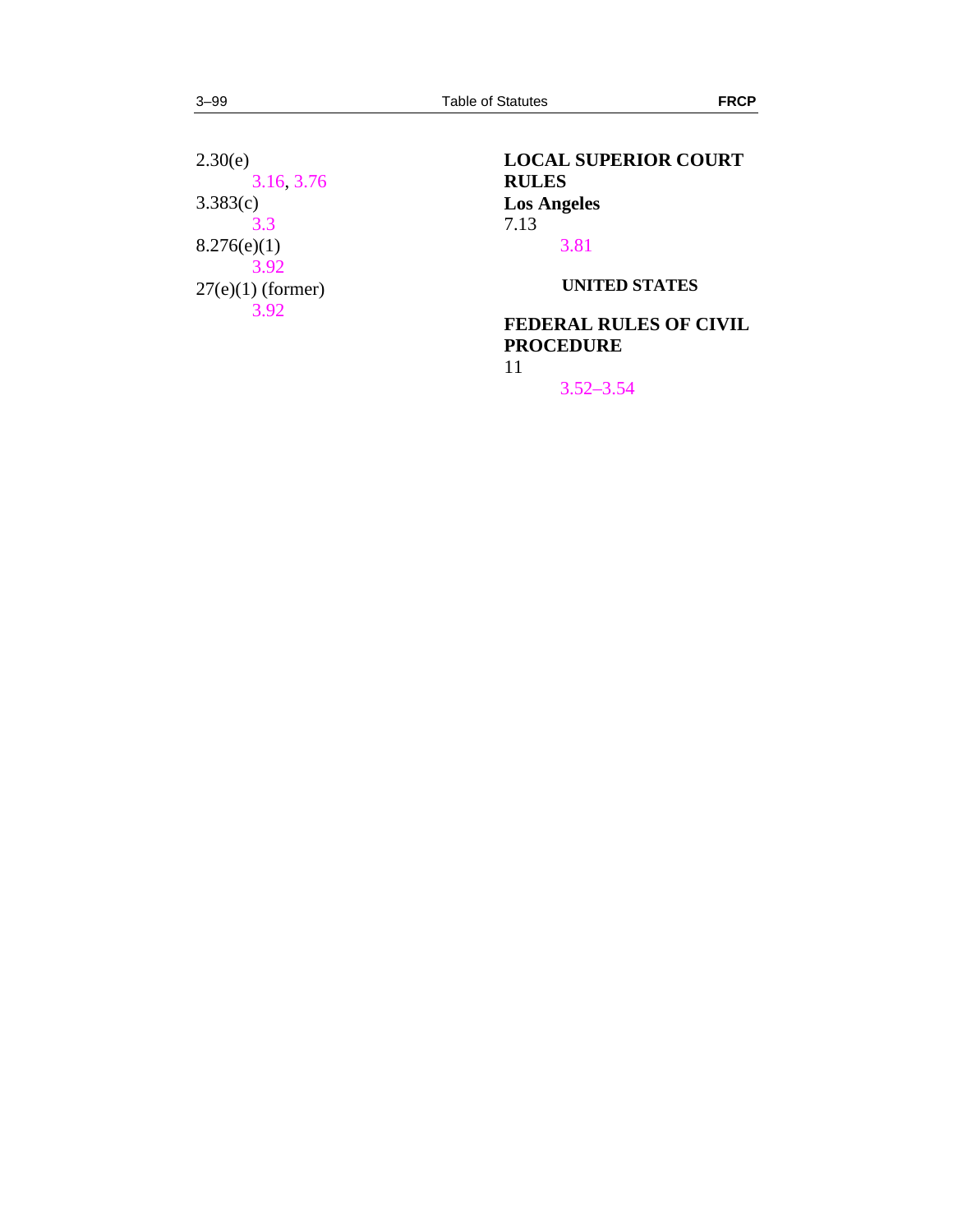2.30(e) [3.16,](#page-31-0) [3.76](#page-77-0) 3.383(c) [3.3](#page-7-0) 8.276(e)(1) [3.92](#page-86-0) 27(e)(1) (former) [3.92](#page-86-0)

# **LOCAL SUPERIOR COURT RULES Los Angeles** 7.13

[3.81](#page-80-2)

# **UNITED STATES**

# **FEDERAL RULES OF CIVIL PROCEDURE**

11

[3.52–](#page-58-0)[3.54](#page-59-1)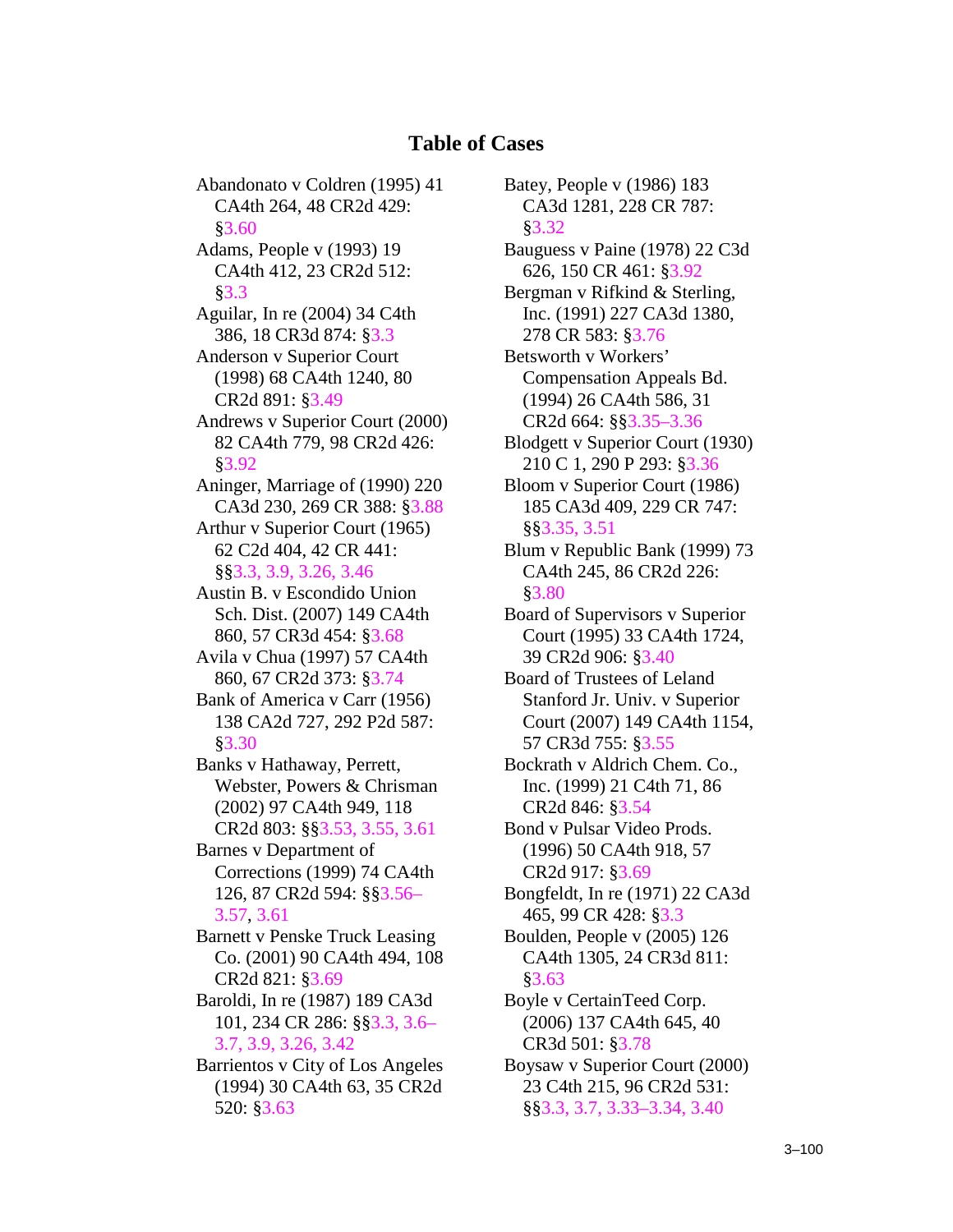# **Table of Cases**

Abandonato v Coldren (1995) 41 CA4th 264, 48 CR2d 429: [§3.60](#page-67-1) Adams, People v (1993) 19 CA4th 412, 23 CR2d 512: [§3.3](#page-7-0) Aguilar, In re (2004) 34 C4th 386, 18 CR3d 874: [§3.3](#page-7-0) Anderson v Superior Court (1998) 68 CA4th 1240, 80 CR2d 891: [§3.49](#page-55-0) Andrews v Superior Court (2000) 82 CA4th 779, 98 CR2d 426: [§3.92](#page-86-0) Aninger, Marriage of (1990) 220 CA3d 230, 269 CR 388: [§3.88](#page-83-0) Arthur v Superior Court (1965) 62 C2d 404, 42 CR 441: §[§3.3,](#page-7-0) [3.9,](#page-21-0) [3.26,](#page-39-1) [3.46](#page-53-2) Austin B. v Escondido Union Sch. Dist. (2007) 149 CA4th 860, 57 CR3d 454: [§3.68](#page-72-1) Avila v Chua (1997) 57 CA4th 860, 67 CR2d 373: [§3.74](#page-76-1) Bank of America v Carr (1956) 138 CA2d 727, 292 P2d 587: [§3.30](#page-42-2) Banks v Hathaway, Perrett, Webster, Powers & Chrisman (2002) 97 CA4th 949, 118 CR2d 803: §[§3.53,](#page-59-0) [3.55,](#page-62-0) [3.61](#page-67-2) Barnes v Department of Corrections (1999) 74 CA4th 126, 87 CR2d 594: §[§3.56–](#page-63-0) [3.57,](#page-64-0) [3.61](#page-67-2) Barnett v Penske Truck Leasing Co. (2001) 90 CA4th 494, 108 CR2d 821: [§3.69](#page-74-0) Baroldi, In re (1987) 189 CA3d 101, 234 CR 286: §[§3.3,](#page-7-0) [3.6–](#page-15-0) [3.7,](#page-16-0) [3.9,](#page-21-0) [3.26,](#page-39-1) [3.42](#page-50-0) Barrientos v City of Los Angeles (1994) 30 CA4th 63, 35 CR2d 520: [§3.63](#page-68-0)

Batey, People v (1986) 183 CA3d 1281, 228 CR 787: [§3.32](#page-42-0) Bauguess v Paine (1978) 22 C3d 626, 150 CR 461: [§3.92](#page-86-0) Bergman v Rifkind & Sterling, Inc. (1991) 227 CA3d 1380, 278 CR 583: [§3.76](#page-77-0) Betsworth v Workers' Compensation Appeals Bd. (1994) 26 CA4th 586, 31 CR2d 664: §[§3.35–](#page-45-0)[3.36](#page-46-0) Blodgett v Superior Court (1930) 210 C 1, 290 P 293: [§3.36](#page-46-0) Bloom v Superior Court (1986) 185 CA3d 409, 229 CR 747: §[§3.35,](#page-45-0) [3.51](#page-57-0) Blum v Republic Bank (1999) 73 CA4th 245, 86 CR2d 226: [§3.80](#page-80-1) Board of Supervisors v Superior Court (1995) 33 CA4th 1724, 39 CR2d 906: [§3.40](#page-48-0) Board of Trustees of Leland Stanford Jr. Univ. v Superior Court (2007) 149 CA4th 1154, 57 CR3d 755: [§3.55](#page-62-0) Bockrath v Aldrich Chem. Co., Inc. (1999) 21 C4th 71, 86 CR2d 846: [§3.54](#page-59-1) Bond v Pulsar Video Prods. (1996) 50 CA4th 918, 57 CR2d 917: [§3.69](#page-74-0) Bongfeldt, In re (1971) 22 CA3d 465, 99 CR 428: [§3.3](#page-7-0) Boulden, People v (2005) 126 CA4th 1305, 24 CR3d 811: [§3.63](#page-68-0) Boyle v CertainTeed Corp. (2006) 137 CA4th 645, 40 CR3d 501: [§3.78](#page-79-1) Boysaw v Superior Court (2000) 23 C4th 215, 96 CR2d 531: §[§3.3,](#page-7-0) [3.7,](#page-16-0) [3.33–](#page-43-0)[3.34,](#page-45-1) [3.40](#page-48-0)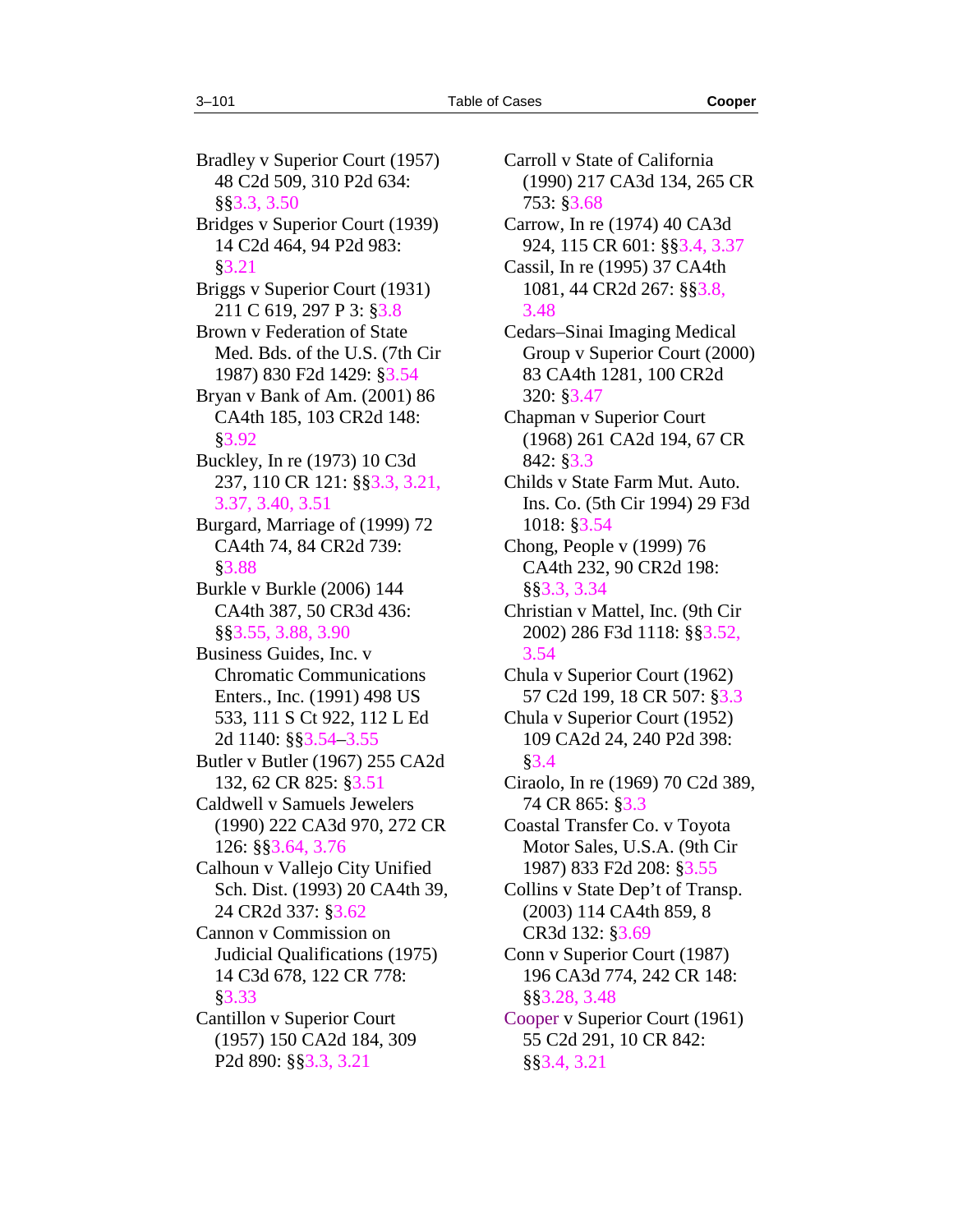Bradley v Superior Court (1957) 48 C2d 509, 310 P2d 634: §[§3.3,](#page-7-0) [3.50](#page-55-1) Bridges v Superior Court (1939) 14 C2d 464, 94 P2d 983: [§3.21](#page-35-0) Briggs v Superior Court (1931) 211 C 619, 297 P 3: [§3.8](#page-18-0) Brown v Federation of State Med. Bds. of the U.S. (7th Cir 1987) 830 F2d 1429: [§3.54](#page-59-1) Bryan v Bank of Am. (2001) 86 CA4th 185, 103 CR2d 148: [§3.92](#page-86-0) Buckley, In re (1973) 10 C3d 237, 110 CR 121: §[§3.3,](#page-7-0) [3.21,](#page-35-0) [3.37,](#page-47-1) [3.40,](#page-48-0) [3.51](#page-57-0) Burgard, Marriage of (1999) 72 CA4th 74, 84 CR2d 739: [§3.88](#page-83-0) Burkle v Burkle (2006) 144 CA4th 387, 50 CR3d 436: §[§3.55,](#page-62-0) [3.88,](#page-83-0) [3.90](#page-86-1) Business Guides, Inc. v Chromatic Communications Enters., Inc. (1991) 498 US 533, 111 S Ct 922, 112 L Ed 2d 1140: §[§3.54–](#page-59-1)[3.55](#page-62-0) Butler v Butler (1967) 255 CA2d 132, 62 CR 825: [§3.51](#page-57-0) Caldwell v Samuels Jewelers (1990) 222 CA3d 970, 272 CR 126: §[§3.64,](#page-70-0) [3.76](#page-77-0) Calhoun v Vallejo City Unified Sch. Dist. (1993) 20 CA4th 39, 24 CR2d 337: [§3.62](#page-67-0) Cannon v Commission on Judicial Qualifications (1975) 14 C3d 678, 122 CR 778: [§3.33](#page-43-0) Cantillon v Superior Court (1957) 150 CA2d 184, 309 P2d 890: §[§3.3,](#page-7-0) [3.21](#page-35-0)

Carroll v State of California (1990) 217 CA3d 134, 265 CR 753: [§3.68](#page-72-1) Carrow, In re (1974) 40 CA3d 924, 115 CR 601: §[§3.4,](#page-12-0) [3.37](#page-47-1) Cassil, In re (1995) 37 CA4th 1081, 44 CR2d 267: §[§3.8,](#page-18-0) [3.48](#page-53-0) Cedars–Sinai Imaging Medical Group v Superior Court (2000) 83 CA4th 1281, 100 CR2d 320: [§3.47](#page-53-1) Chapman v Superior Court (1968) 261 CA2d 194, 67 CR 842: [§3.3](#page-7-0) Childs v State Farm Mut. Auto. Ins. Co. (5th Cir 1994) 29 F3d 1018: [§3.54](#page-59-1) Chong, People v (1999) 76 CA4th 232, 90 CR2d 198: §[§3.3,](#page-7-0) [3.34](#page-45-1) Christian v Mattel, Inc. (9th Cir 2002) 286 F3d 1118: §[§3.52,](#page-58-0) [3.54](#page-59-1) Chula v Superior Court (1962) 57 C2d 199, 18 CR 507: [§3.3](#page-7-0) Chula v Superior Court (1952) 109 CA2d 24, 240 P2d 398: [§3.4](#page-12-0) Ciraolo, In re (1969) 70 C2d 389, 74 CR 865: [§3.3](#page-7-0) Coastal Transfer Co. v Toyota Motor Sales, U.S.A. (9th Cir 1987) 833 F2d 208: [§3.55](#page-62-0) Collins v State Dep't of Transp. (2003) 114 CA4th 859, 8 CR3d 132: [§3.69](#page-74-0) Conn v Superior Court (1987) 196 CA3d 774, 242 CR 148: §[§3.28,](#page-40-0) [3.48](#page-53-0) Cooper v Superior Court (1961) 55 C2d 291, 10 CR 842: §[§3.4,](#page-12-0) [3.21](#page-35-0)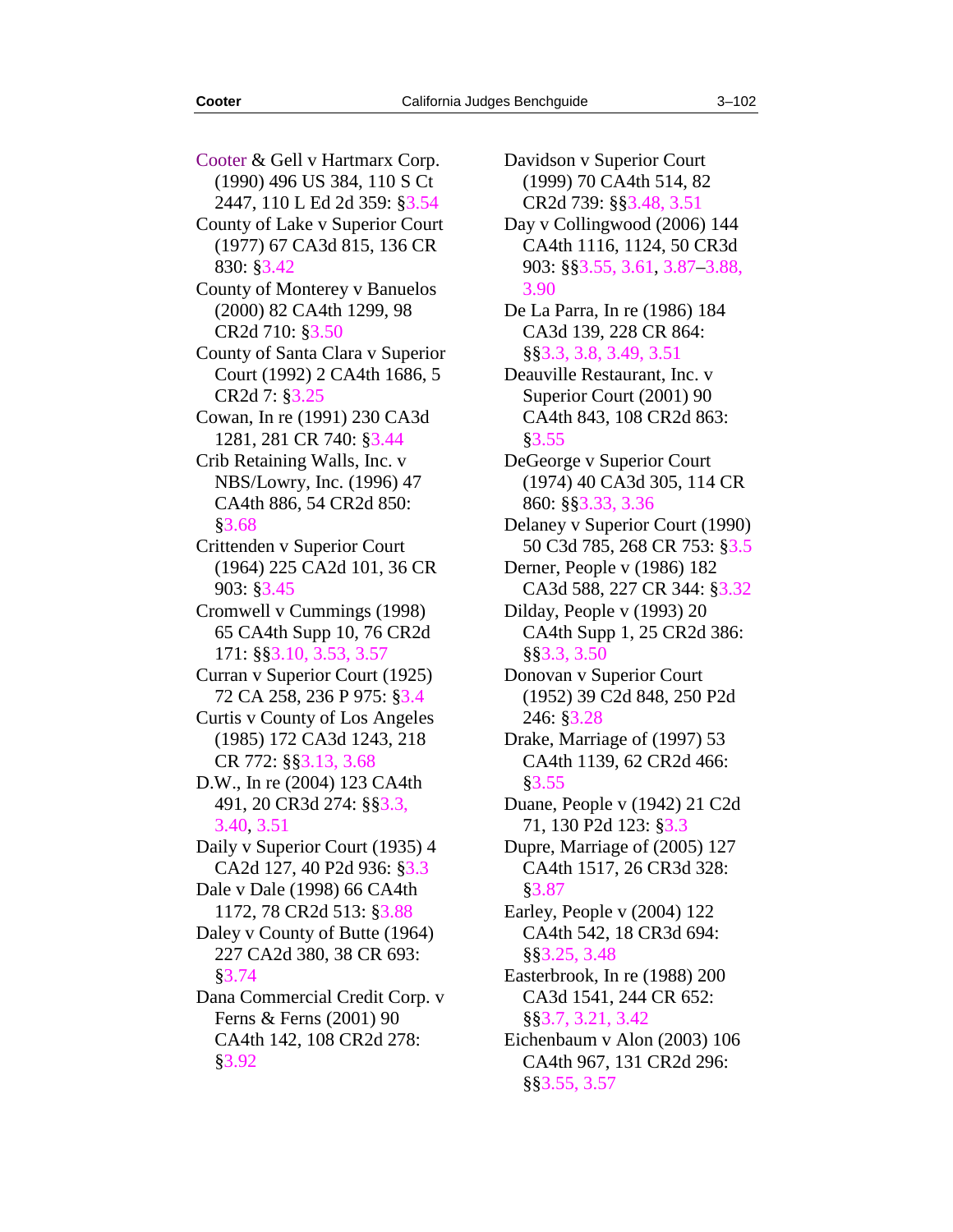[§3.68](#page-72-1)

[§3.74](#page-76-1)

Cooter & Gell v Hartmarx Corp. (1990) 496 US 384, 110 S Ct 2447, 110 L Ed 2d 359: [§3.54](#page-59-1) County of Lake v Superior Court (1977) 67 CA3d 815, 136 CR 830: [§3.42](#page-50-0) County of Monterey v Banuelos (2000) 82 CA4th 1299, 98 CR2d 710: [§3.50](#page-55-1) County of Santa Clara v Superior Court (1992) 2 CA4th 1686, 5 CR2d 7: [§3.25](#page-39-0) Cowan, In re (1991) 230 CA3d 1281, 281 CR 740: [§3.44](#page-52-0) Crib Retaining Walls, Inc. v NBS/Lowry, Inc. (1996) 47 CA4th 886, 54 CR2d 850: Crittenden v Superior Court (1964) 225 CA2d 101, 36 CR 903: [§3.45](#page-52-1) Cromwell v Cummings (1998) 65 CA4th Supp 10, 76 CR2d 171: §[§3.10,](#page-22-0) [3.53,](#page-59-0) [3.57](#page-64-0) Curran v Superior Court (1925) 72 CA 258, 236 P 975: [§3.4](#page-12-0) Curtis v County of Los Angeles (1985) 172 CA3d 1243, 218 CR 772: §[§3.13,](#page-27-0) [3.68](#page-72-1) D.W., In re (2004) 123 CA4th 491, 20 CR3d 274: §[§3.3,](#page-7-0) [3.40,](#page-48-0) [3.51](#page-57-0) Daily v Superior Court (1935) 4 CA2d 127, 40 P2d 936: [§3.3](#page-7-0) Dale v Dale (1998) 66 CA4th 1172, 78 CR2d 513: [§3.88](#page-83-0) Daley v County of Butte (1964) 227 CA2d 380, 38 CR 693:

Dana Commercial Credit Corp. v Ferns & Ferns (2001) 90 CA4th 142, 108 CR2d 278: [§3.92](#page-86-0)

Davidson v Superior Court (1999) 70 CA4th 514, 82 CR2d 739: §[§3.48,](#page-53-0) [3.51](#page-57-0) Day v Collingwood (2006) 144 CA4th 1116, 1124, 50 CR3d 903: §[§3.55,](#page-62-0) [3.61,](#page-67-2) [3.87–](#page-83-1)[3.88,](#page-83-0) [3.90](#page-86-1) De La Parra, In re (1986) 184 CA3d 139, 228 CR 864: §[§3.3,](#page-7-0) [3.8,](#page-18-0) [3.49,](#page-55-0) [3.51](#page-57-0) Deauville Restaurant, Inc. v Superior Court (2001) 90 CA4th 843, 108 CR2d 863: [§3.55](#page-62-0) DeGeorge v Superior Court (1974) 40 CA3d 305, 114 CR 860: §[§3.33,](#page-43-0) [3.36](#page-46-0) Delaney v Superior Court (1990) 50 C3d 785, 268 CR 753: [§3.5](#page-13-0) Derner, People v (1986) 182 CA3d 588, 227 CR 344: [§3.32](#page-42-0) Dilday, People v (1993) 20 CA4th Supp 1, 25 CR2d 386: §[§3.3,](#page-7-0) [3.50](#page-55-1) Donovan v Superior Court (1952) 39 C2d 848, 250 P2d 246: [§3.28](#page-40-0) Drake, Marriage of (1997) 53 CA4th 1139, 62 CR2d 466: [§3.55](#page-62-0) Duane, People v (1942) 21 C2d 71, 130 P2d 123: [§3.3](#page-7-0) Dupre, Marriage of (2005) 127 CA4th 1517, 26 CR3d 328: [§3.87](#page-83-1) Earley, People v (2004) 122 CA4th 542, 18 CR3d 694: §[§3.25,](#page-39-0) [3.48](#page-53-0) Easterbrook, In re (1988) 200 CA3d 1541, 244 CR 652: §[§3.7,](#page-16-0) [3.21,](#page-35-0) [3.42](#page-50-0) Eichenbaum v Alon (2003) 106 CA4th 967, 131 CR2d 296: §[§3.55,](#page-62-0) [3.57](#page-64-0)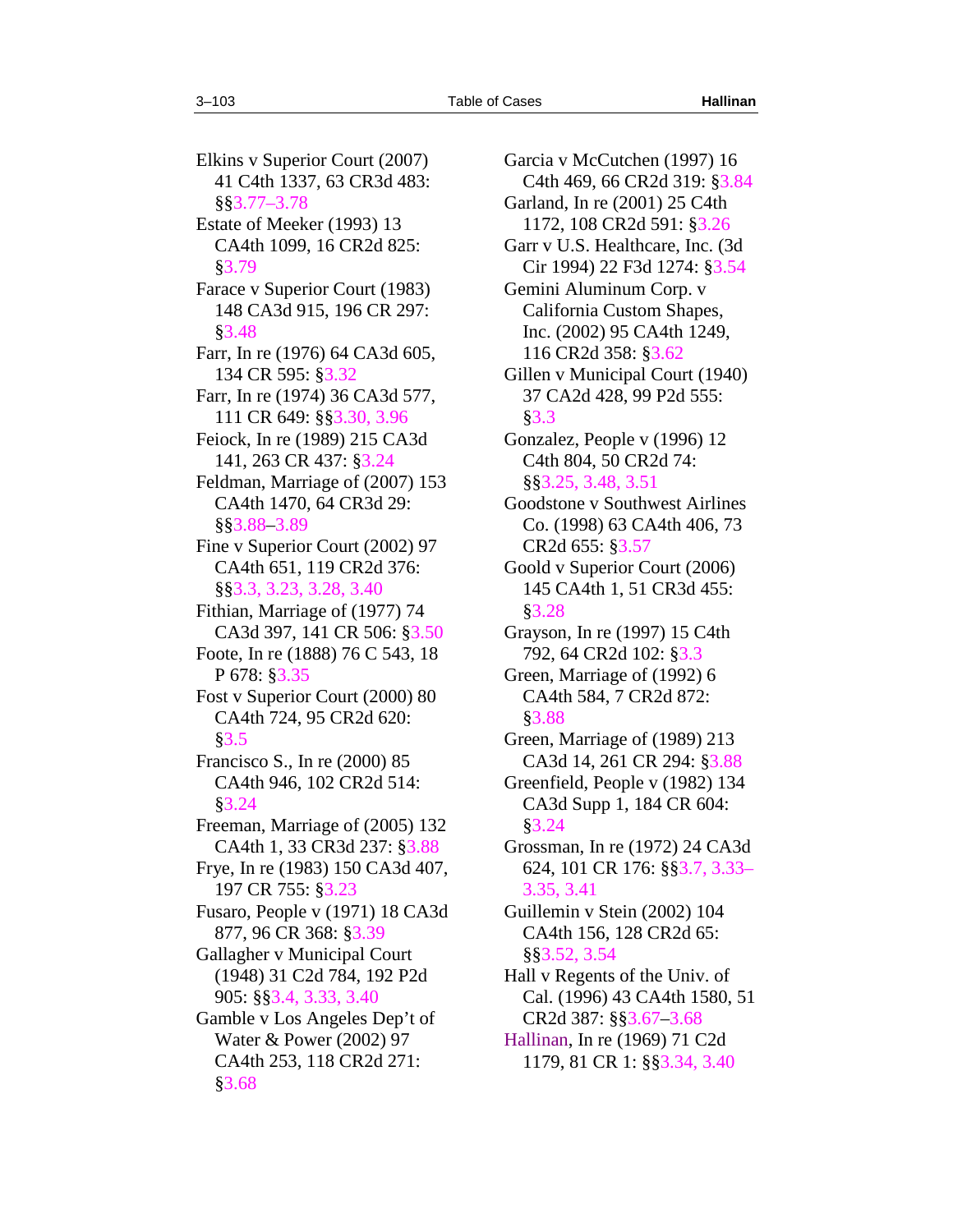Elkins v Superior Court (2007) 41 C4th 1337, 63 CR3d 483: §[§3.77–](#page-78-0)[3.78](#page-79-1) Estate of Meeker (1993) 13 CA4th 1099, 16 CR2d 825: [§3.79](#page-79-0) Farace v Superior Court (1983) 148 CA3d 915, 196 CR 297: [§3.48](#page-53-0) Farr, In re (1976) 64 CA3d 605, 134 CR 595: [§3.32](#page-42-0) Farr, In re (1974) 36 CA3d 577, 111 CR 649: §[§3.30,](#page-42-2) [3.96](#page-92-0) Feiock, In re (1989) 215 CA3d 141, 263 CR 437: [§3.24](#page-38-0) Feldman, Marriage of (2007) 153 CA4th 1470, 64 CR3d 29: §[§3.88–](#page-83-0)[3.89](#page-85-0) Fine v Superior Court (2002) 97 CA4th 651, 119 CR2d 376: §[§3.3,](#page-7-0) [3.23,](#page-37-0) [3.28,](#page-40-0) [3.40](#page-48-0) Fithian, Marriage of (1977) 74 CA3d 397, 141 CR 506: [§3.50](#page-55-1) Foote, In re (1888) 76 C 543, 18 P 678: [§3.35](#page-45-0) Fost v Superior Court (2000) 80 CA4th 724, 95 CR2d 620: [§3.5](#page-13-0) Francisco S., In re (2000) 85 CA4th 946, 102 CR2d 514: [§3.24](#page-38-0) Freeman, Marriage of (2005) 132 CA4th 1, 33 CR3d 237: [§3.88](#page-83-0) Frye, In re (1983) 150 CA3d 407, 197 CR 755: [§3.23](#page-37-0) Fusaro, People v (1971) 18 CA3d 877, 96 CR 368: [§3.39](#page-48-1) Gallagher v Municipal Court (1948) 31 C2d 784, 192 P2d 905: §[§3.4,](#page-12-0) [3.33,](#page-43-0) [3.40](#page-48-0) Gamble v Los Angeles Dep't of Water & Power (2002) 97 CA4th 253, 118 CR2d 271: [§3.68](#page-72-1)

Garcia v McCutchen (1997) 16 C4th 469, 66 CR2d 319: [§3.84](#page-81-0) Garland, In re (2001) 25 C4th 1172, 108 CR2d 591: [§3.26](#page-39-1) Garr v U.S. Healthcare, Inc. (3d Cir 1994) 22 F3d 1274: [§3.54](#page-59-1) Gemini Aluminum Corp. v California Custom Shapes, Inc. (2002) 95 CA4th 1249, 116 CR2d 358: [§3.62](#page-67-0) Gillen v Municipal Court (1940) 37 CA2d 428, 99 P2d 555: [§3.3](#page-7-0) Gonzalez, People v (1996) 12 C4th 804, 50 CR2d 74: §[§3.25,](#page-39-0) [3.48,](#page-53-0) [3.51](#page-57-0) Goodstone v Southwest Airlines Co. (1998) 63 CA4th 406, 73 CR2d 655: [§3.57](#page-64-0) Goold v Superior Court (2006) 145 CA4th 1, 51 CR3d 455: [§3.28](#page-40-0) Grayson, In re (1997) 15 C4th 792, 64 CR2d 102: [§3.3](#page-7-0) Green, Marriage of (1992) 6 CA4th 584, 7 CR2d 872: [§3.88](#page-83-0) Green, Marriage of (1989) 213 CA3d 14, 261 CR 294: [§3.88](#page-83-0) Greenfield, People v (1982) 134 CA3d Supp 1, 184 CR 604: [§3.24](#page-38-0) Grossman, In re (1972) 24 CA3d 624, 101 CR 176: §[§3.7,](#page-16-0) [3.33–](#page-43-0) [3.35,](#page-45-0) [3.41](#page-50-1) Guillemin v Stein (2002) 104 CA4th 156, 128 CR2d 65: §[§3.52,](#page-58-0) [3.54](#page-59-1) Hall v Regents of the Univ. of Cal. (1996) 43 CA4th 1580, 51 CR2d 387: §[§3.67–](#page-72-0)[3.68](#page-72-1) Hallinan, In re (1969) 71 C2d 1179, 81 CR 1: §[§3.34,](#page-45-1) [3.40](#page-48-0)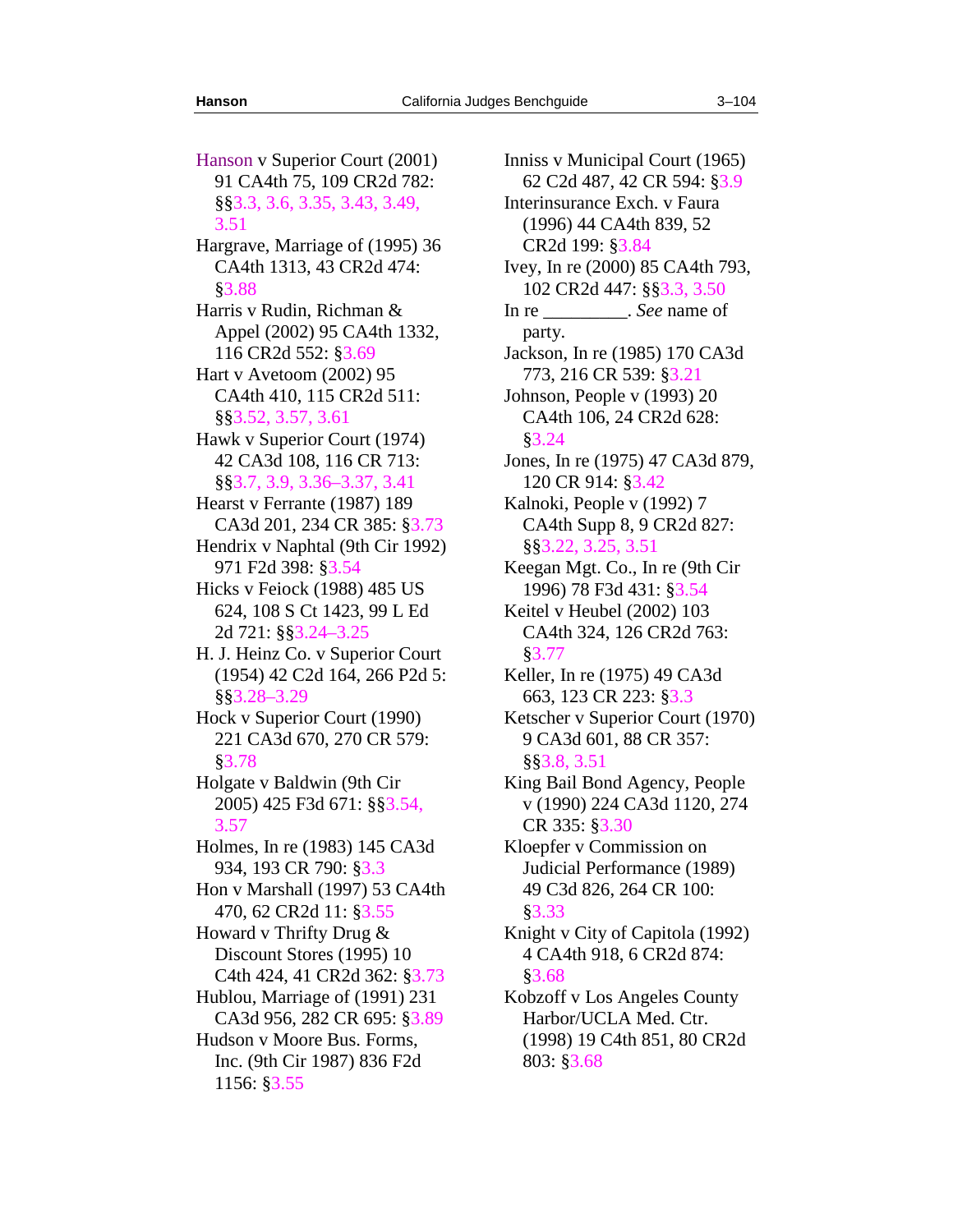Hanson v Superior Court (2001) 91 CA4th 75, 109 CR2d 782: §[§3.3,](#page-7-0) [3.6,](#page-15-0) [3.35,](#page-45-0) [3.43,](#page-51-0) [3.49,](#page-55-0) [3.51](#page-57-0) Hargrave, Marriage of (1995) 36 CA4th 1313, 43 CR2d 474: [§3.88](#page-83-0) Harris v Rudin, Richman & Appel (2002) 95 CA4th 1332, 116 CR2d 552: [§3.69](#page-74-0) Hart v Avetoom (2002) 95 CA4th 410, 115 CR2d 511: §[§3.52,](#page-58-0) [3.57,](#page-64-0) [3.61](#page-67-2) Hawk v Superior Court (1974) 42 CA3d 108, 116 CR 713: §[§3.7,](#page-16-0) [3.9,](#page-21-0) [3.36–](#page-46-0)[3.37,](#page-47-1) [3.41](#page-50-1) Hearst v Ferrante (1987) 189 CA3d 201, 234 CR 385: [§3.73](#page-76-2) Hendrix v Naphtal (9th Cir 1992) 971 F2d 398: [§3.54](#page-59-1) Hicks v Feiock (1988) 485 US 624, 108 S Ct 1423, 99 L Ed 2d 721: §[§3.24–](#page-38-0)[3.25](#page-39-0) H. J. Heinz Co. v Superior Court (1954) 42 C2d 164, 266 P2d 5: §[§3.28–](#page-40-0)[3.29](#page-41-0) Hock v Superior Court (1990) 221 CA3d 670, 270 CR 579: [§3.78](#page-79-1) Holgate v Baldwin (9th Cir 2005) 425 F3d 671: §[§3.54,](#page-59-1) [3.57](#page-64-0) Holmes, In re (1983) 145 CA3d 934, 193 CR 790: [§3.3](#page-7-0) Hon v Marshall (1997) 53 CA4th 470, 62 CR2d 11: [§3.55](#page-62-0) Howard v Thrifty Drug & Discount Stores (1995) 10 C4th 424, 41 CR2d 362: [§3.73](#page-76-2) Hublou, Marriage of (1991) 231 CA3d 956, 282 CR 695: [§3.89](#page-85-0) Hudson v Moore Bus. Forms, Inc. (9th Cir 1987) 836 F2d 1156: [§3.55](#page-62-0)

Inniss v Municipal Court (1965) 62 C2d 487, 42 CR 594: [§3.9](#page-21-0) Interinsurance Exch. v Faura (1996) 44 CA4th 839, 52 CR2d 199: [§3.84](#page-81-0) Ivey, In re (2000) 85 CA4th 793, 102 CR2d 447: §[§3.3,](#page-7-0) [3.50](#page-55-1) In re See name of party. Jackson, In re (1985) 170 CA3d 773, 216 CR 539: [§3.21](#page-35-0) Johnson, People v (1993) 20 CA4th 106, 24 CR2d 628: [§3.24](#page-38-0) Jones, In re (1975) 47 CA3d 879, 120 CR 914: [§3.42](#page-50-0) Kalnoki, People v (1992) 7 CA4th Supp 8, 9 CR2d 827: §[§3.22,](#page-36-0) [3.25,](#page-39-0) [3.51](#page-57-0) Keegan Mgt. Co., In re (9th Cir 1996) 78 F3d 431: [§3.54](#page-59-1) Keitel v Heubel (2002) 103 CA4th 324, 126 CR2d 763: [§3.77](#page-78-0) Keller, In re (1975) 49 CA3d 663, 123 CR 223: [§3.3](#page-7-0) Ketscher v Superior Court (1970) 9 CA3d 601, 88 CR 357: §[§3.8,](#page-18-0) [3.51](#page-57-0) King Bail Bond Agency, People v (1990) 224 CA3d 1120, 274 CR 335: [§3.30](#page-42-2) Kloepfer v Commission on Judicial Performance (1989) 49 C3d 826, 264 CR 100: [§3.33](#page-43-0) Knight v City of Capitola (1992) 4 CA4th 918, 6 CR2d 874: [§3.68](#page-72-1) Kobzoff v Los Angeles County Harbor/UCLA Med. Ctr. (1998) 19 C4th 851, 80 CR2d 803: [§3.68](#page-72-1)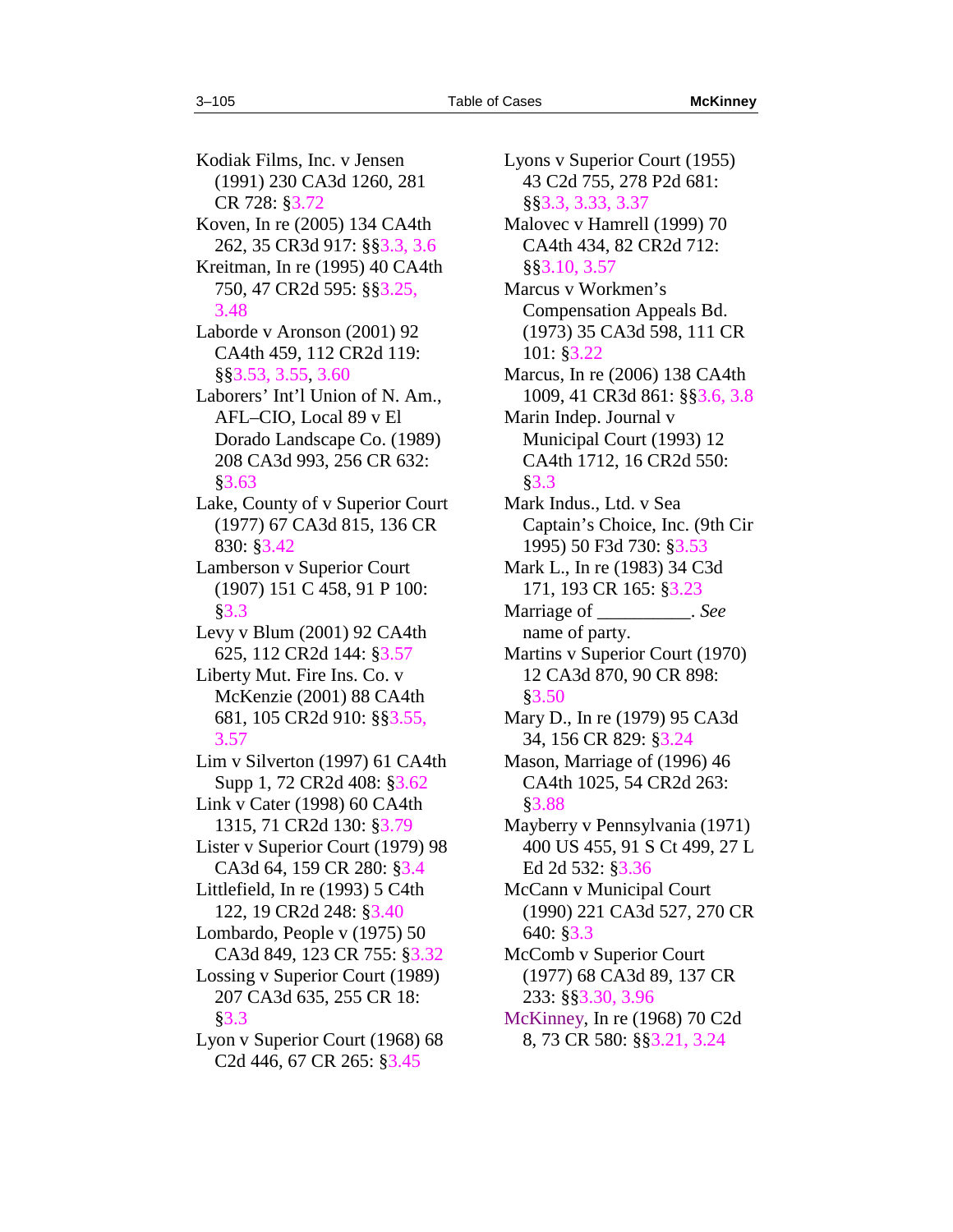Kodiak Films, Inc. v Jensen (1991) 230 CA3d 1260, 281 CR 728: [§3.72](#page-76-0) Koven, In re (2005) 134 CA4th 262, 35 CR3d 917: §[§3.3,](#page-7-0) [3.6](#page-15-0) Kreitman, In re (1995) 40 CA4th 750, 47 CR2d 595: §[§3.25,](#page-39-0) [3.48](#page-53-0) Laborde v Aronson (2001) 92 CA4th 459, 112 CR2d 119: §[§3.53,](#page-59-0) [3.55,](#page-62-0) [3.60](#page-67-1) Laborers' Int'l Union of N. Am., AFL–CIO, Local 89 v El Dorado Landscape Co. (1989) 208 CA3d 993, 256 CR 632: [§3.63](#page-68-0) Lake, County of v Superior Court (1977) 67 CA3d 815, 136 CR 830: [§3.42](#page-50-0) Lamberson v Superior Court (1907) 151 C 458, 91 P 100: [§3.3](#page-7-0) Levy v Blum (2001) 92 CA4th 625, 112 CR2d 144: [§3.57](#page-64-0) Liberty Mut. Fire Ins. Co. v McKenzie (2001) 88 CA4th 681, 105 CR2d 910: §[§3.55,](#page-62-0) [3.57](#page-64-0) Lim v Silverton (1997) 61 CA4th Supp 1, 72 CR2d 408: [§3.62](#page-67-0) Link v Cater (1998) 60 CA4th 1315, 71 CR2d 130: [§3.79](#page-79-0) Lister v Superior Court (1979) 98 CA3d 64, 159 CR 280: [§3.4](#page-12-0) Littlefield, In re (1993) 5 C4th 122, 19 CR2d 248: [§3.40](#page-48-0) Lombardo, People v (1975) 50 CA3d 849, 123 CR 755: [§3.32](#page-42-0) Lossing v Superior Court (1989) 207 CA3d 635, 255 CR 18: [§3.3](#page-7-0) Lyon v Superior Court (1968) 68 C2d 446, 67 CR 265: [§3.45](#page-52-1)

Lyons v Superior Court (1955) 43 C2d 755, 278 P2d 681: §[§3.3,](#page-7-0) [3.33,](#page-43-0) [3.37](#page-47-1) Malovec v Hamrell (1999) 70 CA4th 434, 82 CR2d 712: §[§3.10,](#page-22-0) [3.57](#page-64-0) Marcus v Workmen's Compensation Appeals Bd. (1973) 35 CA3d 598, 111 CR 101: [§3.22](#page-36-0) Marcus, In re (2006) 138 CA4th 1009, 41 CR3d 861: §[§3.6,](#page-15-0) [3.8](#page-18-0) Marin Indep. Journal v Municipal Court (1993) 12 CA4th 1712, 16 CR2d 550: [§3.3](#page-7-0) Mark Indus., Ltd. v Sea Captain's Choice, Inc. (9th Cir 1995) 50 F3d 730: [§3.53](#page-59-0) Mark L., In re (1983) 34 C3d 171, 193 CR 165: [§3.23](#page-37-0) Marriage of \_\_\_\_\_\_\_\_\_\_. *See* name of party. Martins v Superior Court (1970) 12 CA3d 870, 90 CR 898: [§3.50](#page-55-1) Mary D., In re (1979) 95 CA3d 34, 156 CR 829: [§3.24](#page-38-0) Mason, Marriage of (1996) 46 CA4th 1025, 54 CR2d 263: [§3.88](#page-83-0) Mayberry v Pennsylvania (1971) 400 US 455, 91 S Ct 499, 27 L Ed 2d 532: [§3.36](#page-46-0) McCann v Municipal Court (1990) 221 CA3d 527, 270 CR 640: [§3.3](#page-7-0) McComb v Superior Court (1977) 68 CA3d 89, 137 CR 233: §[§3.30,](#page-42-2) [3.96](#page-92-0) McKinney, In re (1968) 70 C2d 8, 73 CR 580: §[§3.21,](#page-35-0) [3.24](#page-38-0)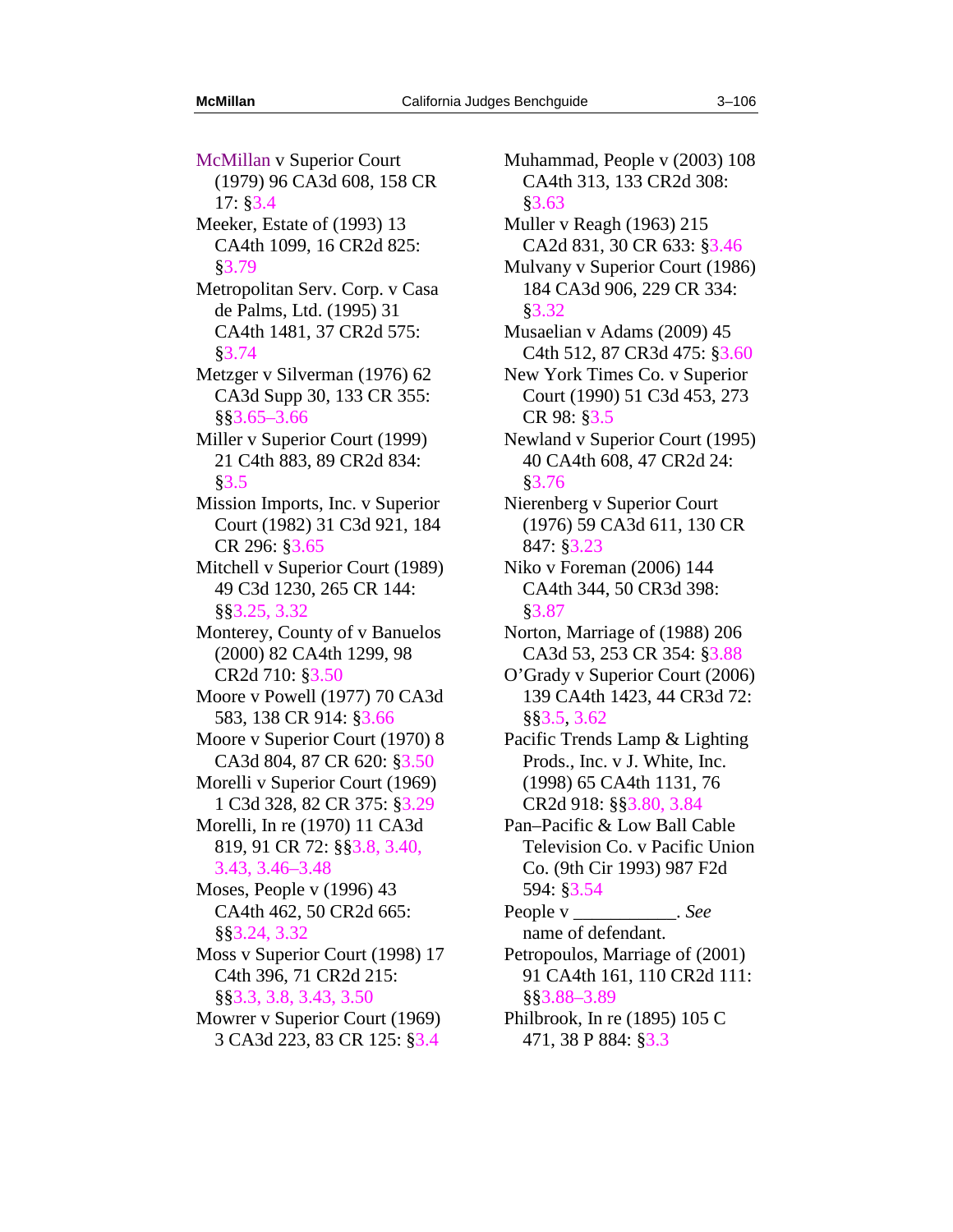McMillan v Superior Court (1979) 96 CA3d 608, 158 CR 17: [§3.4](#page-12-0) Meeker, Estate of (1993) 13 CA4th 1099, 16 CR2d 825: [§3.79](#page-79-0) Metropolitan Serv. Corp. v Casa de Palms, Ltd. (1995) 31 CA4th 1481, 37 CR2d 575: [§3.74](#page-76-1) Metzger v Silverman (1976) 62 CA3d Supp 30, 133 CR 355: §[§3.65–](#page-71-0)[3.66](#page-71-1) Miller v Superior Court (1999) 21 C4th 883, 89 CR2d 834: [§3.5](#page-13-0) Mission Imports, Inc. v Superior Court (1982) 31 C3d 921, 184 CR 296: [§3.65](#page-71-0) Mitchell v Superior Court (1989) 49 C3d 1230, 265 CR 144: §[§3.25,](#page-39-0) [3.32](#page-42-0) Monterey, County of v Banuelos (2000) 82 CA4th 1299, 98 CR2d 710: [§3.50](#page-55-1) Moore v Powell (1977) 70 CA3d 583, 138 CR 914: [§3.66](#page-71-1) Moore v Superior Court (1970) 8 CA3d 804, 87 CR 620: [§3.50](#page-55-1) Morelli v Superior Court (1969) 1 C3d 328, 82 CR 375: [§3.29](#page-41-0) Morelli, In re (1970) 11 CA3d 819, 91 CR 72: §[§3.8,](#page-18-0) [3.40,](#page-48-0) [3.43,](#page-51-0) [3.46–](#page-53-2)[3.48](#page-53-0) Moses, People v (1996) 43 CA4th 462, 50 CR2d 665: §[§3.24,](#page-38-0) [3.32](#page-42-0) Moss v Superior Court (1998) 17 C4th 396, 71 CR2d 215: §[§3.3,](#page-7-0) [3.8,](#page-18-0) [3.43,](#page-51-0) [3.50](#page-55-1) Mowrer v Superior Court (1969) 3 CA3d 223, 83 CR 125: [§3.4](#page-12-0)

Muhammad, People v (2003) 108 CA4th 313, 133 CR2d 308: [§3.63](#page-68-0) Muller v Reagh (1963) 215 CA2d 831, 30 CR 633: [§3.46](#page-53-2) Mulvany v Superior Court (1986) 184 CA3d 906, 229 CR 334: [§3.32](#page-42-0) Musaelian v Adams (2009) 45 C4th 512, 87 CR3d 475: [§3.60](#page-67-1) New York Times Co. v Superior Court (1990) 51 C3d 453, 273 CR 98: [§3.5](#page-13-0) Newland v Superior Court (1995) 40 CA4th 608, 47 CR2d 24: [§3.76](#page-77-0) Nierenberg v Superior Court (1976) 59 CA3d 611, 130 CR 847: [§3.23](#page-37-0) Niko v Foreman (2006) 144 CA4th 344, 50 CR3d 398: [§3.87](#page-83-1) Norton, Marriage of (1988) 206 CA3d 53, 253 CR 354: [§3.88](#page-83-0) O'Grady v Superior Court (2006) 139 CA4th 1423, 44 CR3d 72: §[§3.5,](#page-13-0) [3.62](#page-67-0) Pacific Trends Lamp & Lighting Prods., Inc. v J. White, Inc. (1998) 65 CA4th 1131, 76 CR2d 918: §[§3.80,](#page-80-1) [3.84](#page-81-0) Pan–Pacific & Low Ball Cable Television Co. v Pacific Union Co. (9th Cir 1993) 987 F2d 594: [§3.54](#page-59-1) People v \_\_\_\_\_\_\_\_\_\_\_. *See* name of defendant. Petropoulos, Marriage of (2001) 91 CA4th 161, 110 CR2d 111: §[§3.88–](#page-83-0)[3.89](#page-85-0) Philbrook, In re (1895) 105 C 471, 38 P 884: [§3.3](#page-7-0)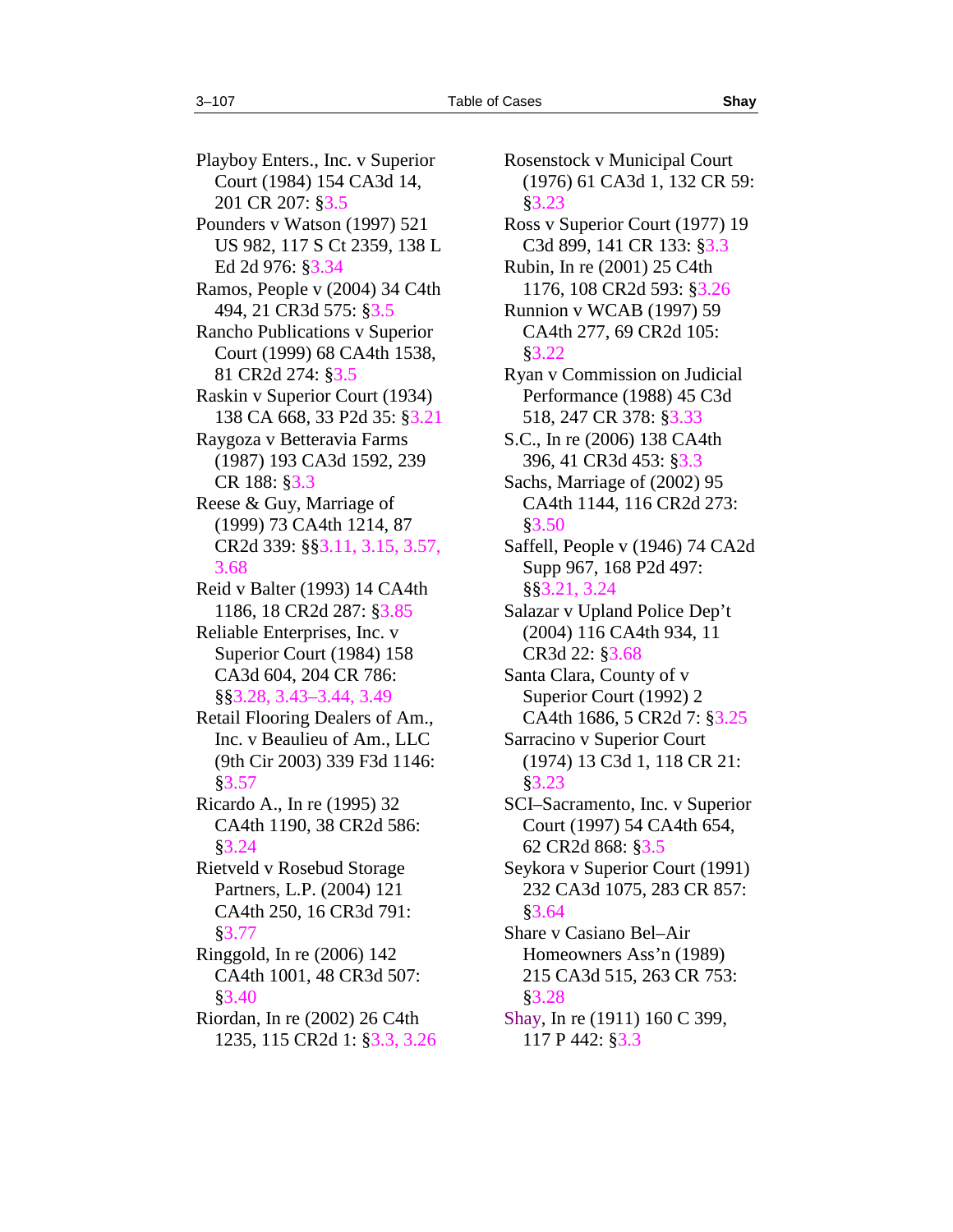Playboy Enters., Inc. v Superior Court (1984) 154 CA3d 14, 201 CR 207: [§3.5](#page-13-0) Pounders v Watson (1997) 521 US 982, 117 S Ct 2359, 138 L Ed 2d 976: [§3.34](#page-45-0) Ramos, People v (2004) 34 C4th 494, 21 CR3d 575: [§3.5](#page-13-0) Rancho Publications v Superior Court (1999) 68 CA4th 1538, 81 CR2d 274: [§3.5](#page-13-0) Raskin v Superior Court (1934) 138 CA 668, 33 P2d 35: [§3.21](#page-35-0) Raygoza v Betteravia Farms (1987) 193 CA3d 1592, 239 CR 188: [§3.3](#page-7-0) Reese & Guy, Marriage of (1999) 73 CA4th 1214, 87 CR2d 339: §[§3.11,](#page-24-0) [3.15,](#page-30-0) [3.57,](#page-64-0) [3.68](#page-72-0) Reid v Balter (1993) 14 CA4th 1186, 18 CR2d 287: [§3.85](#page-82-0) Reliable Enterprises, Inc. v Superior Court (1984) 158 CA3d 604, 204 CR 786: §[§3.28,](#page-40-0) [3.43–](#page-51-0)[3.44,](#page-52-0) [3.49](#page-55-0) Retail Flooring Dealers of Am., Inc. v Beaulieu of Am., LLC (9th Cir 2003) 339 F3d 1146: [§3.57](#page-64-0) Ricardo A., In re (1995) 32 CA4th 1190, 38 CR2d 586: [§3.24](#page-38-0) Rietveld v Rosebud Storage

- Partners, L.P. (2004) 121 CA4th 250, 16 CR3d 791: [§3.77](#page-78-0)
- Ringgold, In re (2006) 142 CA4th 1001, 48 CR3d 507: [§3.40](#page-48-0)
- Riordan, In re (2002) 26 C4th 1235, 115 CR2d 1: [§3.3,](#page-7-0) [3.26](#page-39-0)

Rosenstock v Municipal Court (1976) 61 CA3d 1, 132 CR 59: [§3.23](#page-37-0) Ross v Superior Court (1977) 19 C3d 899, 141 CR 133: [§3.3](#page-7-0) Rubin, In re (2001) 25 C4th 1176, 108 CR2d 593: [§3.26](#page-39-0) Runnion v WCAB (1997) 59 CA4th 277, 69 CR2d 105: [§3.22](#page-36-0) Ryan v Commission on Judicial Performance (1988) 45 C3d 518, 247 CR 378: [§3.33](#page-43-0) S.C., In re (2006) 138 CA4th 396, 41 CR3d 453: [§3.3](#page-7-0) Sachs, Marriage of (2002) 95 CA4th 1144, 116 CR2d 273: [§3.50](#page-55-1) Saffell, People v (1946) 74 CA2d Supp 967, 168 P2d 497: §[§3.21,](#page-35-0) [3.24](#page-38-0) Salazar v Upland Police Dep't (2004) 116 CA4th 934, 11 CR3d 22: [§3.68](#page-72-0) Santa Clara, County of v Superior Court (1992) 2 CA4th 1686, 5 CR2d 7: [§3.25](#page-39-1) Sarracino v Superior Court (1974) 13 C3d 1, 118 CR 21: [§3.23](#page-37-0) SCI–Sacramento, Inc. v Superior Court (1997) 54 CA4th 654, 62 CR2d 868: [§3.5](#page-13-0) Seykora v Superior Court (1991) 232 CA3d 1075, 283 CR 857: [§3.64](#page-70-0) Share v Casiano Bel–Air Homeowners Ass'n (1989) 215 CA3d 515, 263 CR 753: [§3.28](#page-40-0) Shay, In re (1911) 160 C 399, 117 P 442: [§3.3](#page-7-0)